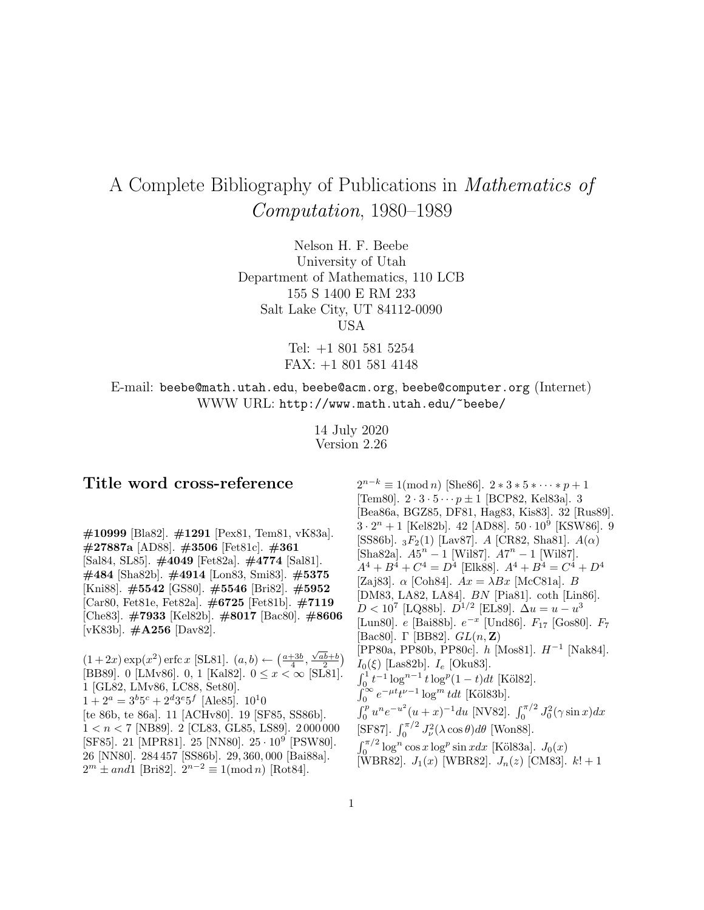# A Complete Bibliography of Publications in Mathematics of Computation, 1980–1989

Nelson H. F. Beebe University of Utah Department of Mathematics, 110 LCB 155 S 1400 E RM 233 Salt Lake City, UT 84112-0090 USA

> Tel: +1 801 581 5254 FAX: +1 801 581 4148

E-mail: beebe@math.utah.edu, beebe@acm.org, beebe@computer.org (Internet) WWW URL: http://www.math.utah.edu/~beebe/

> 14 July 2020 Version 2.26

# **Title word cross-reference**

**#10999** [Bla82]. **#1291** [Pex81, Tem81, vK83a]. **#27887a** [AD88]. **#3506** [Fet81c]. **#361** [Sal84, SL85]. **#4049** [Fet82a]. **#4774** [Sal81]. **#484** [Sha82b]. **#4914** [Lon83, Smi83]. **#5375** [Kni88]. **#5542** [GS80]. **#5546** [Bri82]. **#5952** [Car80, Fet81e, Fet82a]. **#6725** [Fet81b]. **#7119** [Che83]. **#7933** [Kel82b]. **#8017** [Bac80]. **#8606** [vK83b]. **#A256** [Dav82].

 $(1+2x)\exp(x^2)\operatorname{erfc} x$  [SL81].  $(a,b)\leftarrow \left(\frac{a+3b}{4}, \frac{\sqrt{ab}+b}{2}\right)$ [BB89]. 0 [LMv86]. 0, 1 [Kal82].  $0 \le x < \infty$  [SL81]. 1 [GL82, LMv86, LC88, Set80].  $1+2^a = 3^b 5^c + 2^d 3^e 5^f$  [Ale85].  $10^10$ [te 86b, te 86a]. 11 [ACHv80]. 19 [SF85, SS86b].  $1 < n < 7$  [NB89]. 2 [CL83, GL85, LS89]. 2000000 [SF85]. 21 [MPR81]. 25 [NN80]. 25 · <sup>10</sup><sup>9</sup> [PSW80]. 26 [NN80]. 284 457 [SS86b]. 29, 360, 000 [Bai88a].  $2^m \pm and1$  [Bri82].  $2^{n-2} \equiv 1 \pmod{n}$  [Rot84].

 $2^{n-k} \equiv 1 \pmod{n}$  [She86].  $2 * 3 * 5 * \cdots * p + 1$ [Tem80].  $2 \cdot 3 \cdot 5 \cdots p \pm 1$  [BCP82, Kel83a]. 3 [Bea86a, BGZ85, DF81, Hag83, Kis83]. 32 [Rus89].  $3 \cdot 2^n + 1$  [Kel82b]. 42 [AD88].  $50 \cdot 10^9$  [KSW86]. 9 [SS86b].  $_3F_2(1)$  [Lav87]. A [CR82, Sha81].  $A(\alpha)$ [Sha82a].  $A5^n - 1$  [Wil87].  $A7^n - 1$  [Wil87].  $A^4 + B^4 + C^4 = D^4$  [Elk88].  $A^4 + B^4 = C^4 + D^4$ [Zaj83].  $\alpha$  [Coh84].  $Ax = \lambda Bx$  [McC81a]. B [DM83, LA82, LA84]. BN [Pia81]. coth [Lin86].  $D < 10^7$  [LQ88b].  $D^{1/2}$  [EL89].  $\Delta u = u - u^3$ [Lun80]. e [Bai88b]. e−<sup>x</sup> [Und86]. F<sup>17</sup> [Gos80]. F<sup>7</sup> [Bac80]. Γ [BB82]. GL(n, **Z**) [PP80a, PP80b, PP80c]. h [Mos81]. H−<sup>1</sup> [Nak84].  $I_0(\xi)$  [Las82b].  $I_e$  [Oku83].  $\int_0^1 t^{-1} \log^{n-1} t \log^n (1-t) dt$  [Köl82].<br>  $\int_0^\infty e^{-\mu t} t^{\nu-1} \log^m t dt$  [Köl83b].  $\int_0^p u^n e^{-u^2} (u+x)^{-1} du$  [NV82].  $\int_0^{\pi/2} J_0^2(\gamma \sin x) dx$ [SF87].  $\int_0^{\pi/2} J_\nu^2(\lambda \cos \theta) d\theta$  [Won88].  $\int_0^{\pi/2} \log^n \cos x \log^p \sin x dx$  [Köl83a].  $J_0(x)$ [WBR82].  $J_1(x)$  [WBR82].  $J_n(z)$  [CM83].  $k! + 1$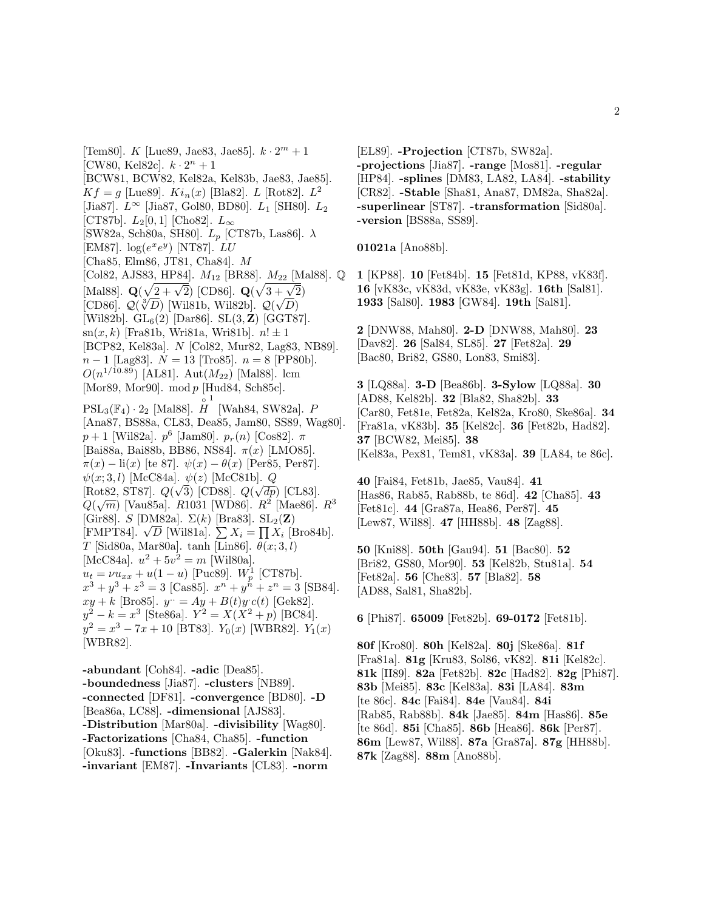[Tem80]. K [Lue89, Jae83, Jae85].  $k \cdot 2^m + 1$ [CW80, Kel82c].  $k \cdot 2^n + 1$ [BCW81, BCW82, Kel82a, Kel83b, Jae83, Jae85].  $Kf = g$  [Lue89].  $Ki_n(x)$  [Bla82]. L [Rot82].  $L^2$ [Jia87].  $L^{\infty}$  [Jia87, Gol80, BD80].  $L_1$  [SH80].  $L_2$ [CT87b].  $L_2[0,1]$  [Cho82].  $L_{\infty}$ [SW82a, Sch80a, SH80].  $L_p$  [CT87b, Las86].  $\lambda$ [EM87].  $log(e^xe^y)$  [NT87].  $LU$ [Cha85, Elm86, JT81, Cha84]. M [Col82, AJS83, HP84].  $M_{12}$  [BR88].  $M_{22}$  [Mal88]. Q [Mal88]. **Q**( $\sqrt{2 + \sqrt{2}}$ ) [CD86]. **Q**( $\sqrt{3 + \sqrt{2}}$ ) [CD86].  $Q(\sqrt[3]{D})$  [Wil81b, Wil82b].  $Q(\sqrt{D})$ [Wil82b]. GL6(2) [Dar86]. SL(3, **Z**) [GGT87].  $sn(x, k)$  [Fra81b, Wri81a, Wri81b].  $n! \pm 1$ [BCP82, Kel83a]. N [Col82, Mur82, Lag83, NB89].  $n-1$  [Lag83].  $N = 13$  [Tro85].  $n = 8$  [PP80b].  $O(n^{1/10.89})$  [AL81]. Aut $(M_{22})$  [Mal88]. lcm [Mor89, Mor90]. mod p [Hud84, Sch85c].  $PSL_3(\mathbb{F}_4) \cdot 2_2$  [Mal88].  $\hat{H}$  [Wah84, SW82a].  $P$ <br>[Ana87\_BS88a\_CL83\_Dea85\_Jam80\_SS89\_W 1 [Ana87, BS88a, CL83, Dea85, Jam80, SS89, Wag80].  $p+1$  [Wil82a].  $p^6$  [Jam80].  $p_r(n)$  [Cos82]. π [Bai88a, Bai88b, BB86, NS84]. π(x) [LMO85].  $\pi(x) - \text{li}(x)$  [te 87].  $\psi(x) - \theta(x)$  [Per85, Per87].  $\psi(x; 3, l)$  [McC84a].  $\psi(z)$  [McC81b]. Q  $\left[\text{Rot82}, \text{ST87}\right]$ .  $Q(\sqrt{3})$  [CD88].  $Q(\sqrt{dp})$  [CL83].  $Q(\sqrt{m})$  [Vau85a]. R1031 [WD86].  $R^2$  [Mae86].  $R^3$ [Gir88]. S [DM82a].  $\Sigma(k)$  [Bra83].  $SL_2(\mathbf{Z})$ [Smoo].  $\infty$  [Binozaj.  $\Xi(n)$  [Brass].  $\Sigma Z_i = \prod X_i$  [Bro84b]. T [Sid80a, Mar80a]. tanh [Lin86].  $\theta(x; 3, l)$ [McC84a].  $u^2 + 5v^2 = m$  [Wil80a].  $u_t = \nu u_{xx} + u(1-u)$  [Puc89].  $W_p^1$  [CT87b].  $x^3 + y^3 + z^3 = 3$  [Cas85].  $x^n + y^{\hat{n}} + z^n = 3$  [SB84].  $xy + k$  [Bro85].  $y = Ay + B(t)y'c(t)$  [Gek82].  $y^{2} - k = x^{3}$  [Ste86a].  $Y^{2} = X(X^{2} + p)$  [BC84].  $y^2 = x^3 - 7x + 10$  [BT83].  $Y_0(x)$  [WBR82].  $Y_1(x)$ [WBR82].

**-abundant** [Coh84]. **-adic** [Dea85]. **-boundedness** [Jia87]. **-clusters** [NB89]. **-connected** [DF81]. **-convergence** [BD80]. **-D** [Bea86a, LC88]. **-dimensional** [AJS83]. **-Distribution** [Mar80a]. **-divisibility** [Wag80]. **-Factorizations** [Cha84, Cha85]. **-function** [Oku83]. **-functions** [BB82]. **-Galerkin** [Nak84]. **-invariant** [EM87]. **-Invariants** [CL83]. **-norm**

[EL89]. **-Projection** [CT87b, SW82a]. **-projections** [Jia87]. **-range** [Mos81]. **-regular** [HP84]. **-splines** [DM83, LA82, LA84]. **-stability** [CR82]. **-Stable** [Sha81, Ana87, DM82a, Sha82a]. **-superlinear** [ST87]. **-transformation** [Sid80a]. **-version** [BS88a, SS89].

**01021a** [Ano88b].

**1** [KP88]. **10** [Fet84b]. **15** [Fet81d, KP88, vK83f]. **16** [vK83c, vK83d, vK83e, vK83g]. **16th** [Sal81]. **1933** [Sal80]. **1983** [GW84]. **19th** [Sal81].

**2** [DNW88, Mah80]. **2-D** [DNW88, Mah80]. **23** [Dav82]. **26** [Sal84, SL85]. **27** [Fet82a]. **29** [Bac80, Bri82, GS80, Lon83, Smi83].

**3** [LQ88a]. **3-D** [Bea86b]. **3-Sylow** [LQ88a]. **30** [AD88, Kel82b]. **32** [Bla82, Sha82b]. **33** [Car80, Fet81e, Fet82a, Kel82a, Kro80, Ske86a]. **34** [Fra81a, vK83b]. **35** [Kel82c]. **36** [Fet82b, Had82]. **37** [BCW82, Mei85]. **38** [Kel83a, Pex81, Tem81, vK83a]. **39** [LA84, te 86c].

**40** [Fai84, Fet81b, Jae85, Vau84]. **41** [Has86, Rab85, Rab88b, te 86d]. **42** [Cha85]. **43** [Fet81c]. **44** [Gra87a, Hea86, Per87]. **45** [Lew87, Wil88]. **47** [HH88b]. **48** [Zag88].

**50** [Kni88]. **50th** [Gau94]. **51** [Bac80]. **52** [Bri82, GS80, Mor90]. **53** [Kel82b, Stu81a]. **54** [Fet82a]. **56** [Che83]. **57** [Bla82]. **58** [AD88, Sal81, Sha82b].

**6** [Phi87]. **65009** [Fet82b]. **69-0172** [Fet81b].

**80f** [Kro80]. **80h** [Kel82a]. **80j** [Ske86a]. **81f** [Fra81a]. **81g** [Kru83, Sol86, vK82]. **81i** [Kel82c]. **81k** [II89]. **82a** [Fet82b]. **82c** [Had82]. **82g** [Phi87]. **83b** [Mei85]. **83c** [Kel83a]. **83i** [LA84]. **83m** [te 86c]. **84c** [Fai84]. **84e** [Vau84]. **84i** [Rab85, Rab88b]. **84k** [Jae85]. **84m** [Has86]. **85e** [te 86d]. **85i** [Cha85]. **86b** [Hea86]. **86k** [Per87]. **86m** [Lew87, Wil88]. **87a** [Gra87a]. **87g** [HH88b]. **87k** [Zag88]. **88m** [Ano88b].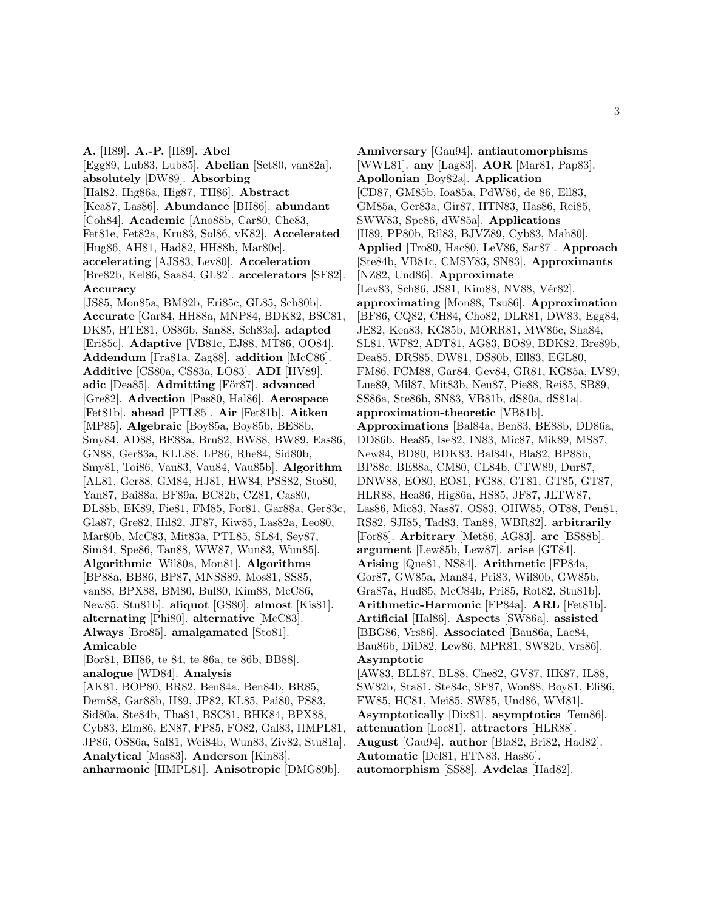**A.** [II89]. **A.-P.** [II89]. **Abel** [Egg89, Lub83, Lub85]. **Abelian** [Set80, van82a]. **absolutely** [DW89]. **Absorbing** [Hal82, Hig86a, Hig87, TH86]. **Abstract** [Kea87, Las86]. **Abundance** [BH86]. **abundant** [Coh84]. **Academic** [Ano88b, Car80, Che83, Fet81e, Fet82a, Kru83, Sol86, vK82]. **Accelerated** [Hug86, AH81, Had82, HH88b, Mar80c]. **accelerating** [AJS83, Lev80]. **Acceleration** [Bre82b, Kel86, Saa84, GL82]. **accelerators** [SF82]. **Accuracy** [JS85, Mon85a, BM82b, Eri85c, GL85, Sch80b]. **Accurate** [Gar84, HH88a, MNP84, BDK82, BSC81, DK85, HTE81, OS86b, San88, Sch83a]. **adapted** [Eri85c]. **Adaptive** [VB81c, EJ88, MT86, OO84]. **Addendum** [Fra81a, Zag88]. **addition** [McC86]. **Additive** [CS80a, CS83a, LO83]. **ADI** [HV89]. **adic** [Dea85]. **Admitting** [För87]. **advanced** [Gre82]. **Advection** [Pas80, Hal86]. **Aerospace** [Fet81b]. **ahead** [PTL85]. **Air** [Fet81b]. **Aitken** [MP85]. **Algebraic** [Boy85a, Boy85b, BE88b, Smy84, AD88, BE88a, Bru82, BW88, BW89, Eas86, GN88, Ger83a, KLL88, LP86, Rhe84, Sid80b, Smy81, Toi86, Vau83, Vau84, Vau85b]. **Algorithm** [AL81, Ger88, GM84, HJ81, HW84, PSS82, Sto80, Yan87, Bai88a, BF89a, BC82b, CZ81, Cas80, DL88b, EK89, Fie81, FM85, For81, Gar88a, Ger83c, Gla87, Gre82, Hil82, JF87, Kiw85, Las82a, Leo80, Mar80b, McC83, Mit83a, PTL85, SL84, Sey87, Sim84, Spe86, Tan88, WW87, Wun83, Wun85]. **Algorithmic** [Wil80a, Mon81]. **Algorithms** [BP88a, BB86, BP87, MNSS89, Mos81, SS85, van88, BPX88, BM80, Bul80, Kim88, McC86, New85, Stu81b]. **aliquot** [GS80]. **almost** [Kis81]. **alternating** [Phi80]. **alternative** [McC83]. **Always** [Bro85]. **amalgamated** [Sto81]. **Amicable** [Bor81, BH86, te 84, te 86a, te 86b, BB88]. **analogue** [WD84]. **Analysis** [AK81, BOP80, BR82, Ben84a, Ben84b, BR85, Dem88, Gar88b, II89, JP82, KL85, Pai80, PS83, Sid80a, Ste84b, Tha81, BSC81, BHK84, BPX88, Cyb83, Elm86, EN87, FP85, FO82, Gal83, IIMPL81, JP86, OS86a, Sal81, Wei84b, Wun83, Ziv82, Stu81a]. **Analytical** [Mas83]. **Anderson** [Kin83].

**anharmonic** [IIMPL81]. **Anisotropic** [DMG89b].

**Anniversary** [Gau94]. **antiautomorphisms** [WWL81]. **any** [Lag83]. **AOR** [Mar81, Pap83]. **Apollonian** [Boy82a]. **Application** [CD87, GM85b, Ioa85a, PdW86, de 86, Ell83, GM85a, Ger83a, Gir87, HTN83, Has86, Rei85, SWW83, Spe86, dW85a]. **Applications** [II89, PP80b, Ril83, BJVZ89, Cyb83, Mah80]. **Applied** [Tro80, Hac80, LeV86, Sar87]. **Approach** [Ste84b, VB81c, CMSY83, SN83]. **Approximants** [NZ82, Und86]. **Approximate** [Lev83, Sch86, JS81, Kim88, NV88, Vér82]. **approximating** [Mon88, Tsu86]. **Approximation** [BF86, CQ82, CH84, Cho82, DLR81, DW83, Egg84, JE82, Kea83, KG85b, MORR81, MW86c, Sha84, SL81, WF82, ADT81, AG83, BO89, BDK82, Bre89b, Dea85, DRS85, DW81, DS80b, Ell83, EGL80, FM86, FCM88, Gar84, Gev84, GR81, KG85a, LV89, Lue89, Mil87, Mit83b, Neu87, Pie88, Rei85, SB89, SS86a, Ste86b, SN83, VB81b, dS80a, dS81a]. **approximation-theoretic** [VB81b]. **Approximations** [Bal84a, Ben83, BE88b, DD86a, DD86b, Hea85, Ise82, IN83, Mic87, Mik89, MS87, New84, BD80, BDK83, Bal84b, Bla82, BP88b, BP88c, BE88a, CM80, CL84b, CTW89, Dur87, DNW88, EO80, EO81, FG88, GT81, GT85, GT87, HLR88, Hea86, Hig86a, HS85, JF87, JLTW87, Las86, Mic83, Nas87, OS83, OHW85, OT88, Pen81, RS82, SJI85, Tad83, Tan88, WBR82]. **arbitrarily** [For88]. **Arbitrary** [Met86, AG83]. **arc** [BS88b]. **argument** [Lew85b, Lew87]. **arise** [GT84]. **Arising** [Que81, NS84]. **Arithmetic** [FP84a, Gor87, GW85a, Man84, Pri83, Wil80b, GW85b, Gra87a, Hud85, McC84b, Pri85, Rot82, Stu81b]. **Arithmetic-Harmonic** [FP84a]. **ARL** [Fet81b]. **Artificial** [Hal86]. **Aspects** [SW86a]. **assisted** [BBG86, Vrs86]. **Associated** [Bau86a, Lac84, Bau86b, DiD82, Lew86, MPR81, SW82b, Vrs86]. **Asymptotic** [AW83, BLL87, BL88, Che82, GV87, HK87, IL88, SW82b, Sta81, Ste84c, SF87, Won88, Boy81, Eli86, FW85, HC81, Mei85, SW85, Und86, WM81]. **Asymptotically** [Dix81]. **asymptotics** [Tem86]. **attenuation** [Loc81]. **attractors** [HLR88]. **August** [Gau94]. **author** [Bla82, Bri82, Had82]. **Automatic** [Del81, HTN83, Has86].

**automorphism** [SS88]. **Avdelas** [Had82].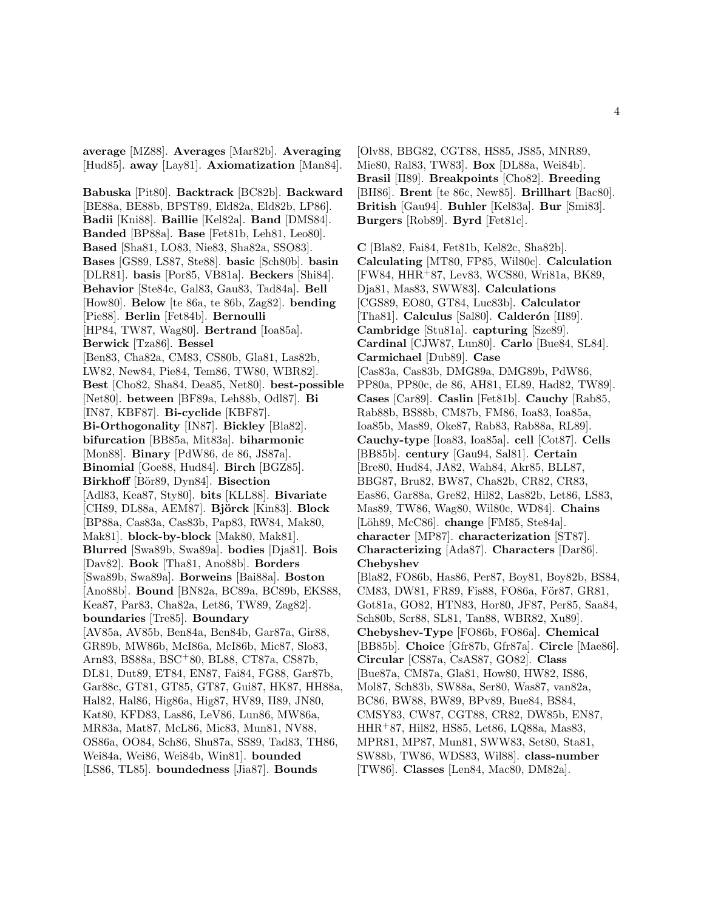**average** [MZ88]. **Averages** [Mar82b]. **Averaging** [Hud85]. **away** [Lay81]. **Axiomatization** [Man84].

**Babuska** [Pit80]. **Backtrack** [BC82b]. **Backward** [BE88a, BE88b, BPST89, Eld82a, Eld82b, LP86]. **Badii** [Kni88]. **Baillie** [Kel82a]. **Band** [DMS84]. **Banded** [BP88a]. **Base** [Fet81b, Leh81, Leo80]. **Based** [Sha81, LO83, Nie83, Sha82a, SSO83]. **Bases** [GS89, LS87, Ste88]. **basic** [Sch80b]. **basin** [DLR81]. **basis** [Por85, VB81a]. **Beckers** [Shi84]. **Behavior** [Ste84c, Gal83, Gau83, Tad84a]. **Bell** [How80]. **Below** [te 86a, te 86b, Zag82]. **bending** [Pie88]. **Berlin** [Fet84b]. **Bernoulli** [HP84, TW87, Wag80]. **Bertrand** [Ioa85a]. **Berwick** [Tza86]. **Bessel** [Ben83, Cha82a, CM83, CS80b, Gla81, Las82b, LW82, New84, Pie84, Tem86, TW80, WBR82]. **Best** [Cho82, Sha84, Dea85, Net80]. **best-possible** [Net80]. **between** [BF89a, Leh88b, Odl87]. **Bi** [IN87, KBF87]. **Bi-cyclide** [KBF87]. **Bi-Orthogonality** [IN87]. **Bickley** [Bla82]. **bifurcation** [BB85a, Mit83a]. **biharmonic** [Mon88]. **Binary** [PdW86, de 86, JS87a]. **Binomial** [Goe88, Hud84]. **Birch** [BGZ85]. **Birkhoff** [Bör89, Dyn84]. **Bisection** [Adl83, Kea87, Sty80]. **bits** [KLL88]. **Bivariate** [CH89, DL88a, AEM87]. **Björck** [Kin83]. **Block** [BP88a, Cas83a, Cas83b, Pap83, RW84, Mak80, Mak81]. **block-by-block** [Mak80, Mak81]. **Blurred** [Swa89b, Swa89a]. **bodies** [Dja81]. **Bois** [Dav82]. **Book** [Tha81, Ano88b]. **Borders** [Swa89b, Swa89a]. **Borweins** [Bai88a]. **Boston** [Ano88b]. **Bound** [BN82a, BC89a, BC89b, EKS88, Kea87, Par83, Cha82a, Let86, TW89, Zag82]. **boundaries** [Tre85]. **Boundary** [AV85a, AV85b, Ben84a, Ben84b, Gar87a, Gir88, GR89b, MW86b, McI86a, McI86b, Mic87, Slo83, Arn83, BS88a, BSC<sup>+</sup>80, BL88, CT87a, CS87b, DL81, Dut89, ET84, EN87, Fai84, FG88, Gar87b, Gar88c, GT81, GT85, GT87, Gui87, HK87, HH88a, Hal82, Hal86, Hig86a, Hig87, HV89, II89, JN80, Kat80, KFD83, Las86, LeV86, Lun86, MW86a, MR83a, Mat87, McL86, Mic83, Mun81, NV88, OS86a, OO84, Sch86, Shu87a, SS89, Tad83, TH86, Wei84a, Wei86, Wei84b, Win81]. **bounded** [LS86, TL85]. **boundedness** [Jia87]. **Bounds**

[Olv88, BBG82, CGT88, HS85, JS85, MNR89, Mie80, Ral83, TW83]. **Box** [DL88a, Wei84b]. **Brasil** [II89]. **Breakpoints** [Cho82]. **Breeding** [BH86]. **Brent** [te 86c, New85]. **Brillhart** [Bac80]. **British** [Gau94]. **Buhler** [Kel83a]. **Bur** [Smi83]. **Burgers** [Rob89]. **Byrd** [Fet81c].

**C** [Bla82, Fai84, Fet81b, Kel82c, Sha82b]. **Calculating** [MT80, FP85, Wil80c]. **Calculation** [FW84, HHR<sup>+</sup>87, Lev83, WCS80, Wri81a, BK89, Dja81, Mas83, SWW83]. **Calculations** [CGS89, EO80, GT84, Luc83b]. **Calculator** [Tha81]. **Calculus** [Sal80]. **Calderón** [II89]. **Cambridge** [Stu81a]. **capturing** [Sze89]. **Cardinal** [CJW87, Lun80]. **Carlo** [Bue84, SL84]. **Carmichael** [Dub89]. **Case** [Cas83a, Cas83b, DMG89a, DMG89b, PdW86, PP80a, PP80c, de 86, AH81, EL89, Had82, TW89]. **Cases** [Car89]. **Caslin** [Fet81b]. **Cauchy** [Rab85, Rab88b, BS88b, CM87b, FM86, Ioa83, Ioa85a, Ioa85b, Mas89, Oke87, Rab83, Rab88a, RL89]. **Cauchy-type** [Ioa83, Ioa85a]. **cell** [Cot87]. **Cells** [BB85b]. **century** [Gau94, Sal81]. **Certain** [Bre80, Hud84, JA82, Wah84, Akr85, BLL87, BBG87, Bru82, BW87, Cha82b, CR82, CR83, Eas86, Gar88a, Gre82, Hil82, Las82b, Let86, LS83, Mas89, TW86, Wag80, Wil80c, WD84]. **Chains** [Löh89, McC86]. **change** [FM85, Ste84a]. **character** [MP87]. **characterization** [ST87]. **Characterizing** [Ada87]. **Characters** [Dar86]. **Chebyshev** [Bla82, FO86b, Has86, Per87, Boy81, Boy82b, BS84, CM83, DW81, FR89, Fis88, FO86a, För87, GR81, Got81a, GO82, HTN83, Hor80, JF87, Per85, Saa84, Sch80b, Scr88, SL81, Tan88, WBR82, Xu89]. **Chebyshev-Type** [FO86b, FO86a]. **Chemical** [BB85b]. **Choice** [Gfr87b, Gfr87a]. **Circle** [Mae86]. **Circular** [CS87a, CsAS87, GO82]. **Class** [Bue87a, CM87a, Gla81, How80, HW82, IS86, Mol87, Sch83b, SW88a, Ser80, Was87, van82a, BC86, BW88, BW89, BPv89, Bue84, BS84, CMSY83, CW87, CGT88, CR82, DW85b, EN87, HHR<sup>+</sup>87, Hil82, HS85, Let86, LQ88a, Mas83, MPR81, MP87, Mun81, SWW83, Set80, Sta81, SW88b, TW86, WDS83, Wil88]. **class-number** [TW86]. **Classes** [Len84, Mac80, DM82a].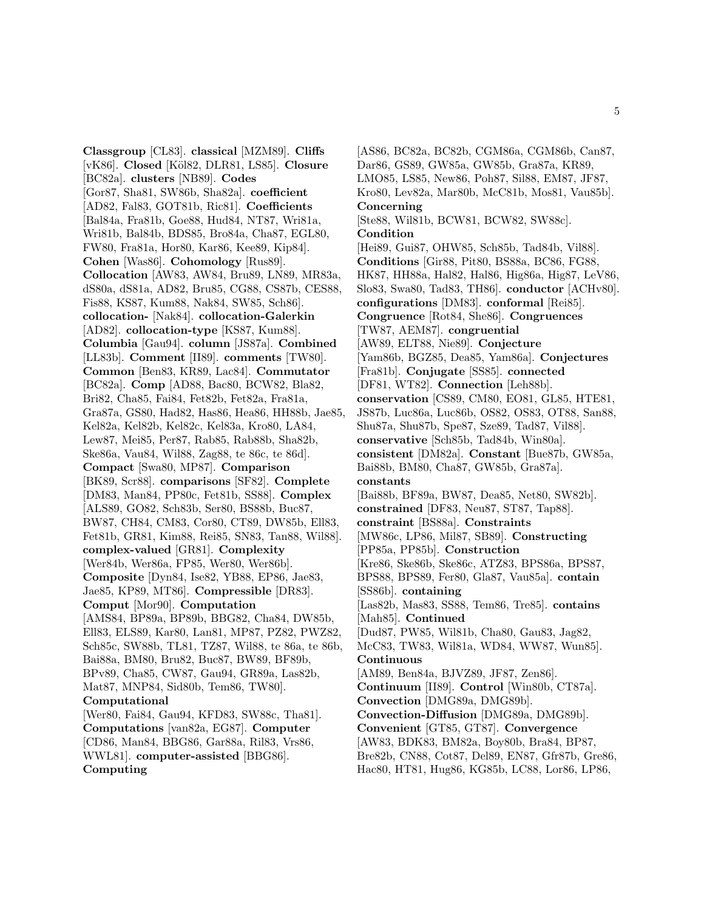**Classgroup** [CL83]. **classical** [MZM89]. **Cliffs** [vK86]. **Closed** [K¨ol82, DLR81, LS85]. **Closure** [BC82a]. **clusters** [NB89]. **Codes** [Gor87, Sha81, SW86b, Sha82a]. **coefficient** [AD82, Fal83, GOT81b, Ric81]. **Coefficients** [Bal84a, Fra81b, Goe88, Hud84, NT87, Wri81a, Wri81b, Bal84b, BDS85, Bro84a, Cha87, EGL80, FW80, Fra81a, Hor80, Kar86, Kee89, Kip84]. **Cohen** [Was86]. **Cohomology** [Rus89]. **Collocation** [AW83, AW84, Bru89, LN89, MR83a, dS80a, dS81a, AD82, Bru85, CG88, CS87b, CES88, Fis88, KS87, Kum88, Nak84, SW85, Sch86]. **collocation-** [Nak84]. **collocation-Galerkin** [AD82]. **collocation-type** [KS87, Kum88]. **Columbia** [Gau94]. **column** [JS87a]. **Combined** [LL83b]. **Comment** [II89]. **comments** [TW80]. **Common** [Ben83, KR89, Lac84]. **Commutator** [BC82a]. **Comp** [AD88, Bac80, BCW82, Bla82, Bri82, Cha85, Fai84, Fet82b, Fet82a, Fra81a, Gra87a, GS80, Had82, Has86, Hea86, HH88b, Jae85, Kel82a, Kel82b, Kel82c, Kel83a, Kro80, LA84, Lew87, Mei85, Per87, Rab85, Rab88b, Sha82b, Ske86a, Vau84, Wil88, Zag88, te 86c, te 86d]. **Compact** [Swa80, MP87]. **Comparison** [BK89, Scr88]. **comparisons** [SF82]. **Complete** [DM83, Man84, PP80c, Fet81b, SS88]. **Complex** [ALS89, GO82, Sch83b, Ser80, BS88b, Buc87, BW87, CH84, CM83, Cor80, CT89, DW85b, Ell83, Fet81b, GR81, Kim88, Rei85, SN83, Tan88, Wil88]. **complex-valued** [GR81]. **Complexity** [Wer84b, Wer86a, FP85, Wer80, Wer86b]. **Composite** [Dyn84, Ise82, YB88, EP86, Jae83, Jae85, KP89, MT86]. **Compressible** [DR83]. **Comput** [Mor90]. **Computation** [AMS84, BP89a, BP89b, BBG82, Cha84, DW85b, Ell83, ELS89, Kar80, Lan81, MP87, PZ82, PWZ82, Sch85c, SW88b, TL81, TZ87, Wil88, te 86a, te 86b, Bai88a, BM80, Bru82, Buc87, BW89, BF89b, BPv89, Cha85, CW87, Gau94, GR89a, Las82b, Mat87, MNP84, Sid80b, Tem86, TW80]. **Computational** [Wer80, Fai84, Gau94, KFD83, SW88c, Tha81]. **Computations** [van82a, EG87]. **Computer** [CD86, Man84, BBG86, Gar88a, Ril83, Vrs86, WWL81]. **computer-assisted** [BBG86]. **Computing**

[AS86, BC82a, BC82b, CGM86a, CGM86b, Can87, Dar86, GS89, GW85a, GW85b, Gra87a, KR89, LMO85, LS85, New86, Poh87, Sil88, EM87, JF87, Kro80, Lev82a, Mar80b, McC81b, Mos81, Vau85b]. **Concerning** [Ste88, Wil81b, BCW81, BCW82, SW88c]. **Condition** [Hei89, Gui87, OHW85, Sch85b, Tad84b, Vil88]. **Conditions** [Gir88, Pit80, BS88a, BC86, FG88, HK87, HH88a, Hal82, Hal86, Hig86a, Hig87, LeV86, Slo83, Swa80, Tad83, TH86]. **conductor** [ACHv80]. **configurations** [DM83]. **conformal** [Rei85]. **Congruence** [Rot84, She86]. **Congruences** [TW87, AEM87]. **congruential** [AW89, ELT88, Nie89]. **Conjecture** [Yam86b, BGZ85, Dea85, Yam86a]. **Conjectures** [Fra81b]. **Conjugate** [SS85]. **connected** [DF81, WT82]. **Connection** [Leh88b]. **conservation** [CS89, CM80, EO81, GL85, HTE81, JS87b, Luc86a, Luc86b, OS82, OS83, OT88, San88, Shu87a, Shu87b, Spe87, Sze89, Tad87, Vil88]. **conservative** [Sch85b, Tad84b, Win80a]. **consistent** [DM82a]. **Constant** [Bue87b, GW85a, Bai88b, BM80, Cha87, GW85b, Gra87a]. **constants** [Bai88b, BF89a, BW87, Dea85, Net80, SW82b]. **constrained** [DF83, Neu87, ST87, Tap88]. **constraint** [BS88a]. **Constraints** [MW86c, LP86, Mil87, SB89]. **Constructing** [PP85a, PP85b]. **Construction** [Kre86, Ske86b, Ske86c, ATZ83, BPS86a, BPS87, BPS88, BPS89, Fer80, Gla87, Vau85a]. **contain** [SS86b]. **containing** [Las82b, Mas83, SS88, Tem86, Tre85]. **contains** [Mah85]. **Continued** [Dud87, PW85, Wil81b, Cha80, Gau83, Jag82, McC83, TW83, Wil81a, WD84, WW87, Wun85]. **Continuous** [AM89, Ben84a, BJVZ89, JF87, Zen86]. **Continuum** [II89]. **Control** [Win80b, CT87a]. **Convection** [DMG89a, DMG89b]. **Convection-Diffusion** [DMG89a, DMG89b]. **Convenient** [GT85, GT87]. **Convergence** [AW83, BDK83, BM82a, Boy80b, Bra84, BP87, Bre82b, CN88, Cot87, Del89, EN87, Gfr87b, Gre86, Hac80, HT81, Hug86, KG85b, LC88, Lor86, LP86,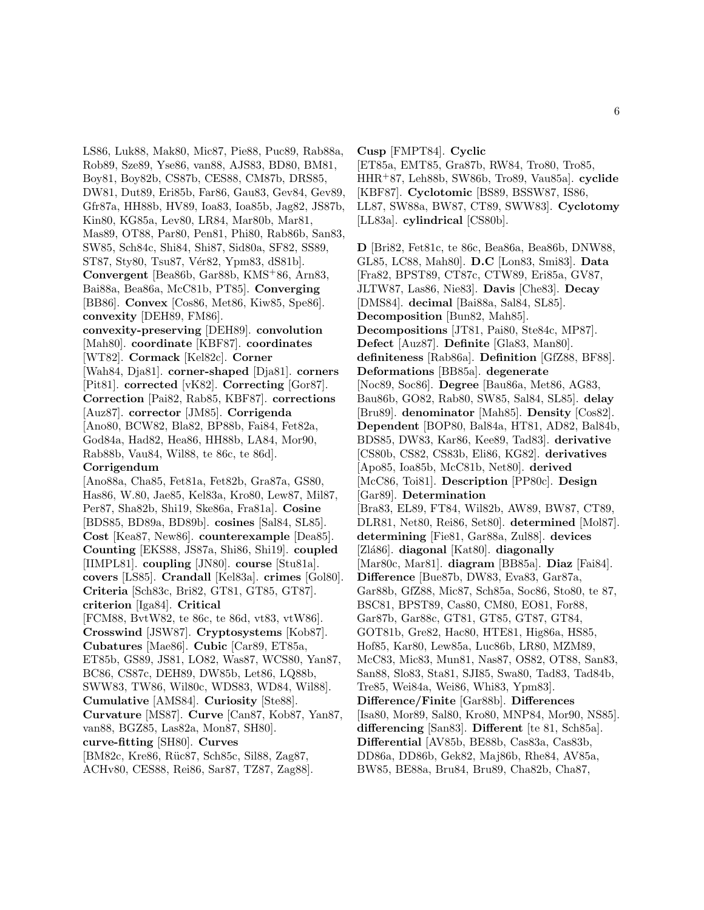LS86, Luk88, Mak80, Mic87, Pie88, Puc89, Rab88a, Rob89, Sze89, Yse86, van88, AJS83, BD80, BM81, Boy81, Boy82b, CS87b, CES88, CM87b, DRS85, DW81, Dut89, Eri85b, Far86, Gau83, Gev84, Gev89, Gfr87a, HH88b, HV89, Ioa83, Ioa85b, Jag82, JS87b, Kin80, KG85a, Lev80, LR84, Mar80b, Mar81, Mas89, OT88, Par80, Pen81, Phi80, Rab86b, San83, SW85, Sch84c, Shi84, Shi87, Sid80a, SF82, SS89, ST87, Sty80, Tsu87, Vér82, Ypm83, dS81b]. **Convergent** [Bea86b, Gar88b, KMS<sup>+</sup>86, Arn83, Bai88a, Bea86a, McC81b, PT85]. **Converging** [BB86]. **Convex** [Cos86, Met86, Kiw85, Spe86]. **convexity** [DEH89, FM86]. **convexity-preserving** [DEH89]. **convolution** [Mah80]. **coordinate** [KBF87]. **coordinates** [WT82]. **Cormack** [Kel82c]. **Corner** [Wah84, Dja81]. **corner-shaped** [Dja81]. **corners** [Pit81]. **corrected** [vK82]. **Correcting** [Gor87]. **Correction** [Pai82, Rab85, KBF87]. **corrections** [Auz87]. **corrector** [JM85]. **Corrigenda** [Ano80, BCW82, Bla82, BP88b, Fai84, Fet82a, God84a, Had82, Hea86, HH88b, LA84, Mor90, Rab88b, Vau84, Wil88, te 86c, te 86d]. **Corrigendum** [Ano88a, Cha85, Fet81a, Fet82b, Gra87a, GS80, Has86, W.80, Jae85, Kel83a, Kro80, Lew87, Mil87, Per87, Sha82b, Shi19, Ske86a, Fra81a]. **Cosine** [BDS85, BD89a, BD89b]. **cosines** [Sal84, SL85]. **Cost** [Kea87, New86]. **counterexample** [Dea85]. **Counting** [EKS88, JS87a, Shi86, Shi19]. **coupled** [IIMPL81]. **coupling** [JN80]. **course** [Stu81a]. **covers** [LS85]. **Crandall** [Kel83a]. **crimes** [Gol80]. **Criteria** [Sch83c, Bri82, GT81, GT85, GT87]. **criterion** [Iga84]. **Critical**

[FCM88, BvtW82, te 86c, te 86d, vt83, vtW86]. **Crosswind** [JSW87]. **Cryptosystems** [Kob87]. **Cubatures** [Mae86]. **Cubic** [Car89, ET85a, ET85b, GS89, JS81, LO82, Was87, WCS80, Yan87, BC86, CS87c, DEH89, DW85b, Let86, LQ88b, SWW83, TW86, Wil80c, WDS83, WD84, Wil88]. **Cumulative** [AMS84]. **Curiosity** [Ste88]. **Curvature** [MS87]. **Curve** [Can87, Kob87, Yan87, van88, BGZ85, Las82a, Mon87, SH80]. **curve-fitting** [SH80]. **Curves** [BM82c, Kre86, Rüc87, Sch85c, Sil88, Zag87,

ACHv80, CES88, Rei86, Sar87, TZ87, Zag88].

**Cusp** [FMPT84]. **Cyclic**

[ET85a, EMT85, Gra87b, RW84, Tro80, Tro85, HHR<sup>+</sup>87, Leh88b, SW86b, Tro89, Vau85a]. **cyclide** [KBF87]. **Cyclotomic** [BS89, BSSW87, IS86, LL87, SW88a, BW87, CT89, SWW83]. **Cyclotomy** [LL83a]. **cylindrical** [CS80b].

**D** [Bri82, Fet81c, te 86c, Bea86a, Bea86b, DNW88, GL85, LC88, Mah80]. **D.C** [Lon83, Smi83]. **Data** [Fra82, BPST89, CT87c, CTW89, Eri85a, GV87, JLTW87, Las86, Nie83]. **Davis** [Che83]. **Decay** [DMS84]. **decimal** [Bai88a, Sal84, SL85]. **Decomposition** [Bun82, Mah85]. **Decompositions** [JT81, Pai80, Ste84c, MP87]. **Defect** [Auz87]. **Definite** [Gla83, Man80]. **definiteness** [Rab86a]. **Definition** [GfZ88, BF88]. **Deformations** [BB85a]. **degenerate** [Noc89, Soc86]. **Degree** [Bau86a, Met86, AG83, Bau86b, GO82, Rab80, SW85, Sal84, SL85]. **delay** [Bru89]. **denominator** [Mah85]. **Density** [Cos82]. **Dependent** [BOP80, Bal84a, HT81, AD82, Bal84b, BDS85, DW83, Kar86, Kee89, Tad83]. **derivative** [CS80b, CS82, CS83b, Eli86, KG82]. **derivatives** [Apo85, Ioa85b, McC81b, Net80]. **derived** [McC86, Toi81]. **Description** [PP80c]. **Design** [Gar89]. **Determination** [Bra83, EL89, FT84, Wil82b, AW89, BW87, CT89, DLR81, Net80, Rei86, Set80]. **determined** [Mol87]. **determining** [Fie81, Gar88a, Zul88]. **devices** [Zl´a86]. **diagonal** [Kat80]. **diagonally** [Mar80c, Mar81]. **diagram** [BB85a]. **Diaz** [Fai84]. **Difference** [Bue87b, DW83, Eva83, Gar87a, Gar88b, GfZ88, Mic87, Sch85a, Soc86, Sto80, te 87, BSC81, BPST89, Cas80, CM80, EO81, For88, Gar87b, Gar88c, GT81, GT85, GT87, GT84, GOT81b, Gre82, Hac80, HTE81, Hig86a, HS85, Hof85, Kar80, Lew85a, Luc86b, LR80, MZM89, McC83, Mic83, Mun81, Nas87, OS82, OT88, San83, San88, Slo83, Sta81, SJI85, Swa80, Tad83, Tad84b, Tre85, Wei84a, Wei86, Whi83, Ypm83]. **Difference/Finite** [Gar88b]. **Differences** [Isa80, Mor89, Sal80, Kro80, MNP84, Mor90, NS85]. **differencing** [San83]. **Different** [te 81, Sch85a]. **Differential** [AV85b, BE88b, Cas83a, Cas83b, DD86a, DD86b, Gek82, Maj86b, Rhe84, AV85a, BW85, BE88a, Bru84, Bru89, Cha82b, Cha87,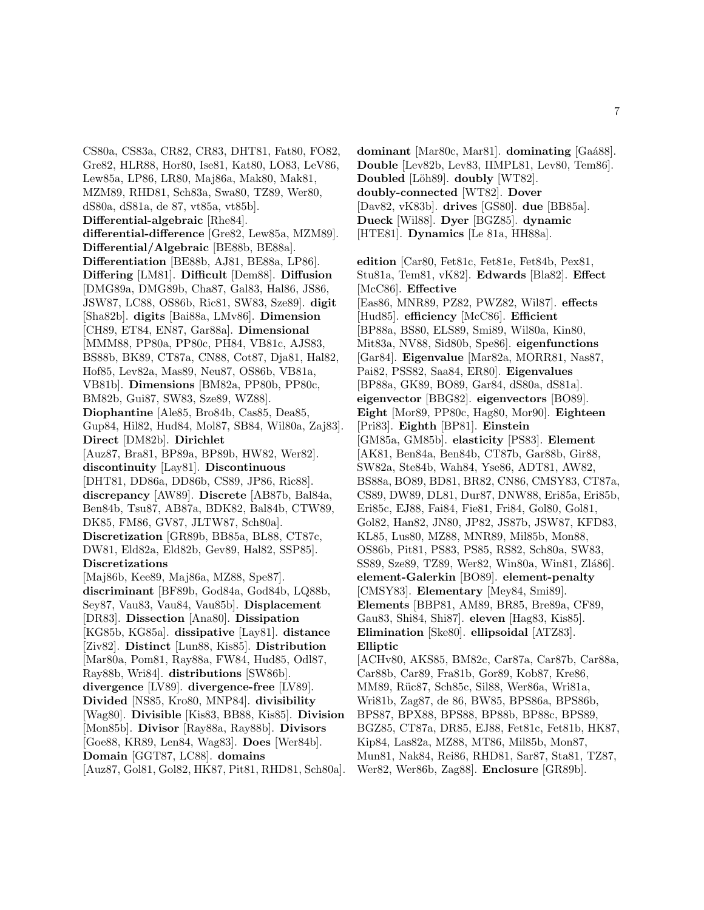CS80a, CS83a, CR82, CR83, DHT81, Fat80, FO82, Gre82, HLR88, Hor80, Ise81, Kat80, LO83, LeV86, Lew85a, LP86, LR80, Maj86a, Mak80, Mak81, MZM89, RHD81, Sch83a, Swa80, TZ89, Wer80, dS80a, dS81a, de 87, vt85a, vt85b]. **Differential-algebraic** [Rhe84]. **differential-difference** [Gre82, Lew85a, MZM89]. **Differential/Algebraic** [BE88b, BE88a]. **Differentiation** [BE88b, AJ81, BE88a, LP86]. **Differing** [LM81]. **Difficult** [Dem88]. **Diffusion** [DMG89a, DMG89b, Cha87, Gal83, Hal86, JS86, JSW87, LC88, OS86b, Ric81, SW83, Sze89]. **digit** [Sha82b]. **digits** [Bai88a, LMv86]. **Dimension** [CH89, ET84, EN87, Gar88a]. **Dimensional** [MMM88, PP80a, PP80c, PH84, VB81c, AJS83, BS88b, BK89, CT87a, CN88, Cot87, Dja81, Hal82, Hof85, Lev82a, Mas89, Neu87, OS86b, VB81a, VB81b]. **Dimensions** [BM82a, PP80b, PP80c, BM82b, Gui87, SW83, Sze89, WZ88]. **Diophantine** [Ale85, Bro84b, Cas85, Dea85, Gup84, Hil82, Hud84, Mol87, SB84, Wil80a, Zaj83]. **Direct** [DM82b]. **Dirichlet** [Auz87, Bra81, BP89a, BP89b, HW82, Wer82]. **discontinuity** [Lay81]. **Discontinuous** [DHT81, DD86a, DD86b, CS89, JP86, Ric88]. **discrepancy** [AW89]. **Discrete** [AB87b, Bal84a, Ben84b, Tsu87, AB87a, BDK82, Bal84b, CTW89, DK85, FM86, GV87, JLTW87, Sch80a]. **Discretization** [GR89b, BB85a, BL88, CT87c, DW81, Eld82a, Eld82b, Gev89, Hal82, SSP85]. **Discretizations** [Maj86b, Kee89, Maj86a, MZ88, Spe87]. **discriminant** [BF89b, God84a, God84b, LQ88b, Sey87, Vau83, Vau84, Vau85b]. **Displacement** [DR83]. **Dissection** [Ana80]. **Dissipation** [KG85b, KG85a]. **dissipative** [Lay81]. **distance** [Ziv82]. **Distinct** [Lun88, Kis85]. **Distribution** [Mar80a, Pom81, Ray88a, FW84, Hud85, Odl87, Ray88b, Wri84]. **distributions** [SW86b]. **divergence** [LV89]. **divergence-free** [LV89]. **Divided** [NS85, Kro80, MNP84]. **divisibility** [Wag80]. **Divisible** [Kis83, BB88, Kis85]. **Division** [Mon85b]. **Divisor** [Ray88a, Ray88b]. **Divisors** [Goe88, KR89, Len84, Wag83]. **Does** [Wer84b]. **Domain** [GGT87, LC88]. **domains** [Auz87, Gol81, Gol82, HK87, Pit81, RHD81, Sch80a].

**Double** [Lev82b, Lev83, IIMPL81, Lev80, Tem86]. **Doubled** [Löh89]. **doubly** [WT82]. **doubly-connected** [WT82]. **Dover** [Dav82, vK83b]. **drives** [GS80]. **due** [BB85a]. **Dueck** [Wil88]. **Dyer** [BGZ85]. **dynamic** [HTE81]. **Dynamics** [Le 81a, HH88a]. **edition** [Car80, Fet81c, Fet81e, Fet84b, Pex81, Stu81a, Tem81, vK82]. **Edwards** [Bla82]. **Effect** [McC86]. **Effective** [Eas86, MNR89, PZ82, PWZ82, Wil87]. **effects** [Hud85]. **efficiency** [McC86]. **Efficient** [BP88a, BS80, ELS89, Smi89, Wil80a, Kin80, Mit83a, NV88, Sid80b, Spe86]. **eigenfunctions** [Gar84]. **Eigenvalue** [Mar82a, MORR81, Nas87, Pai82, PSS82, Saa84, ER80]. **Eigenvalues** [BP88a, GK89, BO89, Gar84, dS80a, dS81a]. **eigenvector** [BBG82]. **eigenvectors** [BO89]. **Eight** [Mor89, PP80c, Hag80, Mor90]. **Eighteen** [Pri83]. **Eighth** [BP81]. **Einstein** [GM85a, GM85b]. **elasticity** [PS83]. **Element** [AK81, Ben84a, Ben84b, CT87b, Gar88b, Gir88, SW82a, Ste84b, Wah84, Yse86, ADT81, AW82, BS88a, BO89, BD81, BR82, CN86, CMSY83, CT87a, CS89, DW89, DL81, Dur87, DNW88, Eri85a, Eri85b, Eri85c, EJ88, Fai84, Fie81, Fri84, Gol80, Gol81, Gol82, Han82, JN80, JP82, JS87b, JSW87, KFD83, KL85, Lus80, MZ88, MNR89, Mil85b, Mon88, OS86b, Pit81, PS83, PS85, RS82, Sch80a, SW83, SS89, Sze89, TZ89, Wer82, Win80a, Win81, Zlá86]. **element-Galerkin** [BO89]. **element-penalty** [CMSY83]. **Elementary** [Mey84, Smi89]. **Elements** [BBP81, AM89, BR85, Bre89a, CF89, Gau83, Shi84, Shi87]. **eleven** [Hag83, Kis85]. **Elimination** [Ske80]. **ellipsoidal** [ATZ83]. **Elliptic** [ACHv80, AKS85, BM82c, Car87a, Car87b, Car88a, Car88b, Car89, Fra81b, Gor89, Kob87, Kre86, MM89, Rüc87, Sch85c, Sil88, Wer86a, Wri81a, Wri81b, Zag87, de 86, BW85, BPS86a, BPS86b,

**dominant** [Mar80c, Mar81]. **dominating** [Ga´a88].

BPS87, BPX88, BPS88, BP88b, BP88c, BPS89, BGZ85, CT87a, DR85, EJ88, Fet81c, Fet81b, HK87,

Kip84, Las82a, MZ88, MT86, Mil85b, Mon87,

Mun81, Nak84, Rei86, RHD81, Sar87, Sta81, TZ87,

Wer82, Wer86b, Zag88]. **Enclosure** [GR89b].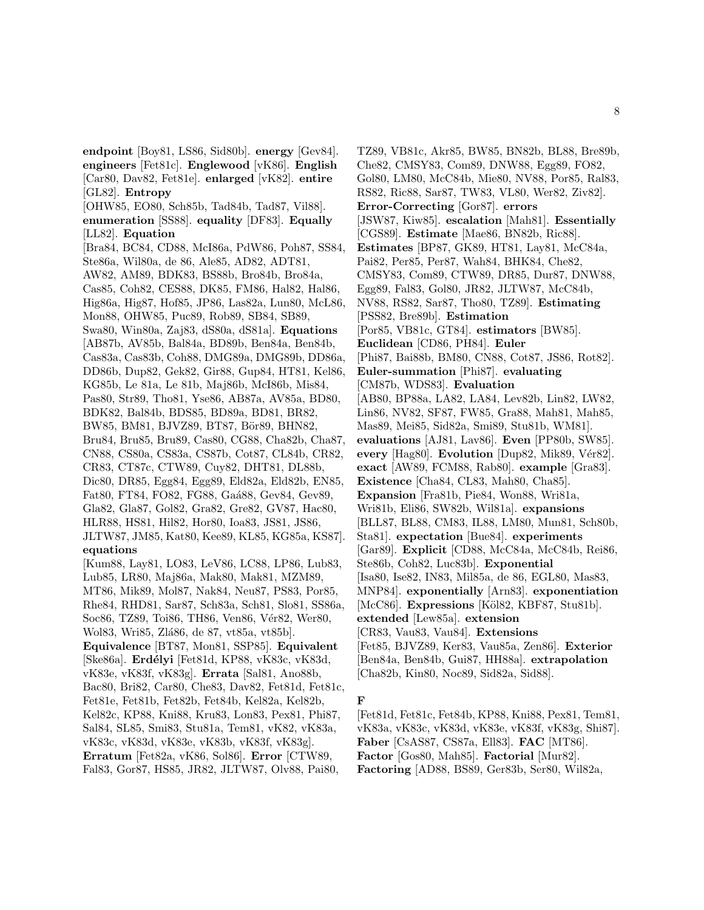**endpoint** [Boy81, LS86, Sid80b]. **energy** [Gev84]. **engineers** [Fet81c]. **Englewood** [vK86]. **English** [Car80, Dav82, Fet81e]. **enlarged** [vK82]. **entire** [GL82]. **Entropy** [OHW85, EO80, Sch85b, Tad84b, Tad87, Vil88]. **enumeration** [SS88]. **equality** [DF83]. **Equally** [LL82]. **Equation** [Bra84, BC84, CD88, McI86a, PdW86, Poh87, SS84, Ste86a, Wil80a, de 86, Ale85, AD82, ADT81, AW82, AM89, BDK83, BS88b, Bro84b, Bro84a, Cas85, Coh82, CES88, DK85, FM86, Hal82, Hal86, Hig86a, Hig87, Hof85, JP86, Las82a, Lun80, McL86, Mon88, OHW85, Puc89, Rob89, SB84, SB89, Swa80, Win80a, Zaj83, dS80a, dS81a]. **Equations** [AB87b, AV85b, Bal84a, BD89b, Ben84a, Ben84b, Cas83a, Cas83b, Coh88, DMG89a, DMG89b, DD86a, DD86b, Dup82, Gek82, Gir88, Gup84, HT81, Kel86, KG85b, Le 81a, Le 81b, Maj86b, McI86b, Mis84, Pas80, Str89, Tho81, Yse86, AB87a, AV85a, BD80, BDK82, Bal84b, BDS85, BD89a, BD81, BR82, BW85, BM81, BJVZ89, BT87, Bör89, BHN82, Bru84, Bru85, Bru89, Cas80, CG88, Cha82b, Cha87, CN88, CS80a, CS83a, CS87b, Cot87, CL84b, CR82, CR83, CT87c, CTW89, Cuy82, DHT81, DL88b, Dic80, DR85, Egg84, Egg89, Eld82a, Eld82b, EN85, Fat80, FT84, FO82, FG88, Gaá88, Gev84, Gev89, Gla82, Gla87, Gol82, Gra82, Gre82, GV87, Hac80, HLR88, HS81, Hil82, Hor80, Ioa83, JS81, JS86, JLTW87, JM85, Kat80, Kee89, KL85, KG85a, KS87]. **equations** [Kum88, Lay81, LO83, LeV86, LC88, LP86, Lub83,

Lub85, LR80, Maj86a, Mak80, Mak81, MZM89, MT86, Mik89, Mol87, Nak84, Neu87, PS83, Por85, Rhe84, RHD81, Sar87, Sch83a, Sch81, Slo81, SS86a, Soc86, TZ89, Toi86, TH86, Ven86, Vér82, Wer80, Wol83, Wri85, Zlá86, de 87, vt85a, vt85b]. **Equivalence** [BT87, Mon81, SSP85]. **Equivalent** [Ske86a]. **Erd´elyi** [Fet81d, KP88, vK83c, vK83d, vK83e, vK83f, vK83g]. **Errata** [Sal81, Ano88b, Bac80, Bri82, Car80, Che83, Dav82, Fet81d, Fet81c, Fet81e, Fet81b, Fet82b, Fet84b, Kel82a, Kel82b, Kel82c, KP88, Kni88, Kru83, Lon83, Pex81, Phi87, Sal84, SL85, Smi83, Stu81a, Tem81, vK82, vK83a, vK83c, vK83d, vK83e, vK83b, vK83f, vK83g]. **Erratum** [Fet82a, vK86, Sol86]. **Error** [CTW89, Fal83, Gor87, HS85, JR82, JLTW87, Olv88, Pai80,

TZ89, VB81c, Akr85, BW85, BN82b, BL88, Bre89b, Che82, CMSY83, Com89, DNW88, Egg89, FO82, Gol80, LM80, McC84b, Mie80, NV88, Por85, Ral83, RS82, Ric88, Sar87, TW83, VL80, Wer82, Ziv82]. **Error-Correcting** [Gor87]. **errors** [JSW87, Kiw85]. **escalation** [Mah81]. **Essentially** [CGS89]. **Estimate** [Mae86, BN82b, Ric88]. **Estimates** [BP87, GK89, HT81, Lay81, McC84a, Pai82, Per85, Per87, Wah84, BHK84, Che82, CMSY83, Com89, CTW89, DR85, Dur87, DNW88, Egg89, Fal83, Gol80, JR82, JLTW87, McC84b, NV88, RS82, Sar87, Tho80, TZ89]. **Estimating** [PSS82, Bre89b]. **Estimation** [Por85, VB81c, GT84]. **estimators** [BW85]. **Euclidean** [CD86, PH84]. **Euler** [Phi87, Bai88b, BM80, CN88, Cot87, JS86, Rot82]. **Euler-summation** [Phi87]. **evaluating** [CM87b, WDS83]. **Evaluation** [AB80, BP88a, LA82, LA84, Lev82b, Lin82, LW82, Lin86, NV82, SF87, FW85, Gra88, Mah81, Mah85, Mas89, Mei85, Sid82a, Smi89, Stu81b, WM81]. **evaluations** [AJ81, Lav86]. **Even** [PP80b, SW85]. **every** [Hag80]. **Evolution** [Dup82, Mik89, Vér82]. **exact** [AW89, FCM88, Rab80]. **example** [Gra83]. **Existence** [Cha84, CL83, Mah80, Cha85]. **Expansion** [Fra81b, Pie84, Won88, Wri81a, Wri81b, Eli86, SW82b, Wil81a]. **expansions** [BLL87, BL88, CM83, IL88, LM80, Mun81, Sch80b, Sta81]. **expectation** [Bue84]. **experiments** [Gar89]. **Explicit** [CD88, McC84a, McC84b, Rei86, Ste86b, Coh82, Luc83b]. **Exponential** [Isa80, Ise82, IN83, Mil85a, de 86, EGL80, Mas83, MNP84]. **exponentially** [Arn83]. **exponentiation** [McC86]. **Expressions** [Köl82, KBF87, Stu81b]. **extended** [Lew85a]. **extension** [CR83, Vau83, Vau84]. **Extensions** [Fet85, BJVZ89, Ker83, Vau85a, Zen86]. **Exterior** [Ben84a, Ben84b, Gui87, HH88a]. **extrapolation** [Cha82b, Kin80, Noc89, Sid82a, Sid88].

#### **F**

[Fet81d, Fet81c, Fet84b, KP88, Kni88, Pex81, Tem81, vK83a, vK83c, vK83d, vK83e, vK83f, vK83g, Shi87]. **Faber** [CsAS87, CS87a, Ell83]. **FAC** [MT86]. **Factor** [Gos80, Mah85]. **Factorial** [Mur82]. **Factoring** [AD88, BS89, Ger83b, Ser80, Wil82a,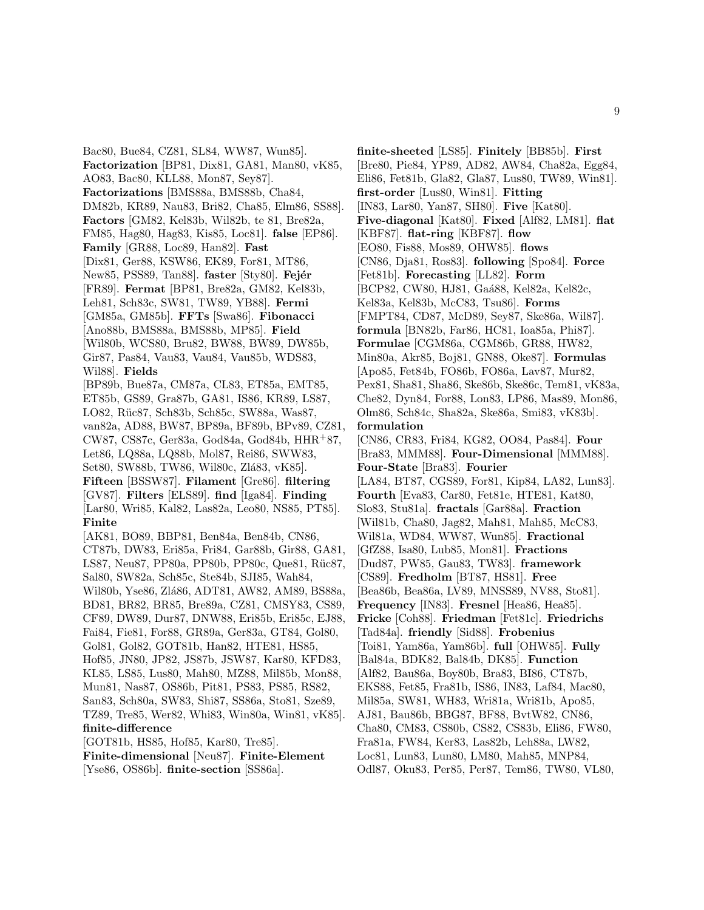Bac80, Bue84, CZ81, SL84, WW87, Wun85]. **Factorization** [BP81, Dix81, GA81, Man80, vK85, AO83, Bac80, KLL88, Mon87, Sey87]. **Factorizations** [BMS88a, BMS88b, Cha84, DM82b, KR89, Nau83, Bri82, Cha85, Elm86, SS88]. **Factors** [GM82, Kel83b, Wil82b, te 81, Bre82a, FM85, Hag80, Hag83, Kis85, Loc81]. **false** [EP86]. **Family** [GR88, Loc89, Han82]. **Fast** [Dix81, Ger88, KSW86, EK89, For81, MT86, New85, PSS89, Tan88. **faster** [Sty80]. **Fejér** [FR89]. **Fermat** [BP81, Bre82a, GM82, Kel83b, Leh81, Sch83c, SW81, TW89, YB88]. **Fermi** [GM85a, GM85b]. **FFTs** [Swa86]. **Fibonacci** [Ano88b, BMS88a, BMS88b, MP85]. **Field** [Wil80b, WCS80, Bru82, BW88, BW89, DW85b, Gir87, Pas84, Vau83, Vau84, Vau85b, WDS83, Wil88]. **Fields** [BP89b, Bue87a, CM87a, CL83, ET85a, EMT85, ET85b, GS89, Gra87b, GA81, IS86, KR89, LS87, LO82, Rüc87, Sch83b, Sch85c, SW88a, Was87, van82a, AD88, BW87, BP89a, BF89b, BPv89, CZ81, CW87, CS87c, Ger83a, God84a, God84b, HHR<sup>+</sup>87, Let86, LQ88a, LQ88b, Mol87, Rei86, SWW83, Set80, SW88b, TW86, Wil80c, Zlá83, vK85]. **Fifteen** [BSSW87]. **Filament** [Gre86]. **filtering** [GV87]. **Filters** [ELS89]. **find** [Iga84]. **Finding** [Lar80, Wri85, Kal82, Las82a, Leo80, NS85, PT85]. **Finite** [AK81, BO89, BBP81, Ben84a, Ben84b, CN86, CT87b, DW83, Eri85a, Fri84, Gar88b, Gir88, GA81, LS87, Neu87, PP80a, PP80b, PP80c, Que81, Rüc87, Sal80, SW82a, Sch85c, Ste84b, SJI85, Wah84, Wil80b, Yse86, Zlá86, ADT81, AW82, AM89, BS88a, BD81, BR82, BR85, Bre89a, CZ81, CMSY83, CS89, CF89, DW89, Dur87, DNW88, Eri85b, Eri85c, EJ88, Fai84, Fie81, For88, GR89a, Ger83a, GT84, Gol80, Gol81, Gol82, GOT81b, Han82, HTE81, HS85, Hof85, JN80, JP82, JS87b, JSW87, Kar80, KFD83, KL85, LS85, Lus80, Mah80, MZ88, Mil85b, Mon88, Mun81, Nas87, OS86b, Pit81, PS83, PS85, RS82, San83, Sch80a, SW83, Shi87, SS86a, Sto81, Sze89, TZ89, Tre85, Wer82, Whi83, Win80a, Win81, vK85]. **finite-difference** [GOT81b, HS85, Hof85, Kar80, Tre85].

**Finite-dimensional** [Neu87]. **Finite-Element** [Yse86, OS86b]. **finite-section** [SS86a].

**finite-sheeted** [LS85]. **Finitely** [BB85b]. **First** [Bre80, Pie84, YP89, AD82, AW84, Cha82a, Egg84, Eli86, Fet81b, Gla82, Gla87, Lus80, TW89, Win81]. **first-order** [Lus80, Win81]. **Fitting** [IN83, Lar80, Yan87, SH80]. **Five** [Kat80]. **Five-diagonal** [Kat80]. **Fixed** [Alf82, LM81]. **flat** [KBF87]. **flat-ring** [KBF87]. **flow** [EO80, Fis88, Mos89, OHW85]. **flows** [CN86, Dja81, Ros83]. **following** [Spo84]. **Force** [Fet81b]. **Forecasting** [LL82]. **Form** [BCP82, CW80, HJ81, Gaá88, Kel82a, Kel82c, Kel83a, Kel83b, McC83, Tsu86]. **Forms** [FMPT84, CD87, McD89, Sey87, Ske86a, Wil87]. **formula** [BN82b, Far86, HC81, Ioa85a, Phi87]. **Formulae** [CGM86a, CGM86b, GR88, HW82, Min80a, Akr85, Boj81, GN88, Oke87]. **Formulas** [Apo85, Fet84b, FO86b, FO86a, Lav87, Mur82, Pex81, Sha81, Sha86, Ske86b, Ske86c, Tem81, vK83a, Che82, Dyn84, For88, Lon83, LP86, Mas89, Mon86, Olm86, Sch84c, Sha82a, Ske86a, Smi83, vK83b]. **formulation** [CN86, CR83, Fri84, KG82, OO84, Pas84]. **Four** [Bra83, MMM88]. **Four-Dimensional** [MMM88]. **Four-State** [Bra83]. **Fourier** [LA84, BT87, CGS89, For81, Kip84, LA82, Lun83]. **Fourth** [Eva83, Car80, Fet81e, HTE81, Kat80, Slo83, Stu81a]. **fractals** [Gar88a]. **Fraction** [Wil81b, Cha80, Jag82, Mah81, Mah85, McC83, Wil81a, WD84, WW87, Wun85]. **Fractional** [GfZ88, Isa80, Lub85, Mon81]. **Fractions** [Dud87, PW85, Gau83, TW83]. **framework** [CS89]. **Fredholm** [BT87, HS81]. **Free** [Bea86b, Bea86a, LV89, MNSS89, NV88, Sto81]. **Frequency** [IN83]. **Fresnel** [Hea86, Hea85]. **Fricke** [Coh88]. **Friedman** [Fet81c]. **Friedrichs** [Tad84a]. **friendly** [Sid88]. **Frobenius** [Toi81, Yam86a, Yam86b]. **full** [OHW85]. **Fully** [Bal84a, BDK82, Bal84b, DK85]. **Function** [Alf82, Bau86a, Boy80b, Bra83, BI86, CT87b, EKS88, Fet85, Fra81b, IS86, IN83, Laf84, Mac80, Mil85a, SW81, WH83, Wri81a, Wri81b, Apo85, AJ81, Bau86b, BBG87, BF88, BvtW82, CN86, Cha80, CM83, CS80b, CS82, CS83b, Eli86, FW80, Fra81a, FW84, Ker83, Las82b, Leh88a, LW82, Loc81, Lun83, Lun80, LM80, Mah85, MNP84, Odl87, Oku83, Per85, Per87, Tem86, TW80, VL80,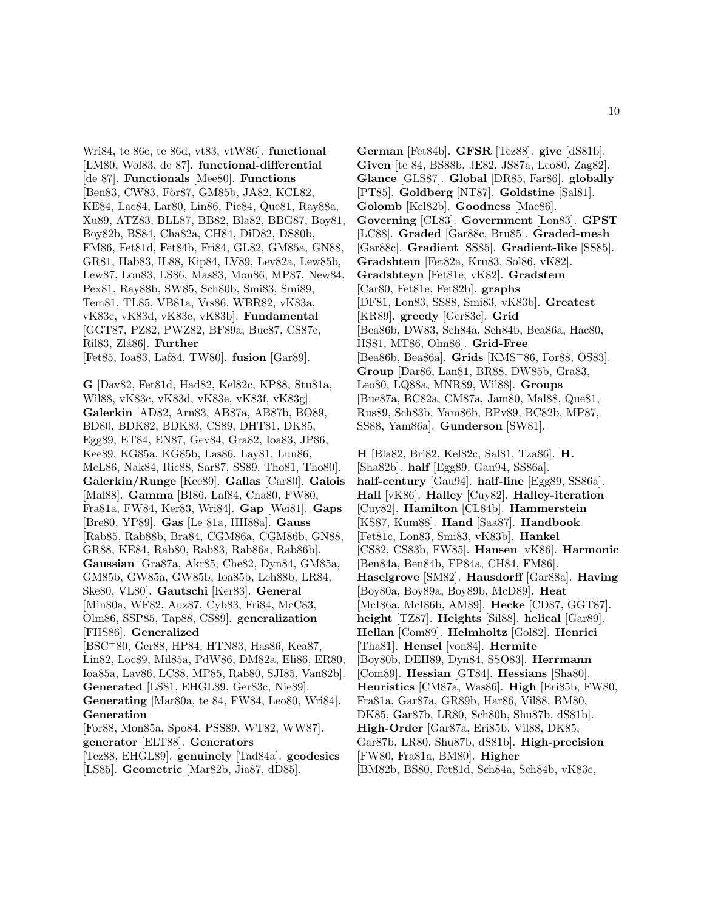Wri84, te 86c, te 86d, vt83, vtW86]. **functional** [LM80, Wol83, de 87]. **functional-differential** [de 87]. **Functionals** [Mee80]. **Functions** [Ben83, CW83, För87, GM85b, JA82, KCL82, KE84, Lac84, Lar80, Lin86, Pie84, Que81, Ray88a, Xu89, ATZ83, BLL87, BB82, Bla82, BBG87, Boy81, Boy82b, BS84, Cha82a, CH84, DiD82, DS80b, FM86, Fet81d, Fet84b, Fri84, GL82, GM85a, GN88, GR81, Hab83, IL88, Kip84, LV89, Lev82a, Lew85b, Lew87, Lon83, LS86, Mas83, Mon86, MP87, New84, Pex81, Ray88b, SW85, Sch80b, Smi83, Smi89, Tem81, TL85, VB81a, Vrs86, WBR82, vK83a, vK83c, vK83d, vK83e, vK83b]. **Fundamental** [GGT87, PZ82, PWZ82, BF89a, Buc87, CS87c, Ril83, Zlá86]. **Further** [Fet85, Ioa83, Laf84, TW80]. **fusion** [Gar89].

**G** [Dav82, Fet81d, Had82, Kel82c, KP88, Stu81a, Wil88, vK83c, vK83d, vK83e, vK83f, vK83g]. **Galerkin** [AD82, Arn83, AB87a, AB87b, BO89, BD80, BDK82, BDK83, CS89, DHT81, DK85, Egg89, ET84, EN87, Gev84, Gra82, Ioa83, JP86, Kee89, KG85a, KG85b, Las86, Lay81, Lun86, McL86, Nak84, Ric88, Sar87, SS89, Tho81, Tho80]. **Galerkin/Runge** [Kee89]. **Gallas** [Car80]. **Galois** [Mal88]. **Gamma** [BI86, Laf84, Cha80, FW80, Fra81a, FW84, Ker83, Wri84]. **Gap** [Wei81]. **Gaps** [Bre80, YP89]. **Gas** [Le 81a, HH88a]. **Gauss** [Rab85, Rab88b, Bra84, CGM86a, CGM86b, GN88, GR88, KE84, Rab80, Rab83, Rab86a, Rab86b]. **Gaussian** [Gra87a, Akr85, Che82, Dyn84, GM85a, GM85b, GW85a, GW85b, Ioa85b, Leh88b, LR84, Ske80, VL80]. **Gautschi** [Ker83]. **General** [Min80a, WF82, Auz87, Cyb83, Fri84, McC83, Olm86, SSP85, Tap88, CS89]. **generalization** [FHS86]. **Generalized** [BSC<sup>+</sup>80, Ger88, HP84, HTN83, Has86, Kea87, Lin82, Loc89, Mil85a, PdW86, DM82a, Eli86, ER80, Ioa85a, Lav86, LC88, MP85, Rab80, SJI85, Van82b]. **Generated** [LS81, EHGL89, Ger83c, Nie89]. **Generating** [Mar80a, te 84, FW84, Leo80, Wri84]. **Generation** [For88, Mon85a, Spo84, PSS89, WT82, WW87]. **generator** [ELT88]. **Generators**

[Tez88, EHGL89]. **genuinely** [Tad84a]. **geodesics** [LS85]. **Geometric** [Mar82b, Jia87, dD85].

**German** [Fet84b]. **GFSR** [Tez88]. **give** [dS81b]. **Given** [te 84, BS88b, JE82, JS87a, Leo80, Zag82]. **Glance** [GLS87]. **Global** [DR85, Far86]. **globally** [PT85]. **Goldberg** [NT87]. **Goldstine** [Sal81]. **Golomb** [Kel82b]. **Goodness** [Mae86]. **Governing** [CL83]. **Government** [Lon83]. **GPST** [LC88]. **Graded** [Gar88c, Bru85]. **Graded-mesh** [Gar88c]. **Gradient** [SS85]. **Gradient-like** [SS85]. **Gradshteın** [Fet82a, Kru83, Sol86, vK82]. **Gradshteyn** [Fet81e, vK82]. **Gradsteın** [Car80, Fet81e, Fet82b]. **graphs** [DF81, Lon83, SS88, Smi83, vK83b]. **Greatest** [KR89]. **greedy** [Ger83c]. **Grid** [Bea86b, DW83, Sch84a, Sch84b, Bea86a, Hac80, HS81, MT86, Olm86]. **Grid-Free** [Bea86b, Bea86a]. **Grids** [KMS<sup>+</sup>86, For88, OS83]. **Group** [Dar86, Lan81, BR88, DW85b, Gra83, Leo80, LQ88a, MNR89, Wil88]. **Groups** [Bue87a, BC82a, CM87a, Jam80, Mal88, Que81, Rus89, Sch83b, Yam86b, BPv89, BC82b, MP87, SS88, Yam86a]. **Gunderson** [SW81].

**H** [Bla82, Bri82, Kel82c, Sal81, Tza86]. **H.** [Sha82b]. **half** [Egg89, Gau94, SS86a]. **half-century** [Gau94]. **half-line** [Egg89, SS86a]. **Hall** [vK86]. **Halley** [Cuy82]. **Halley-iteration** [Cuy82]. **Hamilton** [CL84b]. **Hammerstein** [KS87, Kum88]. **Hand** [Saa87]. **Handbook** [Fet81c, Lon83, Smi83, vK83b]. **Hankel** [CS82, CS83b, FW85]. **Hansen** [vK86]. **Harmonic** [Ben84a, Ben84b, FP84a, CH84, FM86]. **Haselgrove** [SM82]. **Hausdorff** [Gar88a]. **Having** [Boy80a, Boy89a, Boy89b, McD89]. **Heat** [McI86a, McI86b, AM89]. **Hecke** [CD87, GGT87]. **height** [TZ87]. **Heights** [Sil88]. **helical** [Gar89]. **Hellan** [Com89]. **Helmholtz** [Gol82]. **Henrici** [Tha81]. **Hensel** [von84]. **Hermite** [Boy80b, DEH89, Dyn84, SSO83]. **Herrmann** [Com89]. **Hessian** [GT84]. **Hessians** [Sha80]. **Heuristics** [CM87a, Was86]. **High** [Eri85b, FW80, Fra81a, Gar87a, GR89b, Har86, Vil88, BM80, DK85, Gar87b, LR80, Sch80b, Shu87b, dS81b]. **High-Order** [Gar87a, Eri85b, Vil88, DK85, Gar87b, LR80, Shu87b, dS81b]. **High-precision** [FW80, Fra81a, BM80]. **Higher** [BM82b, BS80, Fet81d, Sch84a, Sch84b, vK83c,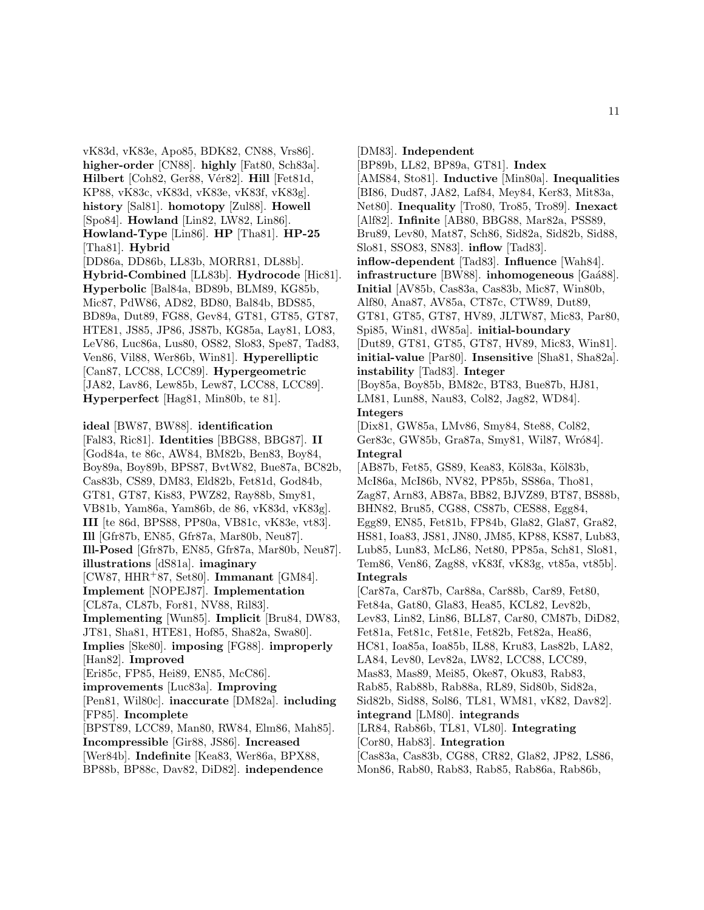vK83d, vK83e, Apo85, BDK82, CN88, Vrs86]. **higher-order** [CN88]. **highly** [Fat80, Sch83a]. **Hilbert** [Coh82, Ger88, Vér82]. **Hill** [Fet81d, KP88, vK83c, vK83d, vK83e, vK83f, vK83g]. **history** [Sal81]. **homotopy** [Zul88]. **Howell** [Spo84]. **Howland** [Lin82, LW82, Lin86]. **Howland-Type** [Lin86]. **HP** [Tha81]. **HP-25** [Tha81]. **Hybrid** [DD86a, DD86b, LL83b, MORR81, DL88b]. **Hybrid-Combined** [LL83b]. **Hydrocode** [Hic81]. **Hyperbolic** [Bal84a, BD89b, BLM89, KG85b, Mic87, PdW86, AD82, BD80, Bal84b, BDS85, BD89a, Dut89, FG88, Gev84, GT81, GT85, GT87, HTE81, JS85, JP86, JS87b, KG85a, Lay81, LO83, LeV86, Luc86a, Lus80, OS82, Slo83, Spe87, Tad83, Ven86, Vil88, Wer86b, Win81]. **Hyperelliptic**

[Can87, LCC88, LCC89]. **Hypergeometric** [JA82, Lav86, Lew85b, Lew87, LCC88, LCC89]. **Hyperperfect** [Hag81, Min80b, te 81].

#### **ideal** [BW87, BW88]. **identification**

[Fal83, Ric81]. **Identities** [BBG88, BBG87]. **II** [God84a, te 86c, AW84, BM82b, Ben83, Boy84, Boy89a, Boy89b, BPS87, BvtW82, Bue87a, BC82b, Cas83b, CS89, DM83, Eld82b, Fet81d, God84b, GT81, GT87, Kis83, PWZ82, Ray88b, Smy81, VB81b, Yam86a, Yam86b, de 86, vK83d, vK83g]. **III** [te 86d, BPS88, PP80a, VB81c, vK83e, vt83]. **Ill** [Gfr87b, EN85, Gfr87a, Mar80b, Neu87]. **Ill-Posed** [Gfr87b, EN85, Gfr87a, Mar80b, Neu87]. **illustrations** [dS81a]. **imaginary** [CW87, HHR<sup>+</sup>87, Set80]. **Immanant** [GM84]. **Implement** [NOPEJ87]. **Implementation** [CL87a, CL87b, For81, NV88, Ril83]. **Implementing** [Wun85]. **Implicit** [Bru84, DW83, JT81, Sha81, HTE81, Hof85, Sha82a, Swa80]. **Implies** [Ske80]. **imposing** [FG88]. **improperly** [Han82]. **Improved** [Eri85c, FP85, Hei89, EN85, McC86]. **improvements** [Luc83a]. **Improving** [Pen81, Wil80c]. **inaccurate** [DM82a]. **including** [FP85]. **Incomplete** [BPST89, LCC89, Man80, RW84, Elm86, Mah85]. **Incompressible** [Gir88, JS86]. **Increased** [Wer84b]. **Indefinite** [Kea83, Wer86a, BPX88,

BP88b, BP88c, Dav82, DiD82]. **independence**

[DM83]. **Independent**

[BP89b, LL82, BP89a, GT81]. **Index**

[AMS84, Sto81]. **Inductive** [Min80a]. **Inequalities**

[BI86, Dud87, JA82, Laf84, Mey84, Ker83, Mit83a,

Net80]. **Inequality** [Tro80, Tro85, Tro89]. **Inexact**

[Alf82]. **Infinite** [AB80, BBG88, Mar82a, PSS89,

Bru89, Lev80, Mat87, Sch86, Sid82a, Sid82b, Sid88, Slo81, SSO83, SN83]. **inflow** [Tad83].

**inflow-dependent** [Tad83]. **Influence** [Wah84].

**infrastructure** [BW88]. **inhomogeneous** [Gaá88].

**Initial** [AV85b, Cas83a, Cas83b, Mic87, Win80b,

Alf80, Ana87, AV85a, CT87c, CTW89, Dut89,

GT81, GT85, GT87, HV89, JLTW87, Mic83, Par80,

Spi85, Win81, dW85a]. **initial-boundary**

[Dut89, GT81, GT85, GT87, HV89, Mic83, Win81].

**initial-value** [Par80]. **Insensitive** [Sha81, Sha82a]. **instability** [Tad83]. **Integer**

[Boy85a, Boy85b, BM82c, BT83, Bue87b, HJ81, LM81, Lun88, Nau83, Col82, Jag82, WD84].

**Integers**

[Dix81, GW85a, LMv86, Smy84, Ste88, Col82, Ger83c, GW85b, Gra87a, Smy81, Wil87, Wró84]. **Integral**

[AB87b, Fet85, GS89, Kea83, Köl83a, Köl83b, McI86a, McI86b, NV82, PP85b, SS86a, Tho81, Zag87, Arn83, AB87a, BB82, BJVZ89, BT87, BS88b, BHN82, Bru85, CG88, CS87b, CES88, Egg84, Egg89, EN85, Fet81b, FP84b, Gla82, Gla87, Gra82, HS81, Ioa83, JS81, JN80, JM85, KP88, KS87, Lub83, Lub85, Lun83, McL86, Net80, PP85a, Sch81, Slo81, Tem86, Ven86, Zag88, vK83f, vK83g, vt85a, vt85b]. **Integrals**

[Car87a, Car87b, Car88a, Car88b, Car89, Fet80, Fet84a, Gat80, Gla83, Hea85, KCL82, Lev82b, Lev83, Lin82, Lin86, BLL87, Car80, CM87b, DiD82, Fet81a, Fet81c, Fet81e, Fet82b, Fet82a, Hea86, HC81, Ioa85a, Ioa85b, IL88, Kru83, Las82b, LA82, LA84, Lev80, Lev82a, LW82, LCC88, LCC89, Mas83, Mas89, Mei85, Oke87, Oku83, Rab83, Rab85, Rab88b, Rab88a, RL89, Sid80b, Sid82a, Sid82b, Sid88, Sol86, TL81, WM81, vK82, Dav82]. **integrand** [LM80]. **integrands** [LR84, Rab86b, TL81, VL80]. **Integrating** [Cor80, Hab83]. **Integration** [Cas83a, Cas83b, CG88, CR82, Gla82, JP82, LS86,

Mon86, Rab80, Rab83, Rab85, Rab86a, Rab86b,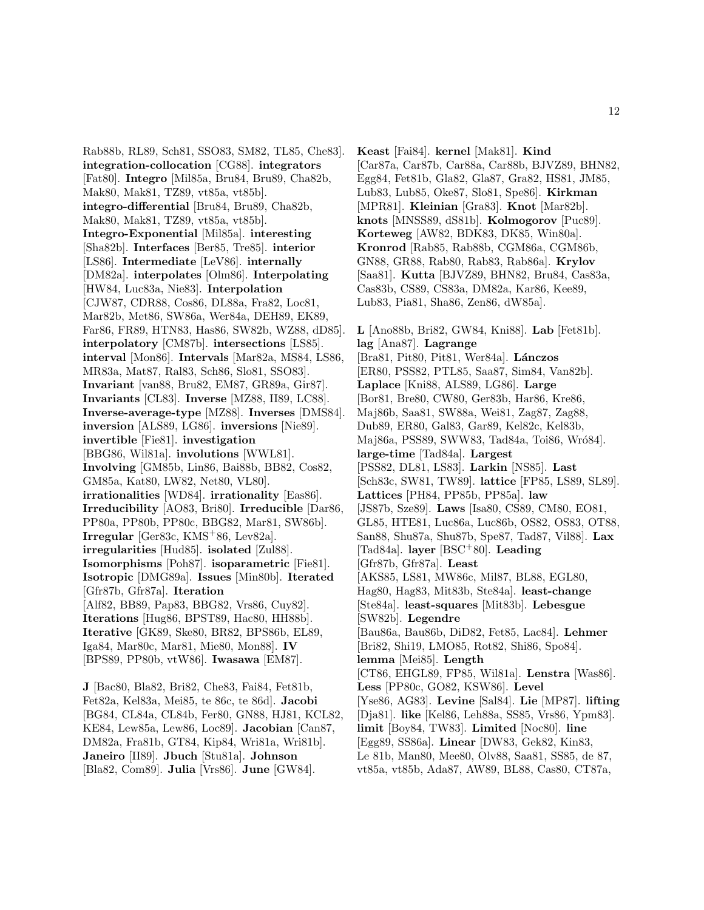Rab88b, RL89, Sch81, SSO83, SM82, TL85, Che83]. **integration-collocation** [CG88]. **integrators** [Fat80]. **Integro** [Mil85a, Bru84, Bru89, Cha82b, Mak80, Mak81, TZ89, vt85a, vt85b]. **integro-differential** [Bru84, Bru89, Cha82b, Mak80, Mak81, TZ89, vt85a, vt85b]. **Integro-Exponential** [Mil85a]. **interesting** [Sha82b]. **Interfaces** [Ber85, Tre85]. **interior** [LS86]. **Intermediate** [LeV86]. **internally** [DM82a]. **interpolates** [Olm86]. **Interpolating** [HW84, Luc83a, Nie83]. **Interpolation** [CJW87, CDR88, Cos86, DL88a, Fra82, Loc81, Mar82b, Met86, SW86a, Wer84a, DEH89, EK89, Far86, FR89, HTN83, Has86, SW82b, WZ88, dD85]. **interpolatory** [CM87b]. **intersections** [LS85]. **interval** [Mon86]. **Intervals** [Mar82a, MS84, LS86, MR83a, Mat87, Ral83, Sch86, Slo81, SSO83]. **Invariant** [van88, Bru82, EM87, GR89a, Gir87]. **Invariants** [CL83]. **Inverse** [MZ88, II89, LC88]. **Inverse-average-type** [MZ88]. **Inverses** [DMS84]. **inversion** [ALS89, LG86]. **inversions** [Nie89]. **invertible** [Fie81]. **investigation** [BBG86, Wil81a]. **involutions** [WWL81]. **Involving** [GM85b, Lin86, Bai88b, BB82, Cos82, GM85a, Kat80, LW82, Net80, VL80]. **irrationalities** [WD84]. **irrationality** [Eas86]. **Irreducibility** [AO83, Bri80]. **Irreducible** [Dar86, PP80a, PP80b, PP80c, BBG82, Mar81, SW86b]. **Irregular** [Ger83c, KMS<sup>+</sup>86, Lev82a]. **irregularities** [Hud85]. **isolated** [Zul88]. **Isomorphisms** [Poh87]. **isoparametric** [Fie81]. **Isotropic** [DMG89a]. **Issues** [Min80b]. **Iterated** [Gfr87b, Gfr87a]. **Iteration** [Alf82, BB89, Pap83, BBG82, Vrs86, Cuy82]. **Iterations** [Hug86, BPST89, Hac80, HH88b]. **Iterative** [GK89, Ske80, BR82, BPS86b, EL89, Iga84, Mar80c, Mar81, Mie80, Mon88]. **IV** [BPS89, PP80b, vtW86]. **Iwasawa** [EM87].

**J** [Bac80, Bla82, Bri82, Che83, Fai84, Fet81b, Fet82a, Kel83a, Mei85, te 86c, te 86d]. **Jacobi** [BG84, CL84a, CL84b, Fer80, GN88, HJ81, KCL82, KE84, Lew85a, Lew86, Loc89]. **Jacobian** [Can87, DM82a, Fra81b, GT84, Kip84, Wri81a, Wri81b]. **Janeiro** [II89]. **Jbuch** [Stu81a]. **Johnson** [Bla82, Com89]. **Julia** [Vrs86]. **June** [GW84].

**Keast** [Fai84]. **kernel** [Mak81]. **Kind** [Car87a, Car87b, Car88a, Car88b, BJVZ89, BHN82, Egg84, Fet81b, Gla82, Gla87, Gra82, HS81, JM85, Lub83, Lub85, Oke87, Slo81, Spe86]. **Kirkman** [MPR81]. **Kleinian** [Gra83]. **Knot** [Mar82b]. **knots** [MNSS89, dS81b]. **Kolmogorov** [Puc89]. **Korteweg** [AW82, BDK83, DK85, Win80a]. **Kronrod** [Rab85, Rab88b, CGM86a, CGM86b, GN88, GR88, Rab80, Rab83, Rab86a]. **Krylov** [Saa81]. **Kutta** [BJVZ89, BHN82, Bru84, Cas83a, Cas83b, CS89, CS83a, DM82a, Kar86, Kee89, Lub83, Pia81, Sha86, Zen86, dW85a].

**L** [Ano88b, Bri82, GW84, Kni88]. **Lab** [Fet81b]. **lag** [Ana87]. **Lagrange** [Bra81, Pit80, Pit81, Wer84a]. **L´anczos** [ER80, PSS82, PTL85, Saa87, Sim84, Van82b]. **Laplace** [Kni88, ALS89, LG86]. **Large** [Bor81, Bre80, CW80, Ger83b, Har86, Kre86, Maj86b, Saa81, SW88a, Wei81, Zag87, Zag88, Dub89, ER80, Gal83, Gar89, Kel82c, Kel83b, Maj86a, PSS89, SWW83, Tad84a, Toi86, Wró84]. **large-time** [Tad84a]. **Largest** [PSS82, DL81, LS83]. **Larkin** [NS85]. **Last** [Sch83c, SW81, TW89]. **lattice** [FP85, LS89, SL89]. **Lattices** [PH84, PP85b, PP85a]. **law** [JS87b, Sze89]. **Laws** [Isa80, CS89, CM80, EO81, GL85, HTE81, Luc86a, Luc86b, OS82, OS83, OT88, San88, Shu87a, Shu87b, Spe87, Tad87, Vil88]. **Lax** [Tad84a]. **layer** [BSC<sup>+</sup>80]. **Leading** [Gfr87b, Gfr87a]. **Least** [AKS85, LS81, MW86c, Mil87, BL88, EGL80, Hag80, Hag83, Mit83b, Ste84a]. **least-change** [Ste84a]. **least-squares** [Mit83b]. **Lebesgue** [SW82b]. **Legendre** [Bau86a, Bau86b, DiD82, Fet85, Lac84]. **Lehmer** [Bri82, Shi19, LMO85, Rot82, Shi86, Spo84]. **lemma** [Mei85]. **Length** [CT86, EHGL89, FP85, Wil81a]. **Lenstra** [Was86]. **Less** [PP80c, GO82, KSW86]. **Level** [Yse86, AG83]. **Levine** [Sal84]. **Lie** [MP87]. **lifting** [Dja81]. **like** [Kel86, Leh88a, SS85, Vrs86, Ypm83]. **limit** [Boy84, TW83]. **Limited** [Noc80]. **line** [Egg89, SS86a]. **Linear** [DW83, Gek82, Kin83, Le 81b, Man80, Mee80, Olv88, Saa81, SS85, de 87, vt85a, vt85b, Ada87, AW89, BL88, Cas80, CT87a,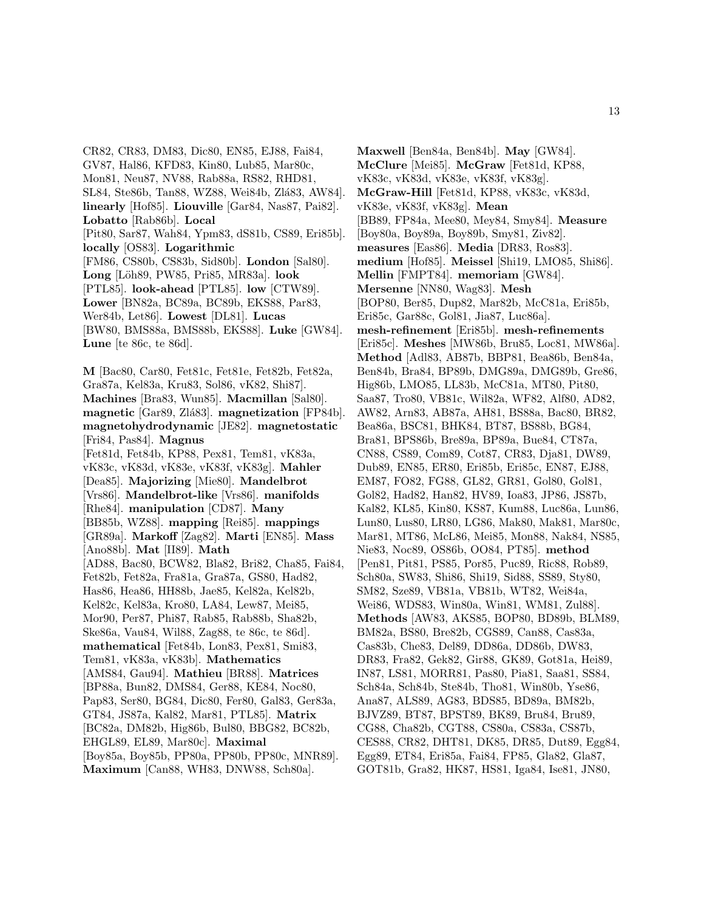CR82, CR83, DM83, Dic80, EN85, EJ88, Fai84, GV87, Hal86, KFD83, Kin80, Lub85, Mar80c, Mon81, Neu87, NV88, Rab88a, RS82, RHD81, SL84, Ste86b, Tan88, WZ88, Wei84b, Zlá83, AW84. **linearly** [Hof85]. **Liouville** [Gar84, Nas87, Pai82]. **Lobatto** [Rab86b]. **Local** [Pit80, Sar87, Wah84, Ypm83, dS81b, CS89, Eri85b]. **locally** [OS83]. **Logarithmic** [FM86, CS80b, CS83b, Sid80b]. **London** [Sal80]. **Long** [L¨oh89, PW85, Pri85, MR83a]. **look** [PTL85]. **look-ahead** [PTL85]. **low** [CTW89]. **Lower** [BN82a, BC89a, BC89b, EKS88, Par83, Wer84b, Let86]. **Lowest** [DL81]. **Lucas** [BW80, BMS88a, BMS88b, EKS88]. **Luke** [GW84]. **Lune** [te 86c, te 86d]. **M** [Bac80, Car80, Fet81c, Fet81e, Fet82b, Fet82a, Gra87a, Kel83a, Kru83, Sol86, vK82, Shi87]. **Machines** [Bra83, Wun85]. **Macmillan** [Sal80]. **magnetic** [Gar89, Zlá83]. **magnetization** [FP84b]. **magnetohydrodynamic** [JE82]. **magnetostatic** [Fri84, Pas84]. **Magnus** [Fet81d, Fet84b, KP88, Pex81, Tem81, vK83a, vK83c, vK83d, vK83e, vK83f, vK83g]. **Mahler** [Dea85]. **Majorizing** [Mie80]. **Mandelbrot** [Vrs86]. **Mandelbrot-like** [Vrs86]. **manifolds** [Rhe84]. **manipulation** [CD87]. **Many** [BB85b, WZ88]. **mapping** [Rei85]. **mappings** [GR89a]. **Markoff** [Zag82]. **Marti** [EN85]. **Mass** [Ano88b]. **Mat** [II89]. **Math** [AD88, Bac80, BCW82, Bla82, Bri82, Cha85, Fai84, Fet82b, Fet82a, Fra81a, Gra87a, GS80, Had82, Has86, Hea86, HH88b, Jae85, Kel82a, Kel82b, Kel82c, Kel83a, Kro80, LA84, Lew87, Mei85, Mor90, Per87, Phi87, Rab85, Rab88b, Sha82b, Ske86a, Vau84, Wil88, Zag88, te 86c, te 86d]. **mathematical** [Fet84b, Lon83, Pex81, Smi83, Tem81, vK83a, vK83b]. **Mathematics** [AMS84, Gau94]. **Mathieu** [BR88]. **Matrices** [BP88a, Bun82, DMS84, Ger88, KE84, Noc80, Pap83, Ser80, BG84, Dic80, Fer80, Gal83, Ger83a, GT84, JS87a, Kal82, Mar81, PTL85]. **Matrix** [BC82a, DM82b, Hig86b, Bul80, BBG82, BC82b, EHGL89, EL89, Mar80c]. **Maximal** [Boy85a, Boy85b, PP80a, PP80b, PP80c, MNR89]. **Maximum** [Can88, WH83, DNW88, Sch80a].

**Maxwell** [Ben84a, Ben84b]. **May** [GW84]. **McClure** [Mei85]. **McGraw** [Fet81d, KP88, vK83c, vK83d, vK83e, vK83f, vK83g]. **McGraw-Hill** [Fet81d, KP88, vK83c, vK83d, vK83e, vK83f, vK83g]. **Mean** [BB89, FP84a, Mee80, Mey84, Smy84]. **Measure** [Boy80a, Boy89a, Boy89b, Smy81, Ziv82]. **measures** [Eas86]. **Media** [DR83, Ros83]. **medium** [Hof85]. **Meissel** [Shi19, LMO85, Shi86]. **Mellin** [FMPT84]. **memoriam** [GW84]. **Mersenne** [NN80, Wag83]. **Mesh** [BOP80, Ber85, Dup82, Mar82b, McC81a, Eri85b, Eri85c, Gar88c, Gol81, Jia87, Luc86a]. **mesh-refinement** [Eri85b]. **mesh-refinements** [Eri85c]. **Meshes** [MW86b, Bru85, Loc81, MW86a]. **Method** [Adl83, AB87b, BBP81, Bea86b, Ben84a, Ben84b, Bra84, BP89b, DMG89a, DMG89b, Gre86, Hig86b, LMO85, LL83b, McC81a, MT80, Pit80, Saa87, Tro80, VB81c, Wil82a, WF82, Alf80, AD82, AW82, Arn83, AB87a, AH81, BS88a, Bac80, BR82, Bea86a, BSC81, BHK84, BT87, BS88b, BG84, Bra81, BPS86b, Bre89a, BP89a, Bue84, CT87a, CN88, CS89, Com89, Cot87, CR83, Dja81, DW89, Dub89, EN85, ER80, Eri85b, Eri85c, EN87, EJ88, EM87, FO82, FG88, GL82, GR81, Gol80, Gol81, Gol82, Had82, Han82, HV89, Ioa83, JP86, JS87b, Kal82, KL85, Kin80, KS87, Kum88, Luc86a, Lun86, Lun80, Lus80, LR80, LG86, Mak80, Mak81, Mar80c, Mar81, MT86, McL86, Mei85, Mon88, Nak84, NS85, Nie83, Noc89, OS86b, OO84, PT85]. **method** [Pen81, Pit81, PS85, Por85, Puc89, Ric88, Rob89, Sch80a, SW83, Shi86, Shi19, Sid88, SS89, Sty80, SM82, Sze89, VB81a, VB81b, WT82, Wei84a, Wei86, WDS83, Win80a, Win81, WM81, Zul88]. **Methods** [AW83, AKS85, BOP80, BD89b, BLM89, BM82a, BS80, Bre82b, CGS89, Can88, Cas83a, Cas83b, Che83, Del89, DD86a, DD86b, DW83, DR83, Fra82, Gek82, Gir88, GK89, Got81a, Hei89, IN87, LS81, MORR81, Pas80, Pia81, Saa81, SS84, Sch84a, Sch84b, Ste84b, Tho81, Win80b, Yse86, Ana87, ALS89, AG83, BDS85, BD89a, BM82b, BJVZ89, BT87, BPST89, BK89, Bru84, Bru89, CG88, Cha82b, CGT88, CS80a, CS83a, CS87b, CES88, CR82, DHT81, DK85, DR85, Dut89, Egg84, Egg89, ET84, Eri85a, Fai84, FP85, Gla82, Gla87, GOT81b, Gra82, HK87, HS81, Iga84, Ise81, JN80,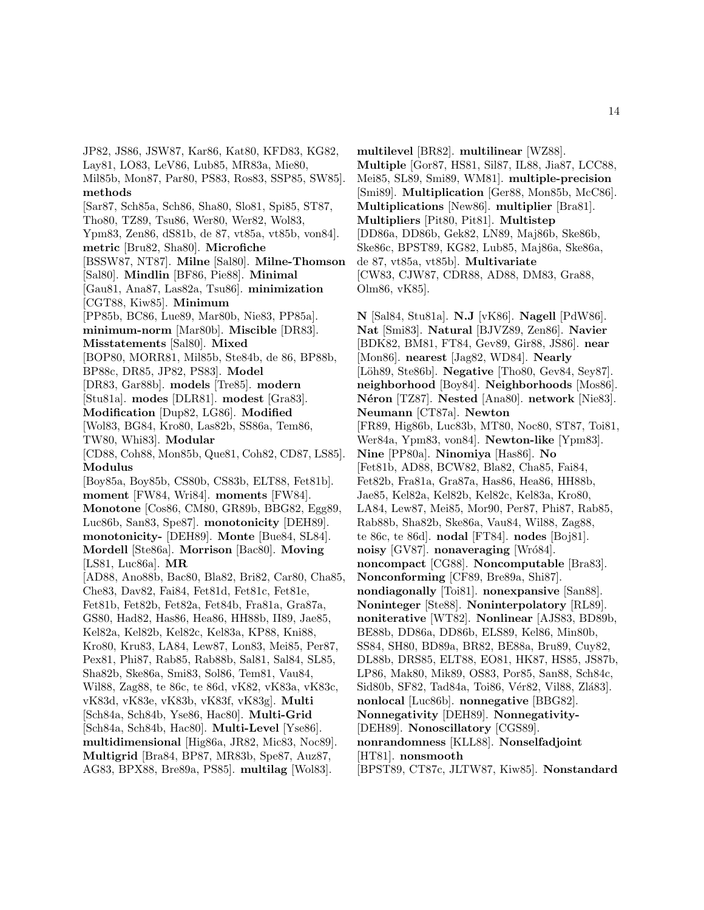JP82, JS86, JSW87, Kar86, Kat80, KFD83, KG82, Lay81, LO83, LeV86, Lub85, MR83a, Mie80, Mil85b, Mon87, Par80, PS83, Ros83, SSP85, SW85]. **methods** [Sar87, Sch85a, Sch86, Sha80, Slo81, Spi85, ST87, Tho80, TZ89, Tsu86, Wer80, Wer82, Wol83, Ypm83, Zen86, dS81b, de 87, vt85a, vt85b, von84]. **metric** [Bru82, Sha80]. **Microfiche** [BSSW87, NT87]. **Milne** [Sal80]. **Milne-Thomson** [Sal80]. **Mindlin** [BF86, Pie88]. **Minimal** [Gau81, Ana87, Las82a, Tsu86]. **minimization** [CGT88, Kiw85]. **Minimum** [PP85b, BC86, Lue89, Mar80b, Nie83, PP85a]. **minimum-norm** [Mar80b]. **Miscible** [DR83]. **Misstatements** [Sal80]. **Mixed** [BOP80, MORR81, Mil85b, Ste84b, de 86, BP88b, BP88c, DR85, JP82, PS83]. **Model** [DR83, Gar88b]. **models** [Tre85]. **modern** [Stu81a]. **modes** [DLR81]. **modest** [Gra83]. **Modification** [Dup82, LG86]. **Modified** [Wol83, BG84, Kro80, Las82b, SS86a, Tem86, TW80, Whi83]. **Modular** [CD88, Coh88, Mon85b, Que81, Coh82, CD87, LS85]. **Modulus** [Boy85a, Boy85b, CS80b, CS83b, ELT88, Fet81b]. **moment** [FW84, Wri84]. **moments** [FW84]. **Monotone** [Cos86, CM80, GR89b, BBG82, Egg89, Luc86b, San83, Spe87]. **monotonicity** [DEH89]. **monotonicity-** [DEH89]. **Monte** [Bue84, SL84]. **Mordell** [Ste86a]. **Morrison** [Bac80]. **Moving** [LS81, Luc86a]. **MR** [AD88, Ano88b, Bac80, Bla82, Bri82, Car80, Cha85, Che83, Dav82, Fai84, Fet81d, Fet81c, Fet81e, Fet81b, Fet82b, Fet82a, Fet84b, Fra81a, Gra87a, GS80, Had82, Has86, Hea86, HH88b, II89, Jae85, Kel82a, Kel82b, Kel82c, Kel83a, KP88, Kni88, Kro80, Kru83, LA84, Lew87, Lon83, Mei85, Per87, Pex81, Phi87, Rab85, Rab88b, Sal81, Sal84, SL85, Sha82b, Ske86a, Smi83, Sol86, Tem81, Vau84, Wil88, Zag88, te 86c, te 86d, vK82, vK83a, vK83c, vK83d, vK83e, vK83b, vK83f, vK83g]. **Multi** [Sch84a, Sch84b, Yse86, Hac80]. **Multi-Grid** [Sch84a, Sch84b, Hac80]. **Multi-Level** [Yse86]. **multidimensional** [Hig86a, JR82, Mic83, Noc89]. **Multigrid** [Bra84, BP87, MR83b, Spe87, Auz87, AG83, BPX88, Bre89a, PS85]. **multilag** [Wol83].

**multilevel** [BR82]. **multilinear** [WZ88]. **Multiple** [Gor87, HS81, Sil87, IL88, Jia87, LCC88, Mei85, SL89, Smi89, WM81]. **multiple-precision** [Smi89]. **Multiplication** [Ger88, Mon85b, McC86]. **Multiplications** [New86]. **multiplier** [Bra81]. **Multipliers** [Pit80, Pit81]. **Multistep** [DD86a, DD86b, Gek82, LN89, Maj86b, Ske86b, Ske86c, BPST89, KG82, Lub85, Maj86a, Ske86a, de 87, vt85a, vt85b]. **Multivariate** [CW83, CJW87, CDR88, AD88, DM83, Gra88, Olm86, vK85].

**N** [Sal84, Stu81a]. **N.J** [vK86]. **Nagell** [PdW86]. **Nat** [Smi83]. **Natural** [BJVZ89, Zen86]. **Navier** [BDK82, BM81, FT84, Gev89, Gir88, JS86]. **near** [Mon86]. **nearest** [Jag82, WD84]. **Nearly** [Löh89, Ste86b]. **Negative** [Tho80, Gev84, Sey87]. **neighborhood** [Boy84]. **Neighborhoods** [Mos86]. **N´eron** [TZ87]. **Nested** [Ana80]. **network** [Nie83]. **Neumann** [CT87a]. **Newton** [FR89, Hig86b, Luc83b, MT80, Noc80, ST87, Toi81, Wer84a, Ypm83, von84]. **Newton-like** [Ypm83]. **Nine** [PP80a]. **Ninomiya** [Has86]. **No** [Fet81b, AD88, BCW82, Bla82, Cha85, Fai84, Fet82b, Fra81a, Gra87a, Has86, Hea86, HH88b, Jae85, Kel82a, Kel82b, Kel82c, Kel83a, Kro80, LA84, Lew87, Mei85, Mor90, Per87, Phi87, Rab85, Rab88b, Sha82b, Ske86a, Vau84, Wil88, Zag88, te 86c, te 86d]. **nodal** [FT84]. **nodes** [Boj81]. **noisy** [GV87]. **nonaveraging** [Wró84]. **noncompact** [CG88]. **Noncomputable** [Bra83]. **Nonconforming** [CF89, Bre89a, Shi87]. **nondiagonally** [Toi81]. **nonexpansive** [San88]. **Noninteger** [Ste88]. **Noninterpolatory** [RL89]. **noniterative** [WT82]. **Nonlinear** [AJS83, BD89b, BE88b, DD86a, DD86b, ELS89, Kel86, Min80b, SS84, SH80, BD89a, BR82, BE88a, Bru89, Cuy82, DL88b, DRS85, ELT88, EO81, HK87, HS85, JS87b, LP86, Mak80, Mik89, OS83, Por85, San88, Sch84c, Sid80b, SF82, Tad84a, Toi86, Vér82, Vil88, Zlá83]. **nonlocal** [Luc86b]. **nonnegative** [BBG82]. **Nonnegativity** [DEH89]. **Nonnegativity-** [DEH89]. **Nonoscillatory** [CGS89]. **nonrandomness** [KLL88]. **Nonselfadjoint** [HT81]. **nonsmooth** [BPST89, CT87c, JLTW87, Kiw85]. **Nonstandard**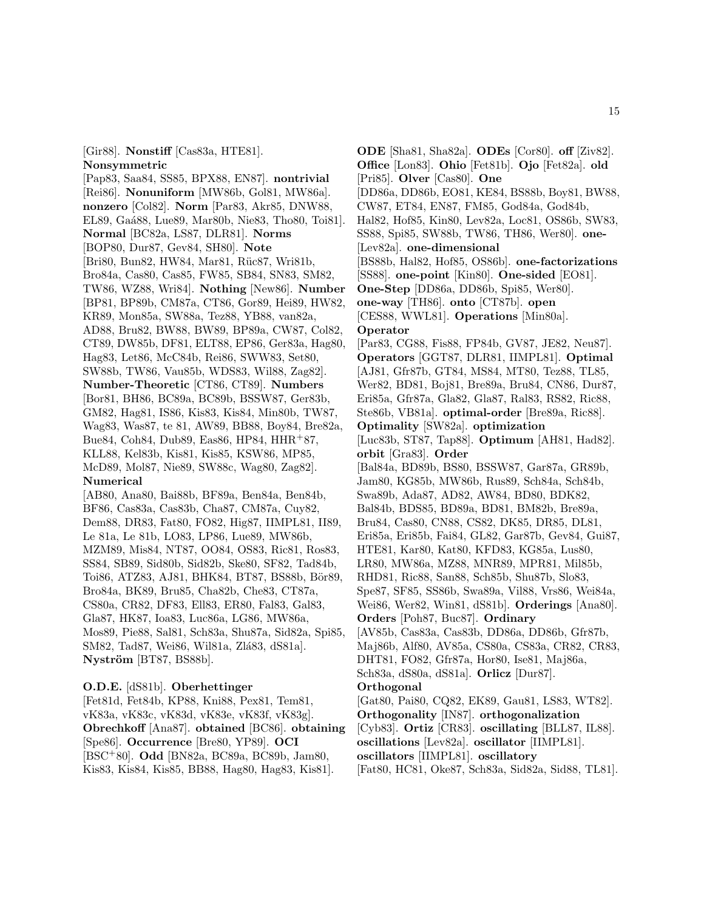[Gir88]. **Nonstiff** [Cas83a, HTE81]. **Nonsymmetric**

[Pap83, Saa84, SS85, BPX88, EN87]. **nontrivial** [Rei86]. **Nonuniform** [MW86b, Gol81, MW86a]. **nonzero** [Col82]. **Norm** [Par83, Akr85, DNW88, EL89, Ga´a88, Lue89, Mar80b, Nie83, Tho80, Toi81]. **Normal** [BC82a, LS87, DLR81]. **Norms** [BOP80, Dur87, Gev84, SH80]. **Note** [Bri80, Bun82, HW84, Mar81, Rüc87, Wri81b, Bro84a, Cas80, Cas85, FW85, SB84, SN83, SM82, TW86, WZ88, Wri84]. **Nothing** [New86]. **Number** [BP81, BP89b, CM87a, CT86, Gor89, Hei89, HW82, KR89, Mon85a, SW88a, Tez88, YB88, van82a, AD88, Bru82, BW88, BW89, BP89a, CW87, Col82, CT89, DW85b, DF81, ELT88, EP86, Ger83a, Hag80, Hag83, Let86, McC84b, Rei86, SWW83, Set80, SW88b, TW86, Vau85b, WDS83, Wil88, Zag82]. **Number-Theoretic** [CT86, CT89]. **Numbers** [Bor81, BH86, BC89a, BC89b, BSSW87, Ger83b, GM82, Hag81, IS86, Kis83, Kis84, Min80b, TW87, Wag83, Was87, te 81, AW89, BB88, Boy84, Bre82a, Bue84, Coh84, Dub89, Eas86, HP84, HHR<sup>+</sup>87, KLL88, Kel83b, Kis81, Kis85, KSW86, MP85, McD89, Mol87, Nie89, SW88c, Wag80, Zag82]. **Numerical** [AB80, Ana80, Bai88b, BF89a, Ben84a, Ben84b, BF86, Cas83a, Cas83b, Cha87, CM87a, Cuy82,

Dem88, DR83, Fat80, FO82, Hig87, IIMPL81, II89, Le 81a, Le 81b, LO83, LP86, Lue89, MW86b, MZM89, Mis84, NT87, OO84, OS83, Ric81, Ros83, SS84, SB89, Sid80b, Sid82b, Ske80, SF82, Tad84b, Toi86, ATZ83, AJ81, BHK84, BT87, BS88b, Bör89, Bro84a, BK89, Bru85, Cha82b, Che83, CT87a, CS80a, CR82, DF83, Ell83, ER80, Fal83, Gal83, Gla87, HK87, Ioa83, Luc86a, LG86, MW86a, Mos89, Pie88, Sal81, Sch83a, Shu87a, Sid82a, Spi85, SM82, Tad87, Wei86, Wil81a, Zlá83, dS81a]. **Nyström** [BT87, BS88b].

**O.D.E.** [dS81b]. **Oberhettinger**

[Fet81d, Fet84b, KP88, Kni88, Pex81, Tem81, vK83a, vK83c, vK83d, vK83e, vK83f, vK83g]. **Obrechkoff** [Ana87]. **obtained** [BC86]. **obtaining** [Spe86]. **Occurrence** [Bre80, YP89]. **OCI** [BSC<sup>+</sup>80]. **Odd** [BN82a, BC89a, BC89b, Jam80, Kis83, Kis84, Kis85, BB88, Hag80, Hag83, Kis81].

**ODE** [Sha81, Sha82a]. **ODEs** [Cor80]. **off** [Ziv82]. **Office** [Lon83]. **Ohio** [Fet81b]. **Ojo** [Fet82a]. **old** [Pri85]. **Olver** [Cas80]. **One** [DD86a, DD86b, EO81, KE84, BS88b, Boy81, BW88, CW87, ET84, EN87, FM85, God84a, God84b, Hal82, Hof85, Kin80, Lev82a, Loc81, OS86b, SW83, SS88, Spi85, SW88b, TW86, TH86, Wer80]. **one-** [Lev82a]. **one-dimensional** [BS88b, Hal82, Hof85, OS86b]. **one-factorizations** [SS88]. **one-point** [Kin80]. **One-sided** [EO81]. **One-Step** [DD86a, DD86b, Spi85, Wer80]. **one-way** [TH86]. **onto** [CT87b]. **open** [CES88, WWL81]. **Operations** [Min80a]. **Operator** [Par83, CG88, Fis88, FP84b, GV87, JE82, Neu87]. **Operators** [GGT87, DLR81, IIMPL81]. **Optimal** [AJ81, Gfr87b, GT84, MS84, MT80, Tez88, TL85, Wer82, BD81, Boj81, Bre89a, Bru84, CN86, Dur87, Eri85a, Gfr87a, Gla82, Gla87, Ral83, RS82, Ric88, Ste86b, VB81a]. **optimal-order** [Bre89a, Ric88]. **Optimality** [SW82a]. **optimization** [Luc83b, ST87, Tap88]. **Optimum** [AH81, Had82]. **orbit** [Gra83]. **Order** [Bal84a, BD89b, BS80, BSSW87, Gar87a, GR89b, Jam80, KG85b, MW86b, Rus89, Sch84a, Sch84b, Swa89b, Ada87, AD82, AW84, BD80, BDK82, Bal84b, BDS85, BD89a, BD81, BM82b, Bre89a, Bru84, Cas80, CN88, CS82, DK85, DR85, DL81, Eri85a, Eri85b, Fai84, GL82, Gar87b, Gev84, Gui87, HTE81, Kar80, Kat80, KFD83, KG85a, Lus80, LR80, MW86a, MZ88, MNR89, MPR81, Mil85b, RHD81, Ric88, San88, Sch85b, Shu87b, Slo83, Spe87, SF85, SS86b, Swa89a, Vil88, Vrs86, Wei84a, Wei86, Wer82, Win81, dS81b]. **Orderings** [Ana80]. **Orders** [Poh87, Buc87]. **Ordinary** [AV85b, Cas83a, Cas83b, DD86a, DD86b, Gfr87b, Maj86b, Alf80, AV85a, CS80a, CS83a, CR82, CR83, DHT81, FO82, Gfr87a, Hor80, Ise81, Maj86a, Sch83a, dS80a, dS81a]. **Orlicz** [Dur87]. **Orthogonal** [Gat80, Pai80, CQ82, EK89, Gau81, LS83, WT82]. **Orthogonality** [IN87]. **orthogonalization** [Cyb83]. **Ortiz** [CR83]. **oscillating** [BLL87, IL88]. **oscillations** [Lev82a]. **oscillator** [IIMPL81]. **oscillators** [IIMPL81]. **oscillatory** [Fat80, HC81, Oke87, Sch83a, Sid82a, Sid88, TL81].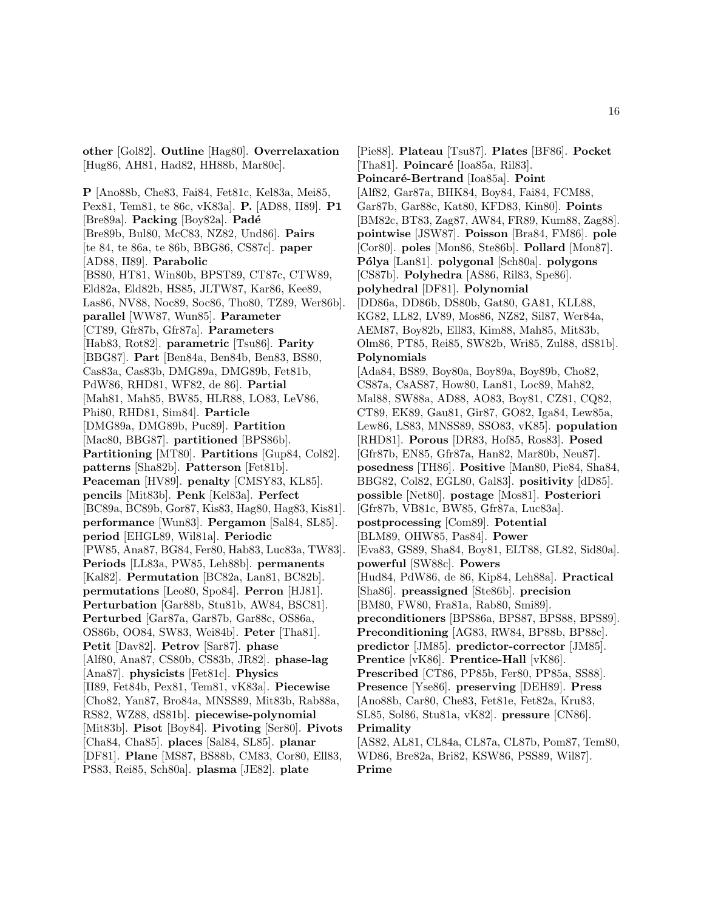**other** [Gol82]. **Outline** [Hag80]. **Overrelaxation** [Hug86, AH81, Had82, HH88b, Mar80c].

**P** [Ano88b, Che83, Fai84, Fet81c, Kel83a, Mei85, Pex81, Tem81, te 86c, vK83a]. **P.** [AD88, II89]. **P1** [Bre89a]. **Packing** [Boy82a]. **Padé** [Bre89b, Bul80, McC83, NZ82, Und86]. **Pairs** [te 84, te 86a, te 86b, BBG86, CS87c]. **paper** [AD88, II89]. **Parabolic** [BS80, HT81, Win80b, BPST89, CT87c, CTW89, Eld82a, Eld82b, HS85, JLTW87, Kar86, Kee89, Las86, NV88, Noc89, Soc86, Tho80, TZ89, Wer86b]. **parallel** [WW87, Wun85]. **Parameter** [CT89, Gfr87b, Gfr87a]. **Parameters** [Hab83, Rot82]. **parametric** [Tsu86]. **Parity** [BBG87]. **Part** [Ben84a, Ben84b, Ben83, BS80, Cas83a, Cas83b, DMG89a, DMG89b, Fet81b, PdW86, RHD81, WF82, de 86]. **Partial** [Mah81, Mah85, BW85, HLR88, LO83, LeV86, Phi80, RHD81, Sim84]. **Particle** [DMG89a, DMG89b, Puc89]. **Partition** [Mac80, BBG87]. **partitioned** [BPS86b]. **Partitioning** [MT80]. **Partitions** [Gup84, Col82]. **patterns** [Sha82b]. **Patterson** [Fet81b]. **Peaceman** [HV89]. **penalty** [CMSY83, KL85]. **pencils** [Mit83b]. **Penk** [Kel83a]. **Perfect** [BC89a, BC89b, Gor87, Kis83, Hag80, Hag83, Kis81]. **performance** [Wun83]. **Pergamon** [Sal84, SL85]. **period** [EHGL89, Wil81a]. **Periodic** [PW85, Ana87, BG84, Fer80, Hab83, Luc83a, TW83]. **Periods** [LL83a, PW85, Leh88b]. **permanents** [Kal82]. **Permutation** [BC82a, Lan81, BC82b]. **permutations** [Leo80, Spo84]. **Perron** [HJ81]. **Perturbation** [Gar88b, Stu81b, AW84, BSC81]. **Perturbed** [Gar87a, Gar87b, Gar88c, OS86a, OS86b, OO84, SW83, Wei84b]. **Peter** [Tha81]. **Petit** [Dav82]. **Petrov** [Sar87]. **phase** [Alf80, Ana87, CS80b, CS83b, JR82]. **phase-lag** [Ana87]. **physicists** [Fet81c]. **Physics** [II89, Fet84b, Pex81, Tem81, vK83a]. **Piecewise** [Cho82, Yan87, Bro84a, MNSS89, Mit83b, Rab88a, RS82, WZ88, dS81b]. **piecewise-polynomial** [Mit83b]. **Pisot** [Boy84]. **Pivoting** [Ser80]. **Pivots** [Cha84, Cha85]. **places** [Sal84, SL85]. **planar** [DF81]. **Plane** [MS87, BS88b, CM83, Cor80, Ell83, PS83, Rei85, Sch80a]. **plasma** [JE82]. **plate**

[Pie88]. **Plateau** [Tsu87]. **Plates** [BF86]. **Pocket** [Tha81]. **Poincar´e** [Ioa85a, Ril83]. **Poincar´e-Bertrand** [Ioa85a]. **Point** [Alf82, Gar87a, BHK84, Boy84, Fai84, FCM88, Gar87b, Gar88c, Kat80, KFD83, Kin80]. **Points** [BM82c, BT83, Zag87, AW84, FR89, Kum88, Zag88]. **pointwise** [JSW87]. **Poisson** [Bra84, FM86]. **pole** [Cor80]. **poles** [Mon86, Ste86b]. **Pollard** [Mon87]. **P´olya** [Lan81]. **polygonal** [Sch80a]. **polygons** [CS87b]. **Polyhedra** [AS86, Ril83, Spe86]. **polyhedral** [DF81]. **Polynomial** [DD86a, DD86b, DS80b, Gat80, GA81, KLL88, KG82, LL82, LV89, Mos86, NZ82, Sil87, Wer84a, AEM87, Boy82b, Ell83, Kim88, Mah85, Mit83b, Olm86, PT85, Rei85, SW82b, Wri85, Zul88, dS81b]. **Polynomials** [Ada84, BS89, Boy80a, Boy89a, Boy89b, Cho82, CS87a, CsAS87, How80, Lan81, Loc89, Mah82, Mal88, SW88a, AD88, AO83, Boy81, CZ81, CQ82, CT89, EK89, Gau81, Gir87, GO82, Iga84, Lew85a, Lew86, LS83, MNSS89, SSO83, vK85]. **population** [RHD81]. **Porous** [DR83, Hof85, Ros83]. **Posed** [Gfr87b, EN85, Gfr87a, Han82, Mar80b, Neu87]. **posedness** [TH86]. **Positive** [Man80, Pie84, Sha84, BBG82, Col82, EGL80, Gal83]. **positivity** [dD85]. **possible** [Net80]. **postage** [Mos81]. **Posteriori** [Gfr87b, VB81c, BW85, Gfr87a, Luc83a]. **postprocessing** [Com89]. **Potential** [BLM89, OHW85, Pas84]. **Power** [Eva83, GS89, Sha84, Boy81, ELT88, GL82, Sid80a]. **powerful** [SW88c]. **Powers** [Hud84, PdW86, de 86, Kip84, Leh88a]. **Practical** [Sha86]. **preassigned** [Ste86b]. **precision** [BM80, FW80, Fra81a, Rab80, Smi89]. **preconditioners** [BPS86a, BPS87, BPS88, BPS89]. **Preconditioning** [AG83, RW84, BP88b, BP88c]. **predictor** [JM85]. **predictor-corrector** [JM85]. **Prentice** [vK86]. **Prentice-Hall** [vK86]. **Prescribed** [CT86, PP85b, Fer80, PP85a, SS88]. **Presence** [Yse86]. **preserving** [DEH89]. **Press** [Ano88b, Car80, Che83, Fet81e, Fet82a, Kru83, SL85, Sol86, Stu81a, vK82]. **pressure** [CN86]. **Primality** [AS82, AL81, CL84a, CL87a, CL87b, Pom87, Tem80, WD86, Bre82a, Bri82, KSW86, PSS89, Wil87]. **Prime**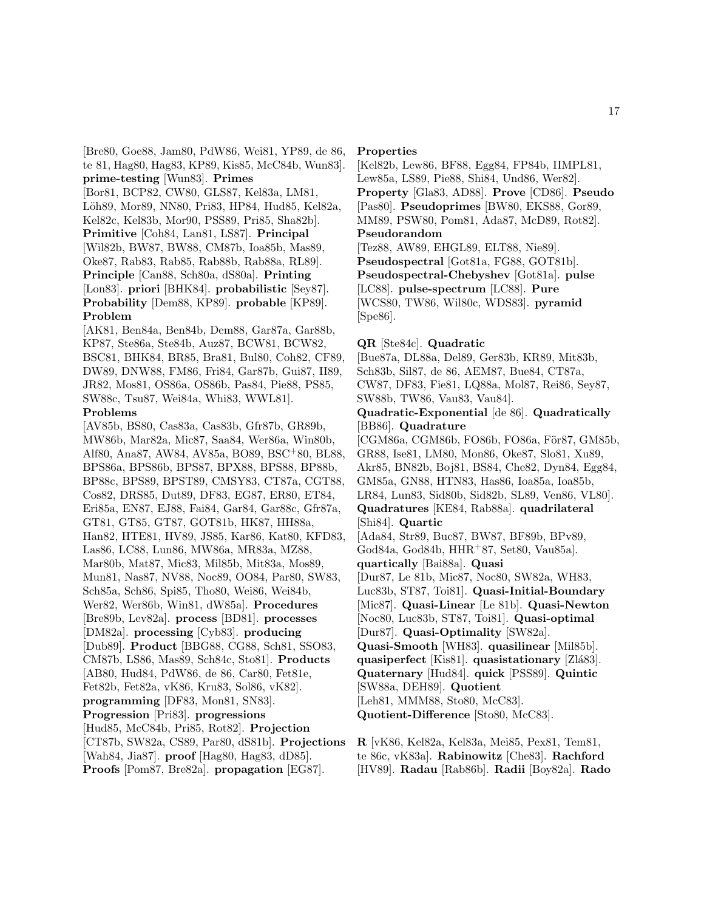[Bre80, Goe88, Jam80, PdW86, Wei81, YP89, de 86, te 81, Hag80, Hag83, KP89, Kis85, McC84b, Wun83]. **prime-testing** [Wun83]. **Primes**

[Bor81, BCP82, CW80, GLS87, Kel83a, LM81, Löh89, Mor89, NN80, Pri83, HP84, Hud85, Kel82a, Kel82c, Kel83b, Mor90, PSS89, Pri85, Sha82b]. **Primitive** [Coh84, Lan81, LS87]. **Principal** [Wil82b, BW87, BW88, CM87b, Ioa85b, Mas89, Oke87, Rab83, Rab85, Rab88b, Rab88a, RL89]. **Principle** [Can88, Sch80a, dS80a]. **Printing** [Lon83]. **priori** [BHK84]. **probabilistic** [Sey87]. **Probability** [Dem88, KP89]. **probable** [KP89]. **Problem**

[AK81, Ben84a, Ben84b, Dem88, Gar87a, Gar88b, KP87, Ste86a, Ste84b, Auz87, BCW81, BCW82, BSC81, BHK84, BR85, Bra81, Bul80, Coh82, CF89, DW89, DNW88, FM86, Fri84, Gar87b, Gui87, II89, JR82, Mos81, OS86a, OS86b, Pas84, Pie88, PS85, SW88c, Tsu87, Wei84a, Whi83, WWL81].

### **Problems**

[AV85b, BS80, Cas83a, Cas83b, Gfr87b, GR89b, MW86b, Mar82a, Mic87, Saa84, Wer86a, Win80b, Alf80, Ana87, AW84, AV85a, BO89, BSC<sup>+</sup>80, BL88, BPS86a, BPS86b, BPS87, BPX88, BPS88, BP88b, BP88c, BPS89, BPST89, CMSY83, CT87a, CGT88, Cos82, DRS85, Dut89, DF83, EG87, ER80, ET84, Eri85a, EN87, EJ88, Fai84, Gar84, Gar88c, Gfr87a, GT81, GT85, GT87, GOT81b, HK87, HH88a, Han82, HTE81, HV89, JS85, Kar86, Kat80, KFD83, Las86, LC88, Lun86, MW86a, MR83a, MZ88, Mar80b, Mat87, Mic83, Mil85b, Mit83a, Mos89, Mun81, Nas87, NV88, Noc89, OO84, Par80, SW83, Sch85a, Sch86, Spi85, Tho80, Wei86, Wei84b, Wer82, Wer86b, Win81, dW85a]. **Procedures** [Bre89b, Lev82a]. **process** [BD81]. **processes** [DM82a]. **processing** [Cyb83]. **producing** [Dub89]. **Product** [BBG88, CG88, Sch81, SSO83, CM87b, LS86, Mas89, Sch84c, Sto81]. **Products** [AB80, Hud84, PdW86, de 86, Car80, Fet81e, Fet82b, Fet82a, vK86, Kru83, Sol86, vK82]. **programming** [DF83, Mon81, SN83]. **Progression** [Pri83]. **progressions** [Hud85, McC84b, Pri85, Rot82]. **Projection** [CT87b, SW82a, CS89, Par80, dS81b]. **Projections** [Wah84, Jia87]. **proof** [Hag80, Hag83, dD85]. **Proofs** [Pom87, Bre82a]. **propagation** [EG87].

#### **Properties**

[Kel82b, Lew86, BF88, Egg84, FP84b, IIMPL81, Lew85a, LS89, Pie88, Shi84, Und86, Wer82]. **Property** [Gla83, AD88]. **Prove** [CD86]. **Pseudo** [Pas80]. **Pseudoprimes** [BW80, EKS88, Gor89, MM89, PSW80, Pom81, Ada87, McD89, Rot82]. **Pseudorandom**

[Tez88, AW89, EHGL89, ELT88, Nie89]. **Pseudospectral** [Got81a, FG88, GOT81b]. **Pseudospectral-Chebyshev** [Got81a]. **pulse** [LC88]. **pulse-spectrum** [LC88]. **Pure** [WCS80, TW86, Wil80c, WDS83]. **pyramid** [Spe86].

#### **QR** [Ste84c]. **Quadratic**

[Bue87a, DL88a, Del89, Ger83b, KR89, Mit83b, Sch83b, Sil87, de 86, AEM87, Bue84, CT87a, CW87, DF83, Fie81, LQ88a, Mol87, Rei86, Sey87, SW88b, TW86, Vau83, Vau84].

### **Quadratic-Exponential** [de 86]. **Quadratically** [BB86]. **Quadrature**

[CGM86a, CGM86b, FO86b, FO86a, För87, GM85b, GR88, Ise81, LM80, Mon86, Oke87, Slo81, Xu89, Akr85, BN82b, Boj81, BS84, Che82, Dyn84, Egg84, GM85a, GN88, HTN83, Has86, Ioa85a, Ioa85b, LR84, Lun83, Sid80b, Sid82b, SL89, Ven86, VL80]. **Quadratures** [KE84, Rab88a]. **quadrilateral** [Shi84]. **Quartic** [Ada84, Str89, Buc87, BW87, BF89b, BPv89, God84a, God84b, HHR+87, Set80, Vau85a]. **quartically** [Bai88a]. **Quasi** [Dur87, Le 81b, Mic87, Noc80, SW82a, WH83, Luc83b, ST87, Toi81]. **Quasi-Initial-Boundary** [Mic87]. **Quasi-Linear** [Le 81b]. **Quasi-Newton** [Noc80, Luc83b, ST87, Toi81]. **Quasi-optimal** [Dur87]. **Quasi-Optimality** [SW82a]. **Quasi-Smooth** [WH83]. **quasilinear** [Mil85b].

**quasiperfect** [Kis81]. **quasistationary** [Zlá83]. **Quaternary** [Hud84]. **quick** [PSS89]. **Quintic**

- [SW88a, DEH89]. **Quotient** [Leh81, MMM88, Sto80, McC83].
- **Quotient-Difference** [Sto80, McC83].

**R** [vK86, Kel82a, Kel83a, Mei85, Pex81, Tem81, te 86c, vK83a]. **Rabinowitz** [Che83]. **Rachford** [HV89]. **Radau** [Rab86b]. **Radii** [Boy82a]. **Rado**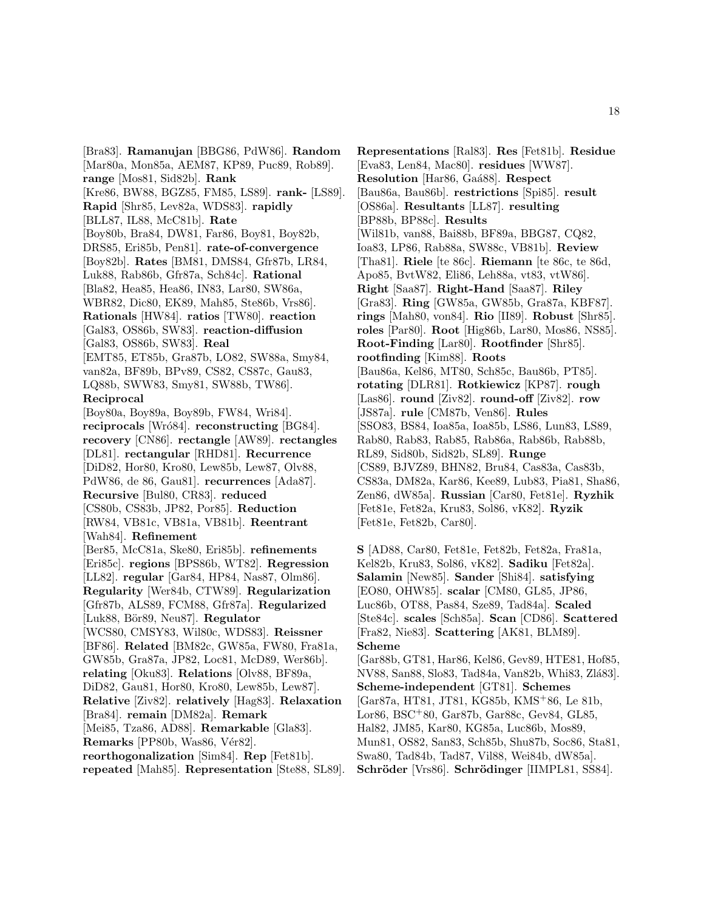[Bra83]. **Ramanujan** [BBG86, PdW86]. **Random** [Mar80a, Mon85a, AEM87, KP89, Puc89, Rob89]. **range** [Mos81, Sid82b]. **Rank** [Kre86, BW88, BGZ85, FM85, LS89]. **rank-** [LS89]. **Rapid** [Shr85, Lev82a, WDS83]. **rapidly** [BLL87, IL88, McC81b]. **Rate** [Boy80b, Bra84, DW81, Far86, Boy81, Boy82b, DRS85, Eri85b, Pen81]. **rate-of-convergence** [Boy82b]. **Rates** [BM81, DMS84, Gfr87b, LR84, Luk88, Rab86b, Gfr87a, Sch84c]. **Rational** [Bla82, Hea85, Hea86, IN83, Lar80, SW86a, WBR82, Dic80, EK89, Mah85, Ste86b, Vrs86]. **Rationals** [HW84]. **ratios** [TW80]. **reaction** [Gal83, OS86b, SW83]. **reaction-diffusion** [Gal83, OS86b, SW83]. **Real** [EMT85, ET85b, Gra87b, LO82, SW88a, Smy84, van82a, BF89b, BPv89, CS82, CS87c, Gau83, LQ88b, SWW83, Smy81, SW88b, TW86]. **Reciprocal** [Boy80a, Boy89a, Boy89b, FW84, Wri84]. **reciprocals** [Wró84]. **reconstructing** [BG84]. **recovery** [CN86]. **rectangle** [AW89]. **rectangles** [DL81]. **rectangular** [RHD81]. **Recurrence** [DiD82, Hor80, Kro80, Lew85b, Lew87, Olv88, PdW86, de 86, Gau81]. **recurrences** [Ada87]. **Recursive** [Bul80, CR83]. **reduced** [CS80b, CS83b, JP82, Por85]. **Reduction** [RW84, VB81c, VB81a, VB81b]. **Reentrant** [Wah84]. **Refinement** [Ber85, McC81a, Ske80, Eri85b]. **refinements** [Eri85c]. **regions** [BPS86b, WT82]. **Regression** [LL82]. **regular** [Gar84, HP84, Nas87, Olm86]. **Regularity** [Wer84b, CTW89]. **Regularization** [Gfr87b, ALS89, FCM88, Gfr87a]. **Regularized** [Luk88, Bör89, Neu87]. **Regulator** [WCS80, CMSY83, Wil80c, WDS83]. **Reissner** [BF86]. **Related** [BM82c, GW85a, FW80, Fra81a, GW85b, Gra87a, JP82, Loc81, McD89, Wer86b]. **relating** [Oku83]. **Relations** [Olv88, BF89a, DiD82, Gau81, Hor80, Kro80, Lew85b, Lew87]. **Relative** [Ziv82]. **relatively** [Hag83]. **Relaxation** [Bra84]. **remain** [DM82a]. **Remark** [Mei85, Tza86, AD88]. **Remarkable** [Gla83]. **Remarks** [PP80b, Was86, Vér82]. **reorthogonalization** [Sim84]. **Rep** [Fet81b]. **repeated** [Mah85]. **Representation** [Ste88, SL89]. **Representations** [Ral83]. **Res** [Fet81b]. **Residue** [Eva83, Len84, Mac80]. **residues** [WW87]. **Resolution** [Har86, Ga´a88]. **Respect** [Bau86a, Bau86b]. **restrictions** [Spi85]. **result** [OS86a]. **Resultants** [LL87]. **resulting** [BP88b, BP88c]. **Results** [Wil81b, van88, Bai88b, BF89a, BBG87, CQ82, Ioa83, LP86, Rab88a, SW88c, VB81b]. **Review** [Tha81]. **Riele** [te 86c]. **Riemann** [te 86c, te 86d, Apo85, BvtW82, Eli86, Leh88a, vt83, vtW86]. **Right** [Saa87]. **Right-Hand** [Saa87]. **Riley** [Gra83]. **Ring** [GW85a, GW85b, Gra87a, KBF87]. **rings** [Mah80, von84]. **Rio** [II89]. **Robust** [Shr85]. **roles** [Par80]. **Root** [Hig86b, Lar80, Mos86, NS85]. **Root-Finding** [Lar80]. **Rootfinder** [Shr85]. **rootfinding** [Kim88]. **Roots** [Bau86a, Kel86, MT80, Sch85c, Bau86b, PT85]. **rotating** [DLR81]. **Rotkiewicz** [KP87]. **rough** [Las86]. **round** [Ziv82]. **round-off** [Ziv82]. **row** [JS87a]. **rule** [CM87b, Ven86]. **Rules** [SSO83, BS84, Ioa85a, Ioa85b, LS86, Lun83, LS89, Rab80, Rab83, Rab85, Rab86a, Rab86b, Rab88b, RL89, Sid80b, Sid82b, SL89]. **Runge** [CS89, BJVZ89, BHN82, Bru84, Cas83a, Cas83b, CS83a, DM82a, Kar86, Kee89, Lub83, Pia81, Sha86, Zen86, dW85a]. **Russian** [Car80, Fet81e]. **Ryzhik** [Fet81e, Fet82a, Kru83, Sol86, vK82]. **Ryzik** [Fet81e, Fet82b, Car80].

**S** [AD88, Car80, Fet81e, Fet82b, Fet82a, Fra81a, Kel82b, Kru83, Sol86, vK82]. **Sadiku** [Fet82a]. **Salamin** [New85]. **Sander** [Shi84]. **satisfying** [EO80, OHW85]. **scalar** [CM80, GL85, JP86, Luc86b, OT88, Pas84, Sze89, Tad84a]. **Scaled** [Ste84c]. **scales** [Sch85a]. **Scan** [CD86]. **Scattered** [Fra82, Nie83]. **Scattering** [AK81, BLM89]. **Scheme**

[Gar88b, GT81, Har86, Kel86, Gev89, HTE81, Hof85, NV88, San88, Slo83, Tad84a, Van82b, Whi83, Zlá83]. **Scheme-independent** [GT81]. **Schemes** [Gar87a, HT81, JT81, KG85b, KMS<sup>+</sup>86, Le 81b, Lor86, BSC<sup>+</sup>80, Gar87b, Gar88c, Gev84, GL85, Hal82, JM85, Kar80, KG85a, Luc86b, Mos89, Mun81, OS82, San83, Sch85b, Shu87b, Soc86, Sta81, Swa80, Tad84b, Tad87, Vil88, Wei84b, dW85a]. **Schr¨oder** [Vrs86]. **Schr¨odinger** [IIMPL81, SS84].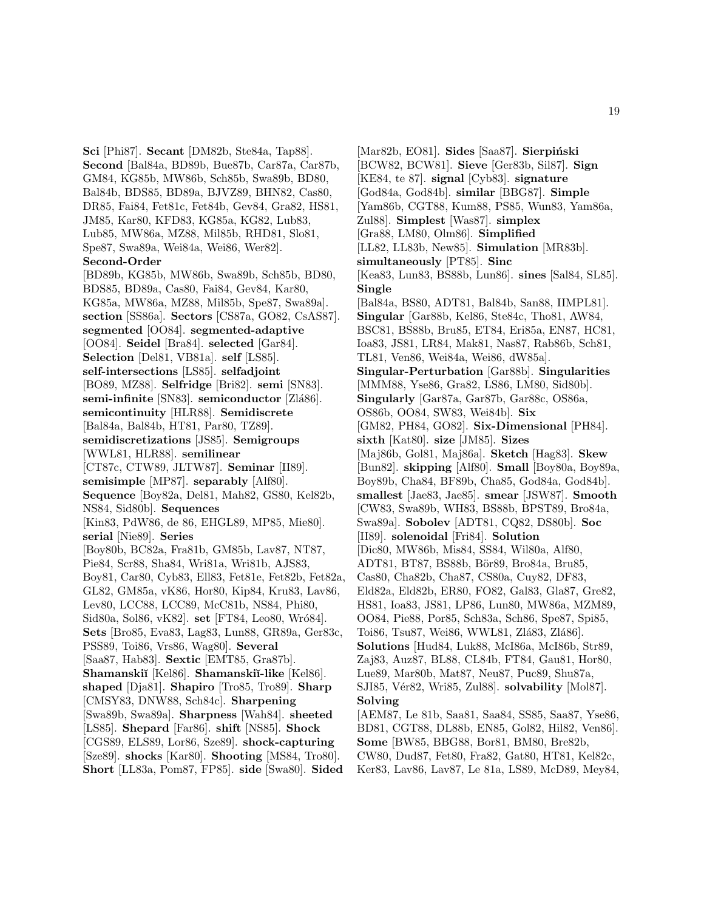**Sci** [Phi87]. **Secant** [DM82b, Ste84a, Tap88]. **Second** [Bal84a, BD89b, Bue87b, Car87a, Car87b, GM84, KG85b, MW86b, Sch85b, Swa89b, BD80, Bal84b, BDS85, BD89a, BJVZ89, BHN82, Cas80, DR85, Fai84, Fet81c, Fet84b, Gev84, Gra82, HS81, JM85, Kar80, KFD83, KG85a, KG82, Lub83, Lub85, MW86a, MZ88, Mil85b, RHD81, Slo81, Spe87, Swa89a, Wei84a, Wei86, Wer82]. **Second-Order** [BD89b, KG85b, MW86b, Swa89b, Sch85b, BD80, BDS85, BD89a, Cas80, Fai84, Gev84, Kar80, KG85a, MW86a, MZ88, Mil85b, Spe87, Swa89a]. **section** [SS86a]. **Sectors** [CS87a, GO82, CsAS87]. **segmented** [OO84]. **segmented-adaptive** [OO84]. **Seidel** [Bra84]. **selected** [Gar84]. **Selection** [Del81, VB81a]. **self** [LS85]. **self-intersections** [LS85]. **selfadjoint** [BO89, MZ88]. **Selfridge** [Bri82]. **semi** [SN83]. semi-infinite<sup>[SN83]</sup>. semiconductor<sup>[Zlá86]</sup>. **semicontinuity** [HLR88]. **Semidiscrete** [Bal84a, Bal84b, HT81, Par80, TZ89]. **semidiscretizations** [JS85]. **Semigroups** [WWL81, HLR88]. **semilinear** [CT87c, CTW89, JLTW87]. **Seminar** [II89]. **semisimple** [MP87]. **separably** [Alf80]. **Sequence** [Boy82a, Del81, Mah82, GS80, Kel82b, NS84, Sid80b]. **Sequences** [Kin83, PdW86, de 86, EHGL89, MP85, Mie80]. **serial** [Nie89]. **Series** [Boy80b, BC82a, Fra81b, GM85b, Lav87, NT87, Pie84, Scr88, Sha84, Wri81a, Wri81b, AJS83, Boy81, Car80, Cyb83, Ell83, Fet81e, Fet82b, Fet82a, GL82, GM85a, vK86, Hor80, Kip84, Kru83, Lav86, Lev80, LCC88, LCC89, McC81b, NS84, Phi80, Sid80a, Sol86, vK82. **set** [FT84, Leo80, Wró84]. **Sets** [Bro85, Eva83, Lag83, Lun88, GR89a, Ger83c, PSS89, Toi86, Vrs86, Wag80]. **Several** [Saa87, Hab83]. **Sextic** [EMT85, Gra87b]. **Shamanski˘ı** [Kel86]. **Shamanski˘ı-like** [Kel86]. **shaped** [Dja81]. **Shapiro** [Tro85, Tro89]. **Sharp** [CMSY83, DNW88, Sch84c]. **Sharpening** [Swa89b, Swa89a]. **Sharpness** [Wah84]. **sheeted** [LS85]. **Shepard** [Far86]. **shift** [NS85]. **Shock** [CGS89, ELS89, Lor86, Sze89]. **shock-capturing** [Sze89]. **shocks** [Kar80]. **Shooting** [MS84, Tro80]. **Short** [LL83a, Pom87, FP85]. **side** [Swa80]. **Sided**

[Mar82b, EO81]. **Sides** [Saa87]. **Sierpiński** [BCW82, BCW81]. **Sieve** [Ger83b, Sil87]. **Sign** [KE84, te 87]. **signal** [Cyb83]. **signature** [God84a, God84b]. **similar** [BBG87]. **Simple** [Yam86b, CGT88, Kum88, PS85, Wun83, Yam86a, Zul88]. **Simplest** [Was87]. **simplex** [Gra88, LM80, Olm86]. **Simplified** [LL82, LL83b, New85]. **Simulation** [MR83b]. **simultaneously** [PT85]. **Sinc** [Kea83, Lun83, BS88b, Lun86]. **sines** [Sal84, SL85]. **Single** [Bal84a, BS80, ADT81, Bal84b, San88, IIMPL81]. **Singular** [Gar88b, Kel86, Ste84c, Tho81, AW84, BSC81, BS88b, Bru85, ET84, Eri85a, EN87, HC81, Ioa83, JS81, LR84, Mak81, Nas87, Rab86b, Sch81, TL81, Ven86, Wei84a, Wei86, dW85a]. **Singular-Perturbation** [Gar88b]. **Singularities** [MMM88, Yse86, Gra82, LS86, LM80, Sid80b]. **Singularly** [Gar87a, Gar87b, Gar88c, OS86a, OS86b, OO84, SW83, Wei84b]. **Six** [GM82, PH84, GO82]. **Six-Dimensional** [PH84]. **sixth** [Kat80]. **size** [JM85]. **Sizes** [Maj86b, Gol81, Maj86a]. **Sketch** [Hag83]. **Skew** [Bun82]. **skipping** [Alf80]. **Small** [Boy80a, Boy89a, Boy89b, Cha84, BF89b, Cha85, God84a, God84b]. **smallest** [Jae83, Jae85]. **smear** [JSW87]. **Smooth** [CW83, Swa89b, WH83, BS88b, BPST89, Bro84a, Swa89a]. **Sobolev** [ADT81, CQ82, DS80b]. **Soc** [II89]. **solenoidal** [Fri84]. **Solution** [Dic80, MW86b, Mis84, SS84, Wil80a, Alf80, ADT81, BT87, BS88b, Bör89, Bro84a, Bru85, Cas80, Cha82b, Cha87, CS80a, Cuy82, DF83, Eld82a, Eld82b, ER80, FO82, Gal83, Gla87, Gre82, HS81, Ioa83, JS81, LP86, Lun80, MW86a, MZM89, OO84, Pie88, Por85, Sch83a, Sch86, Spe87, Spi85, Toi86, Tsu87, Wei86, WWL81, Zlá83, Zlá86]. **Solutions** [Hud84, Luk88, McI86a, McI86b, Str89, Zaj83, Auz87, BL88, CL84b, FT84, Gau81, Hor80, Lue89, Mar80b, Mat87, Neu87, Puc89, Shu87a, SJI85, V´er82, Wri85, Zul88]. **solvability** [Mol87]. **Solving** [AEM87, Le 81b, Saa81, Saa84, SS85, Saa87, Yse86, BD81, CGT88, DL88b, EN85, Gol82, Hil82, Ven86]. **Some** [BW85, BBG88, Bor81, BM80, Bre82b, CW80, Dud87, Fet80, Fra82, Gat80, HT81, Kel82c, Ker83, Lav86, Lav87, Le 81a, LS89, McD89, Mey84,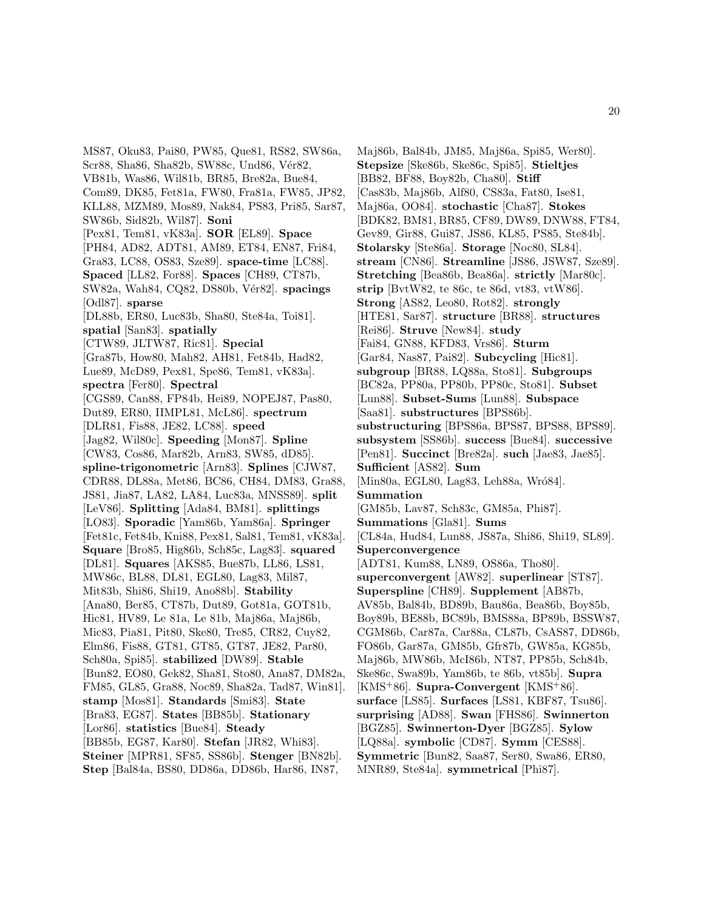MS87, Oku83, Pai80, PW85, Que81, RS82, SW86a, Scr88, Sha86, Sha82b, SW88c, Und86, Vér82, VB81b, Was86, Wil81b, BR85, Bre82a, Bue84, Com89, DK85, Fet81a, FW80, Fra81a, FW85, JP82, KLL88, MZM89, Mos89, Nak84, PS83, Pri85, Sar87, SW86b, Sid82b, Wil87]. **Soni** [Pex81, Tem81, vK83a]. **SOR** [EL89]. **Space** [PH84, AD82, ADT81, AM89, ET84, EN87, Fri84, Gra83, LC88, OS83, Sze89]. **space-time** [LC88]. **Spaced** [LL82, For88]. **Spaces** [CH89, CT87b, SW82a, Wah84, CQ82, DS80b, V´er82]. **spacings** [Odl87]. **sparse** [DL88b, ER80, Luc83b, Sha80, Ste84a, Toi81]. **spatial** [San83]. **spatially** [CTW89, JLTW87, Ric81]. **Special** [Gra87b, How80, Mah82, AH81, Fet84b, Had82, Lue89, McD89, Pex81, Spe86, Tem81, vK83a]. **spectra** [Fer80]. **Spectral** [CGS89, Can88, FP84b, Hei89, NOPEJ87, Pas80, Dut89, ER80, IIMPL81, McL86]. **spectrum** [DLR81, Fis88, JE82, LC88]. **speed** [Jag82, Wil80c]. **Speeding** [Mon87]. **Spline** [CW83, Cos86, Mar82b, Arn83, SW85, dD85]. **spline-trigonometric** [Arn83]. **Splines** [CJW87, CDR88, DL88a, Met86, BC86, CH84, DM83, Gra88, JS81, Jia87, LA82, LA84, Luc83a, MNSS89]. **split** [LeV86]. **Splitting** [Ada84, BM81]. **splittings** [LO83]. **Sporadic** [Yam86b, Yam86a]. **Springer** [Fet81c, Fet84b, Kni88, Pex81, Sal81, Tem81, vK83a]. **Square** [Bro85, Hig86b, Sch85c, Lag83]. **squared** [DL81]. **Squares** [AKS85, Bue87b, LL86, LS81, MW86c, BL88, DL81, EGL80, Lag83, Mil87, Mit83b, Shi86, Shi19, Ano88b]. **Stability** [Ana80, Ber85, CT87b, Dut89, Got81a, GOT81b, Hic81, HV89, Le 81a, Le 81b, Maj86a, Maj86b, Mic83, Pia81, Pit80, Ske80, Tre85, CR82, Cuy82, Elm86, Fis88, GT81, GT85, GT87, JE82, Par80, Sch80a, Spi85]. **stabilized** [DW89]. **Stable** [Bun82, EO80, Gek82, Sha81, Sto80, Ana87, DM82a, FM85, GL85, Gra88, Noc89, Sha82a, Tad87, Win81]. **stamp** [Mos81]. **Standards** [Smi83]. **State** [Bra83, EG87]. **States** [BB85b]. **Stationary** [Lor86]. **statistics** [Bue84]. **Steady** [BB85b, EG87, Kar80]. **Stefan** [JR82, Whi83]. **Steiner** [MPR81, SF85, SS86b]. **Stenger** [BN82b]. **Step** [Bal84a, BS80, DD86a, DD86b, Har86, IN87,

Maj86b, Bal84b, JM85, Maj86a, Spi85, Wer80]. **Stepsize** [Ske86b, Ske86c, Spi85]. **Stieltjes** [BB82, BF88, Boy82b, Cha80]. **Stiff** [Cas83b, Maj86b, Alf80, CS83a, Fat80, Ise81, Maj86a, OO84]. **stochastic** [Cha87]. **Stokes** [BDK82, BM81, BR85, CF89, DW89, DNW88, FT84, Gev89, Gir88, Gui87, JS86, KL85, PS85, Ste84b]. **Stolarsky** [Ste86a]. **Storage** [Noc80, SL84]. **stream** [CN86]. **Streamline** [JS86, JSW87, Sze89]. **Stretching** [Bea86b, Bea86a]. **strictly** [Mar80c]. **strip** [BvtW82, te 86c, te 86d, vt83, vtW86]. **Strong** [AS82, Leo80, Rot82]. **strongly** [HTE81, Sar87]. **structure** [BR88]. **structures** [Rei86]. **Struve** [New84]. **study** [Fai84, GN88, KFD83, Vrs86]. **Sturm** [Gar84, Nas87, Pai82]. **Subcycling** [Hic81]. **subgroup** [BR88, LQ88a, Sto81]. **Subgroups** [BC82a, PP80a, PP80b, PP80c, Sto81]. **Subset** [Lun88]. **Subset-Sums** [Lun88]. **Subspace** [Saa81]. **substructures** [BPS86b]. **substructuring** [BPS86a, BPS87, BPS88, BPS89]. **subsystem** [SS86b]. **success** [Bue84]. **successive** [Pen81]. **Succinct** [Bre82a]. **such** [Jae83, Jae85]. **Sufficient** [AS82]. **Sum** [Min80a, EGL80, Lag83, Leh88a, Wró84]. **Summation** [GM85b, Lav87, Sch83c, GM85a, Phi87]. **Summations** [Gla81]. **Sums** [CL84a, Hud84, Lun88, JS87a, Shi86, Shi19, SL89]. **Superconvergence** [ADT81, Kum88, LN89, OS86a, Tho80]. **superconvergent** [AW82]. **superlinear** [ST87]. **Superspline** [CH89]. **Supplement** [AB87b, AV85b, Bal84b, BD89b, Bau86a, Bea86b, Boy85b, Boy89b, BE88b, BC89b, BMS88a, BP89b, BSSW87, CGM86b, Car87a, Car88a, CL87b, CsAS87, DD86b, FO86b, Gar87a, GM85b, Gfr87b, GW85a, KG85b, Maj86b, MW86b, McI86b, NT87, PP85b, Sch84b, Ske86c, Swa89b, Yam86b, te 86b, vt85b]. **Supra** [KMS<sup>+</sup>86]. **Supra-Convergent** [KMS<sup>+</sup>86]. **surface** [LS85]. **Surfaces** [LS81, KBF87, Tsu86]. **surprising** [AD88]. **Swan** [FHS86]. **Swinnerton** [BGZ85]. **Swinnerton-Dyer** [BGZ85]. **Sylow** [LQ88a]. **symbolic** [CD87]. **Symm** [CES88]. **Symmetric** [Bun82, Saa87, Ser80, Swa86, ER80, MNR89, Ste84a]. **symmetrical** [Phi87].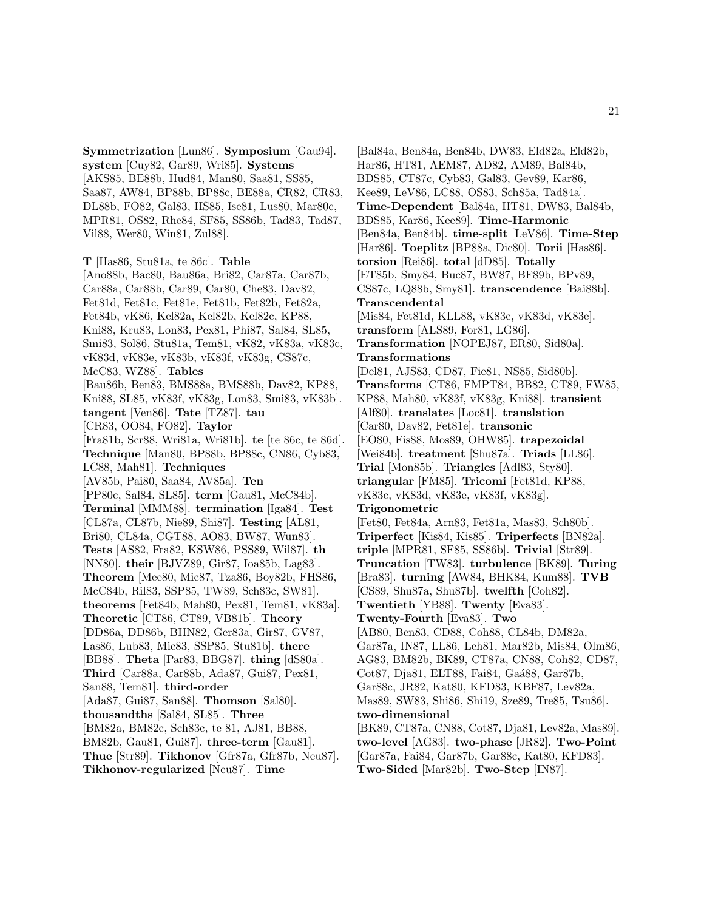**Symmetrization** [Lun86]. **Symposium** [Gau94]. **system** [Cuy82, Gar89, Wri85]. **Systems** [AKS85, BE88b, Hud84, Man80, Saa81, SS85, Saa87, AW84, BP88b, BP88c, BE88a, CR82, CR83, DL88b, FO82, Gal83, HS85, Ise81, Lus80, Mar80c, MPR81, OS82, Rhe84, SF85, SS86b, Tad83, Tad87, Vil88, Wer80, Win81, Zul88].

**T** [Has86, Stu81a, te 86c]. **Table** [Ano88b, Bac80, Bau86a, Bri82, Car87a, Car87b, Car88a, Car88b, Car89, Car80, Che83, Dav82, Fet81d, Fet81c, Fet81e, Fet81b, Fet82b, Fet82a, Fet84b, vK86, Kel82a, Kel82b, Kel82c, KP88, Kni88, Kru83, Lon83, Pex81, Phi87, Sal84, SL85, Smi83, Sol86, Stu81a, Tem81, vK82, vK83a, vK83c, vK83d, vK83e, vK83b, vK83f, vK83g, CS87c, McC83, WZ88]. **Tables** [Bau86b, Ben83, BMS88a, BMS88b, Dav82, KP88, Kni88, SL85, vK83f, vK83g, Lon83, Smi83, vK83b]. **tangent** [Ven86]. **Tate** [TZ87]. **tau** [CR83, OO84, FO82]. **Taylor** [Fra81b, Scr88, Wri81a, Wri81b]. **te** [te 86c, te 86d]. **Technique** [Man80, BP88b, BP88c, CN86, Cyb83, LC88, Mah81]. **Techniques** [AV85b, Pai80, Saa84, AV85a]. **Ten** [PP80c, Sal84, SL85]. **term** [Gau81, McC84b]. **Terminal** [MMM88]. **termination** [Iga84]. **Test** [CL87a, CL87b, Nie89, Shi87]. **Testing** [AL81, Bri80, CL84a, CGT88, AO83, BW87, Wun83]. **Tests** [AS82, Fra82, KSW86, PSS89, Wil87]. **th** [NN80]. **their** [BJVZ89, Gir87, Ioa85b, Lag83]. **Theorem** [Mee80, Mic87, Tza86, Boy82b, FHS86, McC84b, Ril83, SSP85, TW89, Sch83c, SW81]. **theorems** [Fet84b, Mah80, Pex81, Tem81, vK83a]. **Theoretic** [CT86, CT89, VB81b]. **Theory** [DD86a, DD86b, BHN82, Ger83a, Gir87, GV87, Las86, Lub83, Mic83, SSP85, Stu81b]. **there** [BB88]. **Theta** [Par83, BBG87]. **thing** [dS80a]. **Third** [Car88a, Car88b, Ada87, Gui87, Pex81, San88, Tem81]. **third-order** [Ada87, Gui87, San88]. **Thomson** [Sal80]. **thousandths** [Sal84, SL85]. **Three** [BM82a, BM82c, Sch83c, te 81, AJ81, BB88, BM82b, Gau81, Gui87]. **three-term** [Gau81]. **Thue** [Str89]. **Tikhonov** [Gfr87a, Gfr87b, Neu87]. **Tikhonov-regularized** [Neu87]. **Time**

[Bal84a, Ben84a, Ben84b, DW83, Eld82a, Eld82b, Har86, HT81, AEM87, AD82, AM89, Bal84b, BDS85, CT87c, Cyb83, Gal83, Gev89, Kar86, Kee89, LeV86, LC88, OS83, Sch85a, Tad84a]. **Time-Dependent** [Bal84a, HT81, DW83, Bal84b, BDS85, Kar86, Kee89]. **Time-Harmonic** [Ben84a, Ben84b]. **time-split** [LeV86]. **Time-Step** [Har86]. **Toeplitz** [BP88a, Dic80]. **Torii** [Has86]. **torsion** [Rei86]. **total** [dD85]. **Totally** [ET85b, Smy84, Buc87, BW87, BF89b, BPv89, CS87c, LQ88b, Smy81]. **transcendence** [Bai88b]. **Transcendental** [Mis84, Fet81d, KLL88, vK83c, vK83d, vK83e]. **transform** [ALS89, For81, LG86]. **Transformation** [NOPEJ87, ER80, Sid80a]. **Transformations** [Del81, AJS83, CD87, Fie81, NS85, Sid80b]. **Transforms** [CT86, FMPT84, BB82, CT89, FW85, KP88, Mah80, vK83f, vK83g, Kni88]. **transient** [Alf80]. **translates** [Loc81]. **translation** [Car80, Dav82, Fet81e]. **transonic** [EO80, Fis88, Mos89, OHW85]. **trapezoidal** [Wei84b]. **treatment** [Shu87a]. **Triads** [LL86]. **Trial** [Mon85b]. **Triangles** [Adl83, Sty80]. **triangular** [FM85]. **Tricomi** [Fet81d, KP88, vK83c, vK83d, vK83e, vK83f, vK83g]. **Trigonometric** [Fet80, Fet84a, Arn83, Fet81a, Mas83, Sch80b]. **Triperfect** [Kis84, Kis85]. **Triperfects** [BN82a]. **triple** [MPR81, SF85, SS86b]. **Trivial** [Str89]. **Truncation** [TW83]. **turbulence** [BK89]. **Turing** [Bra83]. **turning** [AW84, BHK84, Kum88]. **TVB** [CS89, Shu87a, Shu87b]. **twelfth** [Coh82]. **Twentieth** [YB88]. **Twenty** [Eva83]. **Twenty-Fourth** [Eva83]. **Two** [AB80, Ben83, CD88, Coh88, CL84b, DM82a, Gar87a, IN87, LL86, Leh81, Mar82b, Mis84, Olm86, AG83, BM82b, BK89, CT87a, CN88, Coh82, CD87, Cot87, Dja81, ELT88, Fai84, Gaá88, Gar87b, Gar88c, JR82, Kat80, KFD83, KBF87, Lev82a, Mas89, SW83, Shi86, Shi19, Sze89, Tre85, Tsu86]. **two-dimensional** [BK89, CT87a, CN88, Cot87, Dja81, Lev82a, Mas89]. **two-level** [AG83]. **two-phase** [JR82]. **Two-Point** [Gar87a, Fai84, Gar87b, Gar88c, Kat80, KFD83].

**Two-Sided** [Mar82b]. **Two-Step** [IN87].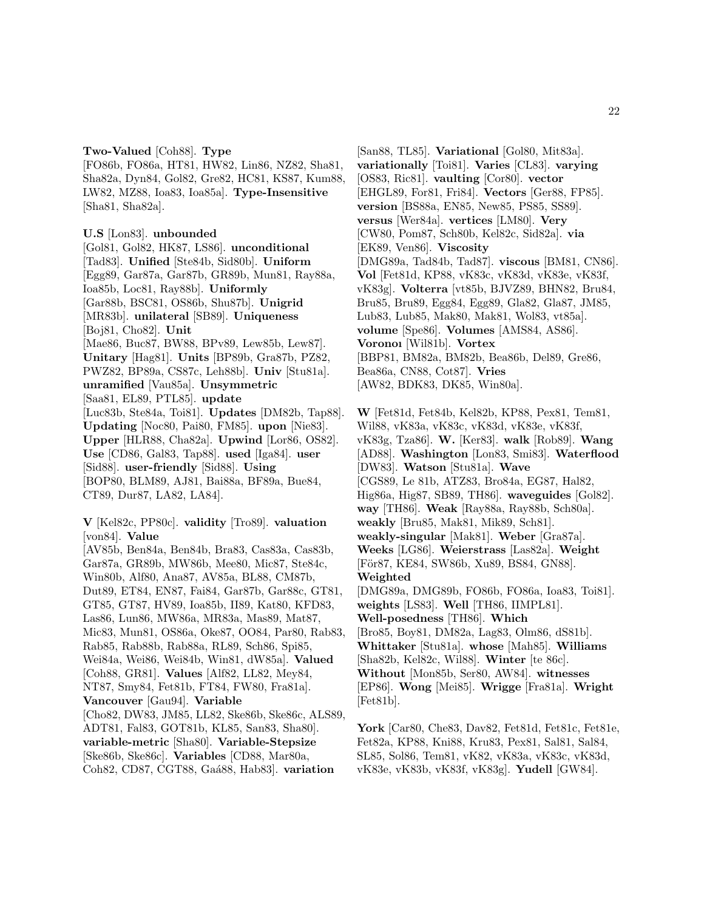### **Two-Valued** [Coh88]. **Type**

[FO86b, FO86a, HT81, HW82, Lin86, NZ82, Sha81, Sha82a, Dyn84, Gol82, Gre82, HC81, KS87, Kum88, LW82, MZ88, Ioa83, Ioa85a]. **Type-Insensitive** [Sha81, Sha82a].

#### **U.S** [Lon83]. **unbounded**

[Gol81, Gol82, HK87, LS86]. **unconditional** [Tad83]. **Unified** [Ste84b, Sid80b]. **Uniform** [Egg89, Gar87a, Gar87b, GR89b, Mun81, Ray88a, Ioa85b, Loc81, Ray88b]. **Uniformly** [Gar88b, BSC81, OS86b, Shu87b]. **Unigrid** [MR83b]. **unilateral** [SB89]. **Uniqueness** [Boj81, Cho82]. **Unit** [Mae86, Buc87, BW88, BPv89, Lew85b, Lew87]. **Unitary** [Hag81]. **Units** [BP89b, Gra87b, PZ82, PWZ82, BP89a, CS87c, Leh88b]. **Univ** [Stu81a]. **unramified** [Vau85a]. **Unsymmetric** [Saa81, EL89, PTL85]. **update** [Luc83b, Ste84a, Toi81]. **Updates** [DM82b, Tap88]. **Updating** [Noc80, Pai80, FM85]. **upon** [Nie83]. **Upper** [HLR88, Cha82a]. **Upwind** [Lor86, OS82]. **Use** [CD86, Gal83, Tap88]. **used** [Iga84]. **user** [Sid88]. **user-friendly** [Sid88]. **Using** [BOP80, BLM89, AJ81, Bai88a, BF89a, Bue84, CT89, Dur87, LA82, LA84].

**V** [Kel82c, PP80c]. **validity** [Tro89]. **valuation** [von84]. **Value**

[AV85b, Ben84a, Ben84b, Bra83, Cas83a, Cas83b, Gar87a, GR89b, MW86b, Mee80, Mic87, Ste84c, Win80b, Alf80, Ana87, AV85a, BL88, CM87b, Dut89, ET84, EN87, Fai84, Gar87b, Gar88c, GT81, GT85, GT87, HV89, Ioa85b, II89, Kat80, KFD83, Las86, Lun86, MW86a, MR83a, Mas89, Mat87, Mic83, Mun81, OS86a, Oke87, OO84, Par80, Rab83, Rab85, Rab88b, Rab88a, RL89, Sch86, Spi85, Wei84a, Wei86, Wei84b, Win81, dW85a]. **Valued** [Coh88, GR81]. **Values** [Alf82, LL82, Mey84, NT87, Smy84, Fet81b, FT84, FW80, Fra81a]. **Vancouver** [Gau94]. **Variable** [Cho82, DW83, JM85, LL82, Ske86b, Ske86c, ALS89, ADT81, Fal83, GOT81b, KL85, San83, Sha80]. **variable-metric** [Sha80]. **Variable-Stepsize** [Ske86b, Ske86c]. **Variables** [CD88, Mar80a,

Coh82, CD87, CGT88, Ga´a88, Hab83]. **variation**

[San88, TL85]. **Variational** [Gol80, Mit83a]. **variationally** [Toi81]. **Varies** [CL83]. **varying** [OS83, Ric81]. **vaulting** [Cor80]. **vector** [EHGL89, For81, Fri84]. **Vectors** [Ger88, FP85]. **version** [BS88a, EN85, New85, PS85, SS89]. **versus** [Wer84a]. **vertices** [LM80]. **Very** [CW80, Pom87, Sch80b, Kel82c, Sid82a]. **via** [EK89, Ven86]. **Viscosity** [DMG89a, Tad84b, Tad87]. **viscous** [BM81, CN86]. **Vol** [Fet81d, KP88, vK83c, vK83d, vK83e, vK83f, vK83g]. **Volterra** [vt85b, BJVZ89, BHN82, Bru84, Bru85, Bru89, Egg84, Egg89, Gla82, Gla87, JM85, Lub83, Lub85, Mak80, Mak81, Wol83, vt85a]. **volume** [Spe86]. **Volumes** [AMS84, AS86]. **Voronoı** [Wil81b]. **Vortex** [BBP81, BM82a, BM82b, Bea86b, Del89, Gre86, Bea86a, CN88, Cot87]. **Vries** [AW82, BDK83, DK85, Win80a].

**W** [Fet81d, Fet84b, Kel82b, KP88, Pex81, Tem81, Wil88, vK83a, vK83c, vK83d, vK83e, vK83f, vK83g, Tza86]. **W.** [Ker83]. **walk** [Rob89]. **Wang** [AD88]. **Washington** [Lon83, Smi83]. **Waterflood** [DW83]. **Watson** [Stu81a]. **Wave** [CGS89, Le 81b, ATZ83, Bro84a, EG87, Hal82, Hig86a, Hig87, SB89, TH86]. **waveguides** [Gol82]. **way** [TH86]. **Weak** [Ray88a, Ray88b, Sch80a]. **weakly** [Bru85, Mak81, Mik89, Sch81]. **weakly-singular** [Mak81]. **Weber** [Gra87a]. **Weeks** [LG86]. **Weierstrass** [Las82a]. **Weight** [För87, KE84, SW86b, Xu89, BS84, GN88]. **Weighted** [DMG89a, DMG89b, FO86b, FO86a, Ioa83, Toi81]. **weights** [LS83]. **Well** [TH86, IIMPL81]. **Well-posedness** [TH86]. **Which** [Bro85, Boy81, DM82a, Lag83, Olm86, dS81b]. **Whittaker** [Stu81a]. **whose** [Mah85]. **Williams** [Sha82b, Kel82c, Wil88]. **Winter** [te 86c]. **Without** [Mon85b, Ser80, AW84]. **witnesses** [EP86]. **Wong** [Mei85]. **Wrigge** [Fra81a]. **Wright** [Fet81b].

**York** [Car80, Che83, Dav82, Fet81d, Fet81c, Fet81e, Fet82a, KP88, Kni88, Kru83, Pex81, Sal81, Sal84, SL85, Sol86, Tem81, vK82, vK83a, vK83c, vK83d, vK83e, vK83b, vK83f, vK83g]. **Yudell** [GW84].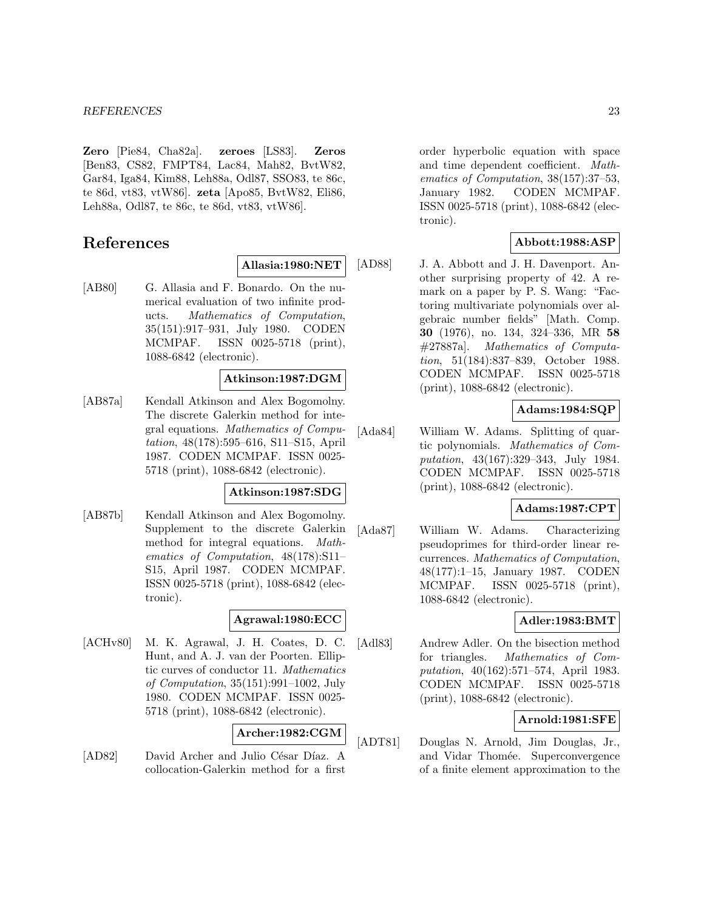**Zero** [Pie84, Cha82a]. **zeroes** [LS83]. **Zeros** [Ben83, CS82, FMPT84, Lac84, Mah82, BvtW82, Gar84, Iga84, Kim88, Leh88a, Odl87, SSO83, te 86c, te 86d, vt83, vtW86]. **zeta** [Apo85, BvtW82, Eli86, Leh88a, Odl87, te 86c, te 86d, vt83, vtW86].

# **References**

**Allasia:1980:NET**

[AB80] G. Allasia and F. Bonardo. On the numerical evaluation of two infinite products. Mathematics of Computation, 35(151):917–931, July 1980. CODEN MCMPAF. ISSN 0025-5718 (print), 1088-6842 (electronic).

### **Atkinson:1987:DGM**

[AB87a] Kendall Atkinson and Alex Bogomolny. The discrete Galerkin method for integral equations. Mathematics of Computation, 48(178):595–616, S11–S15, April 1987. CODEN MCMPAF. ISSN 0025- 5718 (print), 1088-6842 (electronic).

#### **Atkinson:1987:SDG**

[AB87b] Kendall Atkinson and Alex Bogomolny. Supplement to the discrete Galerkin method for integral equations. Mathematics of Computation, 48(178):S11– S15, April 1987. CODEN MCMPAF. ISSN 0025-5718 (print), 1088-6842 (electronic).

### **Agrawal:1980:ECC**

[ACHv80] M. K. Agrawal, J. H. Coates, D. C. Hunt, and A. J. van der Poorten. Elliptic curves of conductor 11. Mathematics of Computation, 35(151):991–1002, July 1980. CODEN MCMPAF. ISSN 0025- 5718 (print), 1088-6842 (electronic).

### **Archer:1982:CGM**

[AD82] David Archer and Julio César Díaz. A collocation-Galerkin method for a first

order hyperbolic equation with space and time dependent coefficient. Mathematics of Computation, 38(157):37–53, January 1982. CODEN MCMPAF. ISSN 0025-5718 (print), 1088-6842 (electronic).

### **Abbott:1988:ASP**

[AD88] J. A. Abbott and J. H. Davenport. Another surprising property of 42. A remark on a paper by P. S. Wang: "Factoring multivariate polynomials over algebraic number fields" [Math. Comp. **30** (1976), no. 134, 324–336, MR **58** #27887a]. Mathematics of Computation, 51(184):837–839, October 1988. CODEN MCMPAF. ISSN 0025-5718 (print), 1088-6842 (electronic).

### **Adams:1984:SQP**

[Ada84] William W. Adams. Splitting of quartic polynomials. Mathematics of Computation, 43(167):329–343, July 1984. CODEN MCMPAF. ISSN 0025-5718 (print), 1088-6842 (electronic).

### **Adams:1987:CPT**

[Ada87] William W. Adams. Characterizing pseudoprimes for third-order linear recurrences. Mathematics of Computation, 48(177):1–15, January 1987. CODEN MCMPAF. ISSN 0025-5718 (print), 1088-6842 (electronic).

### **Adler:1983:BMT**

[Adl83] Andrew Adler. On the bisection method for triangles. Mathematics of Computation, 40(162):571–574, April 1983. CODEN MCMPAF. ISSN 0025-5718 (print), 1088-6842 (electronic).

### **Arnold:1981:SFE**

[ADT81] Douglas N. Arnold, Jim Douglas, Jr., and Vidar Thomée. Superconvergence of a finite element approximation to the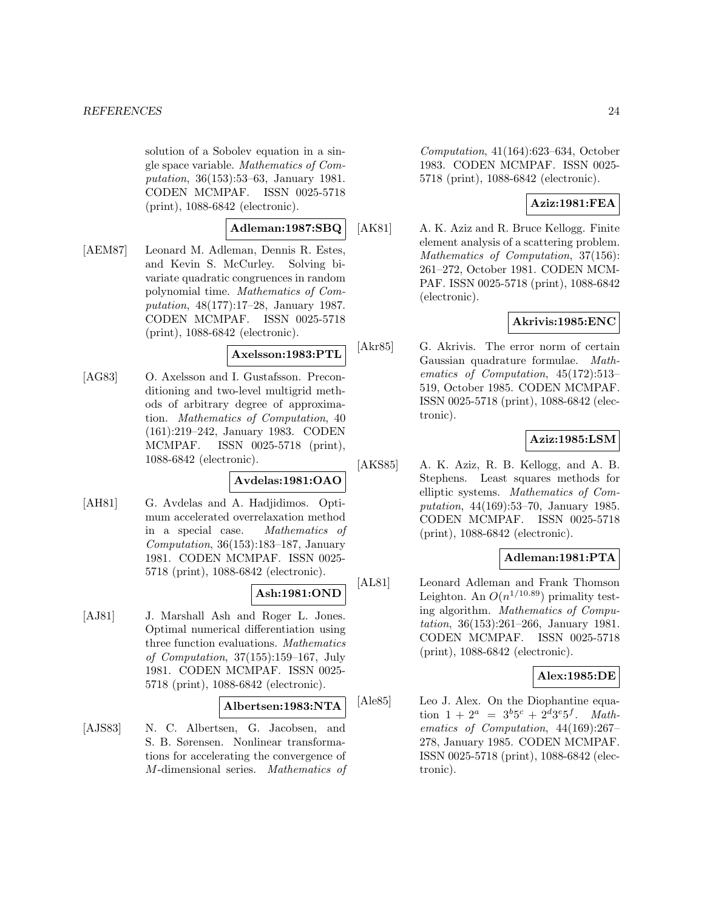solution of a Sobolev equation in a single space variable. Mathematics of Computation, 36(153):53–63, January 1981. CODEN MCMPAF. ISSN 0025-5718 (print), 1088-6842 (electronic).

### **Adleman:1987:SBQ**

[AEM87] Leonard M. Adleman, Dennis R. Estes, and Kevin S. McCurley. Solving bivariate quadratic congruences in random polynomial time. Mathematics of Computation, 48(177):17–28, January 1987. CODEN MCMPAF. ISSN 0025-5718 (print), 1088-6842 (electronic).

### **Axelsson:1983:PTL**

[AG83] O. Axelsson and I. Gustafsson. Preconditioning and two-level multigrid methods of arbitrary degree of approximation. Mathematics of Computation, 40 (161):219–242, January 1983. CODEN MCMPAF. ISSN 0025-5718 (print), 1088-6842 (electronic).

### **Avdelas:1981:OAO**

[AH81] G. Avdelas and A. Hadjidimos. Optimum accelerated overrelaxation method in a special case. Mathematics of Computation, 36(153):183–187, January 1981. CODEN MCMPAF. ISSN 0025- 5718 (print), 1088-6842 (electronic).

# **Ash:1981:OND**

[AJ81] J. Marshall Ash and Roger L. Jones. Optimal numerical differentiation using three function evaluations. Mathematics of Computation, 37(155):159–167, July 1981. CODEN MCMPAF. ISSN 0025- 5718 (print), 1088-6842 (electronic).

#### **Albertsen:1983:NTA**

[AJS83] N. C. Albertsen, G. Jacobsen, and S. B. Sørensen. Nonlinear transformations for accelerating the convergence of M-dimensional series. Mathematics of Computation, 41(164):623–634, October 1983. CODEN MCMPAF. ISSN 0025- 5718 (print), 1088-6842 (electronic).

### **Aziz:1981:FEA**

[AK81] A. K. Aziz and R. Bruce Kellogg. Finite element analysis of a scattering problem. Mathematics of Computation, 37(156): 261–272, October 1981. CODEN MCM-PAF. ISSN 0025-5718 (print), 1088-6842 (electronic).

### **Akrivis:1985:ENC**

[Akr85] G. Akrivis. The error norm of certain Gaussian quadrature formulae. Mathematics of Computation, 45(172):513– 519, October 1985. CODEN MCMPAF. ISSN 0025-5718 (print), 1088-6842 (electronic).

### **Aziz:1985:LSM**

[AKS85] A. K. Aziz, R. B. Kellogg, and A. B. Stephens. Least squares methods for elliptic systems. Mathematics of Computation, 44(169):53–70, January 1985. CODEN MCMPAF. ISSN 0025-5718 (print), 1088-6842 (electronic).

### **Adleman:1981:PTA**

[AL81] Leonard Adleman and Frank Thomson Leighton. An  $O(n^{1/10.89})$  primality testing algorithm. Mathematics of Computation, 36(153):261–266, January 1981. CODEN MCMPAF. ISSN 0025-5718 (print), 1088-6842 (electronic).

### **Alex:1985:DE**

[Ale85] Leo J. Alex. On the Diophantine equation  $1 + 2^a = 3^b 5^c + 2^d 3^e 5^f$ . Mathematics of Computation, 44(169):267– 278, January 1985. CODEN MCMPAF. ISSN 0025-5718 (print), 1088-6842 (electronic).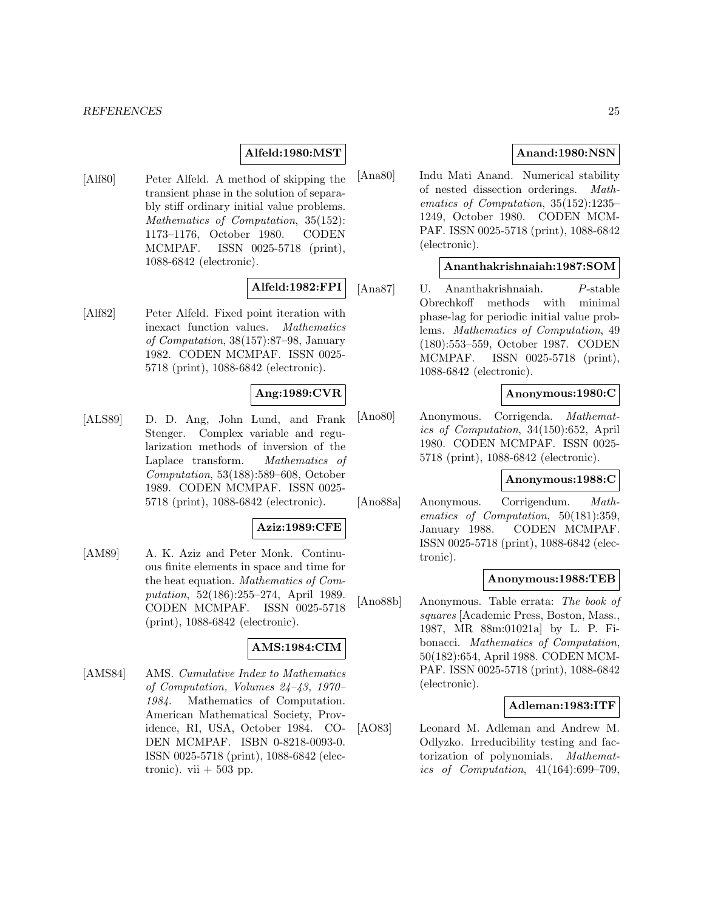#### **Alfeld:1980:MST**

[Alf80] Peter Alfeld. A method of skipping the transient phase in the solution of separably stiff ordinary initial value problems. Mathematics of Computation, 35(152): 1173–1176, October 1980. CODEN MCMPAF. ISSN 0025-5718 (print), 1088-6842 (electronic).

### **Alfeld:1982:FPI**

[Alf82] Peter Alfeld. Fixed point iteration with inexact function values. Mathematics of Computation, 38(157):87–98, January 1982. CODEN MCMPAF. ISSN 0025- 5718 (print), 1088-6842 (electronic).

### **Ang:1989:CVR**

[ALS89] D. D. Ang, John Lund, and Frank Stenger. Complex variable and regularization methods of inversion of the Laplace transform. Mathematics of Computation, 53(188):589–608, October 1989. CODEN MCMPAF. ISSN 0025- 5718 (print), 1088-6842 (electronic).

#### **Aziz:1989:CFE**

[AM89] A. K. Aziz and Peter Monk. Continuous finite elements in space and time for the heat equation. Mathematics of Computation, 52(186):255–274, April 1989. CODEN MCMPAF. ISSN 0025-5718 (print), 1088-6842 (electronic).

### **AMS:1984:CIM**

[AMS84] AMS. Cumulative Index to Mathematics of Computation, Volumes 24–43, 1970– 1984. Mathematics of Computation. American Mathematical Society, Providence, RI, USA, October 1984. CO-DEN MCMPAF. ISBN 0-8218-0093-0. ISSN 0025-5718 (print), 1088-6842 (electronic). vii  $+503$  pp.

### **Anand:1980:NSN**

[Ana80] Indu Mati Anand. Numerical stability of nested dissection orderings. Mathematics of Computation, 35(152):1235– 1249, October 1980. CODEN MCM-PAF. ISSN 0025-5718 (print), 1088-6842 (electronic).

### **Ananthakrishnaiah:1987:SOM**

[Ana87] U. Ananthakrishnaiah. P-stable Obrechkoff methods with minimal phase-lag for periodic initial value problems. Mathematics of Computation, 49 (180):553–559, October 1987. CODEN MCMPAF. ISSN 0025-5718 (print), 1088-6842 (electronic).

#### **Anonymous:1980:C**

[Ano80] Anonymous. Corrigenda. Mathematics of Computation, 34(150):652, April 1980. CODEN MCMPAF. ISSN 0025- 5718 (print), 1088-6842 (electronic).

#### **Anonymous:1988:C**

[Ano88a] Anonymous. Corrigendum. Mathematics of Computation, 50(181):359, January 1988. CODEN MCMPAF. ISSN 0025-5718 (print), 1088-6842 (electronic).

#### **Anonymous:1988:TEB**

[Ano88b] Anonymous. Table errata: The book of squares [Academic Press, Boston, Mass., 1987, MR 88m:01021a] by L. P. Fibonacci. Mathematics of Computation, 50(182):654, April 1988. CODEN MCM-PAF. ISSN 0025-5718 (print), 1088-6842 (electronic).

#### **Adleman:1983:ITF**

[AO83] Leonard M. Adleman and Andrew M. Odlyzko. Irreducibility testing and factorization of polynomials. Mathematics of Computation, 41(164):699–709,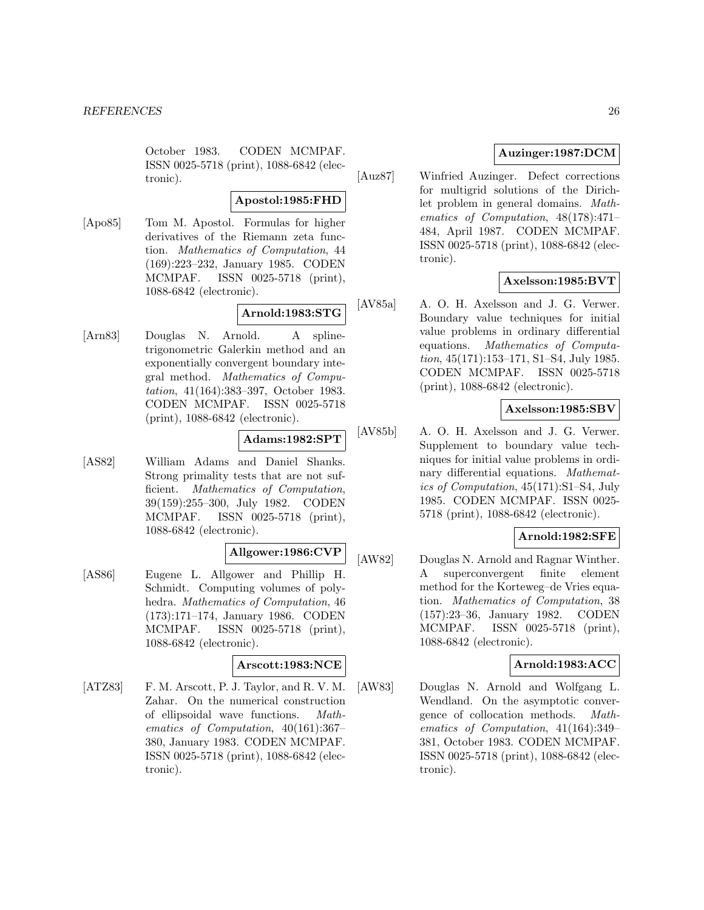October 1983. CODEN MCMPAF. ISSN 0025-5718 (print), 1088-6842 (electronic).

#### **Apostol:1985:FHD**

[Apo85] Tom M. Apostol. Formulas for higher derivatives of the Riemann zeta function. Mathematics of Computation, 44 (169):223–232, January 1985. CODEN MCMPAF. ISSN 0025-5718 (print), 1088-6842 (electronic).

# **Arnold:1983:STG**

[Arn83] Douglas N. Arnold. A splinetrigonometric Galerkin method and an exponentially convergent boundary integral method. Mathematics of Computation, 41(164):383–397, October 1983. CODEN MCMPAF. ISSN 0025-5718 (print), 1088-6842 (electronic).

### **Adams:1982:SPT**

[AS82] William Adams and Daniel Shanks. Strong primality tests that are not sufficient. Mathematics of Computation, 39(159):255–300, July 1982. CODEN MCMPAF. ISSN 0025-5718 (print), 1088-6842 (electronic).

# **Allgower:1986:CVP**

[AS86] Eugene L. Allgower and Phillip H. Schmidt. Computing volumes of polyhedra. Mathematics of Computation, 46 (173):171–174, January 1986. CODEN MCMPAF. ISSN 0025-5718 (print), 1088-6842 (electronic).

### **Arscott:1983:NCE**

[ATZ83] F. M. Arscott, P. J. Taylor, and R. V. M. Zahar. On the numerical construction of ellipsoidal wave functions. Mathematics of Computation, 40(161):367– 380, January 1983. CODEN MCMPAF. ISSN 0025-5718 (print), 1088-6842 (electronic).

### **Auzinger:1987:DCM**

[Auz87] Winfried Auzinger. Defect corrections for multigrid solutions of the Dirichlet problem in general domains. Mathematics of Computation, 48(178):471– 484, April 1987. CODEN MCMPAF. ISSN 0025-5718 (print), 1088-6842 (electronic).

### **Axelsson:1985:BVT**

[AV85a] A. O. H. Axelsson and J. G. Verwer. Boundary value techniques for initial value problems in ordinary differential equations. Mathematics of Computation, 45(171):153–171, S1–S4, July 1985. CODEN MCMPAF. ISSN 0025-5718 (print), 1088-6842 (electronic).

### **Axelsson:1985:SBV**

[AV85b] A. O. H. Axelsson and J. G. Verwer. Supplement to boundary value techniques for initial value problems in ordinary differential equations. Mathematics of Computation, 45(171):S1–S4, July 1985. CODEN MCMPAF. ISSN 0025- 5718 (print), 1088-6842 (electronic).

### **Arnold:1982:SFE**

[AW82] Douglas N. Arnold and Ragnar Winther. A superconvergent finite element method for the Korteweg–de Vries equation. Mathematics of Computation, 38 (157):23–36, January 1982. CODEN MCMPAF. ISSN 0025-5718 (print), 1088-6842 (electronic).

### **Arnold:1983:ACC**

[AW83] Douglas N. Arnold and Wolfgang L. Wendland. On the asymptotic convergence of collocation methods. Mathematics of Computation, 41(164):349– 381, October 1983. CODEN MCMPAF. ISSN 0025-5718 (print), 1088-6842 (electronic).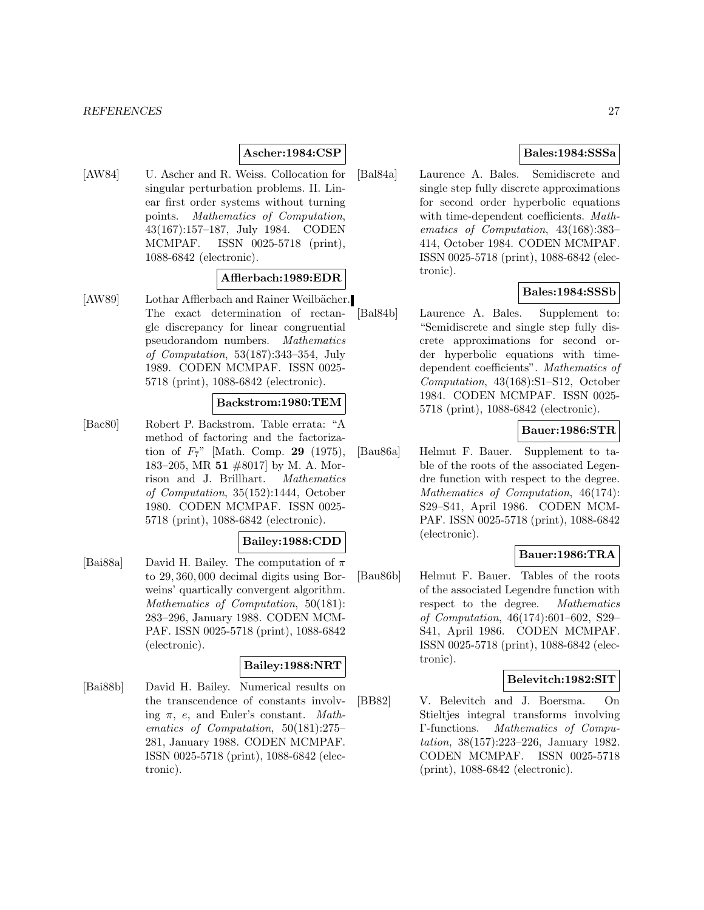### **Ascher:1984:CSP**

[AW84] U. Ascher and R. Weiss. Collocation for singular perturbation problems. II. Linear first order systems without turning points. Mathematics of Computation, 43(167):157–187, July 1984. CODEN MCMPAF. ISSN 0025-5718 (print), 1088-6842 (electronic).

### **Afflerbach:1989:EDR**

[AW89] Lothar Afflerbach and Rainer Weilbächer. The exact determination of rectangle discrepancy for linear congruential pseudorandom numbers. Mathematics of Computation, 53(187):343–354, July 1989. CODEN MCMPAF. ISSN 0025- 5718 (print), 1088-6842 (electronic).

#### **Backstrom:1980:TEM**

[Bac80] Robert P. Backstrom. Table errata: "A method of factoring and the factorization of F7" [Math. Comp. **29** (1975), 183–205, MR **51** #8017] by M. A. Morrison and J. Brillhart. Mathematics of Computation, 35(152):1444, October 1980. CODEN MCMPAF. ISSN 0025- 5718 (print), 1088-6842 (electronic).

### **Bailey:1988:CDD**

[Bai88a] David H. Bailey. The computation of  $\pi$ to 29, 360, 000 decimal digits using Borweins' quartically convergent algorithm. Mathematics of Computation, 50(181): 283–296, January 1988. CODEN MCM-PAF. ISSN 0025-5718 (print), 1088-6842 (electronic).

### **Bailey:1988:NRT**

[Bai88b] David H. Bailey. Numerical results on the transcendence of constants involving  $\pi$ , e, and Euler's constant. Mathematics of Computation, 50(181):275– 281, January 1988. CODEN MCMPAF. ISSN 0025-5718 (print), 1088-6842 (electronic).

### **Bales:1984:SSSa**

[Bal84a] Laurence A. Bales. Semidiscrete and single step fully discrete approximations for second order hyperbolic equations with time-dependent coefficients. Mathematics of Computation, 43(168):383– 414, October 1984. CODEN MCMPAF. ISSN 0025-5718 (print), 1088-6842 (electronic).

### **Bales:1984:SSSb**

[Bal84b] Laurence A. Bales. Supplement to: "Semidiscrete and single step fully discrete approximations for second order hyperbolic equations with timedependent coefficients". Mathematics of Computation, 43(168):S1–S12, October 1984. CODEN MCMPAF. ISSN 0025- 5718 (print), 1088-6842 (electronic).

### **Bauer:1986:STR**

[Bau86a] Helmut F. Bauer. Supplement to table of the roots of the associated Legendre function with respect to the degree. Mathematics of Computation, 46(174): S29–S41, April 1986. CODEN MCM-PAF. ISSN 0025-5718 (print), 1088-6842 (electronic).

### **Bauer:1986:TRA**

[Bau86b] Helmut F. Bauer. Tables of the roots of the associated Legendre function with respect to the degree. Mathematics of Computation, 46(174):601–602, S29– S41, April 1986. CODEN MCMPAF. ISSN 0025-5718 (print), 1088-6842 (electronic).

#### **Belevitch:1982:SIT**

[BB82] V. Belevitch and J. Boersma. On Stieltjes integral transforms involving Γ-functions. Mathematics of Computation, 38(157):223–226, January 1982. CODEN MCMPAF. ISSN 0025-5718 (print), 1088-6842 (electronic).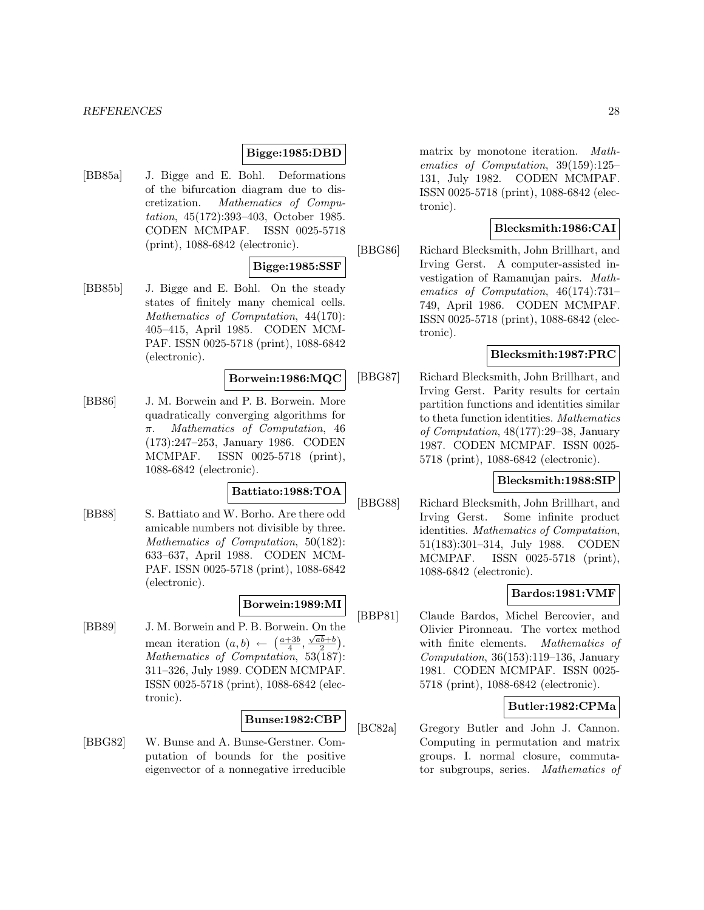#### **Bigge:1985:DBD**

[BB85a] J. Bigge and E. Bohl. Deformations of the bifurcation diagram due to discretization. Mathematics of Computation, 45(172):393–403, October 1985. CODEN MCMPAF. ISSN 0025-5718 (print), 1088-6842 (electronic).

#### **Bigge:1985:SSF**

[BB85b] J. Bigge and E. Bohl. On the steady states of finitely many chemical cells. Mathematics of Computation, 44(170): 405–415, April 1985. CODEN MCM-PAF. ISSN 0025-5718 (print), 1088-6842 (electronic).

#### **Borwein:1986:MQC**

[BB86] J. M. Borwein and P. B. Borwein. More quadratically converging algorithms for π. Mathematics of Computation, 46 (173):247–253, January 1986. CODEN MCMPAF. ISSN 0025-5718 (print), 1088-6842 (electronic).

# **Battiato:1988:TOA**

[BB88] S. Battiato and W. Borho. Are there odd amicable numbers not divisible by three. Mathematics of Computation, 50(182): 633–637, April 1988. CODEN MCM-PAF. ISSN 0025-5718 (print), 1088-6842 (electronic).

### **Borwein:1989:MI**

[BB89] J. M. Borwein and P. B. Borwein. On the mean iteration  $(a, b) \leftarrow (\frac{a+3b}{4}, \frac{\sqrt{ab}+b}{2}).$ Mathematics of Computation, 53(187): 311–326, July 1989. CODEN MCMPAF. ISSN 0025-5718 (print), 1088-6842 (electronic).

#### **Bunse:1982:CBP**

[BBG82] W. Bunse and A. Bunse-Gerstner. Computation of bounds for the positive eigenvector of a nonnegative irreducible

matrix by monotone iteration. Mathematics of Computation, 39(159):125– 131, July 1982. CODEN MCMPAF. ISSN 0025-5718 (print), 1088-6842 (electronic).

### **Blecksmith:1986:CAI**

[BBG86] Richard Blecksmith, John Brillhart, and Irving Gerst. A computer-assisted investigation of Ramanujan pairs. Mathematics of Computation, 46(174):731– 749, April 1986. CODEN MCMPAF. ISSN 0025-5718 (print), 1088-6842 (electronic).

### **Blecksmith:1987:PRC**

[BBG87] Richard Blecksmith, John Brillhart, and Irving Gerst. Parity results for certain partition functions and identities similar to theta function identities. Mathematics of Computation, 48(177):29–38, January 1987. CODEN MCMPAF. ISSN 0025- 5718 (print), 1088-6842 (electronic).

### **Blecksmith:1988:SIP**

[BBG88] Richard Blecksmith, John Brillhart, and Irving Gerst. Some infinite product identities. Mathematics of Computation, 51(183):301–314, July 1988. CODEN MCMPAF. ISSN 0025-5718 (print), 1088-6842 (electronic).

### **Bardos:1981:VMF**

[BBP81] Claude Bardos, Michel Bercovier, and Olivier Pironneau. The vortex method with finite elements. Mathematics of Computation, 36(153):119–136, January 1981. CODEN MCMPAF. ISSN 0025- 5718 (print), 1088-6842 (electronic).

### **Butler:1982:CPMa**

[BC82a] Gregory Butler and John J. Cannon. Computing in permutation and matrix groups. I. normal closure, commutator subgroups, series. Mathematics of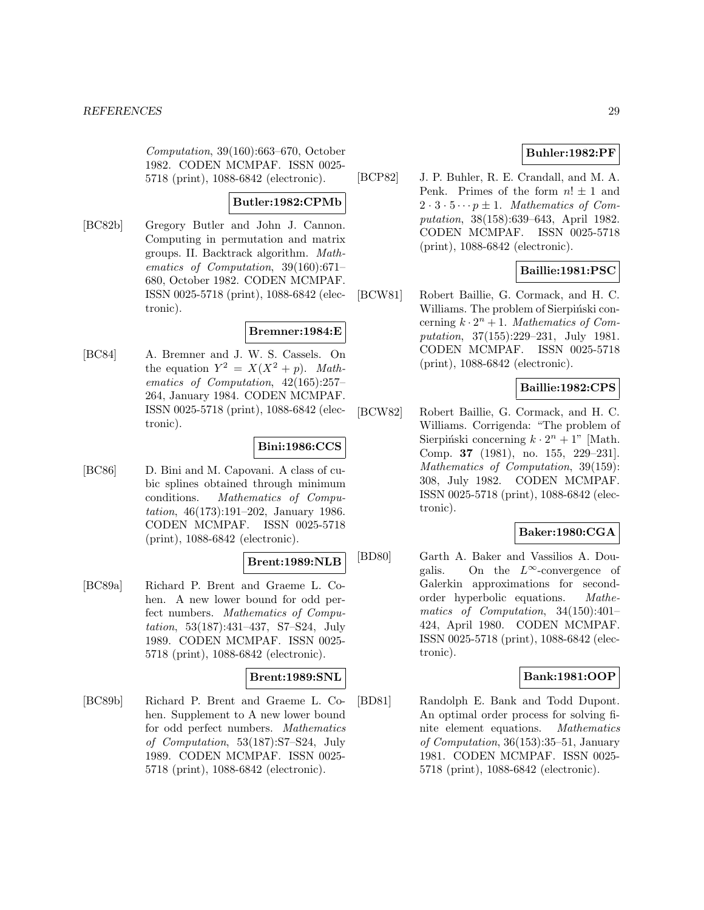Computation, 39(160):663–670, October 1982. CODEN MCMPAF. ISSN 0025- 5718 (print), 1088-6842 (electronic).

#### **Butler:1982:CPMb**

[BC82b] Gregory Butler and John J. Cannon. Computing in permutation and matrix groups. II. Backtrack algorithm. Mathematics of Computation, 39(160):671– 680, October 1982. CODEN MCMPAF. ISSN 0025-5718 (print), 1088-6842 (electronic).

### **Bremner:1984:E**

[BC84] A. Bremner and J. W. S. Cassels. On the equation  $Y^2 = X(X^2 + p)$ . Mathematics of Computation, 42(165):257– 264, January 1984. CODEN MCMPAF. ISSN 0025-5718 (print), 1088-6842 (electronic).

#### **Bini:1986:CCS**

[BC86] D. Bini and M. Capovani. A class of cubic splines obtained through minimum conditions. Mathematics of Computation, 46(173):191–202, January 1986. CODEN MCMPAF. ISSN 0025-5718 (print), 1088-6842 (electronic).

#### **Brent:1989:NLB**

[BC89a] Richard P. Brent and Graeme L. Cohen. A new lower bound for odd perfect numbers. Mathematics of Computation, 53(187):431–437, S7–S24, July 1989. CODEN MCMPAF. ISSN 0025- 5718 (print), 1088-6842 (electronic).

### **Brent:1989:SNL**

[BC89b] Richard P. Brent and Graeme L. Cohen. Supplement to A new lower bound for odd perfect numbers. Mathematics of Computation, 53(187):S7–S24, July 1989. CODEN MCMPAF. ISSN 0025- 5718 (print), 1088-6842 (electronic).

### **Buhler:1982:PF**

[BCP82] J. P. Buhler, R. E. Crandall, and M. A. Penk. Primes of the form  $n! \pm 1$  and  $2 \cdot 3 \cdot 5 \cdots p \pm 1$ . Mathematics of Computation, 38(158):639–643, April 1982. CODEN MCMPAF. ISSN 0025-5718 (print), 1088-6842 (electronic).

### **Baillie:1981:PSC**

[BCW81] Robert Baillie, G. Cormack, and H. C. Williams. The problem of Sierpiński concerning  $k \cdot 2^n + 1$ . Mathematics of Computation, 37(155):229–231, July 1981. CODEN MCMPAF. ISSN 0025-5718 (print), 1088-6842 (electronic).

### **Baillie:1982:CPS**

[BCW82] Robert Baillie, G. Cormack, and H. C. Williams. Corrigenda: "The problem of Sierpiński concerning  $k \cdot 2^n + 1$ " [Math. Comp. **37** (1981), no. 155, 229–231]. Mathematics of Computation, 39(159): 308, July 1982. CODEN MCMPAF. ISSN 0025-5718 (print), 1088-6842 (electronic).

### **Baker:1980:CGA**

[BD80] Garth A. Baker and Vassilios A. Dougalis. On the  $L^{\infty}$ -convergence of Galerkin approximations for secondorder hyperbolic equations. Mathematics of Computation, 34(150):401– 424, April 1980. CODEN MCMPAF. ISSN 0025-5718 (print), 1088-6842 (electronic).

### **Bank:1981:OOP**

[BD81] Randolph E. Bank and Todd Dupont. An optimal order process for solving finite element equations. Mathematics of Computation, 36(153):35–51, January 1981. CODEN MCMPAF. ISSN 0025- 5718 (print), 1088-6842 (electronic).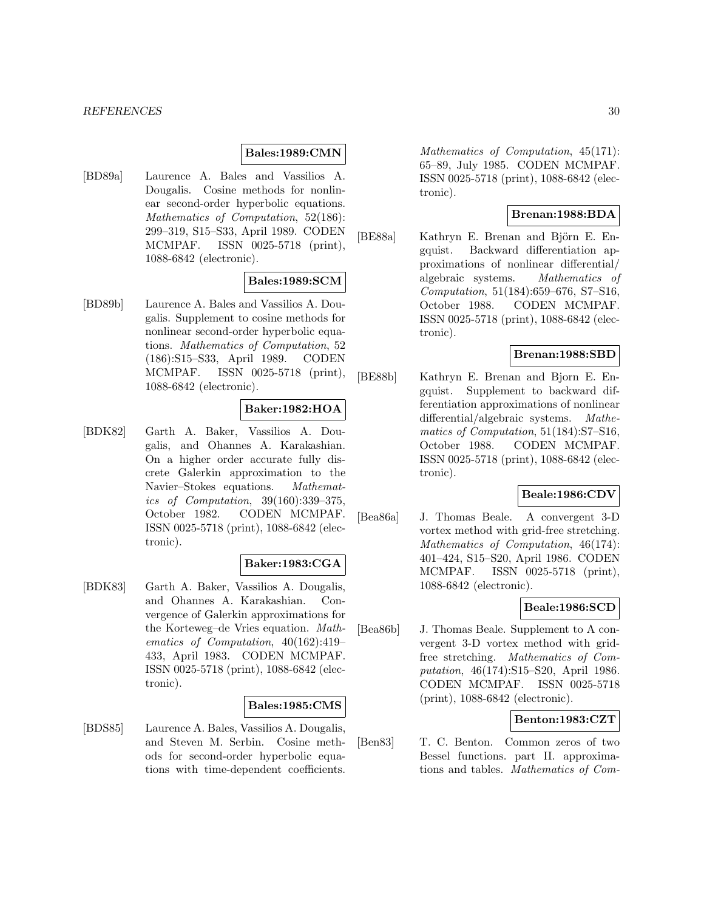#### **Bales:1989:CMN**

[BD89a] Laurence A. Bales and Vassilios A. Dougalis. Cosine methods for nonlinear second-order hyperbolic equations. Mathematics of Computation, 52(186): 299–319, S15–S33, April 1989. CODEN MCMPAF. ISSN 0025-5718 (print), 1088-6842 (electronic).

### **Bales:1989:SCM**

[BD89b] Laurence A. Bales and Vassilios A. Dougalis. Supplement to cosine methods for nonlinear second-order hyperbolic equations. Mathematics of Computation, 52 (186):S15–S33, April 1989. CODEN MCMPAF. ISSN 0025-5718 (print), 1088-6842 (electronic).

### **Baker:1982:HOA**

[BDK82] Garth A. Baker, Vassilios A. Dougalis, and Ohannes A. Karakashian. On a higher order accurate fully discrete Galerkin approximation to the Navier–Stokes equations. Mathematics of Computation, 39(160):339–375, October 1982. CODEN MCMPAF. ISSN 0025-5718 (print), 1088-6842 (electronic).

#### **Baker:1983:CGA**

[BDK83] Garth A. Baker, Vassilios A. Dougalis, and Ohannes A. Karakashian. Convergence of Galerkin approximations for the Korteweg–de Vries equation. Mathematics of Computation, 40(162):419– 433, April 1983. CODEN MCMPAF. ISSN 0025-5718 (print), 1088-6842 (electronic).

#### **Bales:1985:CMS**

[BDS85] Laurence A. Bales, Vassilios A. Dougalis, and Steven M. Serbin. Cosine methods for second-order hyperbolic equations with time-dependent coefficients. Mathematics of Computation, 45(171): 65–89, July 1985. CODEN MCMPAF. ISSN 0025-5718 (print), 1088-6842 (electronic).

### **Brenan:1988:BDA**

[BE88a] Kathryn E. Brenan and Björn E. Engquist. Backward differentiation approximations of nonlinear differential/ algebraic systems. Mathematics of Computation, 51(184):659–676, S7–S16, October 1988. CODEN MCMPAF. ISSN 0025-5718 (print), 1088-6842 (electronic).

### **Brenan:1988:SBD**

[BE88b] Kathryn E. Brenan and Bjorn E. Engquist. Supplement to backward differentiation approximations of nonlinear differential/algebraic systems. Mathematics of Computation, 51(184):S7–S16, October 1988. CODEN MCMPAF. ISSN 0025-5718 (print), 1088-6842 (electronic).

### **Beale:1986:CDV**

[Bea86a] J. Thomas Beale. A convergent 3-D vortex method with grid-free stretching. Mathematics of Computation, 46(174): 401–424, S15–S20, April 1986. CODEN MCMPAF. ISSN 0025-5718 (print), 1088-6842 (electronic).

### **Beale:1986:SCD**

[Bea86b] J. Thomas Beale. Supplement to A convergent 3-D vortex method with gridfree stretching. Mathematics of Computation, 46(174):S15–S20, April 1986. CODEN MCMPAF. ISSN 0025-5718 (print), 1088-6842 (electronic).

### **Benton:1983:CZT**

[Ben83] T. C. Benton. Common zeros of two Bessel functions. part II. approximations and tables. Mathematics of Com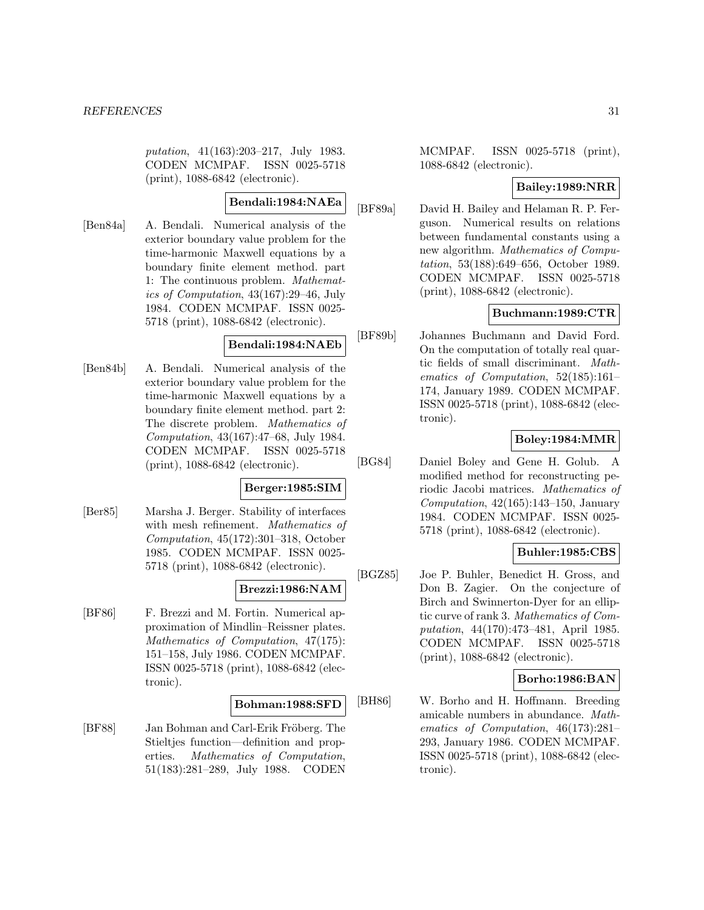putation, 41(163):203–217, July 1983. CODEN MCMPAF. ISSN 0025-5718 (print), 1088-6842 (electronic).

### **Bendali:1984:NAEa**

[Ben84a] A. Bendali. Numerical analysis of the exterior boundary value problem for the time-harmonic Maxwell equations by a boundary finite element method. part 1: The continuous problem. Mathematics of Computation, 43(167):29–46, July 1984. CODEN MCMPAF. ISSN 0025- 5718 (print), 1088-6842 (electronic).

### **Bendali:1984:NAEb**

[Ben84b] A. Bendali. Numerical analysis of the exterior boundary value problem for the time-harmonic Maxwell equations by a boundary finite element method. part 2: The discrete problem. Mathematics of Computation, 43(167):47–68, July 1984. CODEN MCMPAF. ISSN 0025-5718 (print), 1088-6842 (electronic).

### **Berger:1985:SIM**

[Ber85] Marsha J. Berger. Stability of interfaces with mesh refinement. Mathematics of Computation, 45(172):301–318, October 1985. CODEN MCMPAF. ISSN 0025- 5718 (print), 1088-6842 (electronic).

### **Brezzi:1986:NAM**

[BF86] F. Brezzi and M. Fortin. Numerical approximation of Mindlin–Reissner plates. Mathematics of Computation, 47(175): 151–158, July 1986. CODEN MCMPAF. ISSN 0025-5718 (print), 1088-6842 (electronic).

### **Bohman:1988:SFD**

[BF88] Jan Bohman and Carl-Erik Fröberg. The Stieltjes function—definition and properties. Mathematics of Computation, 51(183):281–289, July 1988. CODEN MCMPAF. ISSN 0025-5718 (print), 1088-6842 (electronic).

### **Bailey:1989:NRR**

[BF89a] David H. Bailey and Helaman R. P. Ferguson. Numerical results on relations between fundamental constants using a new algorithm. Mathematics of Computation, 53(188):649–656, October 1989. CODEN MCMPAF. ISSN 0025-5718 (print), 1088-6842 (electronic).

# **Buchmann:1989:CTR**

[BF89b] Johannes Buchmann and David Ford. On the computation of totally real quartic fields of small discriminant. Mathematics of Computation, 52(185):161– 174, January 1989. CODEN MCMPAF. ISSN 0025-5718 (print), 1088-6842 (electronic).

# **Boley:1984:MMR**

[BG84] Daniel Boley and Gene H. Golub. A modified method for reconstructing periodic Jacobi matrices. Mathematics of Computation,  $42(165):143-150$ , January 1984. CODEN MCMPAF. ISSN 0025- 5718 (print), 1088-6842 (electronic).

### **Buhler:1985:CBS**

[BGZ85] Joe P. Buhler, Benedict H. Gross, and Don B. Zagier. On the conjecture of Birch and Swinnerton-Dyer for an elliptic curve of rank 3. Mathematics of Computation, 44(170):473–481, April 1985. CODEN MCMPAF. ISSN 0025-5718 (print), 1088-6842 (electronic).

### **Borho:1986:BAN**

[BH86] W. Borho and H. Hoffmann. Breeding amicable numbers in abundance. Mathematics of Computation, 46(173):281– 293, January 1986. CODEN MCMPAF. ISSN 0025-5718 (print), 1088-6842 (electronic).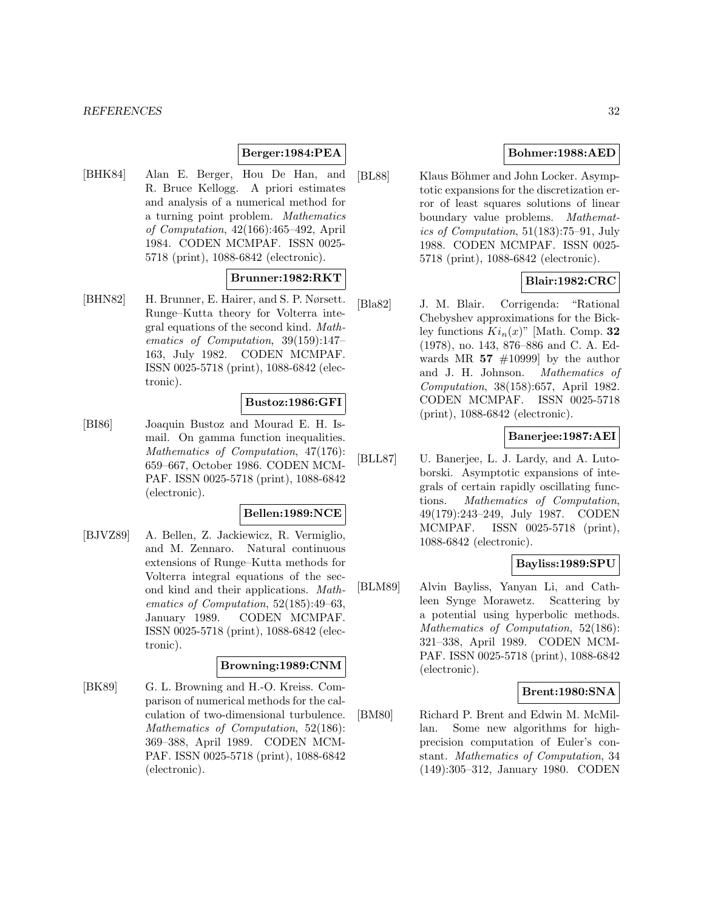#### *REFERENCES* 32

### **Berger:1984:PEA**

[BHK84] Alan E. Berger, Hou De Han, and R. Bruce Kellogg. A priori estimates and analysis of a numerical method for a turning point problem. Mathematics of Computation, 42(166):465–492, April 1984. CODEN MCMPAF. ISSN 0025- 5718 (print), 1088-6842 (electronic).

### **Brunner:1982:RKT**

[BHN82] H. Brunner, E. Hairer, and S. P. Nørsett. Runge–Kutta theory for Volterra integral equations of the second kind. Mathematics of Computation, 39(159):147– 163, July 1982. CODEN MCMPAF. ISSN 0025-5718 (print), 1088-6842 (electronic).

#### **Bustoz:1986:GFI**

[BI86] Joaquin Bustoz and Mourad E. H. Ismail. On gamma function inequalities. Mathematics of Computation, 47(176): 659–667, October 1986. CODEN MCM-PAF. ISSN 0025-5718 (print), 1088-6842 (electronic).

### **Bellen:1989:NCE**

[BJVZ89] A. Bellen, Z. Jackiewicz, R. Vermiglio, and M. Zennaro. Natural continuous extensions of Runge–Kutta methods for Volterra integral equations of the second kind and their applications. Mathematics of Computation, 52(185):49–63, January 1989. CODEN MCMPAF. ISSN 0025-5718 (print), 1088-6842 (electronic).

### **Browning:1989:CNM**

[BK89] G. L. Browning and H.-O. Kreiss. Comparison of numerical methods for the calculation of two-dimensional turbulence. Mathematics of Computation, 52(186): 369–388, April 1989. CODEN MCM-PAF. ISSN 0025-5718 (print), 1088-6842 (electronic).

### **Bohmer:1988:AED**

[BL88] Klaus Böhmer and John Locker. Asymptotic expansions for the discretization error of least squares solutions of linear boundary value problems. Mathematics of Computation, 51(183):75–91, July 1988. CODEN MCMPAF. ISSN 0025- 5718 (print), 1088-6842 (electronic).

### **Blair:1982:CRC**

[Bla82] J. M. Blair. Corrigenda: "Rational Chebyshev approximations for the Bickley functions  $Ki_n(x)$ " [Math. Comp. **32** (1978), no. 143, 876–886 and C. A. Edwards MR  $57 \neq 10999$  by the author and J. H. Johnson. Mathematics of Computation, 38(158):657, April 1982. CODEN MCMPAF. ISSN 0025-5718 (print), 1088-6842 (electronic).

### **Banerjee:1987:AEI**

[BLL87] U. Banerjee, L. J. Lardy, and A. Lutoborski. Asymptotic expansions of integrals of certain rapidly oscillating functions. Mathematics of Computation, 49(179):243–249, July 1987. CODEN MCMPAF. ISSN 0025-5718 (print), 1088-6842 (electronic).

#### **Bayliss:1989:SPU**

[BLM89] Alvin Bayliss, Yanyan Li, and Cathleen Synge Morawetz. Scattering by a potential using hyperbolic methods. Mathematics of Computation, 52(186): 321–338, April 1989. CODEN MCM-PAF. ISSN 0025-5718 (print), 1088-6842 (electronic).

### **Brent:1980:SNA**

[BM80] Richard P. Brent and Edwin M. McMillan. Some new algorithms for highprecision computation of Euler's constant. Mathematics of Computation, 34 (149):305–312, January 1980. CODEN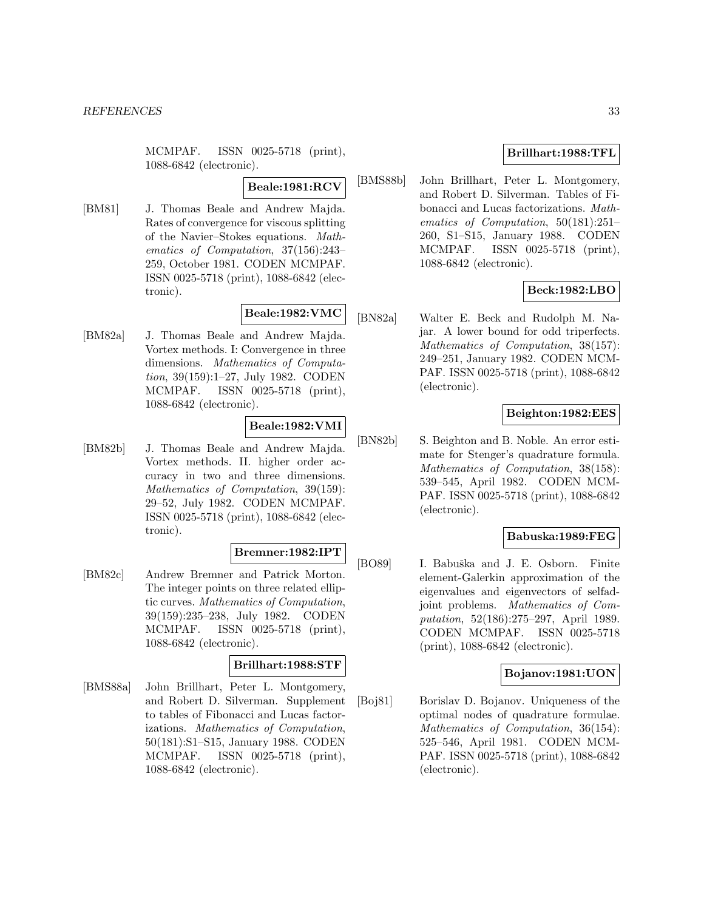MCMPAF. ISSN 0025-5718 (print), 1088-6842 (electronic).

**Beale:1981:RCV**

[BM81] J. Thomas Beale and Andrew Majda. Rates of convergence for viscous splitting of the Navier–Stokes equations. Mathematics of Computation, 37(156):243– 259, October 1981. CODEN MCMPAF. ISSN 0025-5718 (print), 1088-6842 (electronic).

### **Beale:1982:VMC**

[BM82a] J. Thomas Beale and Andrew Majda. Vortex methods. I: Convergence in three dimensions. Mathematics of Computation, 39(159):1–27, July 1982. CODEN MCMPAF. ISSN 0025-5718 (print), 1088-6842 (electronic).

### **Beale:1982:VMI**

[BM82b] J. Thomas Beale and Andrew Majda. Vortex methods. II. higher order accuracy in two and three dimensions. Mathematics of Computation, 39(159): 29–52, July 1982. CODEN MCMPAF. ISSN 0025-5718 (print), 1088-6842 (electronic).

### **Bremner:1982:IPT**

[BM82c] Andrew Bremner and Patrick Morton. The integer points on three related elliptic curves. Mathematics of Computation, 39(159):235–238, July 1982. CODEN MCMPAF. ISSN 0025-5718 (print), 1088-6842 (electronic).

### **Brillhart:1988:STF**

[BMS88a] John Brillhart, Peter L. Montgomery, and Robert D. Silverman. Supplement to tables of Fibonacci and Lucas factorizations. Mathematics of Computation, 50(181):S1–S15, January 1988. CODEN MCMPAF. ISSN 0025-5718 (print), 1088-6842 (electronic).

### **Brillhart:1988:TFL**

[BMS88b] John Brillhart, Peter L. Montgomery, and Robert D. Silverman. Tables of Fibonacci and Lucas factorizations. Mathematics of Computation, 50(181):251– 260, S1–S15, January 1988. CODEN MCMPAF. ISSN 0025-5718 (print), 1088-6842 (electronic).

### **Beck:1982:LBO**

[BN82a] Walter E. Beck and Rudolph M. Najar. A lower bound for odd triperfects. Mathematics of Computation, 38(157): 249–251, January 1982. CODEN MCM-PAF. ISSN 0025-5718 (print), 1088-6842 (electronic).

#### **Beighton:1982:EES**

[BN82b] S. Beighton and B. Noble. An error estimate for Stenger's quadrature formula. Mathematics of Computation, 38(158): 539–545, April 1982. CODEN MCM-PAF. ISSN 0025-5718 (print), 1088-6842 (electronic).

#### **Babuska:1989:FEG**

[BO89] I. Babuška and J. E. Osborn. Finite element-Galerkin approximation of the eigenvalues and eigenvectors of selfadjoint problems. Mathematics of Computation, 52(186):275–297, April 1989. CODEN MCMPAF. ISSN 0025-5718 (print), 1088-6842 (electronic).

### **Bojanov:1981:UON**

[Boj81] Borislav D. Bojanov. Uniqueness of the optimal nodes of quadrature formulae. Mathematics of Computation, 36(154): 525–546, April 1981. CODEN MCM-PAF. ISSN 0025-5718 (print), 1088-6842 (electronic).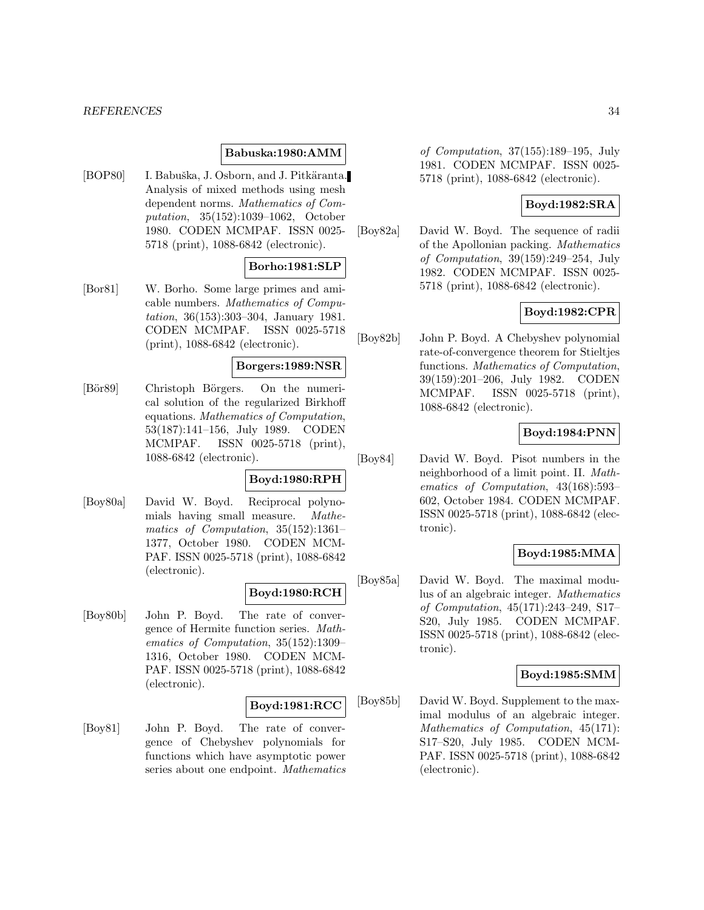#### *REFERENCES* 34

#### **Babuska:1980:AMM**

[BOP80] I. Babuška, J. Osborn, and J. Pitkäranta. Analysis of mixed methods using mesh dependent norms. Mathematics of Computation, 35(152):1039–1062, October 1980. CODEN MCMPAF. ISSN 0025- 5718 (print), 1088-6842 (electronic).

#### **Borho:1981:SLP**

[Bor81] W. Borho. Some large primes and amicable numbers. Mathematics of Computation, 36(153):303–304, January 1981. CODEN MCMPAF. ISSN 0025-5718 (print), 1088-6842 (electronic).

#### **Borgers:1989:NSR**

[Bör89] Christoph Börgers. On the numerical solution of the regularized Birkhoff equations. Mathematics of Computation, 53(187):141–156, July 1989. CODEN MCMPAF. ISSN 0025-5718 (print), 1088-6842 (electronic).

### **Boyd:1980:RPH**

[Boy80a] David W. Boyd. Reciprocal polynomials having small measure. Mathematics of Computation, 35(152):1361– 1377, October 1980. CODEN MCM-PAF. ISSN 0025-5718 (print), 1088-6842 (electronic).

### **Boyd:1980:RCH**

[Boy80b] John P. Boyd. The rate of convergence of Hermite function series. Mathematics of Computation, 35(152):1309– 1316, October 1980. CODEN MCM-PAF. ISSN 0025-5718 (print), 1088-6842 (electronic).

#### **Boyd:1981:RCC**

[Boy81] John P. Boyd. The rate of convergence of Chebyshev polynomials for functions which have asymptotic power series about one endpoint. Mathematics of Computation, 37(155):189–195, July 1981. CODEN MCMPAF. ISSN 0025- 5718 (print), 1088-6842 (electronic).

### **Boyd:1982:SRA**

[Boy82a] David W. Boyd. The sequence of radii of the Apollonian packing. Mathematics of Computation, 39(159):249–254, July 1982. CODEN MCMPAF. ISSN 0025- 5718 (print), 1088-6842 (electronic).

### **Boyd:1982:CPR**

[Boy82b] John P. Boyd. A Chebyshev polynomial rate-of-convergence theorem for Stieltjes functions. Mathematics of Computation, 39(159):201–206, July 1982. CODEN MCMPAF. ISSN 0025-5718 (print), 1088-6842 (electronic).

### **Boyd:1984:PNN**

[Boy84] David W. Boyd. Pisot numbers in the neighborhood of a limit point. II. Mathematics of Computation, 43(168):593– 602, October 1984. CODEN MCMPAF. ISSN 0025-5718 (print), 1088-6842 (electronic).

### **Boyd:1985:MMA**

[Boy85a] David W. Boyd. The maximal modulus of an algebraic integer. Mathematics of Computation, 45(171):243–249, S17– S20, July 1985. CODEN MCMPAF. ISSN 0025-5718 (print), 1088-6842 (electronic).

### **Boyd:1985:SMM**

[Boy85b] David W. Boyd. Supplement to the maximal modulus of an algebraic integer. Mathematics of Computation, 45(171): S17–S20, July 1985. CODEN MCM-PAF. ISSN 0025-5718 (print), 1088-6842 (electronic).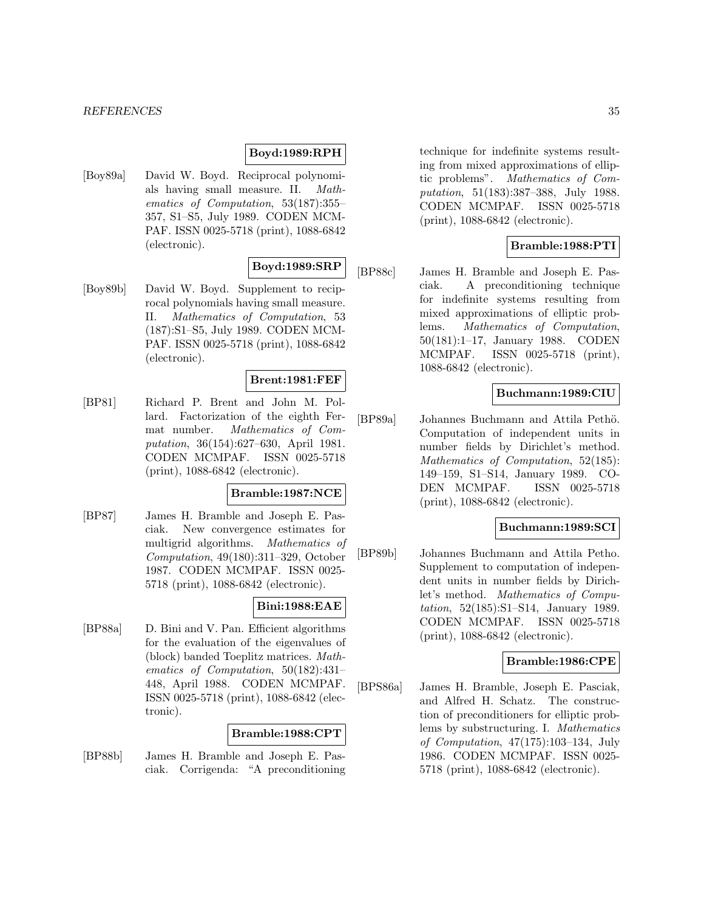#### *REFERENCES* 35

#### **Boyd:1989:RPH**

[Boy89a] David W. Boyd. Reciprocal polynomials having small measure. II. Mathematics of Computation, 53(187):355– 357, S1–S5, July 1989. CODEN MCM-PAF. ISSN 0025-5718 (print), 1088-6842 (electronic).

# **Boyd:1989:SRP**

[Boy89b] David W. Boyd. Supplement to reciprocal polynomials having small measure. II. Mathematics of Computation, 53 (187):S1–S5, July 1989. CODEN MCM-PAF. ISSN 0025-5718 (print), 1088-6842 (electronic).

### **Brent:1981:FEF**

[BP81] Richard P. Brent and John M. Pollard. Factorization of the eighth Fermat number. Mathematics of Computation, 36(154):627–630, April 1981. CODEN MCMPAF. ISSN 0025-5718 (print), 1088-6842 (electronic).

#### **Bramble:1987:NCE**

[BP87] James H. Bramble and Joseph E. Pasciak. New convergence estimates for multigrid algorithms. Mathematics of Computation, 49(180):311–329, October 1987. CODEN MCMPAF. ISSN 0025- 5718 (print), 1088-6842 (electronic).

### **Bini:1988:EAE**

[BP88a] D. Bini and V. Pan. Efficient algorithms for the evaluation of the eigenvalues of (block) banded Toeplitz matrices. Mathematics of Computation, 50(182):431– 448, April 1988. CODEN MCMPAF. ISSN 0025-5718 (print), 1088-6842 (electronic).

### **Bramble:1988:CPT**

[BP88b] James H. Bramble and Joseph E. Pasciak. Corrigenda: "A preconditioning

technique for indefinite systems resulting from mixed approximations of elliptic problems". Mathematics of Computation, 51(183):387–388, July 1988. CODEN MCMPAF. ISSN 0025-5718 (print), 1088-6842 (electronic).

### **Bramble:1988:PTI**

[BP88c] James H. Bramble and Joseph E. Pasciak. A preconditioning technique for indefinite systems resulting from mixed approximations of elliptic problems. Mathematics of Computation, 50(181):1–17, January 1988. CODEN MCMPAF. ISSN 0025-5718 (print), 1088-6842 (electronic).

### **Buchmann:1989:CIU**

[BP89a] Johannes Buchmann and Attila Pethö. Computation of independent units in number fields by Dirichlet's method. Mathematics of Computation, 52(185): 149–159, S1–S14, January 1989. CO-DEN MCMPAF. ISSN 0025-5718 (print), 1088-6842 (electronic).

### **Buchmann:1989:SCI**

[BP89b] Johannes Buchmann and Attila Petho. Supplement to computation of independent units in number fields by Dirichlet's method. Mathematics of Computation, 52(185):S1–S14, January 1989. CODEN MCMPAF. ISSN 0025-5718 (print), 1088-6842 (electronic).

#### **Bramble:1986:CPE**

[BPS86a] James H. Bramble, Joseph E. Pasciak, and Alfred H. Schatz. The construction of preconditioners for elliptic problems by substructuring. I. Mathematics of Computation, 47(175):103–134, July 1986. CODEN MCMPAF. ISSN 0025- 5718 (print), 1088-6842 (electronic).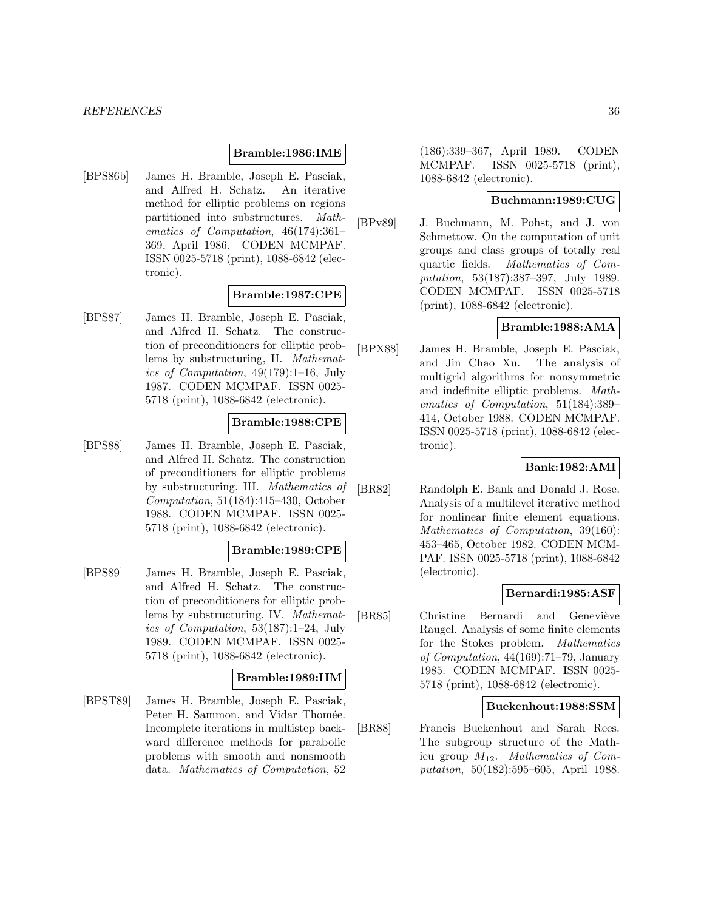#### **Bramble:1986:IME**

[BPS86b] James H. Bramble, Joseph E. Pasciak, and Alfred H. Schatz. An iterative method for elliptic problems on regions partitioned into substructures. Mathematics of Computation, 46(174):361– 369, April 1986. CODEN MCMPAF. ISSN 0025-5718 (print), 1088-6842 (electronic).

#### **Bramble:1987:CPE**

[BPS87] James H. Bramble, Joseph E. Pasciak, and Alfred H. Schatz. The construction of preconditioners for elliptic problems by substructuring, II. Mathematics of Computation, 49(179):1–16, July 1987. CODEN MCMPAF. ISSN 0025- 5718 (print), 1088-6842 (electronic).

### **Bramble:1988:CPE**

[BPS88] James H. Bramble, Joseph E. Pasciak, and Alfred H. Schatz. The construction of preconditioners for elliptic problems by substructuring. III. Mathematics of Computation, 51(184):415–430, October 1988. CODEN MCMPAF. ISSN 0025- 5718 (print), 1088-6842 (electronic).

### **Bramble:1989:CPE**

[BPS89] James H. Bramble, Joseph E. Pasciak, and Alfred H. Schatz. The construction of preconditioners for elliptic problems by substructuring. IV. Mathematics of Computation, 53(187):1–24, July 1989. CODEN MCMPAF. ISSN 0025- 5718 (print), 1088-6842 (electronic).

#### **Bramble:1989:IIM**

[BPST89] James H. Bramble, Joseph E. Pasciak, Peter H. Sammon, and Vidar Thomée. Incomplete iterations in multistep backward difference methods for parabolic problems with smooth and nonsmooth data. Mathematics of Computation, 52

(186):339–367, April 1989. CODEN MCMPAF. ISSN 0025-5718 (print), 1088-6842 (electronic).

#### **Buchmann:1989:CUG**

[BPv89] J. Buchmann, M. Pohst, and J. von Schmettow. On the computation of unit groups and class groups of totally real quartic fields. Mathematics of Computation, 53(187):387–397, July 1989. CODEN MCMPAF. ISSN 0025-5718 (print), 1088-6842 (electronic).

#### **Bramble:1988:AMA**

[BPX88] James H. Bramble, Joseph E. Pasciak, and Jin Chao Xu. The analysis of multigrid algorithms for nonsymmetric and indefinite elliptic problems. Mathematics of Computation, 51(184):389– 414, October 1988. CODEN MCMPAF. ISSN 0025-5718 (print), 1088-6842 (electronic).

### **Bank:1982:AMI**

[BR82] Randolph E. Bank and Donald J. Rose. Analysis of a multilevel iterative method for nonlinear finite element equations. Mathematics of Computation, 39(160): 453–465, October 1982. CODEN MCM-PAF. ISSN 0025-5718 (print), 1088-6842 (electronic).

#### **Bernardi:1985:ASF**

[BR85] Christine Bernardi and Geneviève Raugel. Analysis of some finite elements for the Stokes problem. Mathematics of Computation, 44(169):71–79, January 1985. CODEN MCMPAF. ISSN 0025- 5718 (print), 1088-6842 (electronic).

### **Buekenhout:1988:SSM**

[BR88] Francis Buekenhout and Sarah Rees. The subgroup structure of the Mathieu group  $M_{12}$ . Mathematics of Computation, 50(182):595–605, April 1988.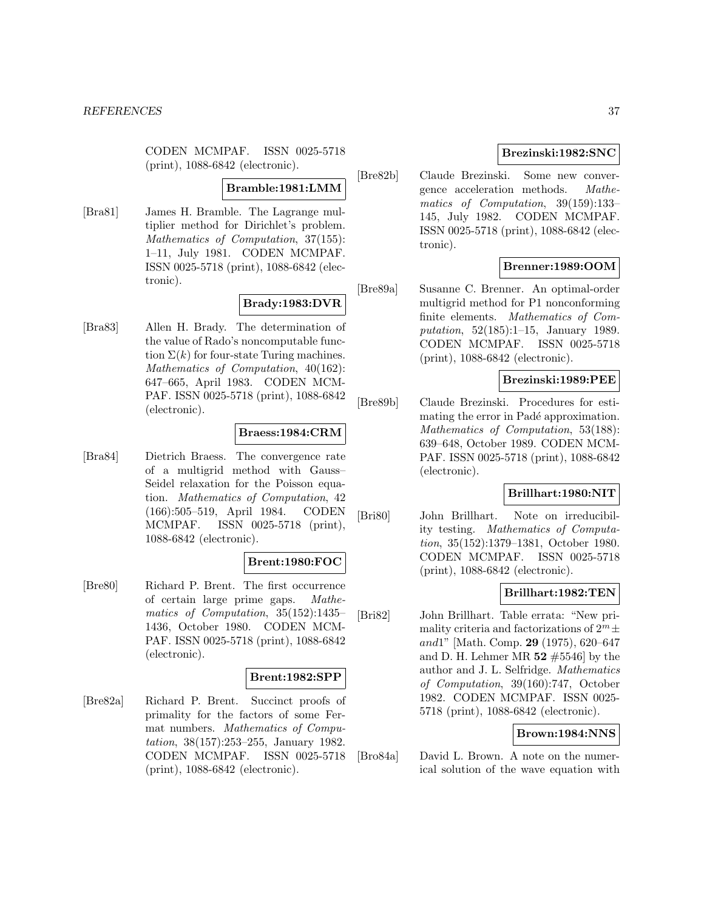CODEN MCMPAF. ISSN 0025-5718 (print), 1088-6842 (electronic).

#### **Bramble:1981:LMM**

[Bra81] James H. Bramble. The Lagrange multiplier method for Dirichlet's problem. Mathematics of Computation, 37(155): 1–11, July 1981. CODEN MCMPAF. ISSN 0025-5718 (print), 1088-6842 (electronic).

#### **Brady:1983:DVR**

[Bra83] Allen H. Brady. The determination of the value of Rado's noncomputable function  $\Sigma(k)$  for four-state Turing machines. Mathematics of Computation, 40(162): 647–665, April 1983. CODEN MCM-PAF. ISSN 0025-5718 (print), 1088-6842 (electronic).

#### **Braess:1984:CRM**

[Bra84] Dietrich Braess. The convergence rate of a multigrid method with Gauss– Seidel relaxation for the Poisson equation. Mathematics of Computation, 42 (166):505–519, April 1984. CODEN MCMPAF. ISSN 0025-5718 (print), 1088-6842 (electronic).

# **Brent:1980:FOC**

[Bre80] Richard P. Brent. The first occurrence of certain large prime gaps. Mathematics of Computation, 35(152):1435– 1436, October 1980. CODEN MCM-PAF. ISSN 0025-5718 (print), 1088-6842 (electronic).

#### **Brent:1982:SPP**

[Bre82a] Richard P. Brent. Succinct proofs of primality for the factors of some Fermat numbers. Mathematics of Computation, 38(157):253–255, January 1982. CODEN MCMPAF. ISSN 0025-5718 (print), 1088-6842 (electronic).

## **Brezinski:1982:SNC**

[Bre82b] Claude Brezinski. Some new convergence acceleration methods. Mathematics of Computation, 39(159):133– 145, July 1982. CODEN MCMPAF. ISSN 0025-5718 (print), 1088-6842 (electronic).

## **Brenner:1989:OOM**

[Bre89a] Susanne C. Brenner. An optimal-order multigrid method for P1 nonconforming finite elements. Mathematics of Computation, 52(185):1–15, January 1989. CODEN MCMPAF. ISSN 0025-5718 (print), 1088-6842 (electronic).

## **Brezinski:1989:PEE**

[Bre89b] Claude Brezinski. Procedures for estimating the error in Padé approximation. Mathematics of Computation, 53(188): 639–648, October 1989. CODEN MCM-PAF. ISSN 0025-5718 (print), 1088-6842 (electronic).

#### **Brillhart:1980:NIT**

[Bri80] John Brillhart. Note on irreducibility testing. Mathematics of Computation, 35(152):1379–1381, October 1980. CODEN MCMPAF. ISSN 0025-5718 (print), 1088-6842 (electronic).

#### **Brillhart:1982:TEN**

[Bri82] John Brillhart. Table errata: "New primality criteria and factorizations of  $2^m \pm$ and1" [Math. Comp. **29** (1975), 620–647 and D. H. Lehmer MR **52** #5546] by the author and J. L. Selfridge. Mathematics of Computation, 39(160):747, October 1982. CODEN MCMPAF. ISSN 0025- 5718 (print), 1088-6842 (electronic).

## **Brown:1984:NNS**

[Bro84a] David L. Brown. A note on the numerical solution of the wave equation with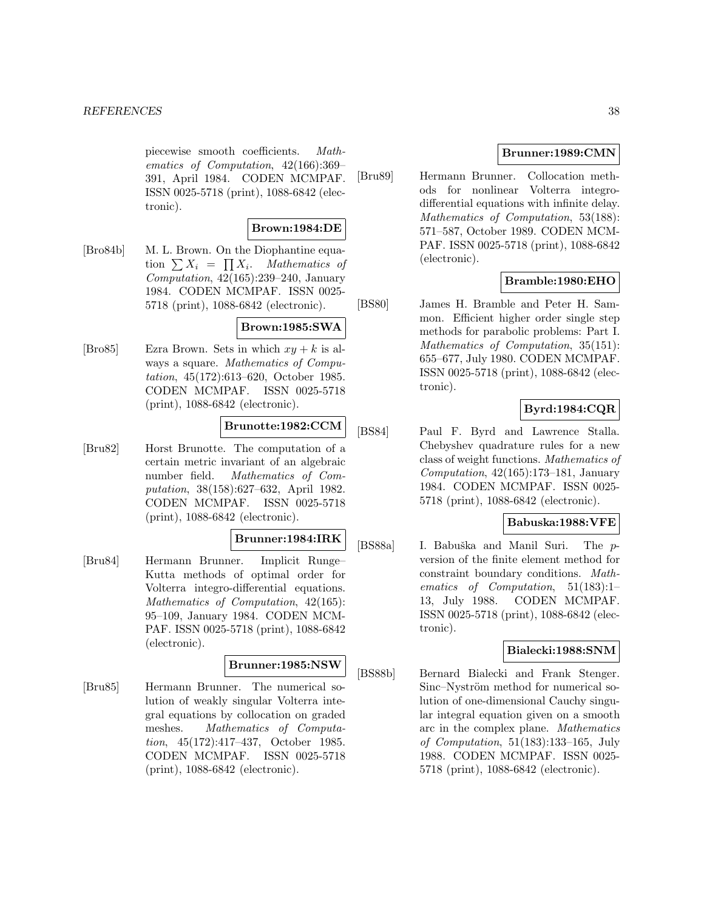piecewise smooth coefficients. Mathematics of Computation, 42(166):369– 391, April 1984. CODEN MCMPAF. ISSN 0025-5718 (print), 1088-6842 (electronic).

### **Brown:1984:DE**

[Bro84b] M. L. Brown. On the Diophantine equation  $\sum X_i = \prod X_i$ . Mathematics of Computation, 42(165):239–240, January 1984. CODEN MCMPAF. ISSN 0025- 5718 (print), 1088-6842 (electronic).

## **Brown:1985:SWA**

[Bro85] Ezra Brown. Sets in which  $xy + k$  is always a square. Mathematics of Computation, 45(172):613–620, October 1985. CODEN MCMPAF. ISSN 0025-5718 (print), 1088-6842 (electronic).

## **Brunotte:1982:CCM**

[Bru82] Horst Brunotte. The computation of a certain metric invariant of an algebraic number field. Mathematics of Computation, 38(158):627–632, April 1982. CODEN MCMPAF. ISSN 0025-5718 (print), 1088-6842 (electronic).

### **Brunner:1984:IRK**

[Bru84] Hermann Brunner. Implicit Runge– Kutta methods of optimal order for Volterra integro-differential equations. Mathematics of Computation, 42(165): 95–109, January 1984. CODEN MCM-PAF. ISSN 0025-5718 (print), 1088-6842 (electronic).

# **Brunner:1985:NSW**

[Bru85] Hermann Brunner. The numerical solution of weakly singular Volterra integral equations by collocation on graded meshes. Mathematics of Computation, 45(172):417–437, October 1985. CODEN MCMPAF. ISSN 0025-5718 (print), 1088-6842 (electronic).

## **Brunner:1989:CMN**

[Bru89] Hermann Brunner. Collocation methods for nonlinear Volterra integrodifferential equations with infinite delay. Mathematics of Computation, 53(188): 571–587, October 1989. CODEN MCM-PAF. ISSN 0025-5718 (print), 1088-6842 (electronic).

## **Bramble:1980:EHO**

[BS80] James H. Bramble and Peter H. Sammon. Efficient higher order single step methods for parabolic problems: Part I. Mathematics of Computation, 35(151): 655–677, July 1980. CODEN MCMPAF. ISSN 0025-5718 (print), 1088-6842 (electronic).

# **Byrd:1984:CQR**

[BS84] Paul F. Byrd and Lawrence Stalla. Chebyshev quadrature rules for a new class of weight functions. Mathematics of Computation, 42(165):173–181, January 1984. CODEN MCMPAF. ISSN 0025- 5718 (print), 1088-6842 (electronic).

## **Babuska:1988:VFE**

[BS88a] I. Babuška and Manil Suri. The pversion of the finite element method for constraint boundary conditions. Mathematics of Computation, 51(183):1– 13, July 1988. CODEN MCMPAF. ISSN 0025-5718 (print), 1088-6842 (electronic).

### **Bialecki:1988:SNM**

[BS88b] Bernard Bialecki and Frank Stenger. Sinc–Nyström method for numerical solution of one-dimensional Cauchy singular integral equation given on a smooth arc in the complex plane. Mathematics of Computation, 51(183):133–165, July 1988. CODEN MCMPAF. ISSN 0025- 5718 (print), 1088-6842 (electronic).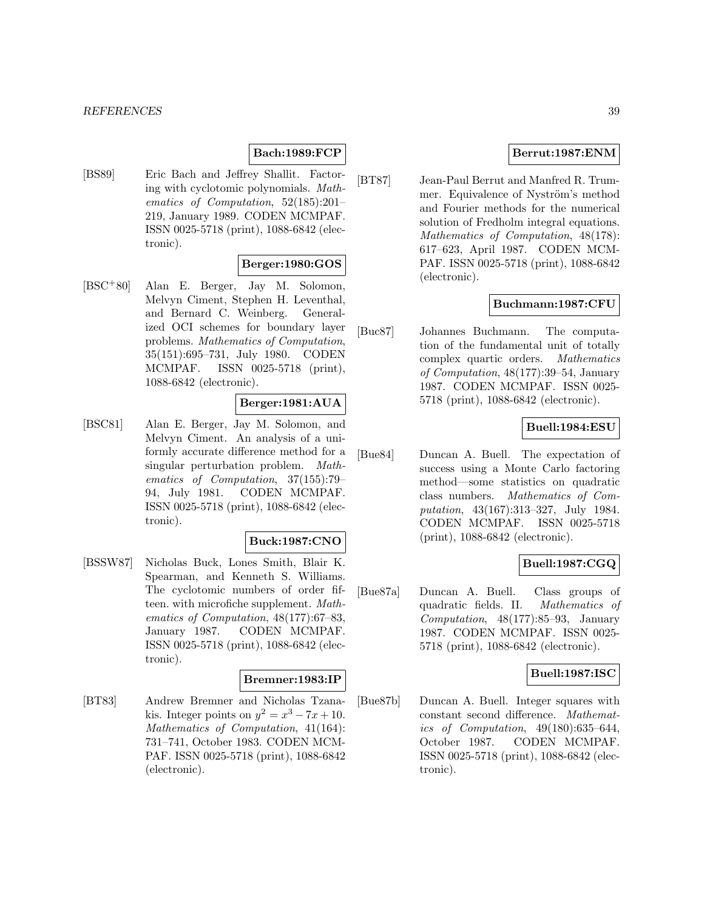### **Bach:1989:FCP**

[BS89] Eric Bach and Jeffrey Shallit. Factoring with cyclotomic polynomials. Mathematics of Computation, 52(185):201– 219, January 1989. CODEN MCMPAF. ISSN 0025-5718 (print), 1088-6842 (electronic).

### **Berger:1980:GOS**

[BSC<sup>+</sup>80] Alan E. Berger, Jay M. Solomon, Melvyn Ciment, Stephen H. Leventhal, and Bernard C. Weinberg. Generalized OCI schemes for boundary layer problems. Mathematics of Computation, 35(151):695–731, July 1980. CODEN MCMPAF. ISSN 0025-5718 (print), 1088-6842 (electronic).

#### **Berger:1981:AUA**

[BSC81] Alan E. Berger, Jay M. Solomon, and Melvyn Ciment. An analysis of a uniformly accurate difference method for a singular perturbation problem. Mathematics of Computation, 37(155):79– 94, July 1981. CODEN MCMPAF. ISSN 0025-5718 (print), 1088-6842 (electronic).

#### **Buck:1987:CNO**

[BSSW87] Nicholas Buck, Lones Smith, Blair K. Spearman, and Kenneth S. Williams. The cyclotomic numbers of order fifteen. with microfiche supplement. Mathematics of Computation, 48(177):67–83, January 1987. CODEN MCMPAF. ISSN 0025-5718 (print), 1088-6842 (electronic).

#### **Bremner:1983:IP**

[BT83] Andrew Bremner and Nicholas Tzanakis. Integer points on  $y^2 = x^3 - 7x + 10$ . Mathematics of Computation, 41(164): 731–741, October 1983. CODEN MCM-PAF. ISSN 0025-5718 (print), 1088-6842 (electronic).

### **Berrut:1987:ENM**

[BT87] Jean-Paul Berrut and Manfred R. Trummer. Equivalence of Nyström's method and Fourier methods for the numerical solution of Fredholm integral equations. Mathematics of Computation, 48(178): 617–623, April 1987. CODEN MCM-PAF. ISSN 0025-5718 (print), 1088-6842 (electronic).

### **Buchmann:1987:CFU**

[Buc87] Johannes Buchmann. The computation of the fundamental unit of totally complex quartic orders. Mathematics of Computation, 48(177):39–54, January 1987. CODEN MCMPAF. ISSN 0025- 5718 (print), 1088-6842 (electronic).

## **Buell:1984:ESU**

[Bue84] Duncan A. Buell. The expectation of success using a Monte Carlo factoring method—some statistics on quadratic class numbers. Mathematics of Computation, 43(167):313–327, July 1984. CODEN MCMPAF. ISSN 0025-5718 (print), 1088-6842 (electronic).

### **Buell:1987:CGQ**

[Bue87a] Duncan A. Buell. Class groups of quadratic fields. II. Mathematics of Computation, 48(177):85–93, January 1987. CODEN MCMPAF. ISSN 0025- 5718 (print), 1088-6842 (electronic).

### **Buell:1987:ISC**

[Bue87b] Duncan A. Buell. Integer squares with constant second difference. Mathematics of Computation, 49(180):635–644, October 1987. CODEN MCMPAF. ISSN 0025-5718 (print), 1088-6842 (electronic).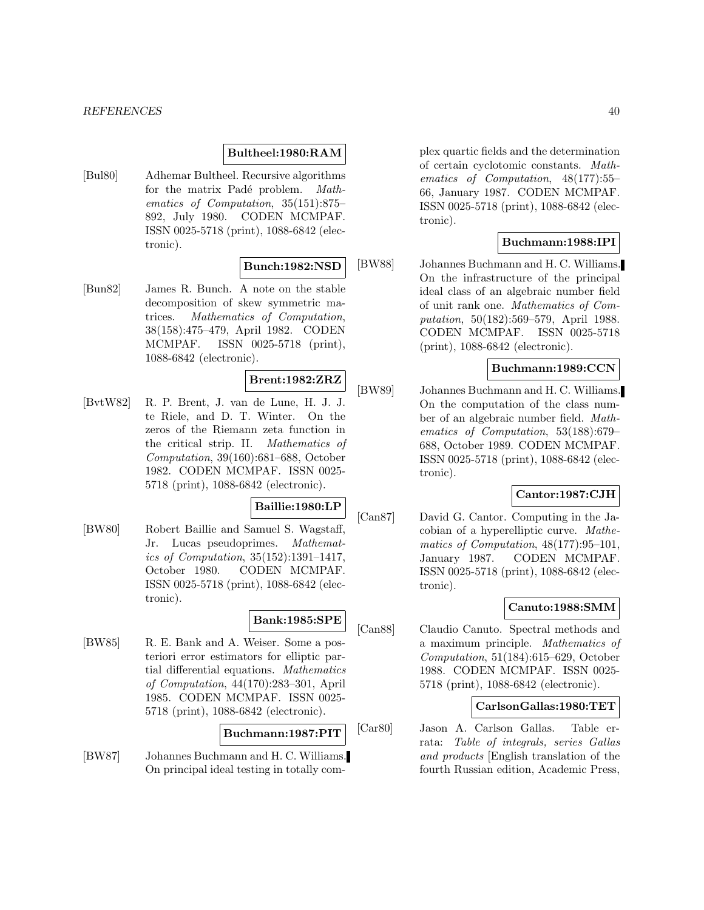#### *REFERENCES* 40

#### **Bultheel:1980:RAM**

[Bul80] Adhemar Bultheel. Recursive algorithms for the matrix Padé problem. Mathematics of Computation, 35(151):875– 892, July 1980. CODEN MCMPAF. ISSN 0025-5718 (print), 1088-6842 (electronic).

### **Bunch:1982:NSD**

[Bun82] James R. Bunch. A note on the stable decomposition of skew symmetric matrices. Mathematics of Computation, 38(158):475–479, April 1982. CODEN MCMPAF. ISSN 0025-5718 (print), 1088-6842 (electronic).

## **Brent:1982:ZRZ**

[BvtW82] R. P. Brent, J. van de Lune, H. J. J. te Riele, and D. T. Winter. On the zeros of the Riemann zeta function in the critical strip. II. Mathematics of Computation, 39(160):681–688, October 1982. CODEN MCMPAF. ISSN 0025- 5718 (print), 1088-6842 (electronic).

#### **Baillie:1980:LP**

[BW80] Robert Baillie and Samuel S. Wagstaff, Jr. Lucas pseudoprimes. Mathematics of Computation, 35(152):1391–1417, October 1980. CODEN MCMPAF. ISSN 0025-5718 (print), 1088-6842 (electronic).

### **Bank:1985:SPE**

[BW85] R. E. Bank and A. Weiser. Some a posteriori error estimators for elliptic partial differential equations. Mathematics of Computation, 44(170):283–301, April 1985. CODEN MCMPAF. ISSN 0025- 5718 (print), 1088-6842 (electronic).

### **Buchmann:1987:PIT**

[BW87] Johannes Buchmann and H. C. Williams. On principal ideal testing in totally com-

plex quartic fields and the determination of certain cyclotomic constants. Mathematics of Computation, 48(177):55– 66, January 1987. CODEN MCMPAF. ISSN 0025-5718 (print), 1088-6842 (electronic).

### **Buchmann:1988:IPI**

[BW88] Johannes Buchmann and H. C. Williams. On the infrastructure of the principal ideal class of an algebraic number field of unit rank one. Mathematics of Computation, 50(182):569–579, April 1988. CODEN MCMPAF. ISSN 0025-5718 (print), 1088-6842 (electronic).

### **Buchmann:1989:CCN**

[BW89] Johannes Buchmann and H. C. Williams. On the computation of the class number of an algebraic number field. Mathematics of Computation, 53(188):679– 688, October 1989. CODEN MCMPAF. ISSN 0025-5718 (print), 1088-6842 (electronic).

### **Cantor:1987:CJH**

[Can87] David G. Cantor. Computing in the Jacobian of a hyperelliptic curve. Mathematics of Computation, 48(177):95–101, January 1987. CODEN MCMPAF. ISSN 0025-5718 (print), 1088-6842 (electronic).

### **Canuto:1988:SMM**

[Can88] Claudio Canuto. Spectral methods and a maximum principle. Mathematics of Computation, 51(184):615–629, October 1988. CODEN MCMPAF. ISSN 0025- 5718 (print), 1088-6842 (electronic).

### **CarlsonGallas:1980:TET**

[Car80] Jason A. Carlson Gallas. Table errata: Table of integrals, series Gallas and products [English translation of the fourth Russian edition, Academic Press,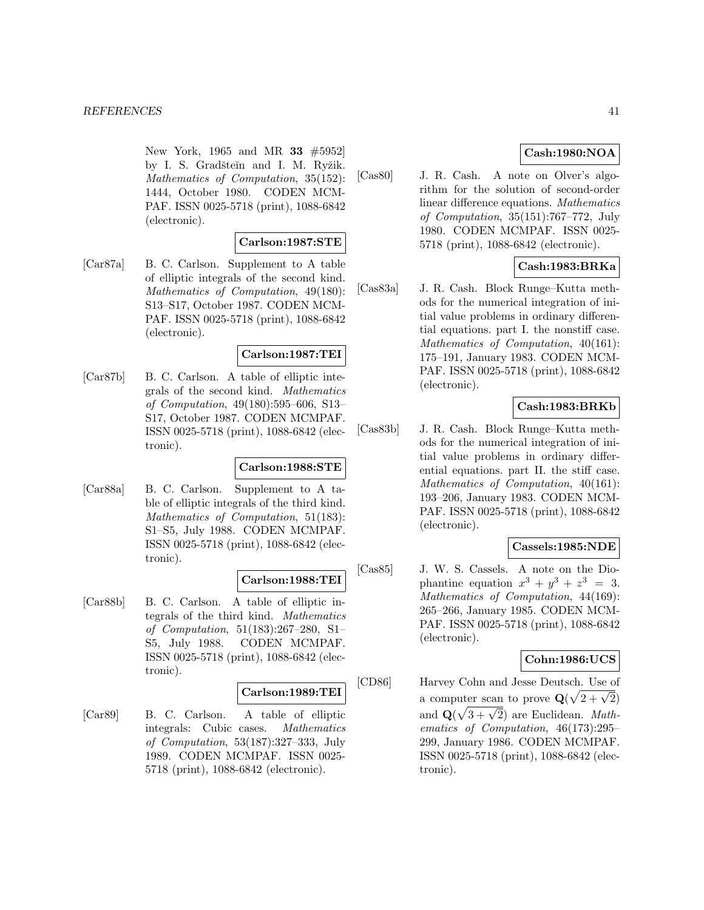New York, 1965 and MR **33** #5952] by I. S. Gradšteĭn and I. M. Ryžik. Mathematics of Computation, 35(152): 1444, October 1980. CODEN MCM-PAF. ISSN 0025-5718 (print), 1088-6842 (electronic).

### **Carlson:1987:STE**

[Car87a] B. C. Carlson. Supplement to A table of elliptic integrals of the second kind. Mathematics of Computation, 49(180): S13–S17, October 1987. CODEN MCM-PAF. ISSN 0025-5718 (print), 1088-6842 (electronic).

### **Carlson:1987:TEI**

[Car87b] B. C. Carlson. A table of elliptic integrals of the second kind. Mathematics of Computation, 49(180):595–606, S13– S17, October 1987. CODEN MCMPAF. ISSN 0025-5718 (print), 1088-6842 (electronic).

### **Carlson:1988:STE**

[Car88a] B. C. Carlson. Supplement to A table of elliptic integrals of the third kind. Mathematics of Computation, 51(183): S1–S5, July 1988. CODEN MCMPAF. ISSN 0025-5718 (print), 1088-6842 (electronic).

# **Carlson:1988:TEI**

[Car88b] B. C. Carlson. A table of elliptic integrals of the third kind. Mathematics of Computation, 51(183):267–280, S1– S5, July 1988. CODEN MCMPAF. ISSN 0025-5718 (print), 1088-6842 (electronic).

## **Carlson:1989:TEI**

[Car89] B. C. Carlson. A table of elliptic integrals: Cubic cases. Mathematics of Computation, 53(187):327–333, July 1989. CODEN MCMPAF. ISSN 0025- 5718 (print), 1088-6842 (electronic).

# **Cash:1980:NOA**

[Cas80] J. R. Cash. A note on Olver's algorithm for the solution of second-order linear difference equations. Mathematics of Computation, 35(151):767–772, July 1980. CODEN MCMPAF. ISSN 0025- 5718 (print), 1088-6842 (electronic).

# **Cash:1983:BRKa**

[Cas83a] J. R. Cash. Block Runge–Kutta methods for the numerical integration of initial value problems in ordinary differential equations. part I. the nonstiff case. Mathematics of Computation, 40(161): 175–191, January 1983. CODEN MCM-PAF. ISSN 0025-5718 (print), 1088-6842 (electronic).

## **Cash:1983:BRKb**

[Cas83b] J. R. Cash. Block Runge–Kutta methods for the numerical integration of initial value problems in ordinary differential equations. part II. the stiff case. Mathematics of Computation, 40(161): 193–206, January 1983. CODEN MCM-PAF. ISSN 0025-5718 (print), 1088-6842 (electronic).

## **Cassels:1985:NDE**

[Cas85] J. W. S. Cassels. A note on the Diophantine equation  $x^3 + y^3 + z^3 = 3$ . Mathematics of Computation, 44(169): 265–266, January 1985. CODEN MCM-PAF. ISSN 0025-5718 (print), 1088-6842 (electronic).

## **Cohn:1986:UCS**

[CD86] Harvey Cohn and Jesse Deutsch. Use of a computer scan to prove  $\mathbf{Q}(\sqrt{2+\sqrt{2}})$ and  $\mathbf{Q}(\sqrt{3 + \sqrt{2}})$  are Euclidean. *Math*ematics of Computation, 46(173):295– 299, January 1986. CODEN MCMPAF. ISSN 0025-5718 (print), 1088-6842 (electronic).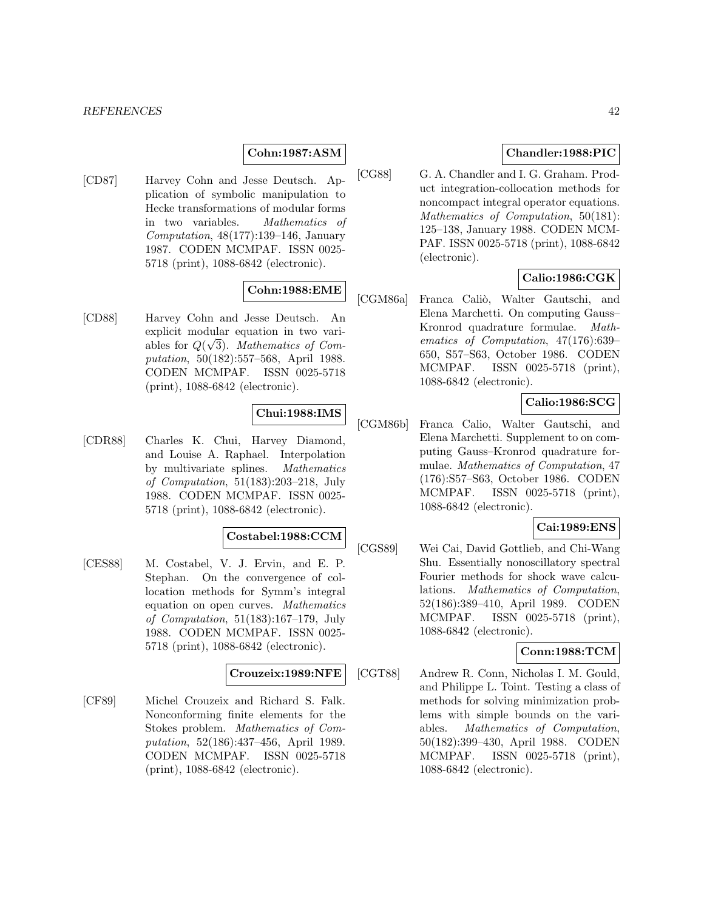## **Cohn:1987:ASM**

[CD87] Harvey Cohn and Jesse Deutsch. Application of symbolic manipulation to Hecke transformations of modular forms in two variables. Mathematics of Computation, 48(177):139–146, January 1987. CODEN MCMPAF. ISSN 0025- 5718 (print), 1088-6842 (electronic).

# **Cohn:1988:EME**

[CD88] Harvey Cohn and Jesse Deutsch. An explicit modular equation in two variables for  $Q(\sqrt{3})$ . Mathematics of Computation, 50(182):557–568, April 1988. CODEN MCMPAF. ISSN 0025-5718 (print), 1088-6842 (electronic).

## **Chui:1988:IMS**

[CDR88] Charles K. Chui, Harvey Diamond, and Louise A. Raphael. Interpolation by multivariate splines. Mathematics of Computation, 51(183):203–218, July 1988. CODEN MCMPAF. ISSN 0025- 5718 (print), 1088-6842 (electronic).

## **Costabel:1988:CCM**

[CES88] M. Costabel, V. J. Ervin, and E. P. Stephan. On the convergence of collocation methods for Symm's integral equation on open curves. Mathematics of Computation, 51(183):167–179, July 1988. CODEN MCMPAF. ISSN 0025- 5718 (print), 1088-6842 (electronic).

#### **Crouzeix:1989:NFE**

[CF89] Michel Crouzeix and Richard S. Falk. Nonconforming finite elements for the Stokes problem. Mathematics of Computation, 52(186):437–456, April 1989. CODEN MCMPAF. ISSN 0025-5718 (print), 1088-6842 (electronic).

## **Chandler:1988:PIC**

[CG88] G. A. Chandler and I. G. Graham. Product integration-collocation methods for noncompact integral operator equations. Mathematics of Computation, 50(181): 125–138, January 1988. CODEN MCM-PAF. ISSN 0025-5718 (print), 1088-6842 (electronic).

## **Calio:1986:CGK**

[CGM86a] Franca Caliò, Walter Gautschi, and Elena Marchetti. On computing Gauss– Kronrod quadrature formulae. Mathematics of Computation, 47(176):639– 650, S57–S63, October 1986. CODEN MCMPAF. ISSN 0025-5718 (print), 1088-6842 (electronic).

## **Calio:1986:SCG**

[CGM86b] Franca Calio, Walter Gautschi, and Elena Marchetti. Supplement to on computing Gauss–Kronrod quadrature formulae. Mathematics of Computation, 47 (176):S57–S63, October 1986. CODEN MCMPAF. ISSN 0025-5718 (print), 1088-6842 (electronic).

#### **Cai:1989:ENS**

[CGS89] Wei Cai, David Gottlieb, and Chi-Wang Shu. Essentially nonoscillatory spectral Fourier methods for shock wave calculations. Mathematics of Computation, 52(186):389–410, April 1989. CODEN MCMPAF. ISSN 0025-5718 (print), 1088-6842 (electronic).

### **Conn:1988:TCM**

[CGT88] Andrew R. Conn, Nicholas I. M. Gould, and Philippe L. Toint. Testing a class of methods for solving minimization problems with simple bounds on the variables. Mathematics of Computation, 50(182):399–430, April 1988. CODEN MCMPAF. ISSN 0025-5718 (print), 1088-6842 (electronic).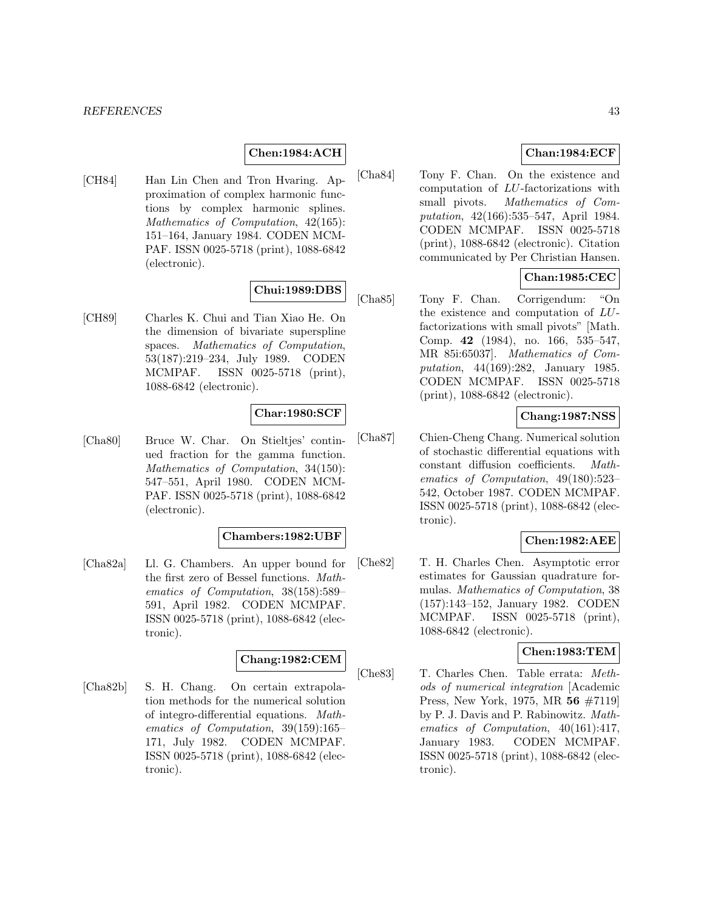### **Chen:1984:ACH**

[CH84] Han Lin Chen and Tron Hvaring. Approximation of complex harmonic functions by complex harmonic splines. Mathematics of Computation, 42(165): 151–164, January 1984. CODEN MCM-PAF. ISSN 0025-5718 (print), 1088-6842 (electronic).

# **Chui:1989:DBS**

[CH89] Charles K. Chui and Tian Xiao He. On the dimension of bivariate superspline spaces. Mathematics of Computation, 53(187):219–234, July 1989. CODEN MCMPAF. ISSN 0025-5718 (print), 1088-6842 (electronic).

### **Char:1980:SCF**

[Cha80] Bruce W. Char. On Stieltjes' continued fraction for the gamma function. Mathematics of Computation, 34(150): 547–551, April 1980. CODEN MCM-PAF. ISSN 0025-5718 (print), 1088-6842 (electronic).

#### **Chambers:1982:UBF**

[Cha82a] Ll. G. Chambers. An upper bound for the first zero of Bessel functions. Mathematics of Computation, 38(158):589– 591, April 1982. CODEN MCMPAF. ISSN 0025-5718 (print), 1088-6842 (electronic).

## **Chang:1982:CEM**

[Cha82b] S. H. Chang. On certain extrapolation methods for the numerical solution of integro-differential equations. Mathematics of Computation, 39(159):165– 171, July 1982. CODEN MCMPAF. ISSN 0025-5718 (print), 1088-6842 (electronic).

## **Chan:1984:ECF**

[Cha84] Tony F. Chan. On the existence and computation of LU-factorizations with small pivots. Mathematics of Computation, 42(166):535–547, April 1984. CODEN MCMPAF. ISSN 0025-5718 (print), 1088-6842 (electronic). Citation communicated by Per Christian Hansen.

### **Chan:1985:CEC**

[Cha85] Tony F. Chan. Corrigendum: "On the existence and computation of LUfactorizations with small pivots" [Math. Comp. **42** (1984), no. 166, 535–547, MR 85i:65037]. Mathematics of Computation, 44(169):282, January 1985. CODEN MCMPAF. ISSN 0025-5718 (print), 1088-6842 (electronic).

## **Chang:1987:NSS**

[Cha87] Chien-Cheng Chang. Numerical solution of stochastic differential equations with constant diffusion coefficients. Mathematics of Computation, 49(180):523– 542, October 1987. CODEN MCMPAF. ISSN 0025-5718 (print), 1088-6842 (electronic).

### **Chen:1982:AEE**

[Che82] T. H. Charles Chen. Asymptotic error estimates for Gaussian quadrature formulas. Mathematics of Computation, 38 (157):143–152, January 1982. CODEN MCMPAF. ISSN 0025-5718 (print), 1088-6842 (electronic).

#### **Chen:1983:TEM**

[Che83] T. Charles Chen. Table errata: Methods of numerical integration [Academic Press, New York, 1975, MR **56** #7119] by P. J. Davis and P. Rabinowitz. Mathematics of Computation, 40(161):417, January 1983. CODEN MCMPAF. ISSN 0025-5718 (print), 1088-6842 (electronic).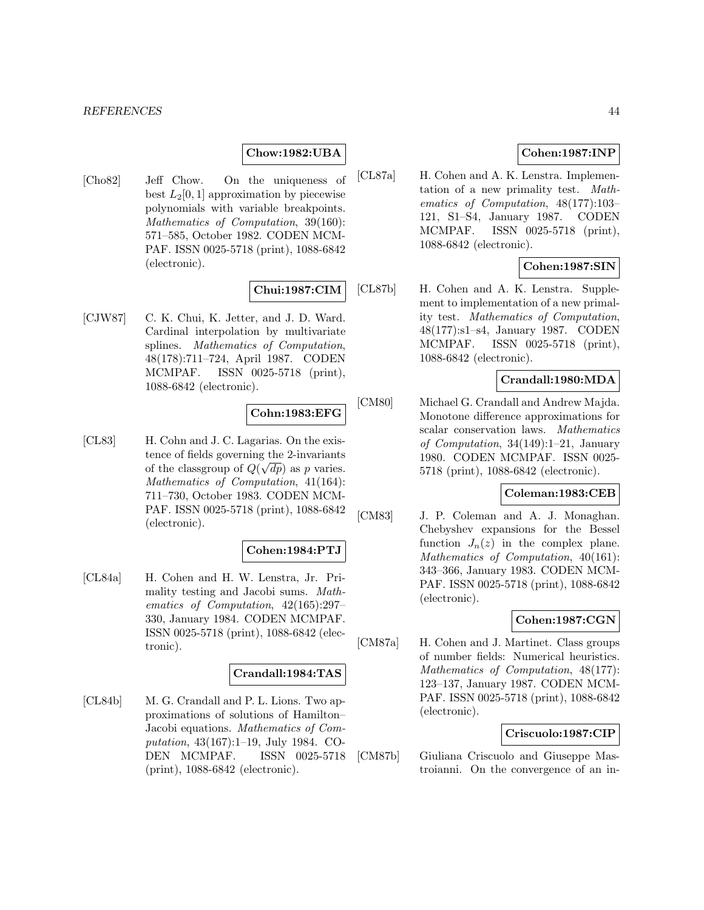### **Chow:1982:UBA**

[Cho82] Jeff Chow. On the uniqueness of best  $L_2[0,1]$  approximation by piecewise polynomials with variable breakpoints. Mathematics of Computation, 39(160): 571–585, October 1982. CODEN MCM-PAF. ISSN 0025-5718 (print), 1088-6842 (electronic).

### **Chui:1987:CIM**

[CJW87] C. K. Chui, K. Jetter, and J. D. Ward. Cardinal interpolation by multivariate splines. Mathematics of Computation, 48(178):711–724, April 1987. CODEN MCMPAF. ISSN 0025-5718 (print), 1088-6842 (electronic).

#### **Cohn:1983:EFG**

[CL83] H. Cohn and J. C. Lagarias. On the existence of fields governing the 2-invariants of the classgroup of  $Q(\sqrt{dp})$  as p varies. Mathematics of Computation, 41(164): 711–730, October 1983. CODEN MCM-PAF. ISSN 0025-5718 (print), 1088-6842 (electronic).

## **Cohen:1984:PTJ**

[CL84a] H. Cohen and H. W. Lenstra, Jr. Primality testing and Jacobi sums. Mathematics of Computation, 42(165):297– 330, January 1984. CODEN MCMPAF. ISSN 0025-5718 (print), 1088-6842 (electronic).

#### **Crandall:1984:TAS**

[CL84b] M. G. Crandall and P. L. Lions. Two approximations of solutions of Hamilton– Jacobi equations. Mathematics of Computation, 43(167):1–19, July 1984. CO-DEN MCMPAF. ISSN 0025-5718 (print), 1088-6842 (electronic).

## **Cohen:1987:INP**

[CL87a] H. Cohen and A. K. Lenstra. Implementation of a new primality test. Mathematics of Computation, 48(177):103– 121, S1–S4, January 1987. CODEN MCMPAF. ISSN 0025-5718 (print), 1088-6842 (electronic).

## **Cohen:1987:SIN**

[CL87b] H. Cohen and A. K. Lenstra. Supplement to implementation of a new primality test. Mathematics of Computation, 48(177):s1–s4, January 1987. CODEN MCMPAF. ISSN 0025-5718 (print), 1088-6842 (electronic).

## **Crandall:1980:MDA**

[CM80] Michael G. Crandall and Andrew Majda. Monotone difference approximations for scalar conservation laws. Mathematics of Computation, 34(149):1–21, January 1980. CODEN MCMPAF. ISSN 0025- 5718 (print), 1088-6842 (electronic).

#### **Coleman:1983:CEB**

[CM83] J. P. Coleman and A. J. Monaghan. Chebyshev expansions for the Bessel function  $J_n(z)$  in the complex plane. Mathematics of Computation, 40(161): 343–366, January 1983. CODEN MCM-PAF. ISSN 0025-5718 (print), 1088-6842 (electronic).

### **Cohen:1987:CGN**

[CM87a] H. Cohen and J. Martinet. Class groups of number fields: Numerical heuristics. Mathematics of Computation, 48(177): 123–137, January 1987. CODEN MCM-PAF. ISSN 0025-5718 (print), 1088-6842 (electronic).

### **Criscuolo:1987:CIP**

[CM87b] Giuliana Criscuolo and Giuseppe Mastroianni. On the convergence of an in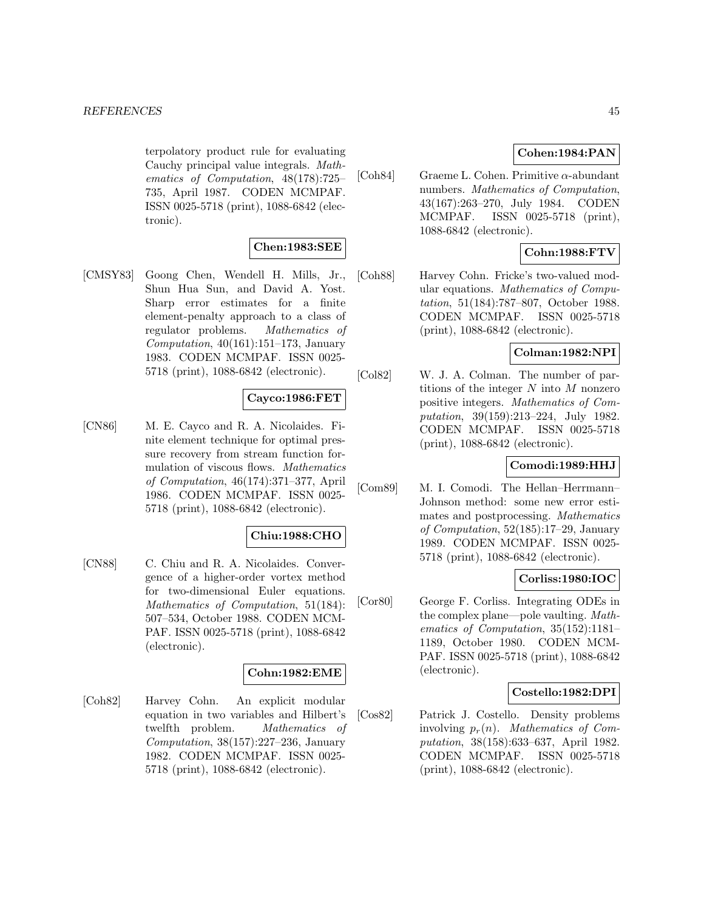terpolatory product rule for evaluating Cauchy principal value integrals. Mathematics of Computation, 48(178):725– 735, April 1987. CODEN MCMPAF. ISSN 0025-5718 (print), 1088-6842 (electronic).

## **Chen:1983:SEE**

[CMSY83] Goong Chen, Wendell H. Mills, Jr., Shun Hua Sun, and David A. Yost. Sharp error estimates for a finite element-penalty approach to a class of regulator problems. Mathematics of Computation,  $40(161):151-173$ , January 1983. CODEN MCMPAF. ISSN 0025- 5718 (print), 1088-6842 (electronic).

## **Cayco:1986:FET**

[CN86] M. E. Cayco and R. A. Nicolaides. Finite element technique for optimal pressure recovery from stream function formulation of viscous flows. Mathematics of Computation, 46(174):371–377, April 1986. CODEN MCMPAF. ISSN 0025- 5718 (print), 1088-6842 (electronic).

### **Chiu:1988:CHO**

[CN88] C. Chiu and R. A. Nicolaides. Convergence of a higher-order vortex method for two-dimensional Euler equations. Mathematics of Computation, 51(184): 507–534, October 1988. CODEN MCM-PAF. ISSN 0025-5718 (print), 1088-6842 (electronic).

### **Cohn:1982:EME**

[Coh82] Harvey Cohn. An explicit modular equation in two variables and Hilbert's twelfth problem. Mathematics of Computation, 38(157):227–236, January 1982. CODEN MCMPAF. ISSN 0025- 5718 (print), 1088-6842 (electronic).

### **Cohen:1984:PAN**

[Coh84] Graeme L. Cohen. Primitive  $\alpha$ -abundant numbers. Mathematics of Computation, 43(167):263–270, July 1984. CODEN MCMPAF. ISSN 0025-5718 (print), 1088-6842 (electronic).

## **Cohn:1988:FTV**

[Coh88] Harvey Cohn. Fricke's two-valued modular equations. Mathematics of Computation, 51(184):787–807, October 1988. CODEN MCMPAF. ISSN 0025-5718 (print), 1088-6842 (electronic).

### **Colman:1982:NPI**

[Col82] W. J. A. Colman. The number of partitions of the integer  $N$  into  $M$  nonzero positive integers. Mathematics of Computation, 39(159):213–224, July 1982. CODEN MCMPAF. ISSN 0025-5718 (print), 1088-6842 (electronic).

## **Comodi:1989:HHJ**

[Com89] M. I. Comodi. The Hellan–Herrmann– Johnson method: some new error estimates and postprocessing. Mathematics of Computation, 52(185):17–29, January 1989. CODEN MCMPAF. ISSN 0025- 5718 (print), 1088-6842 (electronic).

## **Corliss:1980:IOC**

[Cor80] George F. Corliss. Integrating ODEs in the complex plane—pole vaulting. Mathematics of Computation, 35(152):1181– 1189, October 1980. CODEN MCM-PAF. ISSN 0025-5718 (print), 1088-6842 (electronic).

### **Costello:1982:DPI**

[Cos82] Patrick J. Costello. Density problems involving  $p_r(n)$ . Mathematics of Computation, 38(158):633–637, April 1982. CODEN MCMPAF. ISSN 0025-5718 (print), 1088-6842 (electronic).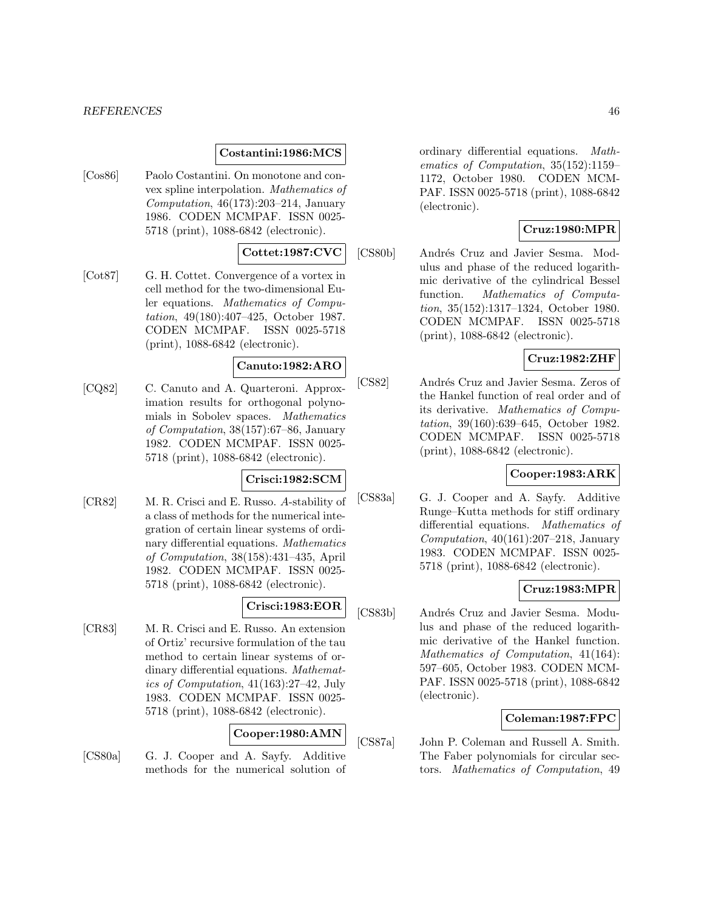#### *REFERENCES* 46

### **Costantini:1986:MCS**

[Cos86] Paolo Costantini. On monotone and convex spline interpolation. Mathematics of Computation, 46(173):203–214, January 1986. CODEN MCMPAF. ISSN 0025- 5718 (print), 1088-6842 (electronic).

# **Cottet:1987:CVC**

[Cot87] G. H. Cottet. Convergence of a vortex in cell method for the two-dimensional Euler equations. Mathematics of Computation, 49(180):407–425, October 1987. CODEN MCMPAF. ISSN 0025-5718 (print), 1088-6842 (electronic).

## **Canuto:1982:ARO**

[CQ82] C. Canuto and A. Quarteroni. Approximation results for orthogonal polynomials in Sobolev spaces. Mathematics of Computation, 38(157):67–86, January 1982. CODEN MCMPAF. ISSN 0025- 5718 (print), 1088-6842 (electronic).

### **Crisci:1982:SCM**

[CR82] M. R. Crisci and E. Russo. A-stability of a class of methods for the numerical integration of certain linear systems of ordinary differential equations. Mathematics of Computation, 38(158):431–435, April 1982. CODEN MCMPAF. ISSN 0025- 5718 (print), 1088-6842 (electronic).

### **Crisci:1983:EOR**

[CR83] M. R. Crisci and E. Russo. An extension of Ortiz' recursive formulation of the tau method to certain linear systems of ordinary differential equations. Mathematics of Computation, 41(163):27–42, July 1983. CODEN MCMPAF. ISSN 0025- 5718 (print), 1088-6842 (electronic).

### **Cooper:1980:AMN**

[CS80a] G. J. Cooper and A. Sayfy. Additive methods for the numerical solution of ordinary differential equations. Mathematics of Computation, 35(152):1159– 1172, October 1980. CODEN MCM-PAF. ISSN 0025-5718 (print), 1088-6842 (electronic).

### **Cruz:1980:MPR**

[CS80b] Andrés Cruz and Javier Sesma. Modulus and phase of the reduced logarithmic derivative of the cylindrical Bessel function. Mathematics of Computation, 35(152):1317–1324, October 1980. CODEN MCMPAF. ISSN 0025-5718 (print), 1088-6842 (electronic).

# **Cruz:1982:ZHF**

[CS82] Andrés Cruz and Javier Sesma. Zeros of the Hankel function of real order and of its derivative. Mathematics of Computation, 39(160):639–645, October 1982. CODEN MCMPAF. ISSN 0025-5718 (print), 1088-6842 (electronic).

# **Cooper:1983:ARK**

[CS83a] G. J. Cooper and A. Sayfy. Additive Runge–Kutta methods for stiff ordinary differential equations. Mathematics of Computation,  $40(161):207-218$ , January 1983. CODEN MCMPAF. ISSN 0025- 5718 (print), 1088-6842 (electronic).

## **Cruz:1983:MPR**

[CS83b] Andrés Cruz and Javier Sesma. Modulus and phase of the reduced logarithmic derivative of the Hankel function. Mathematics of Computation, 41(164): 597–605, October 1983. CODEN MCM-PAF. ISSN 0025-5718 (print), 1088-6842 (electronic).

## **Coleman:1987:FPC**

[CS87a] John P. Coleman and Russell A. Smith. The Faber polynomials for circular sectors. Mathematics of Computation, 49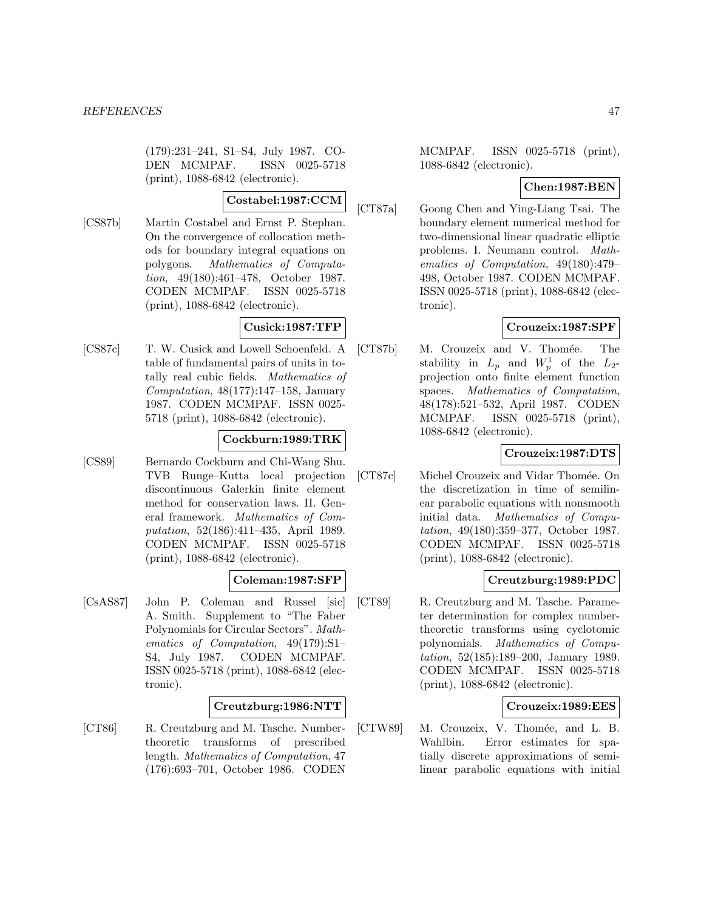(179):231–241, S1–S4, July 1987. CO-DEN MCMPAF. ISSN 0025-5718 (print), 1088-6842 (electronic).

### **Costabel:1987:CCM**

[CS87b] Martin Costabel and Ernst P. Stephan. On the convergence of collocation methods for boundary integral equations on polygons. Mathematics of Computation, 49(180):461–478, October 1987. CODEN MCMPAF. ISSN 0025-5718 (print), 1088-6842 (electronic).

# **Cusick:1987:TFP**

[CS87c] T. W. Cusick and Lowell Schoenfeld. A table of fundamental pairs of units in totally real cubic fields. Mathematics of Computation, 48(177):147–158, January 1987. CODEN MCMPAF. ISSN 0025- 5718 (print), 1088-6842 (electronic).

## **Cockburn:1989:TRK**

[CS89] Bernardo Cockburn and Chi-Wang Shu. TVB Runge–Kutta local projection discontinuous Galerkin finite element method for conservation laws. II. General framework. Mathematics of Computation, 52(186):411–435, April 1989. CODEN MCMPAF. ISSN 0025-5718 (print), 1088-6842 (electronic).

## **Coleman:1987:SFP**

[CsAS87] John P. Coleman and Russel [sic] A. Smith. Supplement to "The Faber Polynomials for Circular Sectors". Mathematics of Computation, 49(179):S1– S4, July 1987. CODEN MCMPAF. ISSN 0025-5718 (print), 1088-6842 (electronic).

### **Creutzburg:1986:NTT**

[CT86] R. Creutzburg and M. Tasche. Numbertheoretic transforms of prescribed length. Mathematics of Computation, 47 (176):693–701, October 1986. CODEN MCMPAF. ISSN 0025-5718 (print), 1088-6842 (electronic).

## **Chen:1987:BEN**

[CT87a] Goong Chen and Ying-Liang Tsai. The boundary element numerical method for two-dimensional linear quadratic elliptic problems. I. Neumann control. Mathematics of Computation, 49(180):479– 498, October 1987. CODEN MCMPAF. ISSN 0025-5718 (print), 1088-6842 (electronic).

## **Crouzeix:1987:SPF**

[CT87b] M. Crouzeix and V. Thomée. The stability in  $L_p$  and  $W_p^1$  of the  $L_2$ projection onto finite element function spaces. Mathematics of Computation, 48(178):521–532, April 1987. CODEN MCMPAF. ISSN 0025-5718 (print), 1088-6842 (electronic).

## **Crouzeix:1987:DTS**

[CT87c] Michel Crouzeix and Vidar Thomée. On the discretization in time of semilinear parabolic equations with nonsmooth initial data. Mathematics of Computation, 49(180):359–377, October 1987. CODEN MCMPAF. ISSN 0025-5718 (print), 1088-6842 (electronic).

## **Creutzburg:1989:PDC**

[CT89] R. Creutzburg and M. Tasche. Parameter determination for complex numbertheoretic transforms using cyclotomic polynomials. Mathematics of Computation, 52(185):189–200, January 1989. CODEN MCMPAF. ISSN 0025-5718 (print), 1088-6842 (electronic).

### **Crouzeix:1989:EES**

[CTW89] M. Crouzeix, V. Thomée, and L. B. Wahlbin. Error estimates for spatially discrete approximations of semilinear parabolic equations with initial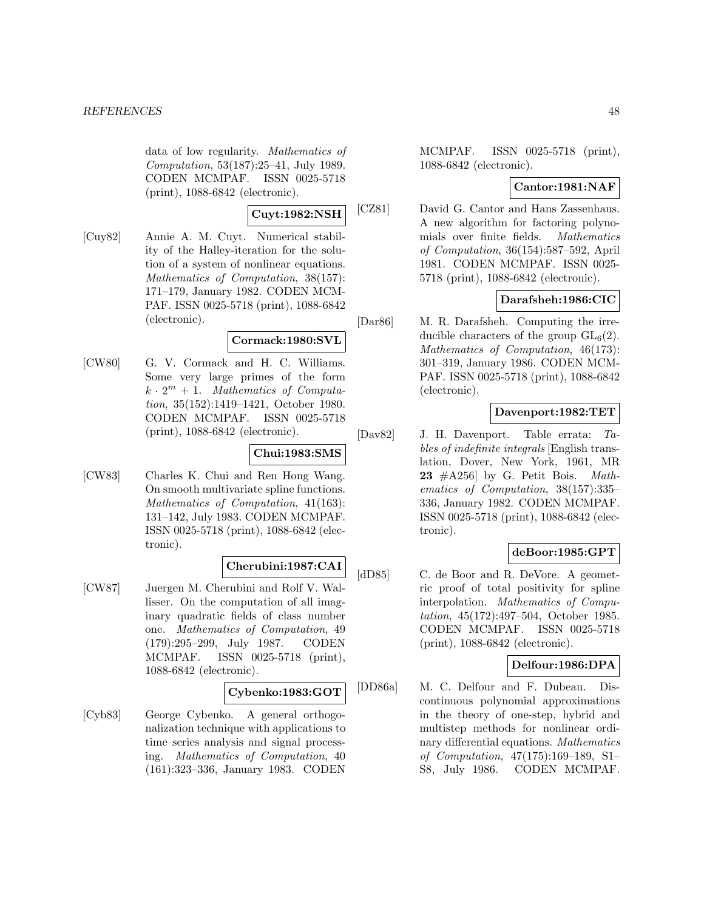data of low regularity. Mathematics of Computation, 53(187):25–41, July 1989. CODEN MCMPAF. ISSN 0025-5718 (print), 1088-6842 (electronic).

**Cuyt:1982:NSH**

[Cuy82] Annie A. M. Cuyt. Numerical stability of the Halley-iteration for the solution of a system of nonlinear equations. Mathematics of Computation, 38(157): 171–179, January 1982. CODEN MCM-PAF. ISSN 0025-5718 (print), 1088-6842 (electronic).

## **Cormack:1980:SVL**

[CW80] G. V. Cormack and H. C. Williams. Some very large primes of the form  $k \cdot 2^m + 1$ . Mathematics of Computation, 35(152):1419–1421, October 1980. CODEN MCMPAF. ISSN 0025-5718 (print), 1088-6842 (electronic).

### **Chui:1983:SMS**

[CW83] Charles K. Chui and Ren Hong Wang. On smooth multivariate spline functions. Mathematics of Computation, 41(163): 131–142, July 1983. CODEN MCMPAF. ISSN 0025-5718 (print), 1088-6842 (electronic).

## **Cherubini:1987:CAI**

[CW87] Juergen M. Cherubini and Rolf V. Wallisser. On the computation of all imaginary quadratic fields of class number one. Mathematics of Computation, 49 (179):295–299, July 1987. CODEN MCMPAF. ISSN 0025-5718 (print), 1088-6842 (electronic).

### **Cybenko:1983:GOT**

[Cyb83] George Cybenko. A general orthogonalization technique with applications to time series analysis and signal processing. Mathematics of Computation, 40 (161):323–336, January 1983. CODEN MCMPAF. ISSN 0025-5718 (print), 1088-6842 (electronic).

## **Cantor:1981:NAF**

[CZ81] David G. Cantor and Hans Zassenhaus. A new algorithm for factoring polynomials over finite fields. Mathematics of Computation, 36(154):587–592, April 1981. CODEN MCMPAF. ISSN 0025- 5718 (print), 1088-6842 (electronic).

## **Darafsheh:1986:CIC**

[Dar86] M. R. Darafsheh. Computing the irreducible characters of the group  $GL_6(2)$ . Mathematics of Computation, 46(173): 301–319, January 1986. CODEN MCM-PAF. ISSN 0025-5718 (print), 1088-6842 (electronic).

### **Davenport:1982:TET**

[Dav82] J. H. Davenport. Table errata: Tables of indefinite integrals [English translation, Dover, New York, 1961, MR **23** #A256] by G. Petit Bois. Mathematics of Computation, 38(157):335– 336, January 1982. CODEN MCMPAF. ISSN 0025-5718 (print), 1088-6842 (electronic).

## **deBoor:1985:GPT**

[dD85] C. de Boor and R. DeVore. A geometric proof of total positivity for spline interpolation. Mathematics of Computation, 45(172):497–504, October 1985. CODEN MCMPAF. ISSN 0025-5718 (print), 1088-6842 (electronic).

## **Delfour:1986:DPA**

[DD86a] M. C. Delfour and F. Dubeau. Discontinuous polynomial approximations in the theory of one-step, hybrid and multistep methods for nonlinear ordinary differential equations. Mathematics of Computation, 47(175):169–189, S1– S8, July 1986. CODEN MCMPAF.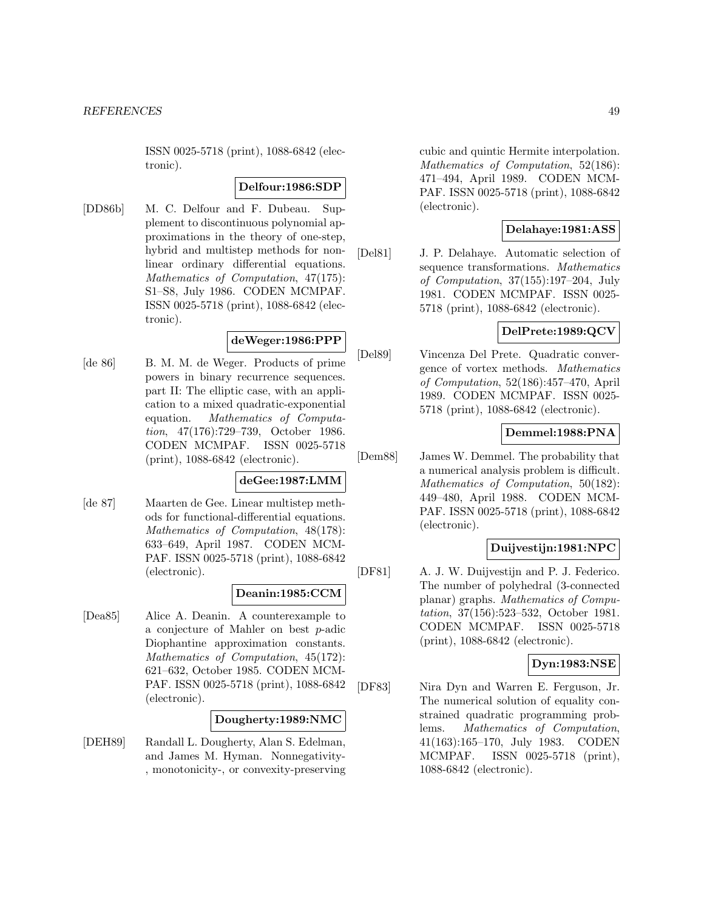ISSN 0025-5718 (print), 1088-6842 (electronic).

#### **Delfour:1986:SDP**

[DD86b] M. C. Delfour and F. Dubeau. Supplement to discontinuous polynomial approximations in the theory of one-step, hybrid and multistep methods for nonlinear ordinary differential equations. Mathematics of Computation, 47(175): S1–S8, July 1986. CODEN MCMPAF. ISSN 0025-5718 (print), 1088-6842 (electronic).

# **deWeger:1986:PPP**

[de 86] B. M. M. de Weger. Products of prime powers in binary recurrence sequences. part II: The elliptic case, with an application to a mixed quadratic-exponential equation. Mathematics of Computation, 47(176):729–739, October 1986. CODEN MCMPAF. ISSN 0025-5718 (print), 1088-6842 (electronic).

# **deGee:1987:LMM**

[de 87] Maarten de Gee. Linear multistep methods for functional-differential equations. Mathematics of Computation, 48(178): 633–649, April 1987. CODEN MCM-PAF. ISSN 0025-5718 (print), 1088-6842 (electronic).

### **Deanin:1985:CCM**

[Dea85] Alice A. Deanin. A counterexample to a conjecture of Mahler on best p-adic Diophantine approximation constants. Mathematics of Computation, 45(172): 621–632, October 1985. CODEN MCM-PAF. ISSN 0025-5718 (print), 1088-6842 (electronic).

### **Dougherty:1989:NMC**

[DEH89] Randall L. Dougherty, Alan S. Edelman, and James M. Hyman. Nonnegativity- , monotonicity-, or convexity-preserving

cubic and quintic Hermite interpolation. Mathematics of Computation, 52(186): 471–494, April 1989. CODEN MCM-PAF. ISSN 0025-5718 (print), 1088-6842 (electronic).

### **Delahaye:1981:ASS**

[Del81] J. P. Delahaye. Automatic selection of sequence transformations. Mathematics of Computation, 37(155):197–204, July 1981. CODEN MCMPAF. ISSN 0025- 5718 (print), 1088-6842 (electronic).

## **DelPrete:1989:QCV**

[Del89] Vincenza Del Prete. Quadratic convergence of vortex methods. Mathematics of Computation, 52(186):457–470, April 1989. CODEN MCMPAF. ISSN 0025- 5718 (print), 1088-6842 (electronic).

## **Demmel:1988:PNA**

[Dem88] James W. Demmel. The probability that a numerical analysis problem is difficult. Mathematics of Computation, 50(182): 449–480, April 1988. CODEN MCM-PAF. ISSN 0025-5718 (print), 1088-6842 (electronic).

## **Duijvestijn:1981:NPC**

[DF81] A. J. W. Duijvestijn and P. J. Federico. The number of polyhedral (3-connected planar) graphs. Mathematics of Computation, 37(156):523–532, October 1981. CODEN MCMPAF. ISSN 0025-5718 (print), 1088-6842 (electronic).

## **Dyn:1983:NSE**

[DF83] Nira Dyn and Warren E. Ferguson, Jr. The numerical solution of equality constrained quadratic programming problems. Mathematics of Computation, 41(163):165–170, July 1983. CODEN MCMPAF. ISSN 0025-5718 (print), 1088-6842 (electronic).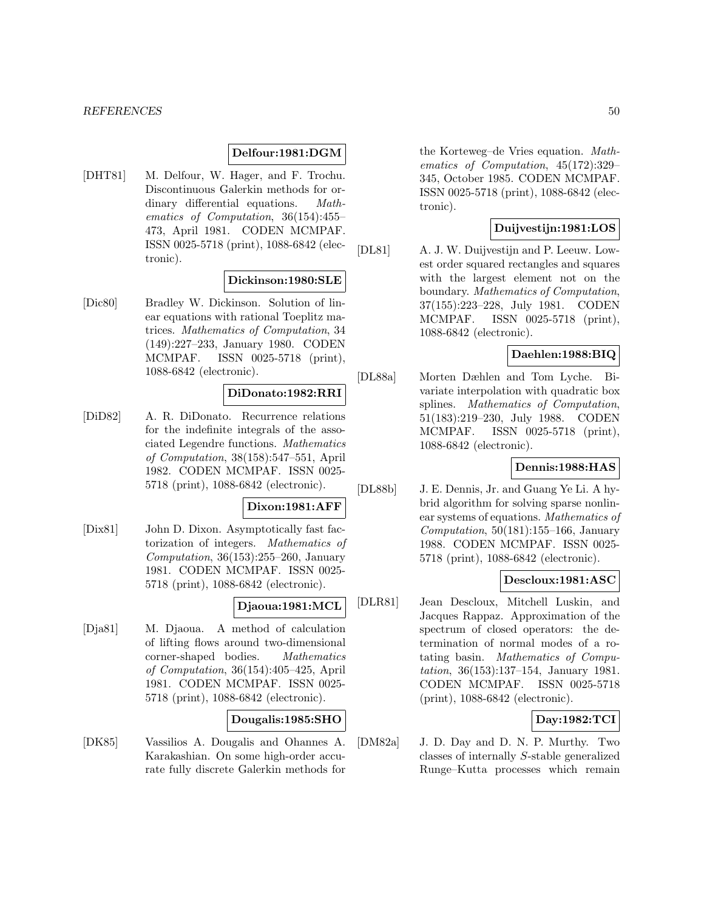### **Delfour:1981:DGM**

[DHT81] M. Delfour, W. Hager, and F. Trochu. Discontinuous Galerkin methods for ordinary differential equations. Mathematics of Computation, 36(154):455– 473, April 1981. CODEN MCMPAF. ISSN 0025-5718 (print), 1088-6842 (electronic).

#### **Dickinson:1980:SLE**

[Dic80] Bradley W. Dickinson. Solution of linear equations with rational Toeplitz matrices. Mathematics of Computation, 34 (149):227–233, January 1980. CODEN MCMPAF. ISSN 0025-5718 (print), 1088-6842 (electronic).

### **DiDonato:1982:RRI**

[DiD82] A. R. DiDonato. Recurrence relations for the indefinite integrals of the associated Legendre functions. Mathematics of Computation, 38(158):547–551, April 1982. CODEN MCMPAF. ISSN 0025- 5718 (print), 1088-6842 (electronic).

### **Dixon:1981:AFF**

[Dix81] John D. Dixon. Asymptotically fast factorization of integers. Mathematics of Computation,  $36(153):255-260$ , January 1981. CODEN MCMPAF. ISSN 0025- 5718 (print), 1088-6842 (electronic).

### **Djaoua:1981:MCL**

[Dja81] M. Djaoua. A method of calculation of lifting flows around two-dimensional corner-shaped bodies. Mathematics of Computation, 36(154):405–425, April 1981. CODEN MCMPAF. ISSN 0025- 5718 (print), 1088-6842 (electronic).

## **Dougalis:1985:SHO**

[DK85] Vassilios A. Dougalis and Ohannes A. Karakashian. On some high-order accurate fully discrete Galerkin methods for

the Korteweg–de Vries equation. Mathematics of Computation, 45(172):329– 345, October 1985. CODEN MCMPAF. ISSN 0025-5718 (print), 1088-6842 (electronic).

# **Duijvestijn:1981:LOS**

[DL81] A. J. W. Duijvestijn and P. Leeuw. Lowest order squared rectangles and squares with the largest element not on the boundary. Mathematics of Computation, 37(155):223–228, July 1981. CODEN MCMPAF. ISSN 0025-5718 (print), 1088-6842 (electronic).

## **Daehlen:1988:BIQ**

[DL88a] Morten Dæhlen and Tom Lyche. Bivariate interpolation with quadratic box splines. Mathematics of Computation, 51(183):219–230, July 1988. CODEN MCMPAF. ISSN 0025-5718 (print), 1088-6842 (electronic).

### **Dennis:1988:HAS**

[DL88b] J. E. Dennis, Jr. and Guang Ye Li. A hybrid algorithm for solving sparse nonlinear systems of equations. Mathematics of Computation,  $50(181):155-166$ , January 1988. CODEN MCMPAF. ISSN 0025- 5718 (print), 1088-6842 (electronic).

## **Descloux:1981:ASC**

[DLR81] Jean Descloux, Mitchell Luskin, and Jacques Rappaz. Approximation of the spectrum of closed operators: the determination of normal modes of a rotating basin. Mathematics of Computation, 36(153):137–154, January 1981. CODEN MCMPAF. ISSN 0025-5718 (print), 1088-6842 (electronic).

# **Day:1982:TCI**

[DM82a] J. D. Day and D. N. P. Murthy. Two classes of internally S-stable generalized Runge–Kutta processes which remain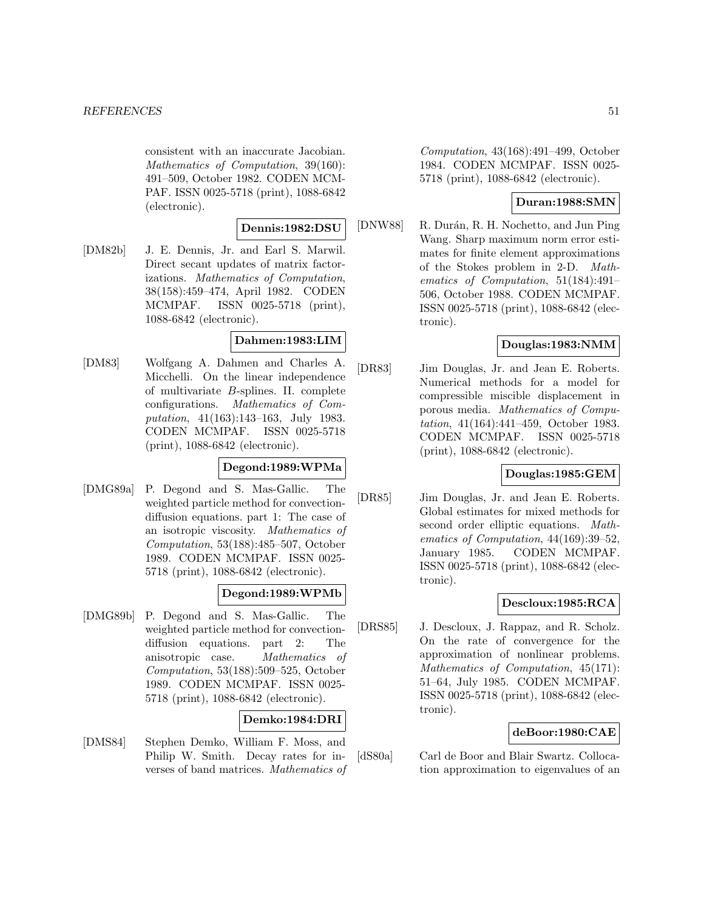consistent with an inaccurate Jacobian. Mathematics of Computation, 39(160): 491–509, October 1982. CODEN MCM-PAF. ISSN 0025-5718 (print), 1088-6842 (electronic).

#### **Dennis:1982:DSU**

[DM82b] J. E. Dennis, Jr. and Earl S. Marwil. Direct secant updates of matrix factorizations. Mathematics of Computation, 38(158):459–474, April 1982. CODEN MCMPAF. ISSN 0025-5718 (print), 1088-6842 (electronic).

#### **Dahmen:1983:LIM**

[DM83] Wolfgang A. Dahmen and Charles A. Micchelli. On the linear independence of multivariate B-splines. II. complete configurations. Mathematics of Computation, 41(163):143–163, July 1983. CODEN MCMPAF. ISSN 0025-5718 (print), 1088-6842 (electronic).

### **Degond:1989:WPMa**

[DMG89a] P. Degond and S. Mas-Gallic. The weighted particle method for convectiondiffusion equations. part 1: The case of an isotropic viscosity. Mathematics of Computation, 53(188):485–507, October 1989. CODEN MCMPAF. ISSN 0025- 5718 (print), 1088-6842 (electronic).

### **Degond:1989:WPMb**

[DMG89b] P. Degond and S. Mas-Gallic. The weighted particle method for convectiondiffusion equations. part 2: The anisotropic case. Mathematics of Computation, 53(188):509–525, October 1989. CODEN MCMPAF. ISSN 0025- 5718 (print), 1088-6842 (electronic).

## **Demko:1984:DRI**

[DMS84] Stephen Demko, William F. Moss, and Philip W. Smith. Decay rates for inverses of band matrices. Mathematics of Computation, 43(168):491–499, October 1984. CODEN MCMPAF. ISSN 0025- 5718 (print), 1088-6842 (electronic).

## **Duran:1988:SMN**

[DNW88] R. Durán, R. H. Nochetto, and Jun Ping Wang. Sharp maximum norm error estimates for finite element approximations of the Stokes problem in 2-D. Mathematics of Computation, 51(184):491– 506, October 1988. CODEN MCMPAF. ISSN 0025-5718 (print), 1088-6842 (electronic).

## **Douglas:1983:NMM**

[DR83] Jim Douglas, Jr. and Jean E. Roberts. Numerical methods for a model for compressible miscible displacement in porous media. Mathematics of Computation, 41(164):441–459, October 1983. CODEN MCMPAF. ISSN 0025-5718 (print), 1088-6842 (electronic).

# **Douglas:1985:GEM**

[DR85] Jim Douglas, Jr. and Jean E. Roberts. Global estimates for mixed methods for second order elliptic equations. Mathematics of Computation, 44(169):39–52, January 1985. CODEN MCMPAF. ISSN 0025-5718 (print), 1088-6842 (electronic).

### **Descloux:1985:RCA**

[DRS85] J. Descloux, J. Rappaz, and R. Scholz. On the rate of convergence for the approximation of nonlinear problems. Mathematics of Computation, 45(171): 51–64, July 1985. CODEN MCMPAF. ISSN 0025-5718 (print), 1088-6842 (electronic).

### **deBoor:1980:CAE**

[dS80a] Carl de Boor and Blair Swartz. Collocation approximation to eigenvalues of an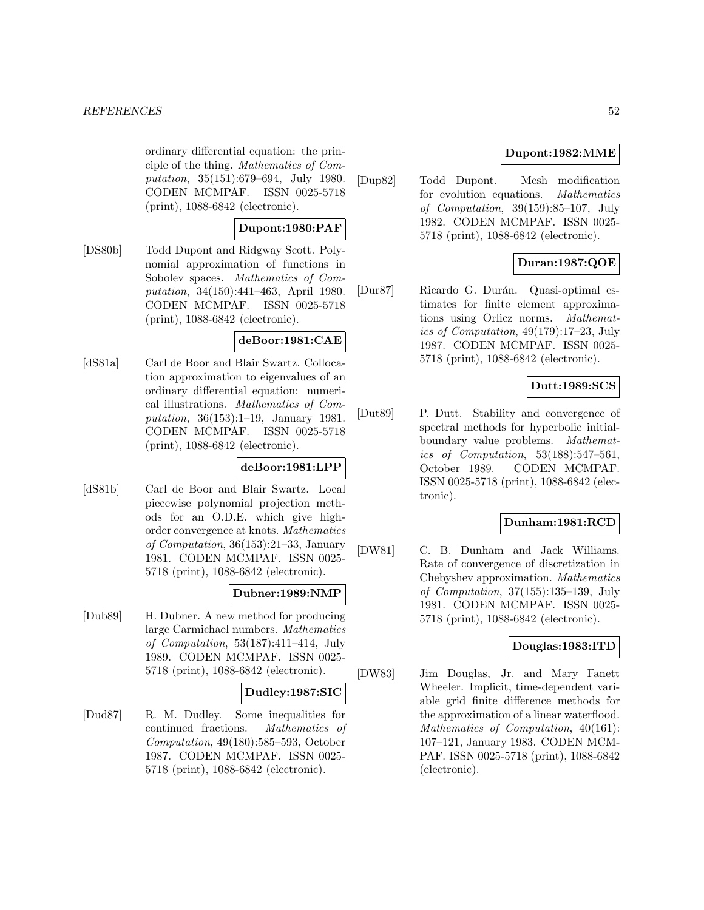ordinary differential equation: the principle of the thing. Mathematics of Computation, 35(151):679–694, July 1980. CODEN MCMPAF. ISSN 0025-5718 (print), 1088-6842 (electronic).

## **Dupont:1980:PAF**

[DS80b] Todd Dupont and Ridgway Scott. Polynomial approximation of functions in Sobolev spaces. Mathematics of Computation, 34(150):441–463, April 1980. CODEN MCMPAF. ISSN 0025-5718 (print), 1088-6842 (electronic).

## **deBoor:1981:CAE**

[dS81a] Carl de Boor and Blair Swartz. Collocation approximation to eigenvalues of an ordinary differential equation: numerical illustrations. Mathematics of Computation, 36(153):1–19, January 1981. CODEN MCMPAF. ISSN 0025-5718 (print), 1088-6842 (electronic).

# **deBoor:1981:LPP**

[dS81b] Carl de Boor and Blair Swartz. Local piecewise polynomial projection methods for an O.D.E. which give highorder convergence at knots. Mathematics of Computation, 36(153):21–33, January 1981. CODEN MCMPAF. ISSN 0025- 5718 (print), 1088-6842 (electronic).

## **Dubner:1989:NMP**

[Dub89] H. Dubner. A new method for producing large Carmichael numbers. Mathematics of Computation, 53(187):411–414, July 1989. CODEN MCMPAF. ISSN 0025- 5718 (print), 1088-6842 (electronic).

## **Dudley:1987:SIC**

[Dud87] R. M. Dudley. Some inequalities for continued fractions. Mathematics of Computation, 49(180):585–593, October 1987. CODEN MCMPAF. ISSN 0025- 5718 (print), 1088-6842 (electronic).

## **Dupont:1982:MME**

[Dup82] Todd Dupont. Mesh modification for evolution equations. Mathematics of Computation, 39(159):85–107, July 1982. CODEN MCMPAF. ISSN 0025- 5718 (print), 1088-6842 (electronic).

# **Duran:1987:QOE**

[Dur87] Ricardo G. Durán. Quasi-optimal estimates for finite element approximations using Orlicz norms. Mathematics of Computation, 49(179):17–23, July 1987. CODEN MCMPAF. ISSN 0025- 5718 (print), 1088-6842 (electronic).

# **Dutt:1989:SCS**

[Dut89] P. Dutt. Stability and convergence of spectral methods for hyperbolic initialboundary value problems. Mathematics of Computation, 53(188):547–561, October 1989. CODEN MCMPAF. ISSN 0025-5718 (print), 1088-6842 (electronic).

### **Dunham:1981:RCD**

[DW81] C. B. Dunham and Jack Williams. Rate of convergence of discretization in Chebyshev approximation. Mathematics of Computation, 37(155):135–139, July 1981. CODEN MCMPAF. ISSN 0025- 5718 (print), 1088-6842 (electronic).

### **Douglas:1983:ITD**

[DW83] Jim Douglas, Jr. and Mary Fanett Wheeler. Implicit, time-dependent variable grid finite difference methods for the approximation of a linear waterflood. Mathematics of Computation, 40(161): 107–121, January 1983. CODEN MCM-PAF. ISSN 0025-5718 (print), 1088-6842 (electronic).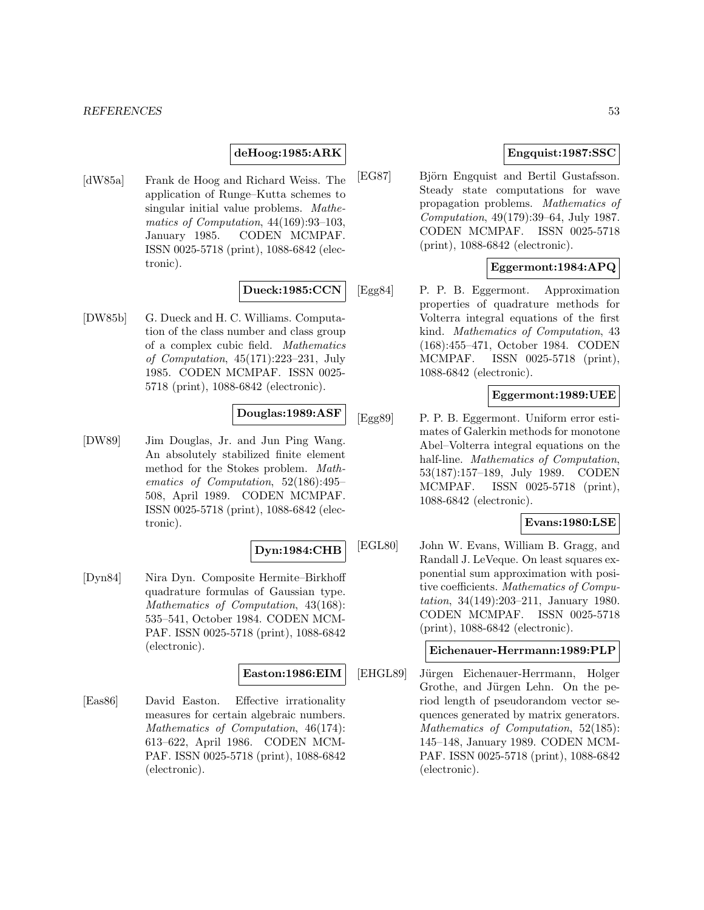#### *REFERENCES* 53

## **deHoog:1985:ARK**

[dW85a] Frank de Hoog and Richard Weiss. The application of Runge–Kutta schemes to singular initial value problems. Mathematics of Computation, 44(169):93–103, January 1985. CODEN MCMPAF. ISSN 0025-5718 (print), 1088-6842 (electronic).

## **Dueck:1985:CCN**

[DW85b] G. Dueck and H. C. Williams. Computation of the class number and class group of a complex cubic field. Mathematics of Computation, 45(171):223–231, July 1985. CODEN MCMPAF. ISSN 0025- 5718 (print), 1088-6842 (electronic).

### **Douglas:1989:ASF**

[DW89] Jim Douglas, Jr. and Jun Ping Wang. An absolutely stabilized finite element method for the Stokes problem. Mathematics of Computation, 52(186):495– 508, April 1989. CODEN MCMPAF. ISSN 0025-5718 (print), 1088-6842 (electronic).

### **Dyn:1984:CHB**

[Dyn84] Nira Dyn. Composite Hermite–Birkhoff quadrature formulas of Gaussian type. Mathematics of Computation, 43(168): 535–541, October 1984. CODEN MCM-PAF. ISSN 0025-5718 (print), 1088-6842 (electronic).

#### **Easton:1986:EIM**

[Eas86] David Easton. Effective irrationality measures for certain algebraic numbers. Mathematics of Computation, 46(174): 613–622, April 1986. CODEN MCM-PAF. ISSN 0025-5718 (print), 1088-6842 (electronic).

## **Engquist:1987:SSC**

[EG87] Björn Engquist and Bertil Gustafsson. Steady state computations for wave propagation problems. Mathematics of Computation, 49(179):39–64, July 1987. CODEN MCMPAF. ISSN 0025-5718 (print), 1088-6842 (electronic).

### **Eggermont:1984:APQ**

[Egg84] P. P. B. Eggermont. Approximation properties of quadrature methods for Volterra integral equations of the first kind. Mathematics of Computation, 43 (168):455–471, October 1984. CODEN MCMPAF. ISSN 0025-5718 (print), 1088-6842 (electronic).

### **Eggermont:1989:UEE**

[Egg89] P. P. B. Eggermont. Uniform error estimates of Galerkin methods for monotone Abel–Volterra integral equations on the half-line. Mathematics of Computation, 53(187):157–189, July 1989. CODEN MCMPAF. ISSN 0025-5718 (print), 1088-6842 (electronic).

#### **Evans:1980:LSE**

[EGL80] John W. Evans, William B. Gragg, and Randall J. LeVeque. On least squares exponential sum approximation with positive coefficients. Mathematics of Computation, 34(149):203–211, January 1980. CODEN MCMPAF. ISSN 0025-5718 (print), 1088-6842 (electronic).

## **Eichenauer-Herrmann:1989:PLP**

[EHGL89] Jürgen Eichenauer-Herrmann, Holger Grothe, and Jürgen Lehn. On the period length of pseudorandom vector sequences generated by matrix generators. Mathematics of Computation, 52(185): 145–148, January 1989. CODEN MCM-PAF. ISSN 0025-5718 (print), 1088-6842 (electronic).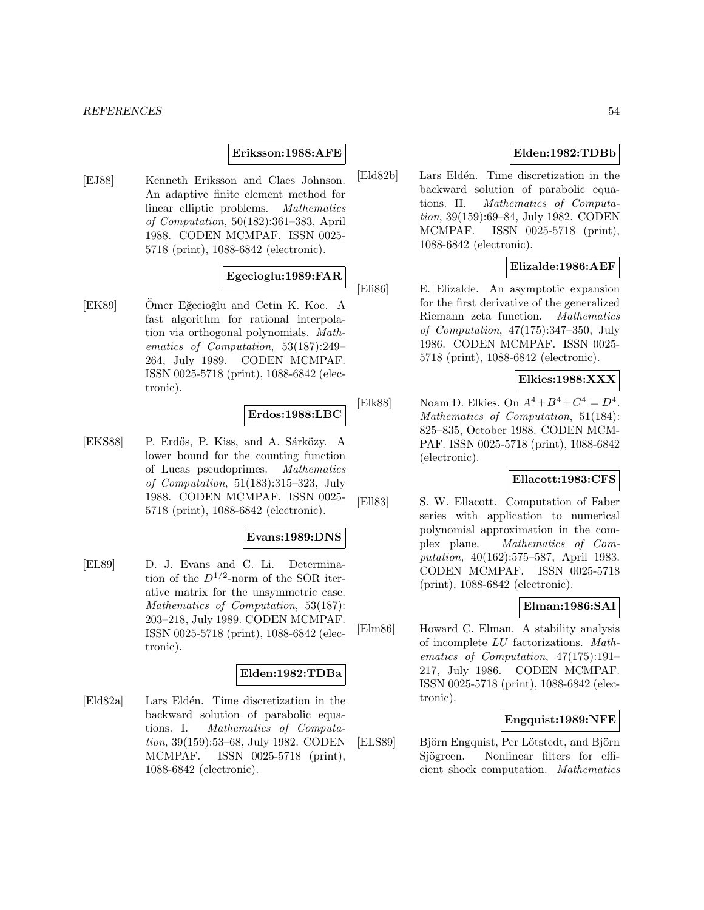### **Eriksson:1988:AFE**

[EJ88] Kenneth Eriksson and Claes Johnson. An adaptive finite element method for linear elliptic problems. Mathematics of Computation, 50(182):361–383, April 1988. CODEN MCMPAF. ISSN 0025- 5718 (print), 1088-6842 (electronic).

# **Egecioglu:1989:FAR**

[EK89] Omer Eğecioğlu and Cetin K. Koc. A fast algorithm for rational interpolation via orthogonal polynomials. Mathematics of Computation, 53(187):249– 264, July 1989. CODEN MCMPAF. ISSN 0025-5718 (print), 1088-6842 (electronic).

### **Erdos:1988:LBC**

[EKS88] P. Erdős, P. Kiss, and A. Sárközy. A lower bound for the counting function of Lucas pseudoprimes. Mathematics of Computation, 51(183):315–323, July 1988. CODEN MCMPAF. ISSN 0025- 5718 (print), 1088-6842 (electronic).

## **Evans:1989:DNS**

[EL89] D. J. Evans and C. Li. Determination of the  $D^{1/2}$ -norm of the SOR iterative matrix for the unsymmetric case. Mathematics of Computation, 53(187): 203–218, July 1989. CODEN MCMPAF. ISSN 0025-5718 (print), 1088-6842 (electronic).

## **Elden:1982:TDBa**

[Eld82a] Lars Eldén. Time discretization in the backward solution of parabolic equations. I. Mathematics of Computation, 39(159):53–68, July 1982. CODEN MCMPAF. ISSN 0025-5718 (print), 1088-6842 (electronic).

## **Elden:1982:TDBb**

[Eld82b] Lars Eldén. Time discretization in the backward solution of parabolic equations. II. Mathematics of Computation, 39(159):69–84, July 1982. CODEN MCMPAF. ISSN 0025-5718 (print), 1088-6842 (electronic).

## **Elizalde:1986:AEF**

[Eli86] E. Elizalde. An asymptotic expansion for the first derivative of the generalized Riemann zeta function. Mathematics of Computation, 47(175):347–350, July 1986. CODEN MCMPAF. ISSN 0025- 5718 (print), 1088-6842 (electronic).

# **Elkies:1988:XXX**

[Elk88] Noam D. Elkies. On  $A^4 + B^4 + C^4 = D^4$ . Mathematics of Computation, 51(184): 825–835, October 1988. CODEN MCM-PAF. ISSN 0025-5718 (print), 1088-6842 (electronic).

## **Ellacott:1983:CFS**

[Ell83] S. W. Ellacott. Computation of Faber series with application to numerical polynomial approximation in the complex plane. Mathematics of Computation, 40(162):575–587, April 1983. CODEN MCMPAF. ISSN 0025-5718 (print), 1088-6842 (electronic).

## **Elman:1986:SAI**

[Elm86] Howard C. Elman. A stability analysis of incomplete LU factorizations. Mathematics of Computation, 47(175):191– 217, July 1986. CODEN MCMPAF. ISSN 0025-5718 (print), 1088-6842 (electronic).

# **Engquist:1989:NFE**

[ELS89] Björn Engquist, Per Lötstedt, and Björn Sjögreen. Nonlinear filters for efficient shock computation. Mathematics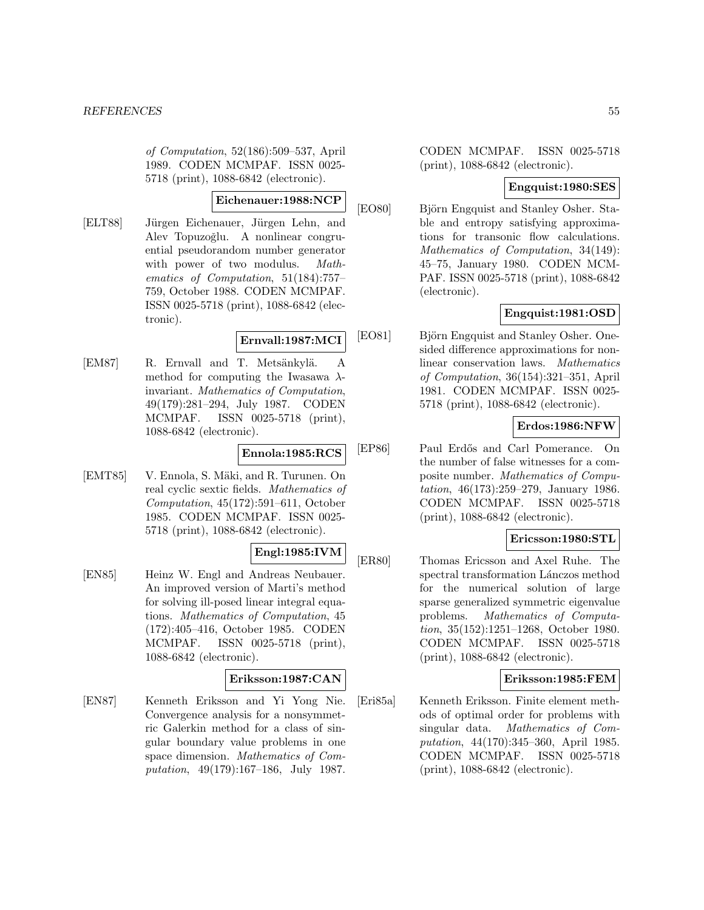of Computation, 52(186):509–537, April 1989. CODEN MCMPAF. ISSN 0025- 5718 (print), 1088-6842 (electronic).

#### **Eichenauer:1988:NCP**

[ELT88] Jürgen Eichenauer, Jürgen Lehn, and Alev Topuzoğlu. A nonlinear congruential pseudorandom number generator with power of two modulus. Mathematics of Computation, 51(184):757– 759, October 1988. CODEN MCMPAF. ISSN 0025-5718 (print), 1088-6842 (electronic).

## **Ernvall:1987:MCI**

[EM87] R. Ernvall and T. Metsänkylä. A method for computing the Iwasawa  $\lambda$ invariant. Mathematics of Computation, 49(179):281–294, July 1987. CODEN MCMPAF. ISSN 0025-5718 (print), 1088-6842 (electronic).

### **Ennola:1985:RCS**

[EMT85] V. Ennola, S. Mäki, and R. Turunen. On real cyclic sextic fields. Mathematics of Computation, 45(172):591–611, October 1985. CODEN MCMPAF. ISSN 0025- 5718 (print), 1088-6842 (electronic).

## **Engl:1985:IVM**

[EN85] Heinz W. Engl and Andreas Neubauer. An improved version of Marti's method for solving ill-posed linear integral equations. Mathematics of Computation, 45 (172):405–416, October 1985. CODEN MCMPAF. ISSN 0025-5718 (print), 1088-6842 (electronic).

### **Eriksson:1987:CAN**

[EN87] Kenneth Eriksson and Yi Yong Nie. Convergence analysis for a nonsymmetric Galerkin method for a class of singular boundary value problems in one space dimension. Mathematics of Computation, 49(179):167–186, July 1987. CODEN MCMPAF. ISSN 0025-5718 (print), 1088-6842 (electronic).

# **Engquist:1980:SES**

[EO80] Björn Engquist and Stanley Osher. Stable and entropy satisfying approximations for transonic flow calculations. Mathematics of Computation, 34(149): 45–75, January 1980. CODEN MCM-PAF. ISSN 0025-5718 (print), 1088-6842 (electronic).

## **Engquist:1981:OSD**

[EO81] Björn Engquist and Stanley Osher. Onesided difference approximations for nonlinear conservation laws. Mathematics of Computation, 36(154):321–351, April 1981. CODEN MCMPAF. ISSN 0025- 5718 (print), 1088-6842 (electronic).

## **Erdos:1986:NFW**

[EP86] Paul Erd˝os and Carl Pomerance. On the number of false witnesses for a composite number. Mathematics of Computation, 46(173):259–279, January 1986. CODEN MCMPAF. ISSN 0025-5718 (print), 1088-6842 (electronic).

## **Ericsson:1980:STL**

[ER80] Thomas Ericsson and Axel Ruhe. The spectral transformation Lánczos method for the numerical solution of large sparse generalized symmetric eigenvalue problems. Mathematics of Computation, 35(152):1251–1268, October 1980. CODEN MCMPAF. ISSN 0025-5718 (print), 1088-6842 (electronic).

### **Eriksson:1985:FEM**

[Eri85a] Kenneth Eriksson. Finite element methods of optimal order for problems with singular data. Mathematics of Computation, 44(170):345–360, April 1985. CODEN MCMPAF. ISSN 0025-5718 (print), 1088-6842 (electronic).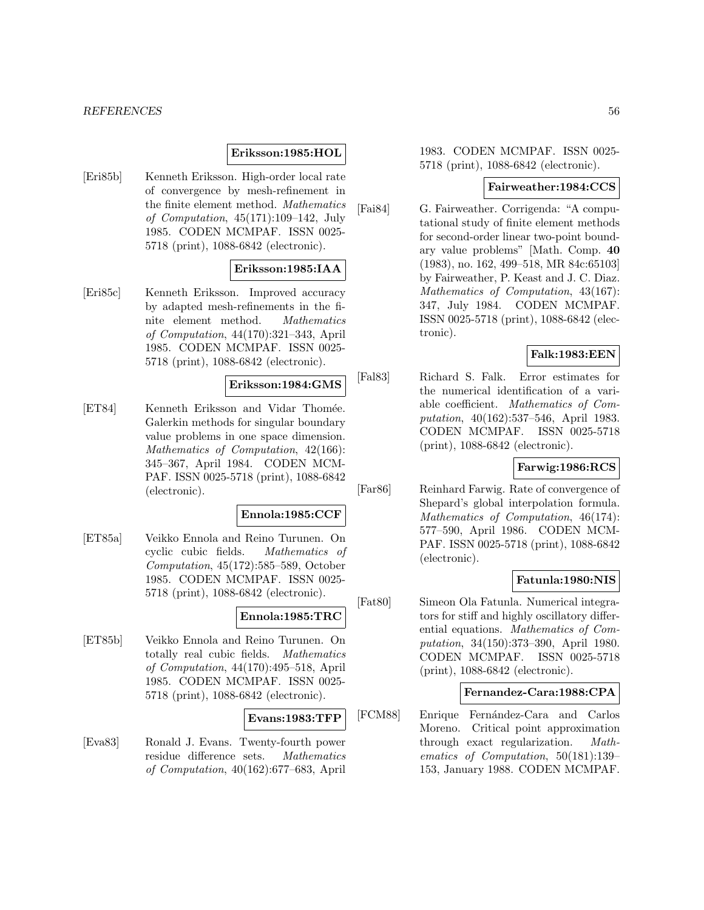### **Eriksson:1985:HOL**

[Eri85b] Kenneth Eriksson. High-order local rate of convergence by mesh-refinement in the finite element method. Mathematics of Computation, 45(171):109–142, July 1985. CODEN MCMPAF. ISSN 0025- 5718 (print), 1088-6842 (electronic).

## **Eriksson:1985:IAA**

[Eri85c] Kenneth Eriksson. Improved accuracy by adapted mesh-refinements in the finite element method. Mathematics of Computation, 44(170):321–343, April 1985. CODEN MCMPAF. ISSN 0025- 5718 (print), 1088-6842 (electronic).

#### **Eriksson:1984:GMS**

[ET84] Kenneth Eriksson and Vidar Thomée. Galerkin methods for singular boundary value problems in one space dimension. Mathematics of Computation, 42(166): 345–367, April 1984. CODEN MCM-PAF. ISSN 0025-5718 (print), 1088-6842 (electronic).

#### **Ennola:1985:CCF**

[ET85a] Veikko Ennola and Reino Turunen. On cyclic cubic fields. Mathematics of Computation, 45(172):585–589, October 1985. CODEN MCMPAF. ISSN 0025- 5718 (print), 1088-6842 (electronic).

# **Ennola:1985:TRC**

[ET85b] Veikko Ennola and Reino Turunen. On totally real cubic fields. Mathematics of Computation, 44(170):495–518, April 1985. CODEN MCMPAF. ISSN 0025- 5718 (print), 1088-6842 (electronic).

### **Evans:1983:TFP**

[Eva83] Ronald J. Evans. Twenty-fourth power residue difference sets. Mathematics of Computation, 40(162):677–683, April

1983. CODEN MCMPAF. ISSN 0025- 5718 (print), 1088-6842 (electronic).

### **Fairweather:1984:CCS**

[Fai84] G. Fairweather. Corrigenda: "A computational study of finite element methods for second-order linear two-point boundary value problems" [Math. Comp. **40** (1983), no. 162, 499–518, MR 84c:65103] by Fairweather, P. Keast and J. C. Diaz. Mathematics of Computation, 43(167): 347, July 1984. CODEN MCMPAF. ISSN 0025-5718 (print), 1088-6842 (electronic).

## **Falk:1983:EEN**

[Fal83] Richard S. Falk. Error estimates for the numerical identification of a variable coefficient. Mathematics of Computation, 40(162):537–546, April 1983. CODEN MCMPAF. ISSN 0025-5718 (print), 1088-6842 (electronic).

### **Farwig:1986:RCS**

[Far86] Reinhard Farwig. Rate of convergence of Shepard's global interpolation formula. Mathematics of Computation, 46(174): 577–590, April 1986. CODEN MCM-PAF. ISSN 0025-5718 (print), 1088-6842 (electronic).

### **Fatunla:1980:NIS**

[Fat80] Simeon Ola Fatunla. Numerical integrators for stiff and highly oscillatory differential equations. Mathematics of Computation, 34(150):373–390, April 1980. CODEN MCMPAF. ISSN 0025-5718 (print), 1088-6842 (electronic).

### **Fernandez-Cara:1988:CPA**

[FCM88] Enrique Fern´andez-Cara and Carlos Moreno. Critical point approximation through exact regularization. Mathematics of Computation, 50(181):139– 153, January 1988. CODEN MCMPAF.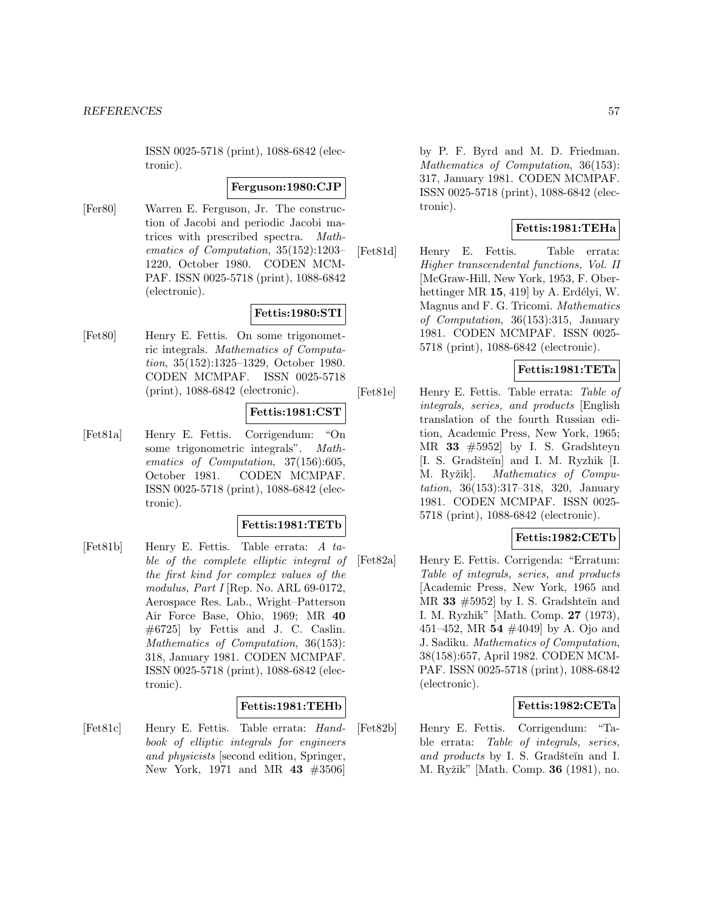ISSN 0025-5718 (print), 1088-6842 (electronic).

#### **Ferguson:1980:CJP**

[Fer80] Warren E. Ferguson, Jr. The construction of Jacobi and periodic Jacobi matrices with prescribed spectra. Mathematics of Computation, 35(152):1203– 1220, October 1980. CODEN MCM-PAF. ISSN 0025-5718 (print), 1088-6842 (electronic).

## **Fettis:1980:STI**

[Fet80] Henry E. Fettis. On some trigonometric integrals. Mathematics of Computation, 35(152):1325–1329, October 1980. CODEN MCMPAF. ISSN 0025-5718 (print), 1088-6842 (electronic).

### **Fettis:1981:CST**

[Fet81a] Henry E. Fettis. Corrigendum: "On some trigonometric integrals". Mathematics of Computation, 37(156):605, October 1981. CODEN MCMPAF. ISSN 0025-5718 (print), 1088-6842 (electronic).

#### **Fettis:1981:TETb**

[Fet81b] Henry E. Fettis. Table errata: A table of the complete elliptic integral of the first kind for complex values of the modulus, Part I [Rep. No. ARL 69-0172, Aerospace Res. Lab., Wright–Patterson Air Force Base, Ohio, 1969; MR **40** #6725] by Fettis and J. C. Caslin. Mathematics of Computation, 36(153): 318, January 1981. CODEN MCMPAF. ISSN 0025-5718 (print), 1088-6842 (electronic).

#### **Fettis:1981:TEHb**

[Fet81c] Henry E. Fettis. Table errata: Handbook of elliptic integrals for engineers and physicists [second edition, Springer, New York, 1971 and MR **43** #3506]

by P. F. Byrd and M. D. Friedman. Mathematics of Computation, 36(153): 317, January 1981. CODEN MCMPAF. ISSN 0025-5718 (print), 1088-6842 (electronic).

## **Fettis:1981:TEHa**

[Fet81d] Henry E. Fettis. Table errata: Higher transcendental functions, Vol. II [McGraw-Hill, New York, 1953, F. Oberhettinger MR **15**, 419 by A. Erdélyi, W. Magnus and F. G. Tricomi. Mathematics of Computation, 36(153):315, January 1981. CODEN MCMPAF. ISSN 0025- 5718 (print), 1088-6842 (electronic).

## **Fettis:1981:TETa**

[Fet81e] Henry E. Fettis. Table errata: Table of integrals, series, and products [English translation of the fourth Russian edition, Academic Press, New York, 1965; MR **33** #5952] by I. S. Gradshteyn [I. S. Gradšteĭn] and I. M. Ryzhik [I. M. Ryžik]. Mathematics of Computation, 36(153):317–318, 320, January 1981. CODEN MCMPAF. ISSN 0025- 5718 (print), 1088-6842 (electronic).

### **Fettis:1982:CETb**

[Fet82a] Henry E. Fettis. Corrigenda: "Erratum: Table of integrals, series, and products [Academic Press, New York, 1965 and MR  $33 \#5952$  by I. S. Gradshteĭn and I. M. Ryzhik" [Math. Comp. **27** (1973), 451–452, MR **54** #4049] by A. Ojo and J. Sadiku. Mathematics of Computation, 38(158):657, April 1982. CODEN MCM-PAF. ISSN 0025-5718 (print), 1088-6842 (electronic).

### **Fettis:1982:CETa**

[Fet82b] Henry E. Fettis. Corrigendum: "Table errata: Table of integrals, series, and products by I. S. Gradšteĭn and I. M. Ryˇzik" [Math. Comp. **36** (1981), no.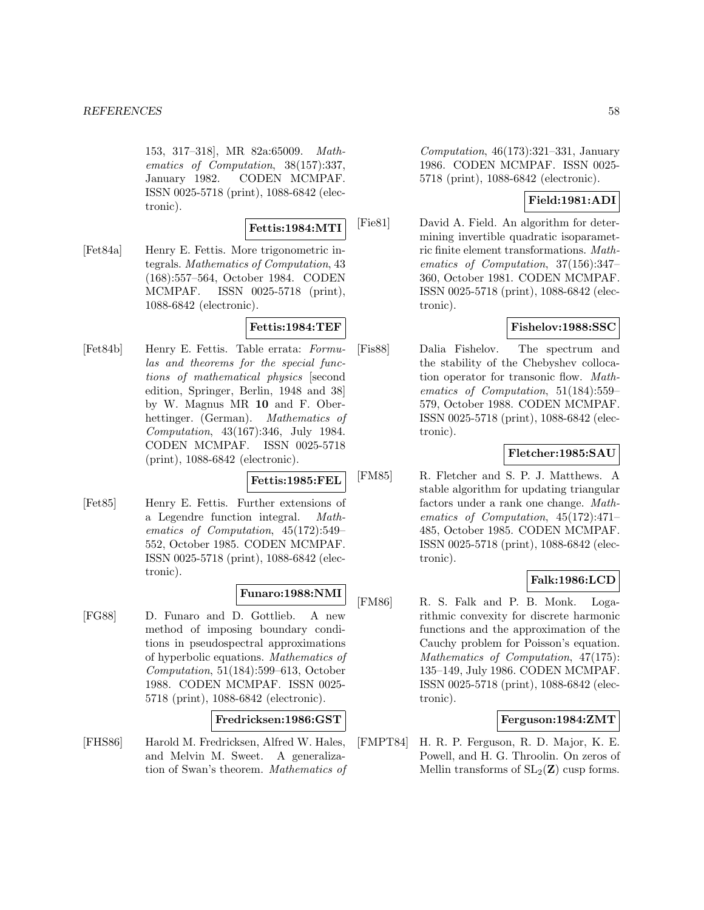153, 317–318], MR 82a:65009. Mathematics of Computation, 38(157):337, January 1982. CODEN MCMPAF. ISSN 0025-5718 (print), 1088-6842 (electronic).

**Fettis:1984:MTI**

[Fet84a] Henry E. Fettis. More trigonometric integrals. Mathematics of Computation, 43 (168):557–564, October 1984. CODEN MCMPAF. ISSN 0025-5718 (print), 1088-6842 (electronic).

## **Fettis:1984:TEF**

[Fet84b] Henry E. Fettis. Table errata: Formulas and theorems for the special functions of mathematical physics [second edition, Springer, Berlin, 1948 and 38] by W. Magnus MR **10** and F. Oberhettinger. (German). Mathematics of Computation, 43(167):346, July 1984. CODEN MCMPAF. ISSN 0025-5718 (print), 1088-6842 (electronic).

#### **Fettis:1985:FEL**

[Fet85] Henry E. Fettis. Further extensions of a Legendre function integral. Mathematics of Computation, 45(172):549– 552, October 1985. CODEN MCMPAF. ISSN 0025-5718 (print), 1088-6842 (electronic).

## **Funaro:1988:NMI**

[FG88] D. Funaro and D. Gottlieb. A new method of imposing boundary conditions in pseudospectral approximations of hyperbolic equations. Mathematics of Computation, 51(184):599–613, October 1988. CODEN MCMPAF. ISSN 0025- 5718 (print), 1088-6842 (electronic).

### **Fredricksen:1986:GST**

[FHS86] Harold M. Fredricksen, Alfred W. Hales, and Melvin M. Sweet. A generalization of Swan's theorem. Mathematics of Computation, 46(173):321–331, January 1986. CODEN MCMPAF. ISSN 0025- 5718 (print), 1088-6842 (electronic).

## **Field:1981:ADI**

[Fie81] David A. Field. An algorithm for determining invertible quadratic isoparametric finite element transformations. Mathematics of Computation, 37(156):347– 360, October 1981. CODEN MCMPAF. ISSN 0025-5718 (print), 1088-6842 (electronic).

## **Fishelov:1988:SSC**

[Fis88] Dalia Fishelov. The spectrum and the stability of the Chebyshev collocation operator for transonic flow. Mathematics of Computation, 51(184):559– 579, October 1988. CODEN MCMPAF. ISSN 0025-5718 (print), 1088-6842 (electronic).

#### **Fletcher:1985:SAU**

[FM85] R. Fletcher and S. P. J. Matthews. A stable algorithm for updating triangular factors under a rank one change. Mathematics of Computation, 45(172):471– 485, October 1985. CODEN MCMPAF. ISSN 0025-5718 (print), 1088-6842 (electronic).

### **Falk:1986:LCD**

[FM86] R. S. Falk and P. B. Monk. Logarithmic convexity for discrete harmonic functions and the approximation of the Cauchy problem for Poisson's equation. Mathematics of Computation, 47(175): 135–149, July 1986. CODEN MCMPAF. ISSN 0025-5718 (print), 1088-6842 (electronic).

## **Ferguson:1984:ZMT**

[FMPT84] H. R. P. Ferguson, R. D. Major, K. E. Powell, and H. G. Throolin. On zeros of Mellin transforms of  $SL_2(\mathbf{Z})$  cusp forms.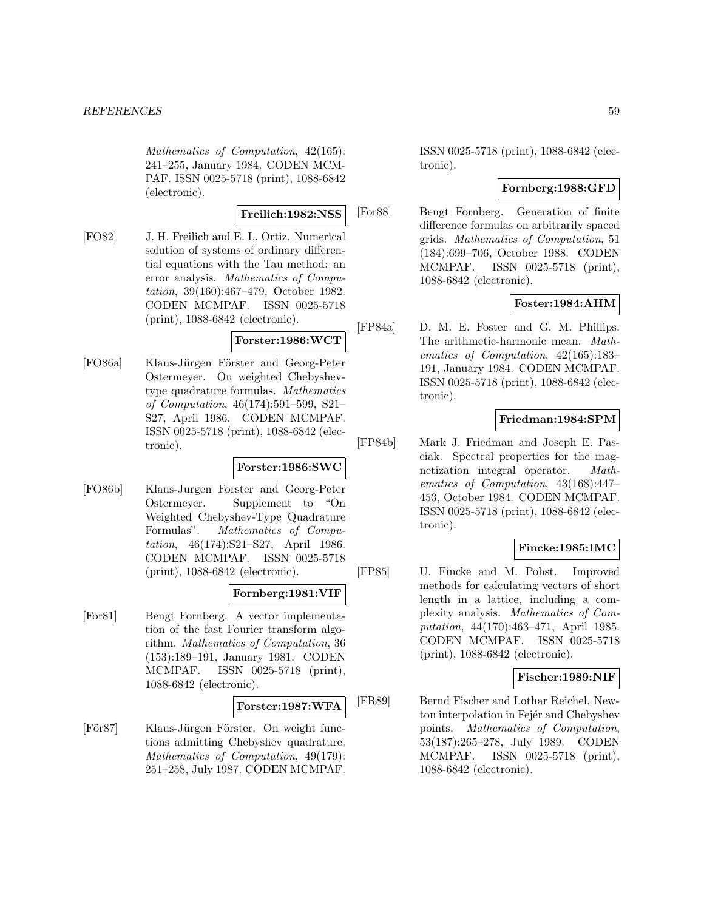Mathematics of Computation, 42(165): 241–255, January 1984. CODEN MCM-PAF. ISSN 0025-5718 (print), 1088-6842 (electronic).

**Freilich:1982:NSS**

[FO82] J. H. Freilich and E. L. Ortiz. Numerical solution of systems of ordinary differential equations with the Tau method: an error analysis. Mathematics of Computation, 39(160):467–479, October 1982. CODEN MCMPAF. ISSN 0025-5718 (print), 1088-6842 (electronic).

## **Forster:1986:WCT**

[FO86a] Klaus-Jürgen Förster and Georg-Peter Ostermeyer. On weighted Chebyshevtype quadrature formulas. Mathematics of Computation, 46(174):591–599, S21– S27, April 1986. CODEN MCMPAF. ISSN 0025-5718 (print), 1088-6842 (electronic).

## **Forster:1986:SWC**

[FO86b] Klaus-Jurgen Forster and Georg-Peter Ostermeyer. Supplement to "On Weighted Chebyshev-Type Quadrature Formulas". Mathematics of Computation, 46(174):S21–S27, April 1986. CODEN MCMPAF. ISSN 0025-5718 (print), 1088-6842 (electronic).

## **Fornberg:1981:VIF**

[For81] Bengt Fornberg. A vector implementation of the fast Fourier transform algorithm. Mathematics of Computation, 36 (153):189–191, January 1981. CODEN MCMPAF. ISSN 0025-5718 (print), 1088-6842 (electronic).

### **Forster:1987:WFA**

[För87] Klaus-Jürgen Förster. On weight functions admitting Chebyshev quadrature. Mathematics of Computation, 49(179): 251–258, July 1987. CODEN MCMPAF.

ISSN 0025-5718 (print), 1088-6842 (electronic).

# **Fornberg:1988:GFD**

[For88] Bengt Fornberg. Generation of finite difference formulas on arbitrarily spaced grids. Mathematics of Computation, 51 (184):699–706, October 1988. CODEN MCMPAF. ISSN 0025-5718 (print), 1088-6842 (electronic).

# **Foster:1984:AHM**

[FP84a] D. M. E. Foster and G. M. Phillips. The arithmetic-harmonic mean. Mathematics of Computation, 42(165):183– 191, January 1984. CODEN MCMPAF. ISSN 0025-5718 (print), 1088-6842 (electronic).

# **Friedman:1984:SPM**

[FP84b] Mark J. Friedman and Joseph E. Pasciak. Spectral properties for the magnetization integral operator. Mathematics of Computation, 43(168):447– 453, October 1984. CODEN MCMPAF. ISSN 0025-5718 (print), 1088-6842 (electronic).

# **Fincke:1985:IMC**

[FP85] U. Fincke and M. Pohst. Improved methods for calculating vectors of short length in a lattice, including a complexity analysis. Mathematics of Computation, 44(170):463–471, April 1985. CODEN MCMPAF. ISSN 0025-5718 (print), 1088-6842 (electronic).

## **Fischer:1989:NIF**

[FR89] Bernd Fischer and Lothar Reichel. Newton interpolation in Fejér and Chebyshev points. Mathematics of Computation, 53(187):265–278, July 1989. CODEN MCMPAF. ISSN 0025-5718 (print), 1088-6842 (electronic).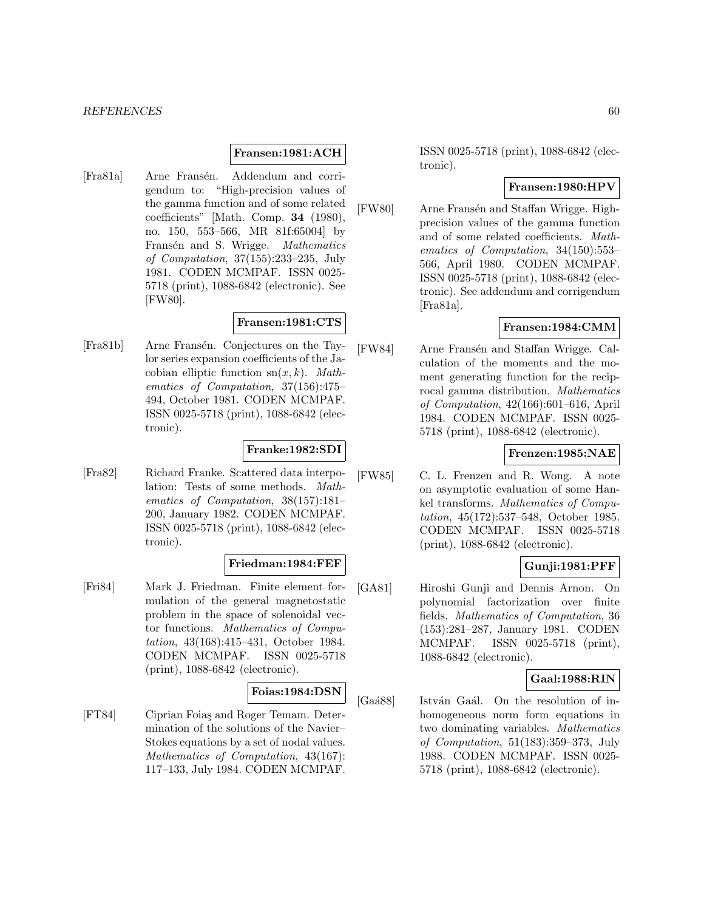#### **Fransen:1981:ACH**

[Fra81a] Arne Fransén. Addendum and corrigendum to: "High-precision values of the gamma function and of some related coefficients" [Math. Comp. **34** (1980), no. 150, 553–566, MR 81f:65004] by Fransén and S. Wrigge. Mathematics of Computation, 37(155):233–235, July 1981. CODEN MCMPAF. ISSN 0025- 5718 (print), 1088-6842 (electronic). See [FW80].

## **Fransen:1981:CTS**

[Fra81b] Arne Fransén. Conjectures on the Taylor series expansion coefficients of the Jacobian elliptic function  $sn(x, k)$ . Mathematics of Computation, 37(156):475– 494, October 1981. CODEN MCMPAF. ISSN 0025-5718 (print), 1088-6842 (electronic).

### **Franke:1982:SDI**

[Fra82] Richard Franke. Scattered data interpolation: Tests of some methods. Mathematics of Computation, 38(157):181– 200, January 1982. CODEN MCMPAF. ISSN 0025-5718 (print), 1088-6842 (electronic).

#### **Friedman:1984:FEF**

[Fri84] Mark J. Friedman. Finite element formulation of the general magnetostatic problem in the space of solenoidal vector functions. Mathematics of Computation, 43(168):415–431, October 1984. CODEN MCMPAF. ISSN 0025-5718 (print), 1088-6842 (electronic).

#### **Foias:1984:DSN**

[FT84] Ciprian Foia¸s and Roger Temam. Determination of the solutions of the Navier– Stokes equations by a set of nodal values. Mathematics of Computation, 43(167): 117–133, July 1984. CODEN MCMPAF.

ISSN 0025-5718 (print), 1088-6842 (electronic).

#### **Fransen:1980:HPV**

[FW80] Arne Fransén and Staffan Wrigge. Highprecision values of the gamma function and of some related coefficients. Mathematics of Computation, 34(150):553– 566, April 1980. CODEN MCMPAF. ISSN 0025-5718 (print), 1088-6842 (electronic). See addendum and corrigendum [Fra81a].

## **Fransen:1984:CMM**

[FW84] Arne Fransén and Staffan Wrigge. Calculation of the moments and the moment generating function for the reciprocal gamma distribution. Mathematics of Computation, 42(166):601–616, April 1984. CODEN MCMPAF. ISSN 0025- 5718 (print), 1088-6842 (electronic).

## **Frenzen:1985:NAE**

[FW85] C. L. Frenzen and R. Wong. A note on asymptotic evaluation of some Hankel transforms. Mathematics of Computation, 45(172):537–548, October 1985. CODEN MCMPAF. ISSN 0025-5718 (print), 1088-6842 (electronic).

### **Gunji:1981:PFF**

[GA81] Hiroshi Gunji and Dennis Arnon. On polynomial factorization over finite fields. Mathematics of Computation, 36 (153):281–287, January 1981. CODEN MCMPAF. ISSN 0025-5718 (print), 1088-6842 (electronic).

#### **Gaal:1988:RIN**

[Gaá88] István Gaál. On the resolution of inhomogeneous norm form equations in two dominating variables. Mathematics of Computation, 51(183):359–373, July 1988. CODEN MCMPAF. ISSN 0025- 5718 (print), 1088-6842 (electronic).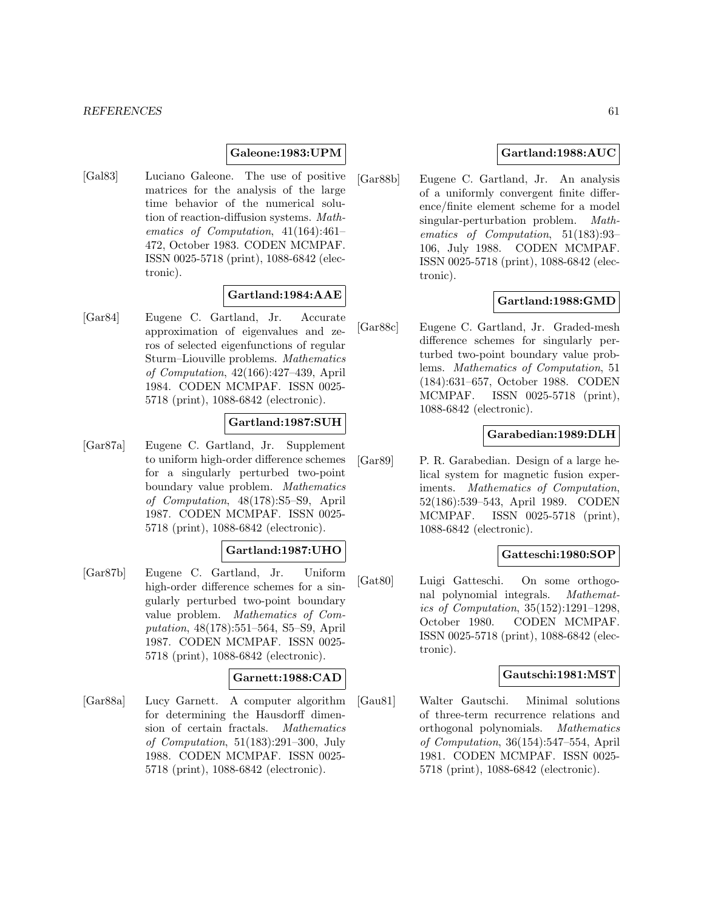### **Galeone:1983:UPM**

[Gal83] Luciano Galeone. The use of positive matrices for the analysis of the large time behavior of the numerical solution of reaction-diffusion systems. Mathematics of Computation, 41(164):461– 472, October 1983. CODEN MCMPAF. ISSN 0025-5718 (print), 1088-6842 (electronic).

## **Gartland:1984:AAE**

[Gar84] Eugene C. Gartland, Jr. Accurate approximation of eigenvalues and zeros of selected eigenfunctions of regular Sturm–Liouville problems. Mathematics of Computation, 42(166):427–439, April 1984. CODEN MCMPAF. ISSN 0025- 5718 (print), 1088-6842 (electronic).

## **Gartland:1987:SUH**

[Gar87a] Eugene C. Gartland, Jr. Supplement to uniform high-order difference schemes for a singularly perturbed two-point boundary value problem. Mathematics of Computation, 48(178):S5–S9, April 1987. CODEN MCMPAF. ISSN 0025- 5718 (print), 1088-6842 (electronic).

# **Gartland:1987:UHO**

[Gar87b] Eugene C. Gartland, Jr. Uniform high-order difference schemes for a singularly perturbed two-point boundary value problem. Mathematics of Computation, 48(178):551–564, S5–S9, April 1987. CODEN MCMPAF. ISSN 0025- 5718 (print), 1088-6842 (electronic).

### **Garnett:1988:CAD**

[Gar88a] Lucy Garnett. A computer algorithm for determining the Hausdorff dimension of certain fractals. Mathematics of Computation, 51(183):291–300, July 1988. CODEN MCMPAF. ISSN 0025- 5718 (print), 1088-6842 (electronic).

### **Gartland:1988:AUC**

[Gar88b] Eugene C. Gartland, Jr. An analysis of a uniformly convergent finite difference/finite element scheme for a model singular-perturbation problem. Mathematics of Computation, 51(183):93– 106, July 1988. CODEN MCMPAF. ISSN 0025-5718 (print), 1088-6842 (electronic).

#### **Gartland:1988:GMD**

[Gar88c] Eugene C. Gartland, Jr. Graded-mesh difference schemes for singularly perturbed two-point boundary value problems. Mathematics of Computation, 51 (184):631–657, October 1988. CODEN MCMPAF. ISSN 0025-5718 (print), 1088-6842 (electronic).

## **Garabedian:1989:DLH**

[Gar89] P. R. Garabedian. Design of a large helical system for magnetic fusion experiments. Mathematics of Computation, 52(186):539–543, April 1989. CODEN MCMPAF. ISSN 0025-5718 (print), 1088-6842 (electronic).

#### **Gatteschi:1980:SOP**

[Gat80] Luigi Gatteschi. On some orthogonal polynomial integrals. Mathematics of Computation, 35(152):1291–1298, October 1980. CODEN MCMPAF. ISSN 0025-5718 (print), 1088-6842 (electronic).

#### **Gautschi:1981:MST**

[Gau81] Walter Gautschi. Minimal solutions of three-term recurrence relations and orthogonal polynomials. Mathematics of Computation, 36(154):547–554, April 1981. CODEN MCMPAF. ISSN 0025- 5718 (print), 1088-6842 (electronic).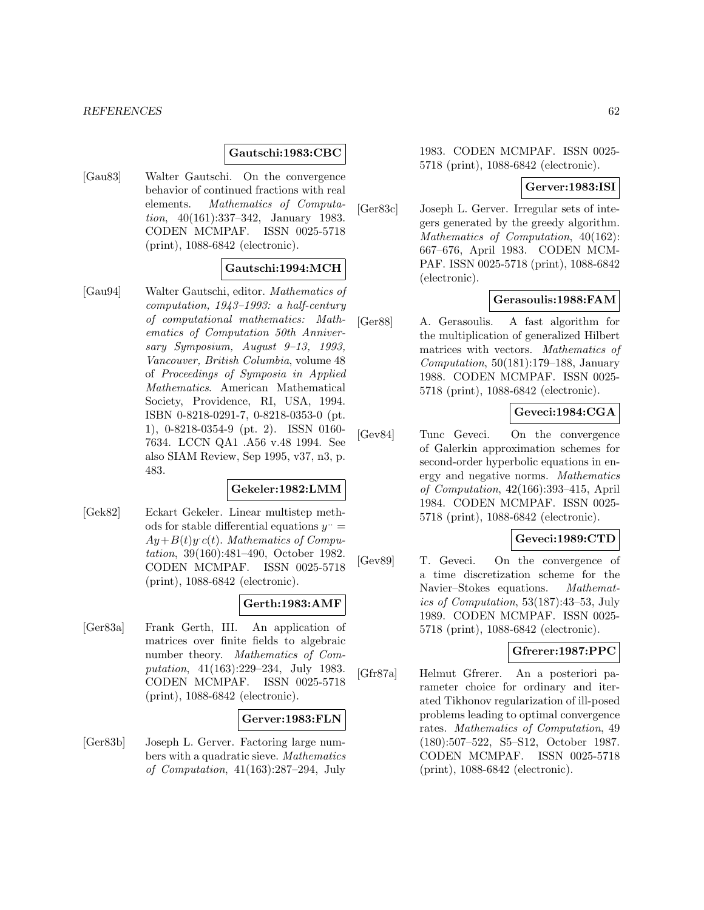#### **Gautschi:1983:CBC**

[Gau83] Walter Gautschi. On the convergence behavior of continued fractions with real elements. Mathematics of Computation, 40(161):337–342, January 1983. CODEN MCMPAF. ISSN 0025-5718 (print), 1088-6842 (electronic).

### **Gautschi:1994:MCH**

[Gau94] Walter Gautschi, editor. Mathematics of computation, 1943–1993: a half-century of computational mathematics: Mathematics of Computation 50th Anniversary Symposium, August 9–13, 1993, Vancouver, British Columbia, volume 48 of Proceedings of Symposia in Applied Mathematics. American Mathematical Society, Providence, RI, USA, 1994. ISBN 0-8218-0291-7, 0-8218-0353-0 (pt. 1), 0-8218-0354-9 (pt. 2). ISSN 0160- 7634. LCCN QA1 .A56 v.48 1994. See also SIAM Review, Sep 1995, v37, n3, p. 483.

## **Gekeler:1982:LMM**

[Gek82] Eckart Gekeler. Linear multistep methods for stable differential equations  $y^{\ldots}$  $Ay + B(t)y'c(t)$ . Mathematics of Computation, 39(160):481–490, October 1982. CODEN MCMPAF. ISSN 0025-5718 (print), 1088-6842 (electronic).

### **Gerth:1983:AMF**

[Ger83a] Frank Gerth, III. An application of matrices over finite fields to algebraic number theory. Mathematics of Computation, 41(163):229–234, July 1983. CODEN MCMPAF. ISSN 0025-5718 (print), 1088-6842 (electronic).

## **Gerver:1983:FLN**

[Ger83b] Joseph L. Gerver. Factoring large numbers with a quadratic sieve. Mathematics of Computation, 41(163):287–294, July

1983. CODEN MCMPAF. ISSN 0025- 5718 (print), 1088-6842 (electronic).

#### **Gerver:1983:ISI**

[Ger83c] Joseph L. Gerver. Irregular sets of integers generated by the greedy algorithm. Mathematics of Computation, 40(162): 667–676, April 1983. CODEN MCM-PAF. ISSN 0025-5718 (print), 1088-6842 (electronic).

#### **Gerasoulis:1988:FAM**

[Ger88] A. Gerasoulis. A fast algorithm for the multiplication of generalized Hilbert matrices with vectors. Mathematics of Computation,  $50(181):179-188$ , January 1988. CODEN MCMPAF. ISSN 0025- 5718 (print), 1088-6842 (electronic).

#### **Geveci:1984:CGA**

[Gev84] Tunc Geveci. On the convergence of Galerkin approximation schemes for second-order hyperbolic equations in energy and negative norms. Mathematics of Computation, 42(166):393–415, April 1984. CODEN MCMPAF. ISSN 0025- 5718 (print), 1088-6842 (electronic).

#### **Geveci:1989:CTD**

[Gev89] T. Geveci. On the convergence of a time discretization scheme for the Navier–Stokes equations. Mathematics of Computation, 53(187):43–53, July 1989. CODEN MCMPAF. ISSN 0025- 5718 (print), 1088-6842 (electronic).

#### **Gfrerer:1987:PPC**

[Gfr87a] Helmut Gfrerer. An a posteriori parameter choice for ordinary and iterated Tikhonov regularization of ill-posed problems leading to optimal convergence rates. Mathematics of Computation, 49 (180):507–522, S5–S12, October 1987. CODEN MCMPAF. ISSN 0025-5718 (print), 1088-6842 (electronic).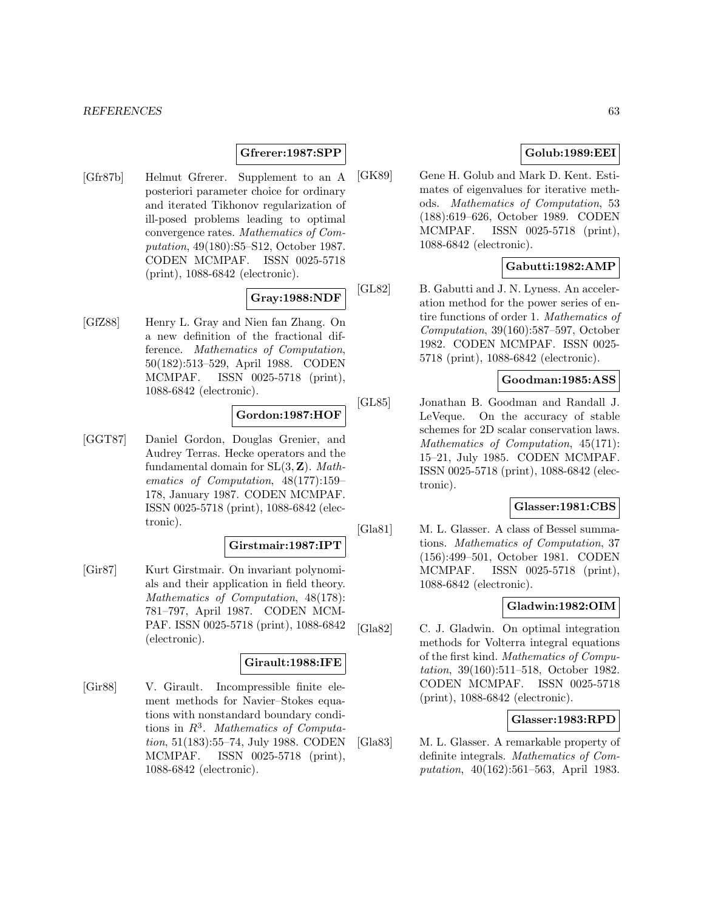### **Gfrerer:1987:SPP**

[Gfr87b] Helmut Gfrerer. Supplement to an A posteriori parameter choice for ordinary and iterated Tikhonov regularization of ill-posed problems leading to optimal convergence rates. Mathematics of Computation, 49(180):S5–S12, October 1987. CODEN MCMPAF. ISSN 0025-5718 (print), 1088-6842 (electronic).

# **Gray:1988:NDF**

[GfZ88] Henry L. Gray and Nien fan Zhang. On a new definition of the fractional difference. Mathematics of Computation, 50(182):513–529, April 1988. CODEN MCMPAF. ISSN 0025-5718 (print), 1088-6842 (electronic).

## **Gordon:1987:HOF**

[GGT87] Daniel Gordon, Douglas Grenier, and Audrey Terras. Hecke operators and the fundamental domain for SL(3, **Z**). Mathematics of Computation, 48(177):159– 178, January 1987. CODEN MCMPAF. ISSN 0025-5718 (print), 1088-6842 (electronic).

#### **Girstmair:1987:IPT**

[Gir87] Kurt Girstmair. On invariant polynomials and their application in field theory. Mathematics of Computation, 48(178): 781–797, April 1987. CODEN MCM-PAF. ISSN 0025-5718 (print), 1088-6842 (electronic).

## **Girault:1988:IFE**

[Gir88] V. Girault. Incompressible finite element methods for Navier–Stokes equations with nonstandard boundary conditions in  $R^3$ . Mathematics of Computation, 51(183):55–74, July 1988. CODEN MCMPAF. ISSN 0025-5718 (print), 1088-6842 (electronic).

## **Golub:1989:EEI**

[GK89] Gene H. Golub and Mark D. Kent. Estimates of eigenvalues for iterative methods. Mathematics of Computation, 53 (188):619–626, October 1989. CODEN MCMPAF. ISSN 0025-5718 (print), 1088-6842 (electronic).

## **Gabutti:1982:AMP**

[GL82] B. Gabutti and J. N. Lyness. An acceleration method for the power series of entire functions of order 1. Mathematics of Computation, 39(160):587–597, October 1982. CODEN MCMPAF. ISSN 0025- 5718 (print), 1088-6842 (electronic).

## **Goodman:1985:ASS**

[GL85] Jonathan B. Goodman and Randall J. LeVeque. On the accuracy of stable schemes for 2D scalar conservation laws. Mathematics of Computation, 45(171): 15–21, July 1985. CODEN MCMPAF. ISSN 0025-5718 (print), 1088-6842 (electronic).

# **Glasser:1981:CBS**

[Gla81] M. L. Glasser. A class of Bessel summations. Mathematics of Computation, 37 (156):499–501, October 1981. CODEN MCMPAF. ISSN 0025-5718 (print), 1088-6842 (electronic).

## **Gladwin:1982:OIM**

[Gla82] C. J. Gladwin. On optimal integration methods for Volterra integral equations of the first kind. Mathematics of Computation, 39(160):511–518, October 1982. CODEN MCMPAF. ISSN 0025-5718 (print), 1088-6842 (electronic).

# **Glasser:1983:RPD**

[Gla83] M. L. Glasser. A remarkable property of definite integrals. Mathematics of Computation, 40(162):561–563, April 1983.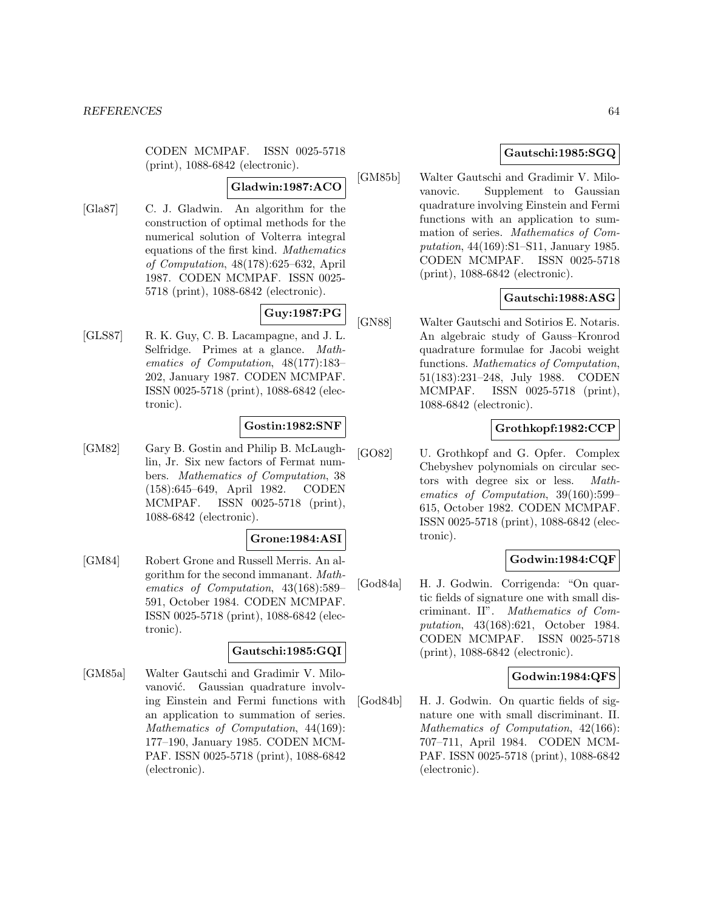CODEN MCMPAF. ISSN 0025-5718 (print), 1088-6842 (electronic).

#### **Gladwin:1987:ACO**

[Gla87] C. J. Gladwin. An algorithm for the construction of optimal methods for the numerical solution of Volterra integral equations of the first kind. Mathematics of Computation, 48(178):625–632, April 1987. CODEN MCMPAF. ISSN 0025- 5718 (print), 1088-6842 (electronic).

## **Guy:1987:PG**

[GLS87] R. K. Guy, C. B. Lacampagne, and J. L. Selfridge. Primes at a glance. Mathematics of Computation, 48(177):183– 202, January 1987. CODEN MCMPAF. ISSN 0025-5718 (print), 1088-6842 (electronic).

### **Gostin:1982:SNF**

[GM82] Gary B. Gostin and Philip B. McLaughlin, Jr. Six new factors of Fermat numbers. Mathematics of Computation, 38 (158):645–649, April 1982. CODEN MCMPAF. ISSN 0025-5718 (print), 1088-6842 (electronic).

#### **Grone:1984:ASI**

[GM84] Robert Grone and Russell Merris. An algorithm for the second immanant. Mathematics of Computation, 43(168):589– 591, October 1984. CODEN MCMPAF. ISSN 0025-5718 (print), 1088-6842 (electronic).

### **Gautschi:1985:GQI**

[GM85a] Walter Gautschi and Gradimir V. Milovanović. Gaussian quadrature involving Einstein and Fermi functions with an application to summation of series. Mathematics of Computation, 44(169): 177–190, January 1985. CODEN MCM-PAF. ISSN 0025-5718 (print), 1088-6842 (electronic).

## **Gautschi:1985:SGQ**

[GM85b] Walter Gautschi and Gradimir V. Milovanovic. Supplement to Gaussian quadrature involving Einstein and Fermi functions with an application to summation of series. Mathematics of Computation, 44(169):S1–S11, January 1985. CODEN MCMPAF. ISSN 0025-5718 (print), 1088-6842 (electronic).

## **Gautschi:1988:ASG**

[GN88] Walter Gautschi and Sotirios E. Notaris. An algebraic study of Gauss–Kronrod quadrature formulae for Jacobi weight functions. Mathematics of Computation, 51(183):231–248, July 1988. CODEN MCMPAF. ISSN 0025-5718 (print), 1088-6842 (electronic).

## **Grothkopf:1982:CCP**

[GO82] U. Grothkopf and G. Opfer. Complex Chebyshev polynomials on circular sectors with degree six or less. Mathematics of Computation, 39(160):599– 615, October 1982. CODEN MCMPAF. ISSN 0025-5718 (print), 1088-6842 (electronic).

## **Godwin:1984:CQF**

[God84a] H. J. Godwin. Corrigenda: "On quartic fields of signature one with small discriminant. II". Mathematics of Computation, 43(168):621, October 1984. CODEN MCMPAF. ISSN 0025-5718 (print), 1088-6842 (electronic).

## **Godwin:1984:QFS**

[God84b] H. J. Godwin. On quartic fields of signature one with small discriminant. II. Mathematics of Computation, 42(166): 707–711, April 1984. CODEN MCM-PAF. ISSN 0025-5718 (print), 1088-6842 (electronic).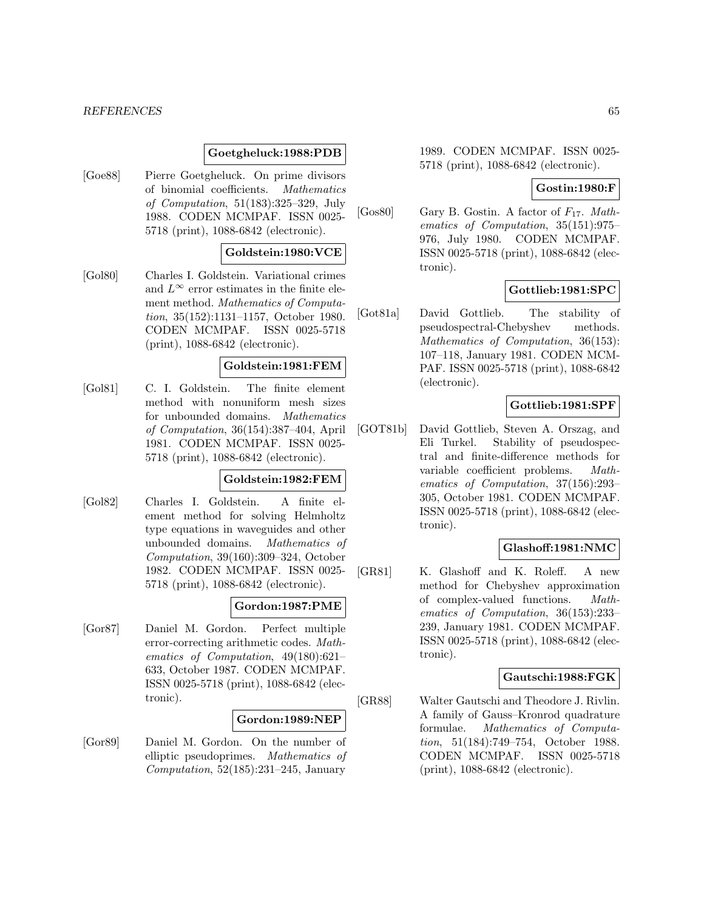#### *REFERENCES* 65

#### **Goetgheluck:1988:PDB**

[Goe88] Pierre Goetgheluck. On prime divisors of binomial coefficients. Mathematics of Computation, 51(183):325–329, July 1988. CODEN MCMPAF. ISSN 0025- 5718 (print), 1088-6842 (electronic).

#### **Goldstein:1980:VCE**

[Gol80] Charles I. Goldstein. Variational crimes and  $L^{\infty}$  error estimates in the finite element method. Mathematics of Computation, 35(152):1131–1157, October 1980. CODEN MCMPAF. ISSN 0025-5718 (print), 1088-6842 (electronic).

#### **Goldstein:1981:FEM**

[Gol81] C. I. Goldstein. The finite element method with nonuniform mesh sizes for unbounded domains. Mathematics of Computation, 36(154):387–404, April 1981. CODEN MCMPAF. ISSN 0025- 5718 (print), 1088-6842 (electronic).

## **Goldstein:1982:FEM**

[Gol82] Charles I. Goldstein. A finite element method for solving Helmholtz type equations in waveguides and other unbounded domains. Mathematics of Computation, 39(160):309–324, October 1982. CODEN MCMPAF. ISSN 0025- 5718 (print), 1088-6842 (electronic).

#### **Gordon:1987:PME**

[Gor87] Daniel M. Gordon. Perfect multiple error-correcting arithmetic codes. Mathematics of Computation, 49(180):621– 633, October 1987. CODEN MCMPAF. ISSN 0025-5718 (print), 1088-6842 (electronic).

### **Gordon:1989:NEP**

[Gor89] Daniel M. Gordon. On the number of elliptic pseudoprimes. Mathematics of Computation,  $52(185):231-245$ , January

1989. CODEN MCMPAF. ISSN 0025- 5718 (print), 1088-6842 (electronic).

### **Gostin:1980:F**

[Gos80] Gary B. Gostin. A factor of  $F_{17}$ . Mathematics of Computation, 35(151):975– 976, July 1980. CODEN MCMPAF. ISSN 0025-5718 (print), 1088-6842 (electronic).

### **Gottlieb:1981:SPC**

[Got81a] David Gottlieb. The stability of pseudospectral-Chebyshev methods. Mathematics of Computation, 36(153): 107–118, January 1981. CODEN MCM-PAF. ISSN 0025-5718 (print), 1088-6842 (electronic).

### **Gottlieb:1981:SPF**

[GOT81b] David Gottlieb, Steven A. Orszag, and Eli Turkel. Stability of pseudospectral and finite-difference methods for variable coefficient problems. Mathematics of Computation, 37(156):293– 305, October 1981. CODEN MCMPAF. ISSN 0025-5718 (print), 1088-6842 (electronic).

### **Glashoff:1981:NMC**

[GR81] K. Glashoff and K. Roleff. A new method for Chebyshev approximation of complex-valued functions. Mathematics of Computation, 36(153):233– 239, January 1981. CODEN MCMPAF. ISSN 0025-5718 (print), 1088-6842 (electronic).

#### **Gautschi:1988:FGK**

[GR88] Walter Gautschi and Theodore J. Rivlin. A family of Gauss–Kronrod quadrature formulae. Mathematics of Computation, 51(184):749–754, October 1988. CODEN MCMPAF. ISSN 0025-5718 (print), 1088-6842 (electronic).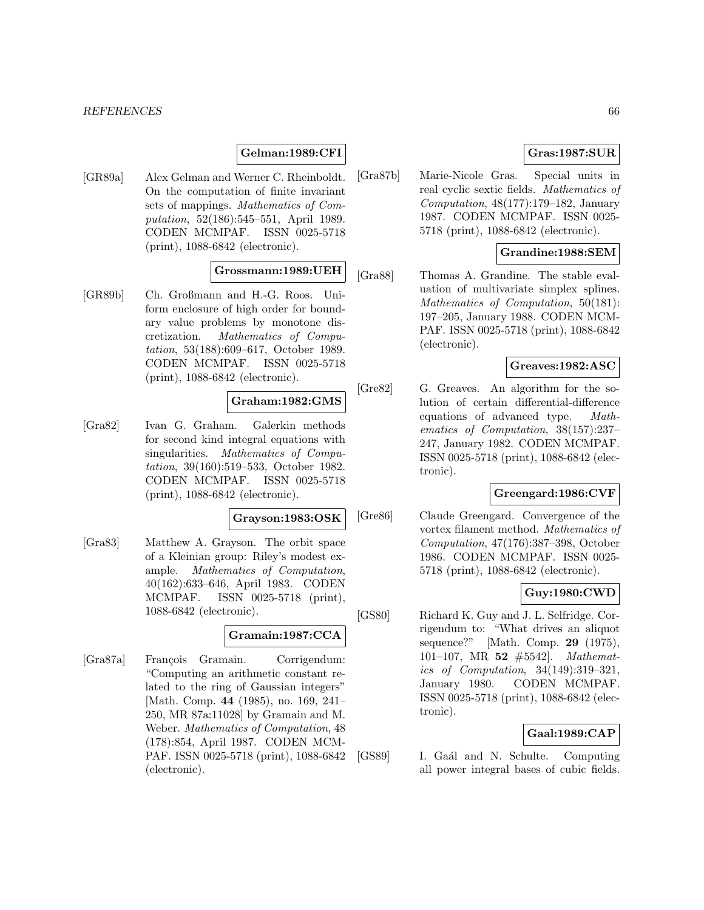#### *REFERENCES* 66

### **Gelman:1989:CFI**

[GR89a] Alex Gelman and Werner C. Rheinboldt. On the computation of finite invariant sets of mappings. Mathematics of Computation, 52(186):545–551, April 1989. CODEN MCMPAF. ISSN 0025-5718 (print), 1088-6842 (electronic).

## **Grossmann:1989:UEH**

[GR89b] Ch. Großmann and H.-G. Roos. Uniform enclosure of high order for boundary value problems by monotone discretization. Mathematics of Computation, 53(188):609–617, October 1989. CODEN MCMPAF. ISSN 0025-5718 (print), 1088-6842 (electronic).

### **Graham:1982:GMS**

[Gra82] Ivan G. Graham. Galerkin methods for second kind integral equations with singularities. Mathematics of Computation, 39(160):519–533, October 1982. CODEN MCMPAF. ISSN 0025-5718 (print), 1088-6842 (electronic).

#### **Grayson:1983:OSK**

[Gra83] Matthew A. Grayson. The orbit space of a Kleinian group: Riley's modest example. Mathematics of Computation, 40(162):633–646, April 1983. CODEN MCMPAF. ISSN 0025-5718 (print), 1088-6842 (electronic).

### **Gramain:1987:CCA**

[Gra87a] François Gramain. Corrigendum: "Computing an arithmetic constant related to the ring of Gaussian integers" [Math. Comp. **44** (1985), no. 169, 241– 250, MR 87a:11028] by Gramain and M. Weber. Mathematics of Computation, 48 (178):854, April 1987. CODEN MCM-PAF. ISSN 0025-5718 (print), 1088-6842 (electronic).

# **Gras:1987:SUR**

[Gra87b] Marie-Nicole Gras. Special units in real cyclic sextic fields. Mathematics of Computation, 48(177):179–182, January 1987. CODEN MCMPAF. ISSN 0025- 5718 (print), 1088-6842 (electronic).

### **Grandine:1988:SEM**

[Gra88] Thomas A. Grandine. The stable evaluation of multivariate simplex splines. Mathematics of Computation, 50(181): 197–205, January 1988. CODEN MCM-PAF. ISSN 0025-5718 (print), 1088-6842 (electronic).

## **Greaves:1982:ASC**

[Gre82] G. Greaves. An algorithm for the solution of certain differential-difference equations of advanced type. Mathematics of Computation, 38(157):237– 247, January 1982. CODEN MCMPAF. ISSN 0025-5718 (print), 1088-6842 (electronic).

## **Greengard:1986:CVF**

[Gre86] Claude Greengard. Convergence of the vortex filament method. Mathematics of Computation, 47(176):387–398, October 1986. CODEN MCMPAF. ISSN 0025- 5718 (print), 1088-6842 (electronic).

### **Guy:1980:CWD**

[GS80] Richard K. Guy and J. L. Selfridge. Corrigendum to: "What drives an aliquot sequence?" [Math. Comp. **29** (1975), 101–107, MR **52** #5542]. Mathematics of Computation, 34(149):319–321, January 1980. CODEN MCMPAF. ISSN 0025-5718 (print), 1088-6842 (electronic).

#### **Gaal:1989:CAP**

[GS89] I. Gaál and N. Schulte. Computing all power integral bases of cubic fields.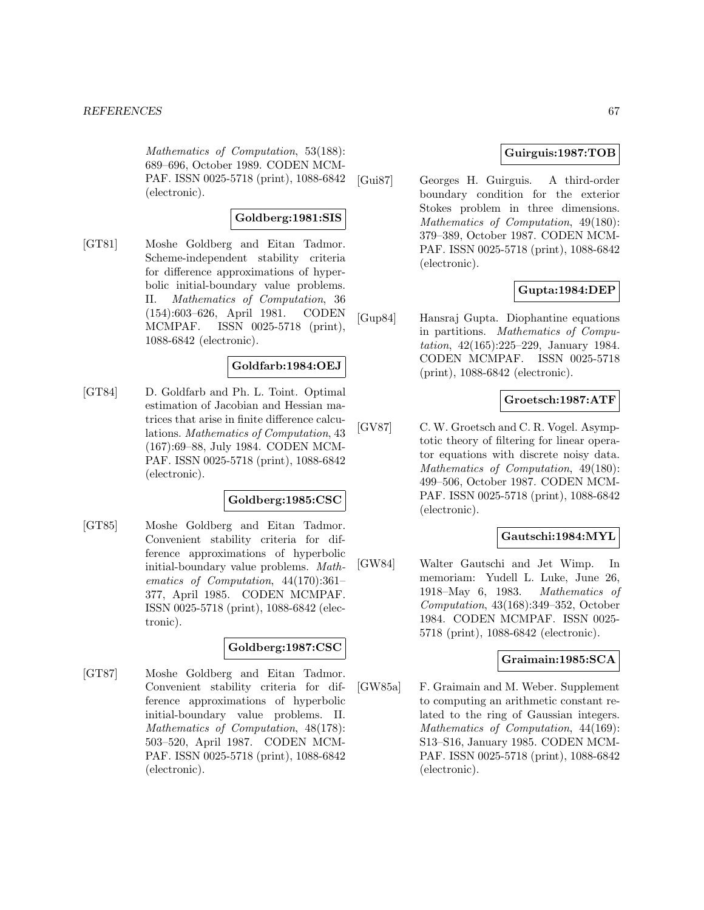Mathematics of Computation, 53(188): 689–696, October 1989. CODEN MCM-PAF. ISSN 0025-5718 (print), 1088-6842 (electronic).

### **Goldberg:1981:SIS**

[GT81] Moshe Goldberg and Eitan Tadmor. Scheme-independent stability criteria for difference approximations of hyperbolic initial-boundary value problems. II. Mathematics of Computation, 36 (154):603–626, April 1981. CODEN MCMPAF. ISSN 0025-5718 (print), 1088-6842 (electronic).

### **Goldfarb:1984:OEJ**

[GT84] D. Goldfarb and Ph. L. Toint. Optimal estimation of Jacobian and Hessian matrices that arise in finite difference calculations. Mathematics of Computation, 43 (167):69–88, July 1984. CODEN MCM-PAF. ISSN 0025-5718 (print), 1088-6842 (electronic).

### **Goldberg:1985:CSC**

[GT85] Moshe Goldberg and Eitan Tadmor. Convenient stability criteria for difference approximations of hyperbolic initial-boundary value problems. Mathematics of Computation, 44(170):361– 377, April 1985. CODEN MCMPAF. ISSN 0025-5718 (print), 1088-6842 (electronic).

# **Goldberg:1987:CSC**

[GT87] Moshe Goldberg and Eitan Tadmor. Convenient stability criteria for difference approximations of hyperbolic initial-boundary value problems. II. Mathematics of Computation, 48(178): 503–520, April 1987. CODEN MCM-PAF. ISSN 0025-5718 (print), 1088-6842 (electronic).

## **Guirguis:1987:TOB**

[Gui87] Georges H. Guirguis. A third-order boundary condition for the exterior Stokes problem in three dimensions. Mathematics of Computation, 49(180): 379–389, October 1987. CODEN MCM-PAF. ISSN 0025-5718 (print), 1088-6842 (electronic).

## **Gupta:1984:DEP**

[Gup84] Hansraj Gupta. Diophantine equations in partitions. Mathematics of Computation, 42(165):225–229, January 1984. CODEN MCMPAF. ISSN 0025-5718 (print), 1088-6842 (electronic).

## **Groetsch:1987:ATF**

[GV87] C. W. Groetsch and C. R. Vogel. Asymptotic theory of filtering for linear operator equations with discrete noisy data. Mathematics of Computation, 49(180): 499–506, October 1987. CODEN MCM-PAF. ISSN 0025-5718 (print), 1088-6842 (electronic).

### **Gautschi:1984:MYL**

[GW84] Walter Gautschi and Jet Wimp. In memoriam: Yudell L. Luke, June 26, 1918–May 6, 1983. Mathematics of Computation, 43(168):349–352, October 1984. CODEN MCMPAF. ISSN 0025- 5718 (print), 1088-6842 (electronic).

#### **Graimain:1985:SCA**

[GW85a] F. Graimain and M. Weber. Supplement to computing an arithmetic constant related to the ring of Gaussian integers. Mathematics of Computation, 44(169): S13–S16, January 1985. CODEN MCM-PAF. ISSN 0025-5718 (print), 1088-6842 (electronic).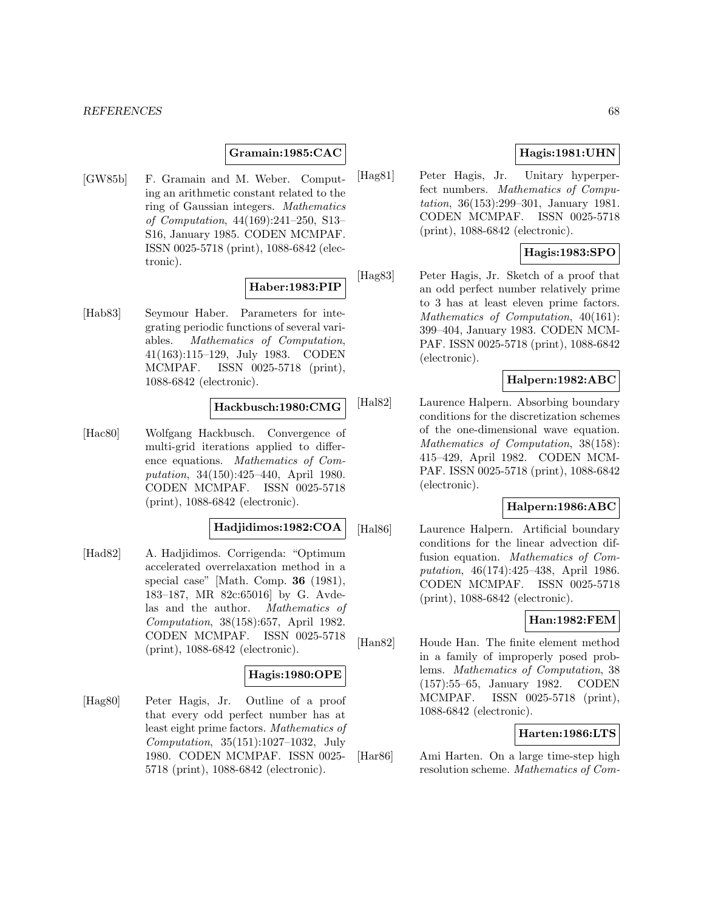### **Gramain:1985:CAC**

[GW85b] F. Gramain and M. Weber. Computing an arithmetic constant related to the ring of Gaussian integers. Mathematics of Computation, 44(169):241–250, S13– S16, January 1985. CODEN MCMPAF. ISSN 0025-5718 (print), 1088-6842 (electronic).

#### **Haber:1983:PIP**

[Hab83] Seymour Haber. Parameters for integrating periodic functions of several variables. Mathematics of Computation, 41(163):115–129, July 1983. CODEN MCMPAF. ISSN 0025-5718 (print), 1088-6842 (electronic).

#### **Hackbusch:1980:CMG**

[Hac80] Wolfgang Hackbusch. Convergence of multi-grid iterations applied to difference equations. Mathematics of Computation, 34(150):425–440, April 1980. CODEN MCMPAF. ISSN 0025-5718 (print), 1088-6842 (electronic).

### **Hadjidimos:1982:COA**

[Had82] A. Hadjidimos. Corrigenda: "Optimum accelerated overrelaxation method in a special case" [Math. Comp. **36** (1981), 183–187, MR 82c:65016] by G. Avdelas and the author. Mathematics of Computation, 38(158):657, April 1982. CODEN MCMPAF. ISSN 0025-5718 (print), 1088-6842 (electronic).

#### **Hagis:1980:OPE**

[Hag80] Peter Hagis, Jr. Outline of a proof that every odd perfect number has at least eight prime factors. Mathematics of Computation, 35(151):1027–1032, July 1980. CODEN MCMPAF. ISSN 0025- 5718 (print), 1088-6842 (electronic).

# **Hagis:1981:UHN**

[Hag81] Peter Hagis, Jr. Unitary hyperperfect numbers. Mathematics of Computation, 36(153):299–301, January 1981. CODEN MCMPAF. ISSN 0025-5718 (print), 1088-6842 (electronic).

## **Hagis:1983:SPO**

[Hag83] Peter Hagis, Jr. Sketch of a proof that an odd perfect number relatively prime to 3 has at least eleven prime factors. Mathematics of Computation, 40(161): 399–404, January 1983. CODEN MCM-PAF. ISSN 0025-5718 (print), 1088-6842 (electronic).

# **Halpern:1982:ABC**

[Hal82] Laurence Halpern. Absorbing boundary conditions for the discretization schemes of the one-dimensional wave equation. Mathematics of Computation, 38(158): 415–429, April 1982. CODEN MCM-PAF. ISSN 0025-5718 (print), 1088-6842 (electronic).

## **Halpern:1986:ABC**

[Hal86] Laurence Halpern. Artificial boundary conditions for the linear advection diffusion equation. Mathematics of Computation, 46(174):425–438, April 1986. CODEN MCMPAF. ISSN 0025-5718 (print), 1088-6842 (electronic).

## **Han:1982:FEM**

[Han82] Houde Han. The finite element method in a family of improperly posed problems. Mathematics of Computation, 38 (157):55–65, January 1982. CODEN MCMPAF. ISSN 0025-5718 (print), 1088-6842 (electronic).

### **Harten:1986:LTS**

[Har86] Ami Harten. On a large time-step high resolution scheme. Mathematics of Com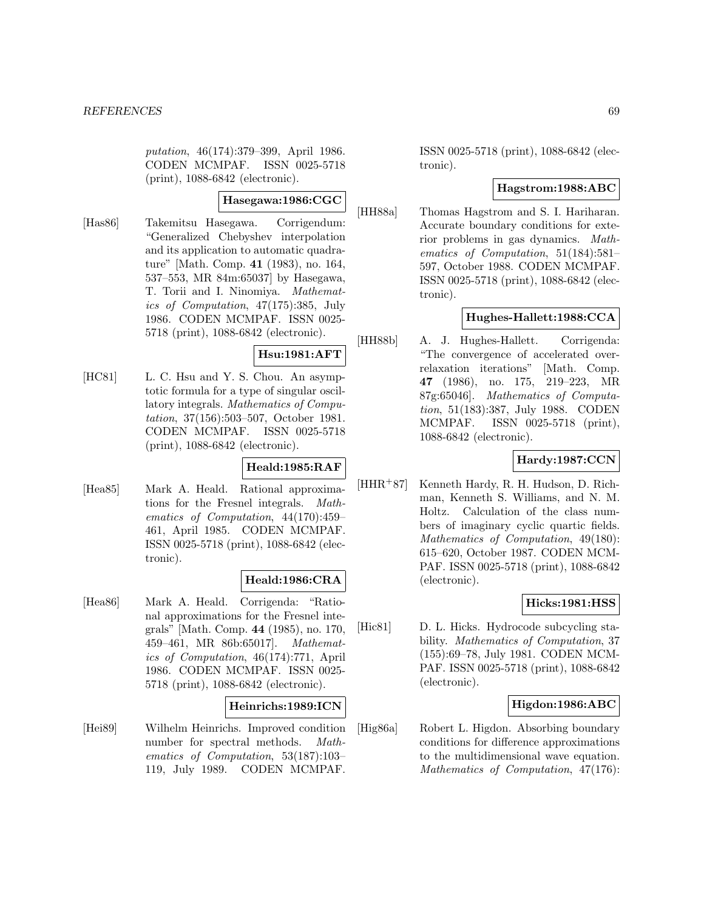putation, 46(174):379–399, April 1986. CODEN MCMPAF. ISSN 0025-5718 (print), 1088-6842 (electronic).

#### **Hasegawa:1986:CGC**

[Has86] Takemitsu Hasegawa. Corrigendum: "Generalized Chebyshev interpolation and its application to automatic quadrature" [Math. Comp. **41** (1983), no. 164, 537–553, MR 84m:65037] by Hasegawa, T. Torii and I. Ninomiya. Mathematics of Computation, 47(175):385, July 1986. CODEN MCMPAF. ISSN 0025- 5718 (print), 1088-6842 (electronic).

### **Hsu:1981:AFT**

[HC81] L. C. Hsu and Y. S. Chou. An asymptotic formula for a type of singular oscillatory integrals. Mathematics of Computation, 37(156):503–507, October 1981. CODEN MCMPAF. ISSN 0025-5718 (print), 1088-6842 (electronic).

## **Heald:1985:RAF**

[Hea85] Mark A. Heald. Rational approximations for the Fresnel integrals. Mathematics of Computation, 44(170):459– 461, April 1985. CODEN MCMPAF. ISSN 0025-5718 (print), 1088-6842 (electronic).

## **Heald:1986:CRA**

[Hea86] Mark A. Heald. Corrigenda: "Rational approximations for the Fresnel integrals" [Math. Comp. **44** (1985), no. 170, 459–461, MR 86b:65017]. Mathematics of Computation, 46(174):771, April 1986. CODEN MCMPAF. ISSN 0025- 5718 (print), 1088-6842 (electronic).

## **Heinrichs:1989:ICN**

[Hei89] Wilhelm Heinrichs. Improved condition number for spectral methods. Mathematics of Computation, 53(187):103– 119, July 1989. CODEN MCMPAF.

ISSN 0025-5718 (print), 1088-6842 (electronic).

## **Hagstrom:1988:ABC**

[HH88a] Thomas Hagstrom and S. I. Hariharan. Accurate boundary conditions for exterior problems in gas dynamics. Mathematics of Computation, 51(184):581– 597, October 1988. CODEN MCMPAF. ISSN 0025-5718 (print), 1088-6842 (electronic).

## **Hughes-Hallett:1988:CCA**

[HH88b] A. J. Hughes-Hallett. Corrigenda: "The convergence of accelerated overrelaxation iterations" [Math. Comp. **47** (1986), no. 175, 219–223, MR 87g:65046]. Mathematics of Computation, 51(183):387, July 1988. CODEN MCMPAF. ISSN 0025-5718 (print), 1088-6842 (electronic).

### **Hardy:1987:CCN**

[HHR<sup>+</sup>87] Kenneth Hardy, R. H. Hudson, D. Richman, Kenneth S. Williams, and N. M. Holtz. Calculation of the class numbers of imaginary cyclic quartic fields. Mathematics of Computation, 49(180): 615–620, October 1987. CODEN MCM-PAF. ISSN 0025-5718 (print), 1088-6842 (electronic).

### **Hicks:1981:HSS**

[Hic81] D. L. Hicks. Hydrocode subcycling stability. Mathematics of Computation, 37 (155):69–78, July 1981. CODEN MCM-PAF. ISSN 0025-5718 (print), 1088-6842 (electronic).

### **Higdon:1986:ABC**

[Hig86a] Robert L. Higdon. Absorbing boundary conditions for difference approximations to the multidimensional wave equation. Mathematics of Computation, 47(176):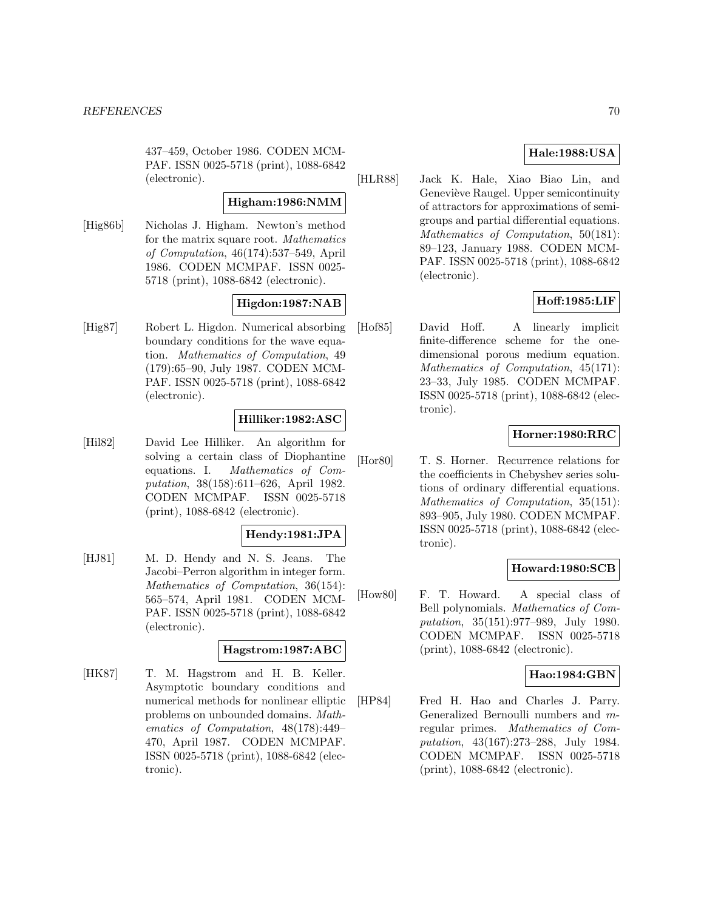437–459, October 1986. CODEN MCM-PAF. ISSN 0025-5718 (print), 1088-6842 (electronic).

#### **Higham:1986:NMM**

[Hig86b] Nicholas J. Higham. Newton's method for the matrix square root. Mathematics of Computation, 46(174):537–549, April 1986. CODEN MCMPAF. ISSN 0025- 5718 (print), 1088-6842 (electronic).

#### **Higdon:1987:NAB**

[Hig87] Robert L. Higdon. Numerical absorbing boundary conditions for the wave equation. Mathematics of Computation, 49 (179):65–90, July 1987. CODEN MCM-PAF. ISSN 0025-5718 (print), 1088-6842 (electronic).

## **Hilliker:1982:ASC**

[Hil82] David Lee Hilliker. An algorithm for solving a certain class of Diophantine equations. I. Mathematics of Computation, 38(158):611–626, April 1982. CODEN MCMPAF. ISSN 0025-5718 (print), 1088-6842 (electronic).

### **Hendy:1981:JPA**

[HJ81] M. D. Hendy and N. S. Jeans. The Jacobi–Perron algorithm in integer form. Mathematics of Computation, 36(154): 565–574, April 1981. CODEN MCM-PAF. ISSN 0025-5718 (print), 1088-6842 (electronic).

#### **Hagstrom:1987:ABC**

[HK87] T. M. Hagstrom and H. B. Keller. Asymptotic boundary conditions and numerical methods for nonlinear elliptic problems on unbounded domains. Mathematics of Computation, 48(178):449– 470, April 1987. CODEN MCMPAF. ISSN 0025-5718 (print), 1088-6842 (electronic).

## **Hale:1988:USA**

[HLR88] Jack K. Hale, Xiao Biao Lin, and Geneviève Raugel. Upper semicontinuity of attractors for approximations of semigroups and partial differential equations. Mathematics of Computation, 50(181): 89–123, January 1988. CODEN MCM-PAF. ISSN 0025-5718 (print), 1088-6842 (electronic).

#### **Hoff:1985:LIF**

[Hof85] David Hoff. A linearly implicit finite-difference scheme for the onedimensional porous medium equation. Mathematics of Computation, 45(171): 23–33, July 1985. CODEN MCMPAF. ISSN 0025-5718 (print), 1088-6842 (electronic).

## **Horner:1980:RRC**

[Hor80] T. S. Horner. Recurrence relations for the coefficients in Chebyshev series solutions of ordinary differential equations. Mathematics of Computation, 35(151): 893–905, July 1980. CODEN MCMPAF. ISSN 0025-5718 (print), 1088-6842 (electronic).

### **Howard:1980:SCB**

[How80] F. T. Howard. A special class of Bell polynomials. Mathematics of Computation, 35(151):977–989, July 1980. CODEN MCMPAF. ISSN 0025-5718 (print), 1088-6842 (electronic).

#### **Hao:1984:GBN**

[HP84] Fred H. Hao and Charles J. Parry. Generalized Bernoulli numbers and mregular primes. Mathematics of Computation, 43(167):273–288, July 1984. CODEN MCMPAF. ISSN 0025-5718 (print), 1088-6842 (electronic).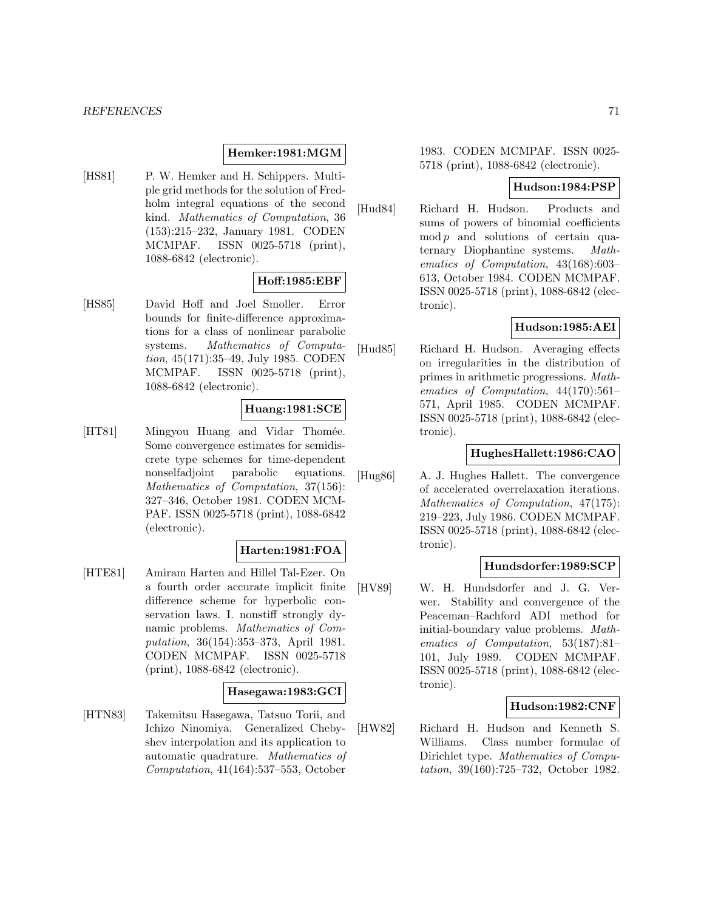### **Hemker:1981:MGM**

[HS81] P. W. Hemker and H. Schippers. Multiple grid methods for the solution of Fredholm integral equations of the second kind. Mathematics of Computation, 36 (153):215–232, January 1981. CODEN MCMPAF. ISSN 0025-5718 (print), 1088-6842 (electronic).

## **Hoff:1985:EBF**

[HS85] David Hoff and Joel Smoller. Error bounds for finite-difference approximations for a class of nonlinear parabolic systems. Mathematics of Computation, 45(171):35–49, July 1985. CODEN MCMPAF. ISSN 0025-5718 (print), 1088-6842 (electronic).

### **Huang:1981:SCE**

[HT81] Mingyou Huang and Vidar Thomée. Some convergence estimates for semidiscrete type schemes for time-dependent nonselfadjoint parabolic equations. Mathematics of Computation, 37(156): 327–346, October 1981. CODEN MCM-PAF. ISSN 0025-5718 (print), 1088-6842 (electronic).

### **Harten:1981:FOA**

[HTE81] Amiram Harten and Hillel Tal-Ezer. On a fourth order accurate implicit finite difference scheme for hyperbolic conservation laws. I. nonstiff strongly dynamic problems. Mathematics of Computation, 36(154):353–373, April 1981. CODEN MCMPAF. ISSN 0025-5718 (print), 1088-6842 (electronic).

### **Hasegawa:1983:GCI**

[HTN83] Takemitsu Hasegawa, Tatsuo Torii, and Ichizo Ninomiya. Generalized Chebyshev interpolation and its application to automatic quadrature. Mathematics of Computation, 41(164):537–553, October

1983. CODEN MCMPAF. ISSN 0025- 5718 (print), 1088-6842 (electronic).

## **Hudson:1984:PSP**

[Hud84] Richard H. Hudson. Products and sums of powers of binomial coefficients  $mod p$  and solutions of certain quaternary Diophantine systems. Mathematics of Computation, 43(168):603– 613, October 1984. CODEN MCMPAF. ISSN 0025-5718 (print), 1088-6842 (electronic).

## **Hudson:1985:AEI**

[Hud85] Richard H. Hudson. Averaging effects on irregularities in the distribution of primes in arithmetic progressions. Mathematics of Computation, 44(170):561– 571, April 1985. CODEN MCMPAF. ISSN 0025-5718 (print), 1088-6842 (electronic).

### **HughesHallett:1986:CAO**

[Hug86] A. J. Hughes Hallett. The convergence of accelerated overrelaxation iterations. Mathematics of Computation, 47(175): 219–223, July 1986. CODEN MCMPAF. ISSN 0025-5718 (print), 1088-6842 (electronic).

### **Hundsdorfer:1989:SCP**

[HV89] W. H. Hundsdorfer and J. G. Verwer. Stability and convergence of the Peaceman–Rachford ADI method for initial-boundary value problems. Mathematics of Computation, 53(187):81– 101, July 1989. CODEN MCMPAF. ISSN 0025-5718 (print), 1088-6842 (electronic).

### **Hudson:1982:CNF**

[HW82] Richard H. Hudson and Kenneth S. Williams. Class number formulae of Dirichlet type. Mathematics of Computation, 39(160):725–732, October 1982.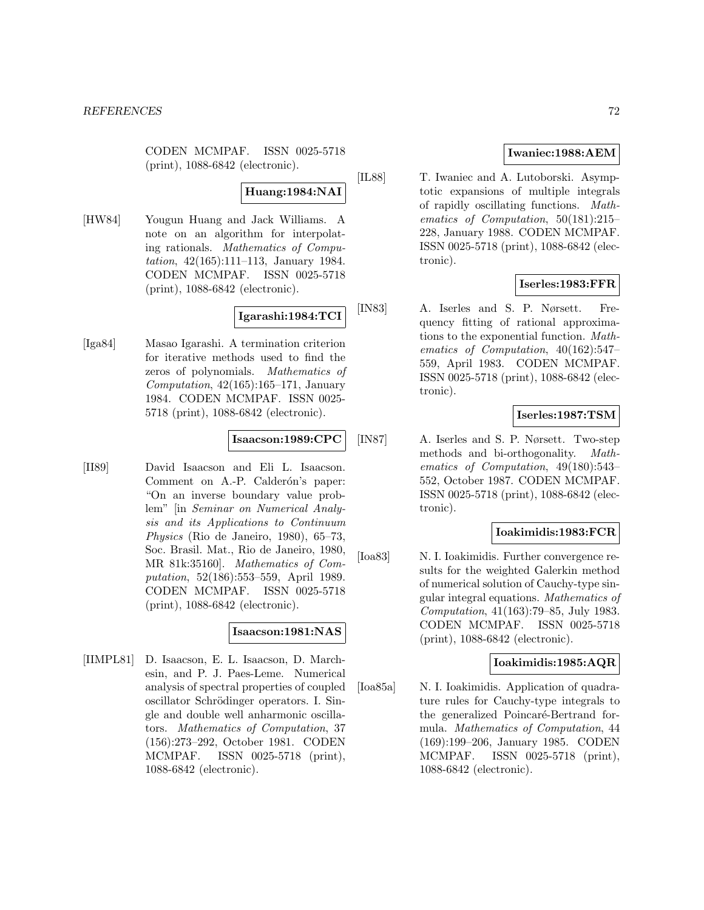CODEN MCMPAF. ISSN 0025-5718 (print), 1088-6842 (electronic).

## **Huang:1984:NAI**

[HW84] Yougun Huang and Jack Williams. A note on an algorithm for interpolating rationals. Mathematics of Computation, 42(165):111–113, January 1984. CODEN MCMPAF. ISSN 0025-5718 (print), 1088-6842 (electronic).

# **Igarashi:1984:TCI**

[Iga84] Masao Igarashi. A termination criterion for iterative methods used to find the zeros of polynomials. Mathematics of Computation,  $42(165):165-171$ , January 1984. CODEN MCMPAF. ISSN 0025- 5718 (print), 1088-6842 (electronic).

### **Isaacson:1989:CPC**

[II89] David Isaacson and Eli L. Isaacson. Comment on A.-P. Calderón's paper: "On an inverse boundary value problem" [in Seminar on Numerical Analysis and its Applications to Continuum Physics (Rio de Janeiro, 1980), 65–73, Soc. Brasil. Mat., Rio de Janeiro, 1980, MR 81k:35160]. Mathematics of Computation, 52(186):553–559, April 1989. CODEN MCMPAF. ISSN 0025-5718 (print), 1088-6842 (electronic).

## **Isaacson:1981:NAS**

[IIMPL81] D. Isaacson, E. L. Isaacson, D. Marchesin, and P. J. Paes-Leme. Numerical analysis of spectral properties of coupled oscillator Schrödinger operators. I. Single and double well anharmonic oscillators. Mathematics of Computation, 37 (156):273–292, October 1981. CODEN MCMPAF. ISSN 0025-5718 (print), 1088-6842 (electronic).

## **Iwaniec:1988:AEM**

[IL88] T. Iwaniec and A. Lutoborski. Asymptotic expansions of multiple integrals of rapidly oscillating functions. Mathematics of Computation, 50(181):215– 228, January 1988. CODEN MCMPAF. ISSN 0025-5718 (print), 1088-6842 (electronic).

## **Iserles:1983:FFR**

[IN83] A. Iserles and S. P. Nørsett. Frequency fitting of rational approximations to the exponential function. Mathematics of Computation, 40(162):547– 559, April 1983. CODEN MCMPAF. ISSN 0025-5718 (print), 1088-6842 (electronic).

### **Iserles:1987:TSM**

[IN87] A. Iserles and S. P. Nørsett. Two-step methods and bi-orthogonality. Mathematics of Computation, 49(180):543– 552, October 1987. CODEN MCMPAF. ISSN 0025-5718 (print), 1088-6842 (electronic).

## **Ioakimidis:1983:FCR**

[Ioa83] N. I. Ioakimidis. Further convergence results for the weighted Galerkin method of numerical solution of Cauchy-type singular integral equations. Mathematics of Computation, 41(163):79–85, July 1983. CODEN MCMPAF. ISSN 0025-5718 (print), 1088-6842 (electronic).

# **Ioakimidis:1985:AQR**

[Ioa85a] N. I. Ioakimidis. Application of quadrature rules for Cauchy-type integrals to the generalized Poincaré-Bertrand formula. Mathematics of Computation, 44 (169):199–206, January 1985. CODEN MCMPAF. ISSN 0025-5718 (print), 1088-6842 (electronic).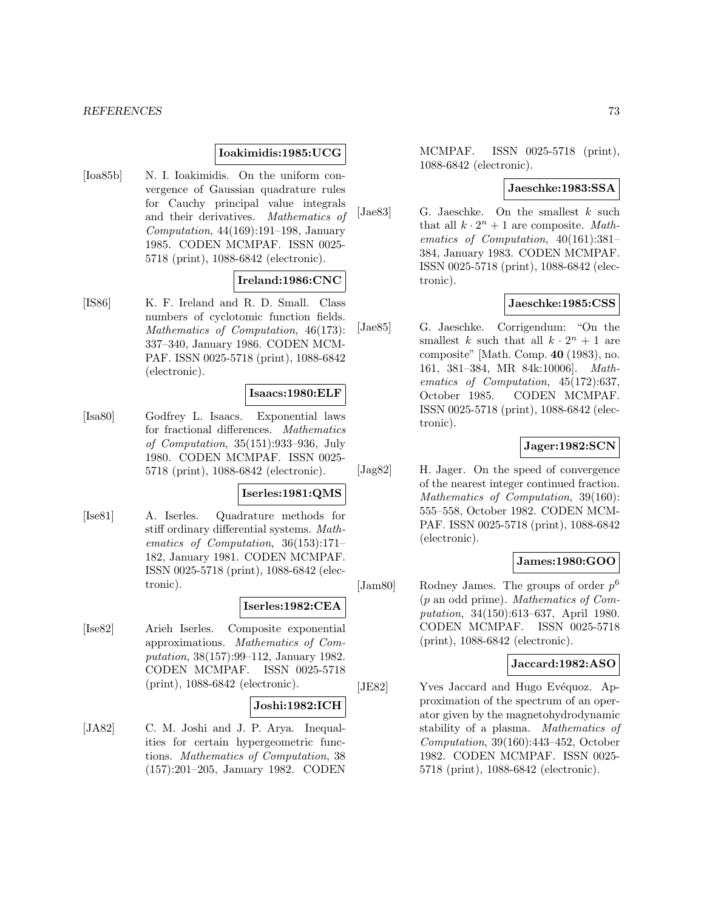## **Ioakimidis:1985:UCG**

[Ioa85b] N. I. Ioakimidis. On the uniform convergence of Gaussian quadrature rules for Cauchy principal value integrals and their derivatives. Mathematics of Computation, 44(169):191–198, January 1985. CODEN MCMPAF. ISSN 0025- 5718 (print), 1088-6842 (electronic).

### **Ireland:1986:CNC**

[IS86] K. F. Ireland and R. D. Small. Class numbers of cyclotomic function fields. Mathematics of Computation, 46(173): 337–340, January 1986. CODEN MCM-PAF. ISSN 0025-5718 (print), 1088-6842 (electronic).

#### **Isaacs:1980:ELF**

[Isa80] Godfrey L. Isaacs. Exponential laws for fractional differences. Mathematics of Computation, 35(151):933–936, July 1980. CODEN MCMPAF. ISSN 0025- 5718 (print), 1088-6842 (electronic).

#### **Iserles:1981:QMS**

[Ise81] A. Iserles. Quadrature methods for stiff ordinary differential systems. Mathematics of Computation, 36(153):171– 182, January 1981. CODEN MCMPAF. ISSN 0025-5718 (print), 1088-6842 (electronic).

#### **Iserles:1982:CEA**

[Ise82] Arieh Iserles. Composite exponential approximations. Mathematics of Computation, 38(157):99–112, January 1982. CODEN MCMPAF. ISSN 0025-5718 (print), 1088-6842 (electronic).

#### **Joshi:1982:ICH**

[JA82] C. M. Joshi and J. P. Arya. Inequalities for certain hypergeometric functions. Mathematics of Computation, 38 (157):201–205, January 1982. CODEN MCMPAF. ISSN 0025-5718 (print), 1088-6842 (electronic).

# **Jaeschke:1983:SSA**

[Jae83] G. Jaeschke. On the smallest  $k$  such that all  $k \cdot 2^n + 1$  are composite. Mathematics of Computation, 40(161):381– 384, January 1983. CODEN MCMPAF. ISSN 0025-5718 (print), 1088-6842 (electronic).

## **Jaeschke:1985:CSS**

[Jae85] G. Jaeschke. Corrigendum: "On the smallest k such that all  $k \cdot 2^n + 1$  are composite" [Math. Comp. **40** (1983), no. 161, 381–384, MR 84k:10006]. Mathematics of Computation, 45(172):637, October 1985. CODEN MCMPAF. ISSN 0025-5718 (print), 1088-6842 (electronic).

## **Jager:1982:SCN**

[Jag82] H. Jager. On the speed of convergence of the nearest integer continued fraction. Mathematics of Computation, 39(160): 555–558, October 1982. CODEN MCM-PAF. ISSN 0025-5718 (print), 1088-6842 (electronic).

## **James:1980:GOO**

[Jam80] Rodney James. The groups of order  $p^6$ (p an odd prime). Mathematics of Computation, 34(150):613–637, April 1980. CODEN MCMPAF. ISSN 0025-5718 (print), 1088-6842 (electronic).

## **Jaccard:1982:ASO**

[JE82] Yves Jaccard and Hugo Evéquoz. Approximation of the spectrum of an operator given by the magnetohydrodynamic stability of a plasma. Mathematics of Computation, 39(160):443–452, October 1982. CODEN MCMPAF. ISSN 0025- 5718 (print), 1088-6842 (electronic).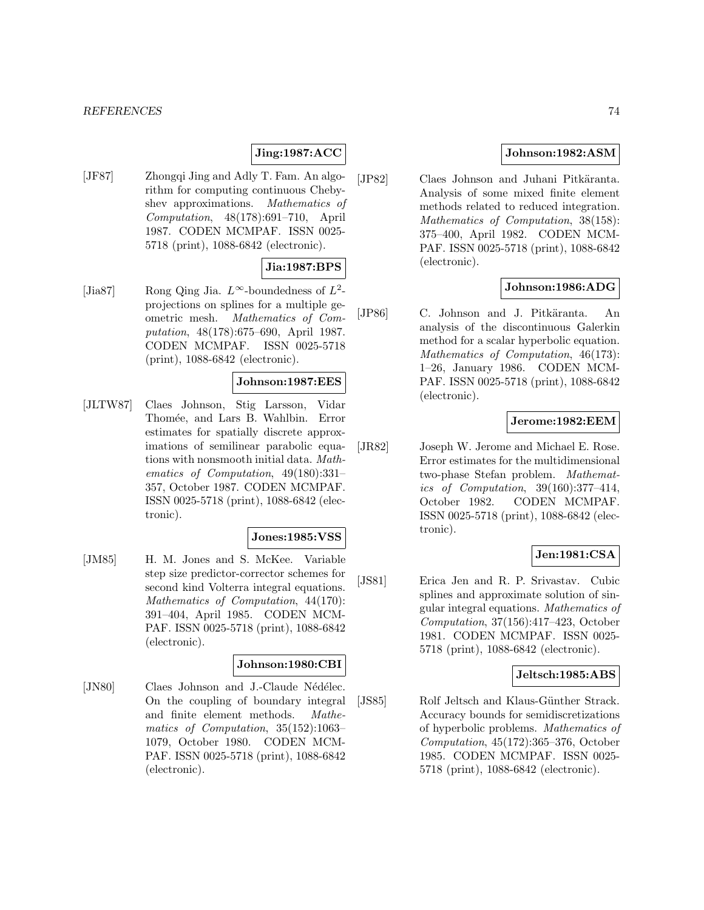# **Jing:1987:ACC**

[JF87] Zhongqi Jing and Adly T. Fam. An algorithm for computing continuous Chebyshev approximations. Mathematics of Computation, 48(178):691–710, April 1987. CODEN MCMPAF. ISSN 0025- 5718 (print), 1088-6842 (electronic).

## **Jia:1987:BPS**

[Jia87] Rong Qing Jia.  $L^{\infty}$ -boundedness of  $L^{2}$ projections on splines for a multiple geometric mesh. Mathematics of Computation, 48(178):675–690, April 1987. CODEN MCMPAF. ISSN 0025-5718 (print), 1088-6842 (electronic).

#### **Johnson:1987:EES**

[JLTW87] Claes Johnson, Stig Larsson, Vidar Thomée, and Lars B. Wahlbin. Error estimates for spatially discrete approximations of semilinear parabolic equations with nonsmooth initial data. Mathematics of Computation, 49(180):331– 357, October 1987. CODEN MCMPAF. ISSN 0025-5718 (print), 1088-6842 (electronic).

#### **Jones:1985:VSS**

[JM85] H. M. Jones and S. McKee. Variable step size predictor-corrector schemes for second kind Volterra integral equations. Mathematics of Computation, 44(170): 391–404, April 1985. CODEN MCM-PAF. ISSN 0025-5718 (print), 1088-6842 (electronic).

## **Johnson:1980:CBI**

[JN80] Claes Johnson and J.-Claude Nédélec. On the coupling of boundary integral and finite element methods. Mathematics of Computation, 35(152):1063– 1079, October 1980. CODEN MCM-PAF. ISSN 0025-5718 (print), 1088-6842 (electronic).

## **Johnson:1982:ASM**

[JP82] Claes Johnson and Juhani Pitkäranta. Analysis of some mixed finite element methods related to reduced integration. Mathematics of Computation, 38(158): 375–400, April 1982. CODEN MCM-PAF. ISSN 0025-5718 (print), 1088-6842 (electronic).

## **Johnson:1986:ADG**

[JP86] C. Johnson and J. Pitkäranta. An analysis of the discontinuous Galerkin method for a scalar hyperbolic equation. Mathematics of Computation, 46(173): 1–26, January 1986. CODEN MCM-PAF. ISSN 0025-5718 (print), 1088-6842 (electronic).

## **Jerome:1982:EEM**

[JR82] Joseph W. Jerome and Michael E. Rose. Error estimates for the multidimensional two-phase Stefan problem. Mathematics of Computation, 39(160):377–414, October 1982. CODEN MCMPAF. ISSN 0025-5718 (print), 1088-6842 (electronic).

## **Jen:1981:CSA**

[JS81] Erica Jen and R. P. Srivastav. Cubic splines and approximate solution of singular integral equations. Mathematics of Computation, 37(156):417–423, October 1981. CODEN MCMPAF. ISSN 0025- 5718 (print), 1088-6842 (electronic).

## **Jeltsch:1985:ABS**

[JS85] Rolf Jeltsch and Klaus-Günther Strack. Accuracy bounds for semidiscretizations of hyperbolic problems. Mathematics of Computation, 45(172):365–376, October 1985. CODEN MCMPAF. ISSN 0025- 5718 (print), 1088-6842 (electronic).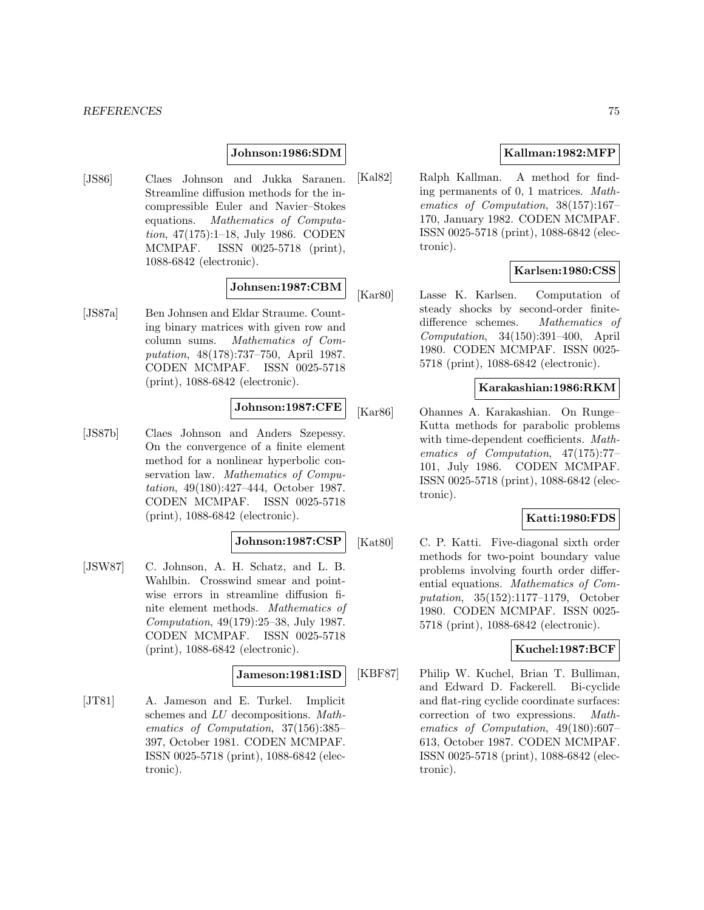### **Johnson:1986:SDM**

[JS86] Claes Johnson and Jukka Saranen. Streamline diffusion methods for the incompressible Euler and Navier–Stokes equations. Mathematics of Computation, 47(175):1–18, July 1986. CODEN MCMPAF. ISSN 0025-5718 (print), 1088-6842 (electronic).

# **Johnsen:1987:CBM**

[JS87a] Ben Johnsen and Eldar Straume. Counting binary matrices with given row and column sums. Mathematics of Computation, 48(178):737–750, April 1987. CODEN MCMPAF. ISSN 0025-5718 (print), 1088-6842 (electronic).

# **Johnson:1987:CFE**

[JS87b] Claes Johnson and Anders Szepessy. On the convergence of a finite element method for a nonlinear hyperbolic conservation law. Mathematics of Computation, 49(180):427–444, October 1987. CODEN MCMPAF. ISSN 0025-5718 (print), 1088-6842 (electronic).

### **Johnson:1987:CSP**

[JSW87] C. Johnson, A. H. Schatz, and L. B. Wahlbin. Crosswind smear and pointwise errors in streamline diffusion finite element methods. Mathematics of Computation, 49(179):25–38, July 1987. CODEN MCMPAF. ISSN 0025-5718 (print), 1088-6842 (electronic).

#### **Jameson:1981:ISD**

[JT81] A. Jameson and E. Turkel. Implicit schemes and LU decompositions. Mathematics of Computation, 37(156):385– 397, October 1981. CODEN MCMPAF. ISSN 0025-5718 (print), 1088-6842 (electronic).

## **Kallman:1982:MFP**

[Kal82] Ralph Kallman. A method for finding permanents of 0, 1 matrices. Mathematics of Computation, 38(157):167– 170, January 1982. CODEN MCMPAF. ISSN 0025-5718 (print), 1088-6842 (electronic).

## **Karlsen:1980:CSS**

[Kar80] Lasse K. Karlsen. Computation of steady shocks by second-order finitedifference schemes. Mathematics of Computation, 34(150):391–400, April 1980. CODEN MCMPAF. ISSN 0025- 5718 (print), 1088-6842 (electronic).

### **Karakashian:1986:RKM**

[Kar86] Ohannes A. Karakashian. On Runge– Kutta methods for parabolic problems with time-dependent coefficients. Mathematics of Computation, 47(175):77– 101, July 1986. CODEN MCMPAF. ISSN 0025-5718 (print), 1088-6842 (electronic).

## **Katti:1980:FDS**

[Kat80] C. P. Katti. Five-diagonal sixth order methods for two-point boundary value problems involving fourth order differential equations. Mathematics of Computation, 35(152):1177–1179, October 1980. CODEN MCMPAF. ISSN 0025- 5718 (print), 1088-6842 (electronic).

### **Kuchel:1987:BCF**

[KBF87] Philip W. Kuchel, Brian T. Bulliman, and Edward D. Fackerell. Bi-cyclide and flat-ring cyclide coordinate surfaces: correction of two expressions. Mathematics of Computation, 49(180):607– 613, October 1987. CODEN MCMPAF. ISSN 0025-5718 (print), 1088-6842 (electronic).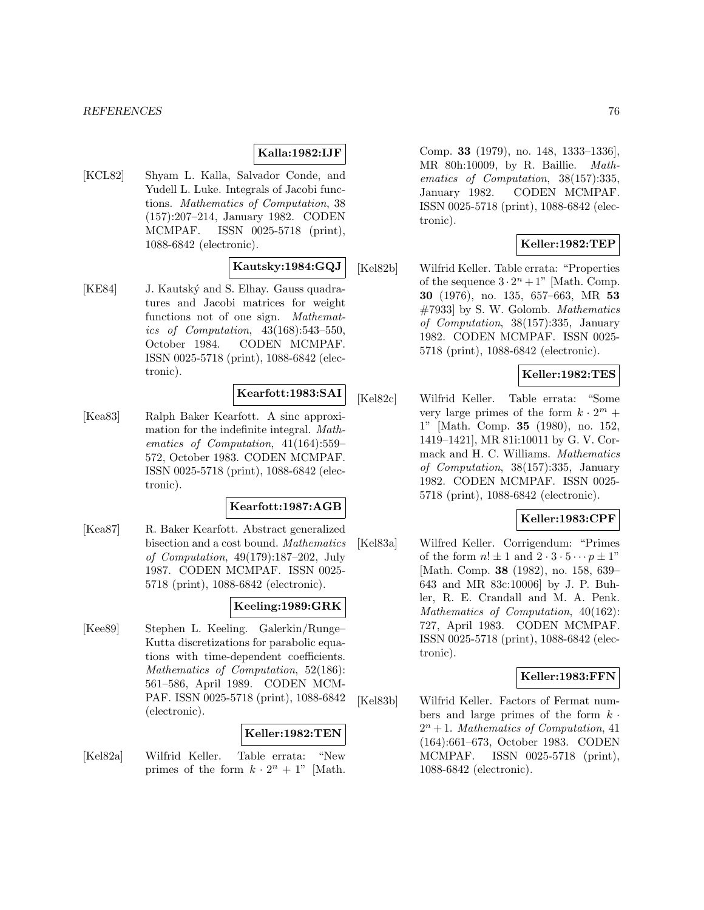## **Kalla:1982:IJF**

[KCL82] Shyam L. Kalla, Salvador Conde, and Yudell L. Luke. Integrals of Jacobi functions. Mathematics of Computation, 38 (157):207–214, January 1982. CODEN MCMPAF. ISSN 0025-5718 (print), 1088-6842 (electronic).

# **Kautsky:1984:GQJ**

[KE84] J. Kautský and S. Elhay. Gauss quadratures and Jacobi matrices for weight functions not of one sign. Mathematics of Computation, 43(168):543–550, October 1984. CODEN MCMPAF. ISSN 0025-5718 (print), 1088-6842 (electronic).

#### **Kearfott:1983:SAI**

[Kea83] Ralph Baker Kearfott. A sinc approximation for the indefinite integral. Mathematics of Computation, 41(164):559– 572, October 1983. CODEN MCMPAF. ISSN 0025-5718 (print), 1088-6842 (electronic).

#### **Kearfott:1987:AGB**

[Kea87] R. Baker Kearfott. Abstract generalized bisection and a cost bound. Mathematics of Computation, 49(179):187–202, July 1987. CODEN MCMPAF. ISSN 0025- 5718 (print), 1088-6842 (electronic).

## **Keeling:1989:GRK**

[Kee89] Stephen L. Keeling. Galerkin/Runge– Kutta discretizations for parabolic equations with time-dependent coefficients. Mathematics of Computation, 52(186): 561–586, April 1989. CODEN MCM-PAF. ISSN 0025-5718 (print), 1088-6842 (electronic).

## **Keller:1982:TEN**

[Kel82a] Wilfrid Keller. Table errata: "New primes of the form  $k \cdot 2^n + 1$ " [Math.

Comp. **33** (1979), no. 148, 1333–1336], MR 80h:10009, by R. Baillie. Mathematics of Computation, 38(157):335, January 1982. CODEN MCMPAF. ISSN 0025-5718 (print), 1088-6842 (electronic).

## **Keller:1982:TEP**

[Kel82b] Wilfrid Keller. Table errata: "Properties of the sequence  $3 \cdot 2^n + 1$ " [Math. Comp. **30** (1976), no. 135, 657–663, MR **53** #7933] by S. W. Golomb. Mathematics of Computation, 38(157):335, January 1982. CODEN MCMPAF. ISSN 0025- 5718 (print), 1088-6842 (electronic).

## **Keller:1982:TES**

[Kel82c] Wilfrid Keller. Table errata: "Some very large primes of the form  $k \cdot 2^m$  + 1" [Math. Comp. **35** (1980), no. 152, 1419–1421], MR 81i:10011 by G. V. Cormack and H. C. Williams. Mathematics of Computation, 38(157):335, January 1982. CODEN MCMPAF. ISSN 0025- 5718 (print), 1088-6842 (electronic).

## **Keller:1983:CPF**

[Kel83a] Wilfred Keller. Corrigendum: "Primes of the form  $n! \pm 1$  and  $2 \cdot 3 \cdot 5 \cdots p \pm 1$ " [Math. Comp. **38** (1982), no. 158, 639– 643 and MR 83c:10006] by J. P. Buhler, R. E. Crandall and M. A. Penk. Mathematics of Computation, 40(162): 727, April 1983. CODEN MCMPAF. ISSN 0025-5718 (print), 1088-6842 (electronic).

## **Keller:1983:FFN**

[Kel83b] Wilfrid Keller. Factors of Fermat numbers and large primes of the form  $k \cdot$  $2^n + 1$ . Mathematics of Computation, 41 (164):661–673, October 1983. CODEN MCMPAF. ISSN 0025-5718 (print), 1088-6842 (electronic).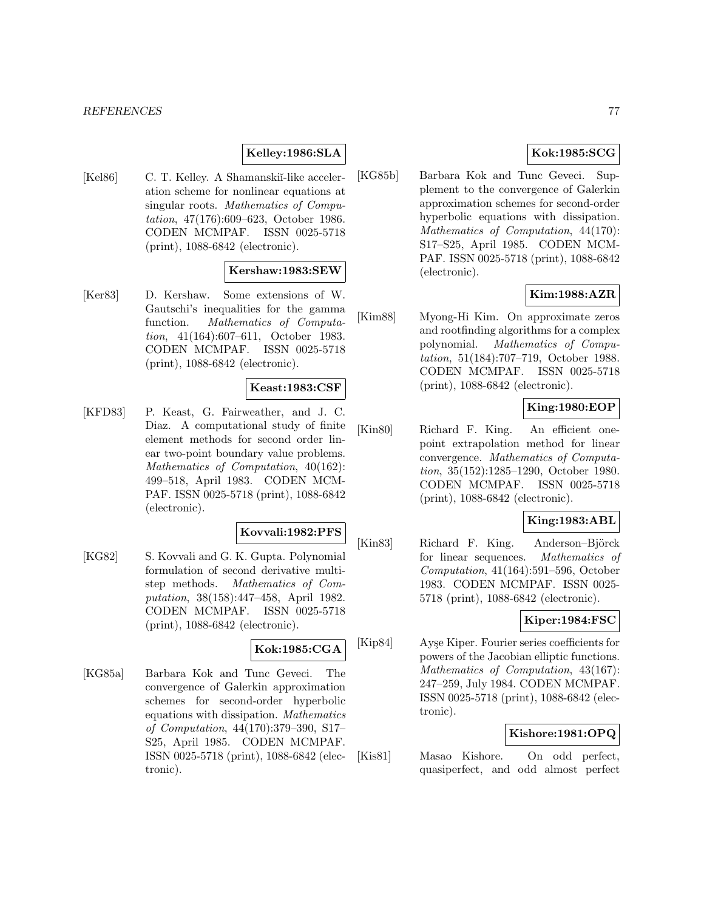## **Kelley:1986:SLA**

[Kel86] C. T. Kelley. A Shamanskiĭ-like acceleration scheme for nonlinear equations at singular roots. Mathematics of Computation, 47(176):609–623, October 1986. CODEN MCMPAF. ISSN 0025-5718 (print), 1088-6842 (electronic).

### **Kershaw:1983:SEW**

[Ker83] D. Kershaw. Some extensions of W. Gautschi's inequalities for the gamma function. Mathematics of Computation, 41(164):607–611, October 1983. CODEN MCMPAF. ISSN 0025-5718 (print), 1088-6842 (electronic).

### **Keast:1983:CSF**

[KFD83] P. Keast, G. Fairweather, and J. C. Diaz. A computational study of finite element methods for second order linear two-point boundary value problems. Mathematics of Computation, 40(162): 499–518, April 1983. CODEN MCM-PAF. ISSN 0025-5718 (print), 1088-6842 (electronic).

## **Kovvali:1982:PFS**

[KG82] S. Kovvali and G. K. Gupta. Polynomial formulation of second derivative multistep methods. Mathematics of Computation, 38(158):447–458, April 1982. CODEN MCMPAF. ISSN 0025-5718 (print), 1088-6842 (electronic).

# **Kok:1985:CGA**

[KG85a] Barbara Kok and Tunc Geveci. The convergence of Galerkin approximation schemes for second-order hyperbolic equations with dissipation. Mathematics of Computation, 44(170):379–390, S17– S25, April 1985. CODEN MCMPAF. ISSN 0025-5718 (print), 1088-6842 (electronic).

# **Kok:1985:SCG**

[KG85b] Barbara Kok and Tunc Geveci. Supplement to the convergence of Galerkin approximation schemes for second-order hyperbolic equations with dissipation. Mathematics of Computation, 44(170): S17–S25, April 1985. CODEN MCM-PAF. ISSN 0025-5718 (print), 1088-6842 (electronic).

# **Kim:1988:AZR**

[Kim88] Myong-Hi Kim. On approximate zeros and rootfinding algorithms for a complex polynomial. Mathematics of Computation, 51(184):707–719, October 1988. CODEN MCMPAF. ISSN 0025-5718 (print), 1088-6842 (electronic).

# **King:1980:EOP**

[Kin80] Richard F. King. An efficient onepoint extrapolation method for linear convergence. Mathematics of Computation, 35(152):1285–1290, October 1980. CODEN MCMPAF. ISSN 0025-5718 (print), 1088-6842 (electronic).

## **King:1983:ABL**

[Kin83] Richard F. King. Anderson–Björck for linear sequences. Mathematics of Computation, 41(164):591–596, October 1983. CODEN MCMPAF. ISSN 0025- 5718 (print), 1088-6842 (electronic).

# **Kiper:1984:FSC**

[Kip84] Ayşe Kiper. Fourier series coefficients for powers of the Jacobian elliptic functions. Mathematics of Computation, 43(167): 247–259, July 1984. CODEN MCMPAF. ISSN 0025-5718 (print), 1088-6842 (electronic).

## **Kishore:1981:OPQ**

[Kis81] Masao Kishore. On odd perfect, quasiperfect, and odd almost perfect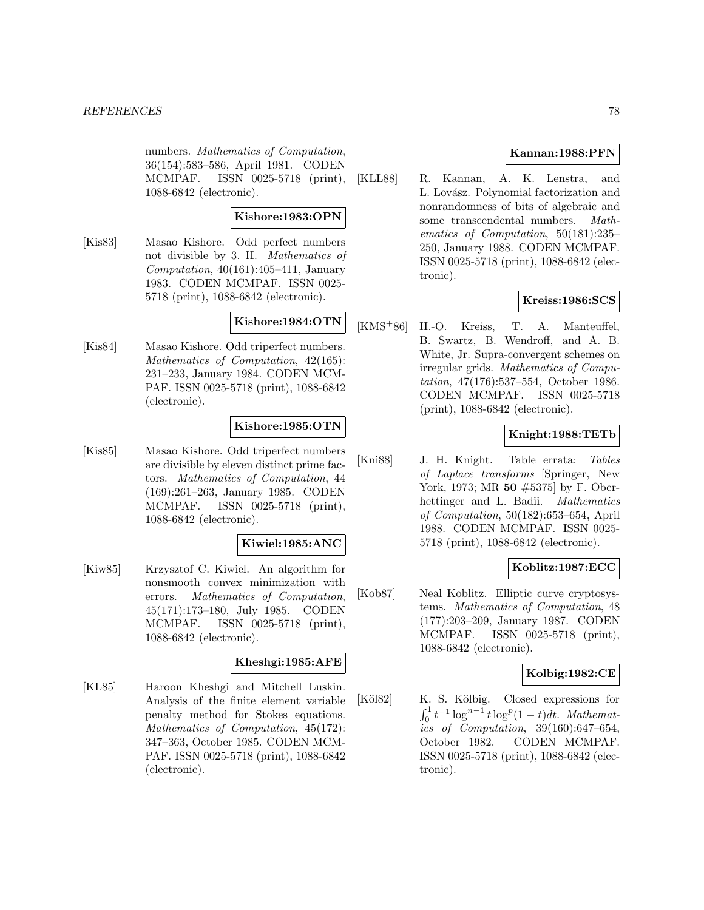numbers. Mathematics of Computation, 36(154):583–586, April 1981. CODEN MCMPAF. ISSN 0025-5718 (print), 1088-6842 (electronic).

### **Kishore:1983:OPN**

[Kis83] Masao Kishore. Odd perfect numbers not divisible by 3. II. Mathematics of Computation,  $40(161):405-411$ , January 1983. CODEN MCMPAF. ISSN 0025- 5718 (print), 1088-6842 (electronic).

## **Kishore:1984:OTN**

[Kis84] Masao Kishore. Odd triperfect numbers. Mathematics of Computation, 42(165): 231–233, January 1984. CODEN MCM-PAF. ISSN 0025-5718 (print), 1088-6842 (electronic).

## **Kishore:1985:OTN**

[Kis85] Masao Kishore. Odd triperfect numbers are divisible by eleven distinct prime factors. Mathematics of Computation, 44 (169):261–263, January 1985. CODEN MCMPAF. ISSN 0025-5718 (print), 1088-6842 (electronic).

## **Kiwiel:1985:ANC**

[Kiw85] Krzysztof C. Kiwiel. An algorithm for nonsmooth convex minimization with errors. Mathematics of Computation, 45(171):173–180, July 1985. CODEN MCMPAF. ISSN 0025-5718 (print), 1088-6842 (electronic).

# **Kheshgi:1985:AFE**

[KL85] Haroon Kheshgi and Mitchell Luskin. Analysis of the finite element variable penalty method for Stokes equations. Mathematics of Computation, 45(172): 347–363, October 1985. CODEN MCM-PAF. ISSN 0025-5718 (print), 1088-6842 (electronic).

## **Kannan:1988:PFN**

[KLL88] R. Kannan, A. K. Lenstra, and L. Lovász. Polynomial factorization and nonrandomness of bits of algebraic and some transcendental numbers. Mathematics of Computation, 50(181):235– 250, January 1988. CODEN MCMPAF. ISSN 0025-5718 (print), 1088-6842 (electronic).

### **Kreiss:1986:SCS**

[KMS<sup>+</sup>86] H.-O. Kreiss, T. A. Manteuffel, B. Swartz, B. Wendroff, and A. B. White, Jr. Supra-convergent schemes on irregular grids. Mathematics of Computation, 47(176):537–554, October 1986. CODEN MCMPAF. ISSN 0025-5718 (print), 1088-6842 (electronic).

## **Knight:1988:TETb**

[Kni88] J. H. Knight. Table errata: Tables of Laplace transforms [Springer, New York, 1973; MR **50** #5375] by F. Oberhettinger and L. Badii. Mathematics of Computation, 50(182):653–654, April 1988. CODEN MCMPAF. ISSN 0025- 5718 (print), 1088-6842 (electronic).

# **Koblitz:1987:ECC**

[Kob87] Neal Koblitz. Elliptic curve cryptosystems. Mathematics of Computation, 48 (177):203–209, January 1987. CODEN MCMPAF. ISSN 0025-5718 (print), 1088-6842 (electronic).

## **Kolbig:1982:CE**

[Köl82] K. S. Kölbig. Closed expressions for  $\int_0^1 t^{-1} \log^{n-1} t \log^p(1-t) dt$ . Mathematics of Computation, 39(160):647–654, October 1982. CODEN MCMPAF. ISSN 0025-5718 (print), 1088-6842 (electronic).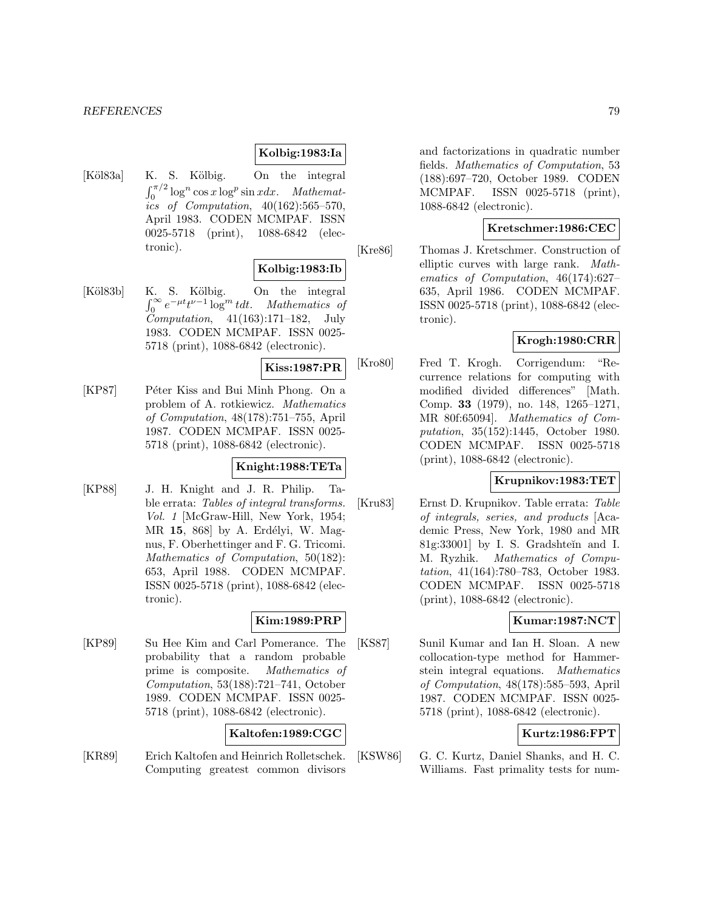## **Kolbig:1983:Ia**

[Köl83a] K. S. Kölbig. On the integral  $\int_0^{\pi/2} \log^n \cos x \log^p \sin x dx$ . Mathematics of Computation, 40(162):565–570, April 1983. CODEN MCMPAF. ISSN 0025-5718 (print), 1088-6842 (electronic).

## **Kolbig:1983:Ib**

[Köl83b] K. S. Kölbig. On the integral  $\int_0^\infty e^{-\mu t} t^{\nu-1} \log^m t dt$ . Mathematics of  $Computation, 41(163):171-182, July$ 1983. CODEN MCMPAF. ISSN 0025- 5718 (print), 1088-6842 (electronic).

**Kiss:1987:PR**

[KP87] Péter Kiss and Bui Minh Phong. On a problem of A. rotkiewicz. Mathematics of Computation, 48(178):751–755, April 1987. CODEN MCMPAF. ISSN 0025- 5718 (print), 1088-6842 (electronic).

## **Knight:1988:TETa**

[KP88] J. H. Knight and J. R. Philip. Table errata: Tables of integral transforms. Vol. 1 [McGraw-Hill, New York, 1954; MR 15, 868 by A. Erdélyi, W. Magnus, F. Oberhettinger and F. G. Tricomi. Mathematics of Computation, 50(182): 653, April 1988. CODEN MCMPAF. ISSN 0025-5718 (print), 1088-6842 (electronic).

## **Kim:1989:PRP**

[KP89] Su Hee Kim and Carl Pomerance. The probability that a random probable prime is composite. Mathematics of Computation, 53(188):721–741, October 1989. CODEN MCMPAF. ISSN 0025- 5718 (print), 1088-6842 (electronic).

## **Kaltofen:1989:CGC**

[KR89] Erich Kaltofen and Heinrich Rolletschek. Computing greatest common divisors and factorizations in quadratic number fields. Mathematics of Computation, 53 (188):697–720, October 1989. CODEN MCMPAF. ISSN 0025-5718 (print), 1088-6842 (electronic).

## **Kretschmer:1986:CEC**

[Kre86] Thomas J. Kretschmer. Construction of elliptic curves with large rank. Mathematics of Computation, 46(174):627– 635, April 1986. CODEN MCMPAF. ISSN 0025-5718 (print), 1088-6842 (electronic).

# **Krogh:1980:CRR**

[Kro80] Fred T. Krogh. Corrigendum: "Recurrence relations for computing with modified divided differences" [Math. Comp. **33** (1979), no. 148, 1265–1271, MR 80f:65094]. Mathematics of Computation, 35(152):1445, October 1980. CODEN MCMPAF. ISSN 0025-5718 (print), 1088-6842 (electronic).

## **Krupnikov:1983:TET**

[Kru83] Ernst D. Krupnikov. Table errata: Table of integrals, series, and products [Academic Press, New York, 1980 and MR 81g:33001] by I. S. Gradshteĭn and I. M. Ryzhik. Mathematics of Computation, 41(164):780–783, October 1983. CODEN MCMPAF. ISSN 0025-5718 (print), 1088-6842 (electronic).

## **Kumar:1987:NCT**

[KS87] Sunil Kumar and Ian H. Sloan. A new collocation-type method for Hammerstein integral equations. Mathematics of Computation, 48(178):585–593, April 1987. CODEN MCMPAF. ISSN 0025- 5718 (print), 1088-6842 (electronic).

# **Kurtz:1986:FPT**

[KSW86] G. C. Kurtz, Daniel Shanks, and H. C. Williams. Fast primality tests for num-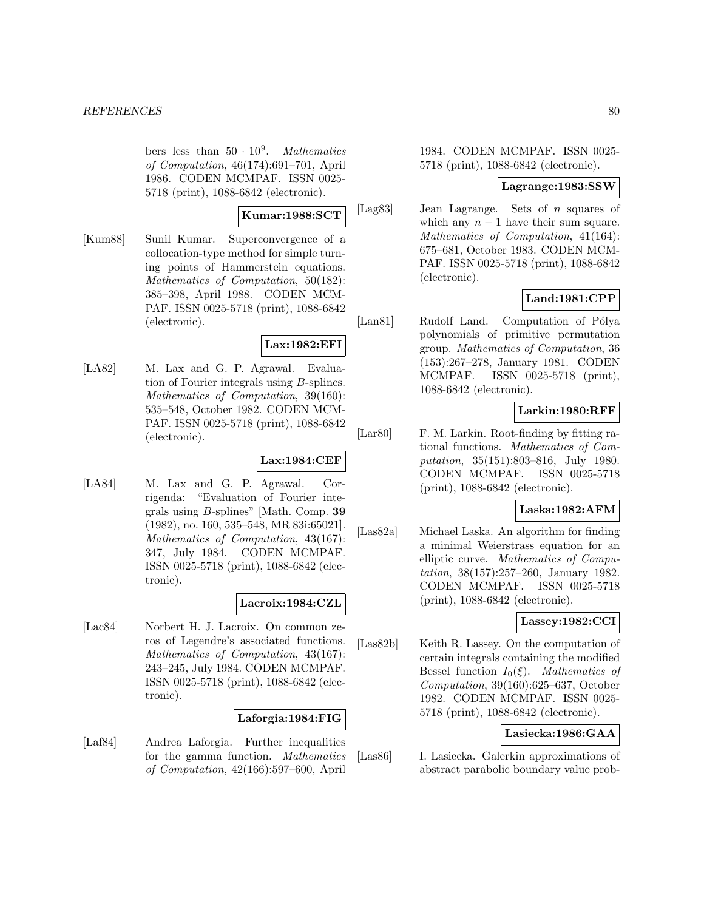bers less than  $50 \cdot 10^9$ . Mathematics of Computation, 46(174):691–701, April 1986. CODEN MCMPAF. ISSN 0025- 5718 (print), 1088-6842 (electronic).

### **Kumar:1988:SCT**

[Kum88] Sunil Kumar. Superconvergence of a collocation-type method for simple turning points of Hammerstein equations. Mathematics of Computation, 50(182): 385–398, April 1988. CODEN MCM-PAF. ISSN 0025-5718 (print), 1088-6842 (electronic).

## **Lax:1982:EFI**

[LA82] M. Lax and G. P. Agrawal. Evaluation of Fourier integrals using B-splines. Mathematics of Computation, 39(160): 535–548, October 1982. CODEN MCM-PAF. ISSN 0025-5718 (print), 1088-6842 (electronic).

## **Lax:1984:CEF**

[LA84] M. Lax and G. P. Agrawal. Corrigenda: "Evaluation of Fourier integrals using B-splines" [Math. Comp. **39** (1982), no. 160, 535–548, MR 83i:65021]. Mathematics of Computation, 43(167): 347, July 1984. CODEN MCMPAF. ISSN 0025-5718 (print), 1088-6842 (electronic).

## **Lacroix:1984:CZL**

[Lac84] Norbert H. J. Lacroix. On common zeros of Legendre's associated functions. Mathematics of Computation, 43(167): 243–245, July 1984. CODEN MCMPAF. ISSN 0025-5718 (print), 1088-6842 (electronic).

### **Laforgia:1984:FIG**

[Laf84] Andrea Laforgia. Further inequalities for the gamma function. Mathematics of Computation, 42(166):597–600, April

1984. CODEN MCMPAF. ISSN 0025- 5718 (print), 1088-6842 (electronic).

## **Lagrange:1983:SSW**

[Lag83] Jean Lagrange. Sets of n squares of which any  $n - 1$  have their sum square. Mathematics of Computation, 41(164): 675–681, October 1983. CODEN MCM-PAF. ISSN 0025-5718 (print), 1088-6842 (electronic).

## **Land:1981:CPP**

[Lan81] Rudolf Land. Computation of Pólya polynomials of primitive permutation group. Mathematics of Computation, 36 (153):267–278, January 1981. CODEN MCMPAF. ISSN 0025-5718 (print), 1088-6842 (electronic).

### **Larkin:1980:RFF**

[Lar80] F. M. Larkin. Root-finding by fitting rational functions. Mathematics of Computation, 35(151):803–816, July 1980. CODEN MCMPAF. ISSN 0025-5718 (print), 1088-6842 (electronic).

## **Laska:1982:AFM**

[Las82a] Michael Laska. An algorithm for finding a minimal Weierstrass equation for an elliptic curve. Mathematics of Computation, 38(157):257–260, January 1982. CODEN MCMPAF. ISSN 0025-5718 (print), 1088-6842 (electronic).

# **Lassey:1982:CCI**

[Las82b] Keith R. Lassey. On the computation of certain integrals containing the modified Bessel function  $I_0(\xi)$ . Mathematics of Computation, 39(160):625–637, October 1982. CODEN MCMPAF. ISSN 0025- 5718 (print), 1088-6842 (electronic).

## **Lasiecka:1986:GAA**

[Las86] I. Lasiecka. Galerkin approximations of abstract parabolic boundary value prob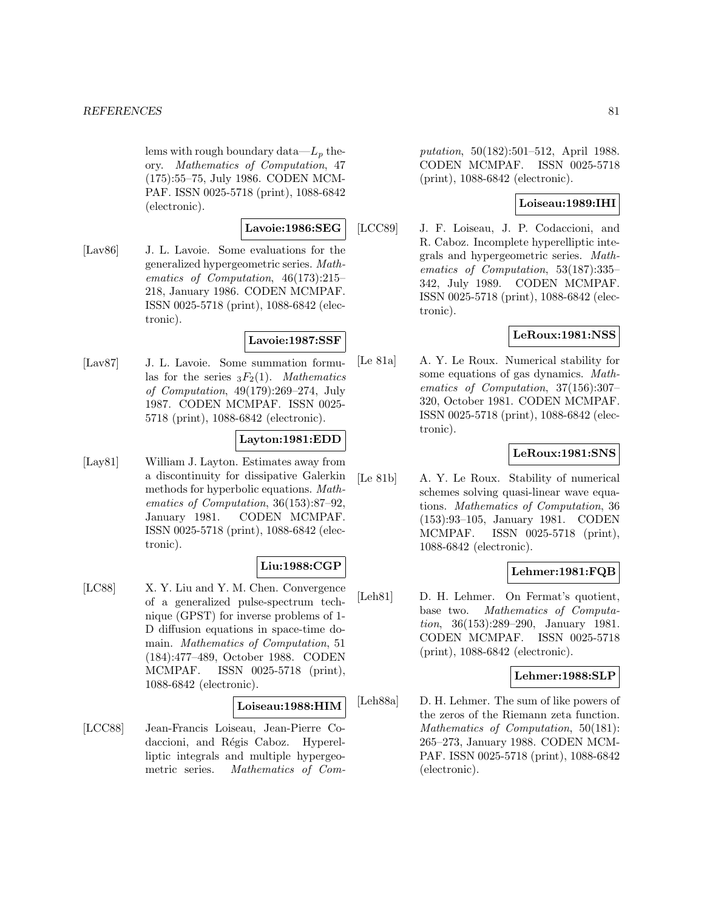lems with rough boundary data— $L_p$  theory. Mathematics of Computation, 47 (175):55–75, July 1986. CODEN MCM-PAF. ISSN 0025-5718 (print), 1088-6842 (electronic).

### **Lavoie:1986:SEG**

[Lav86] J. L. Lavoie. Some evaluations for the generalized hypergeometric series. Mathematics of Computation, 46(173):215– 218, January 1986. CODEN MCMPAF. ISSN 0025-5718 (print), 1088-6842 (electronic).

### **Lavoie:1987:SSF**

[Lav87] J. L. Lavoie. Some summation formulas for the series  ${}_{3}F_{2}(1)$ . *Mathematics* of Computation, 49(179):269–274, July 1987. CODEN MCMPAF. ISSN 0025- 5718 (print), 1088-6842 (electronic).

## **Layton:1981:EDD**

[Lay81] William J. Layton. Estimates away from a discontinuity for dissipative Galerkin methods for hyperbolic equations. Mathematics of Computation, 36(153):87–92, January 1981. CODEN MCMPAF. ISSN 0025-5718 (print), 1088-6842 (electronic).

# **Liu:1988:CGP**

[LC88] X. Y. Liu and Y. M. Chen. Convergence of a generalized pulse-spectrum technique (GPST) for inverse problems of 1- D diffusion equations in space-time domain. Mathematics of Computation, 51 (184):477–489, October 1988. CODEN MCMPAF. ISSN 0025-5718 (print), 1088-6842 (electronic).

#### **Loiseau:1988:HIM**

[LCC88] Jean-Francis Loiseau, Jean-Pierre Codaccioni, and Régis Caboz. Hyperelliptic integrals and multiple hypergeometric series. Mathematics of Computation, 50(182):501–512, April 1988. CODEN MCMPAF. ISSN 0025-5718 (print), 1088-6842 (electronic).

## **Loiseau:1989:IHI**

[LCC89] J. F. Loiseau, J. P. Codaccioni, and R. Caboz. Incomplete hyperelliptic integrals and hypergeometric series. Mathematics of Computation, 53(187):335– 342, July 1989. CODEN MCMPAF. ISSN 0025-5718 (print), 1088-6842 (electronic).

# **LeRoux:1981:NSS**

[Le 81a] A. Y. Le Roux. Numerical stability for some equations of gas dynamics. Mathematics of Computation, 37(156):307– 320, October 1981. CODEN MCMPAF. ISSN 0025-5718 (print), 1088-6842 (electronic).

## **LeRoux:1981:SNS**

[Le 81b] A. Y. Le Roux. Stability of numerical schemes solving quasi-linear wave equations. Mathematics of Computation, 36 (153):93–105, January 1981. CODEN MCMPAF. ISSN 0025-5718 (print), 1088-6842 (electronic).

## **Lehmer:1981:FQB**

[Leh81] D. H. Lehmer. On Fermat's quotient, base two. Mathematics of Computation, 36(153):289–290, January 1981. CODEN MCMPAF. ISSN 0025-5718 (print), 1088-6842 (electronic).

## **Lehmer:1988:SLP**

[Leh88a] D. H. Lehmer. The sum of like powers of the zeros of the Riemann zeta function. Mathematics of Computation, 50(181): 265–273, January 1988. CODEN MCM-PAF. ISSN 0025-5718 (print), 1088-6842 (electronic).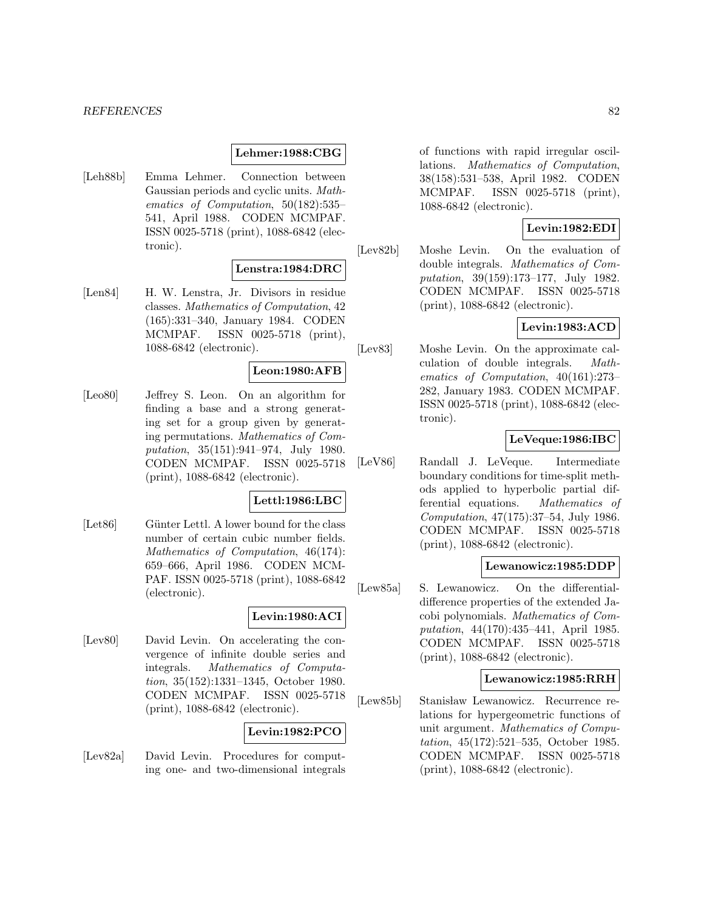### **Lehmer:1988:CBG**

[Leh88b] Emma Lehmer. Connection between Gaussian periods and cyclic units. Mathematics of Computation, 50(182):535– 541, April 1988. CODEN MCMPAF. ISSN 0025-5718 (print), 1088-6842 (electronic).

# **Lenstra:1984:DRC**

[Len84] H. W. Lenstra, Jr. Divisors in residue classes. Mathematics of Computation, 42 (165):331–340, January 1984. CODEN MCMPAF. ISSN 0025-5718 (print), 1088-6842 (electronic).

#### **Leon:1980:AFB**

[Leo80] Jeffrey S. Leon. On an algorithm for finding a base and a strong generating set for a group given by generating permutations. Mathematics of Computation, 35(151):941–974, July 1980. CODEN MCMPAF. ISSN 0025-5718 (print), 1088-6842 (electronic).

## **Lettl:1986:LBC**

[Let86] Günter Lettl. A lower bound for the class number of certain cubic number fields. Mathematics of Computation, 46(174): 659–666, April 1986. CODEN MCM-PAF. ISSN 0025-5718 (print), 1088-6842 (electronic).

#### **Levin:1980:ACI**

[Lev80] David Levin. On accelerating the convergence of infinite double series and integrals. Mathematics of Computation, 35(152):1331–1345, October 1980. CODEN MCMPAF. ISSN 0025-5718 (print), 1088-6842 (electronic).

### **Levin:1982:PCO**

[Lev82a] David Levin. Procedures for computing one- and two-dimensional integrals

of functions with rapid irregular oscillations. Mathematics of Computation, 38(158):531–538, April 1982. CODEN MCMPAF. ISSN 0025-5718 (print), 1088-6842 (electronic).

## **Levin:1982:EDI**

[Lev82b] Moshe Levin. On the evaluation of double integrals. Mathematics of Computation, 39(159):173–177, July 1982. CODEN MCMPAF. ISSN 0025-5718 (print), 1088-6842 (electronic).

## **Levin:1983:ACD**

[Lev83] Moshe Levin. On the approximate calculation of double integrals. Mathematics of Computation, 40(161):273– 282, January 1983. CODEN MCMPAF. ISSN 0025-5718 (print), 1088-6842 (electronic).

## **LeVeque:1986:IBC**

[LeV86] Randall J. LeVeque. Intermediate boundary conditions for time-split methods applied to hyperbolic partial differential equations. Mathematics of Computation, 47(175):37–54, July 1986. CODEN MCMPAF. ISSN 0025-5718 (print), 1088-6842 (electronic).

#### **Lewanowicz:1985:DDP**

[Lew85a] S. Lewanowicz. On the differentialdifference properties of the extended Jacobi polynomials. Mathematics of Computation, 44(170):435–441, April 1985. CODEN MCMPAF. ISSN 0025-5718 (print), 1088-6842 (electronic).

#### **Lewanowicz:1985:RRH**

[Lew85b] Stanisław Lewanowicz. Recurrence relations for hypergeometric functions of unit argument. Mathematics of Computation, 45(172):521–535, October 1985. CODEN MCMPAF. ISSN 0025-5718 (print), 1088-6842 (electronic).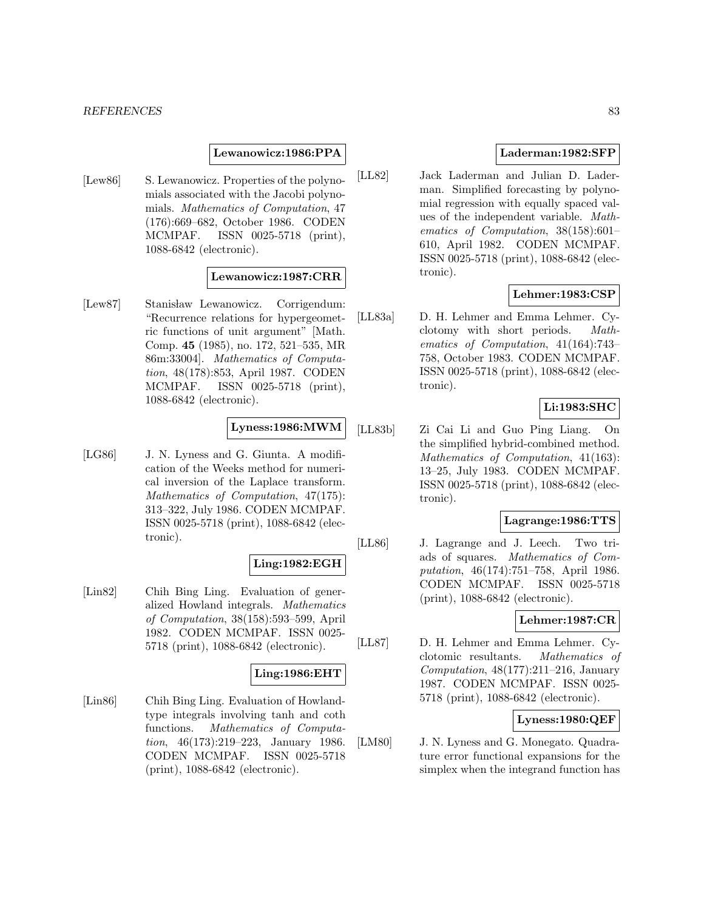### **Lewanowicz:1986:PPA**

[Lew86] S. Lewanowicz. Properties of the polynomials associated with the Jacobi polynomials. Mathematics of Computation, 47 (176):669–682, October 1986. CODEN MCMPAF. ISSN 0025-5718 (print), 1088-6842 (electronic).

## **Lewanowicz:1987:CRR**

[Lew87] Stanisław Lewanowicz. Corrigendum: "Recurrence relations for hypergeometric functions of unit argument" [Math. Comp. **45** (1985), no. 172, 521–535, MR 86m:33004]. Mathematics of Computation, 48(178):853, April 1987. CODEN MCMPAF. ISSN 0025-5718 (print), 1088-6842 (electronic).

## **Lyness:1986:MWM**

[LG86] J. N. Lyness and G. Giunta. A modification of the Weeks method for numerical inversion of the Laplace transform. Mathematics of Computation, 47(175): 313–322, July 1986. CODEN MCMPAF. ISSN 0025-5718 (print), 1088-6842 (electronic).

#### **Ling:1982:EGH**

[Lin82] Chih Bing Ling. Evaluation of generalized Howland integrals. Mathematics of Computation, 38(158):593–599, April 1982. CODEN MCMPAF. ISSN 0025- 5718 (print), 1088-6842 (electronic).

#### **Ling:1986:EHT**

[Lin86] Chih Bing Ling. Evaluation of Howlandtype integrals involving tanh and coth functions. Mathematics of Computation, 46(173):219–223, January 1986. CODEN MCMPAF. ISSN 0025-5718 (print), 1088-6842 (electronic).

## **Laderman:1982:SFP**

[LL82] Jack Laderman and Julian D. Laderman. Simplified forecasting by polynomial regression with equally spaced values of the independent variable. Mathematics of Computation, 38(158):601– 610, April 1982. CODEN MCMPAF. ISSN 0025-5718 (print), 1088-6842 (electronic).

## **Lehmer:1983:CSP**

[LL83a] D. H. Lehmer and Emma Lehmer. Cyclotomy with short periods. Mathematics of Computation, 41(164):743– 758, October 1983. CODEN MCMPAF. ISSN 0025-5718 (print), 1088-6842 (electronic).

# **Li:1983:SHC**

[LL83b] Zi Cai Li and Guo Ping Liang. On the simplified hybrid-combined method. Mathematics of Computation, 41(163): 13–25, July 1983. CODEN MCMPAF. ISSN 0025-5718 (print), 1088-6842 (electronic).

## **Lagrange:1986:TTS**

[LL86] J. Lagrange and J. Leech. Two triads of squares. Mathematics of Computation, 46(174):751–758, April 1986. CODEN MCMPAF. ISSN 0025-5718 (print), 1088-6842 (electronic).

## **Lehmer:1987:CR**

[LL87] D. H. Lehmer and Emma Lehmer. Cyclotomic resultants. Mathematics of Computation, 48(177):211–216, January 1987. CODEN MCMPAF. ISSN 0025- 5718 (print), 1088-6842 (electronic).

# **Lyness:1980:QEF**

[LM80] J. N. Lyness and G. Monegato. Quadrature error functional expansions for the simplex when the integrand function has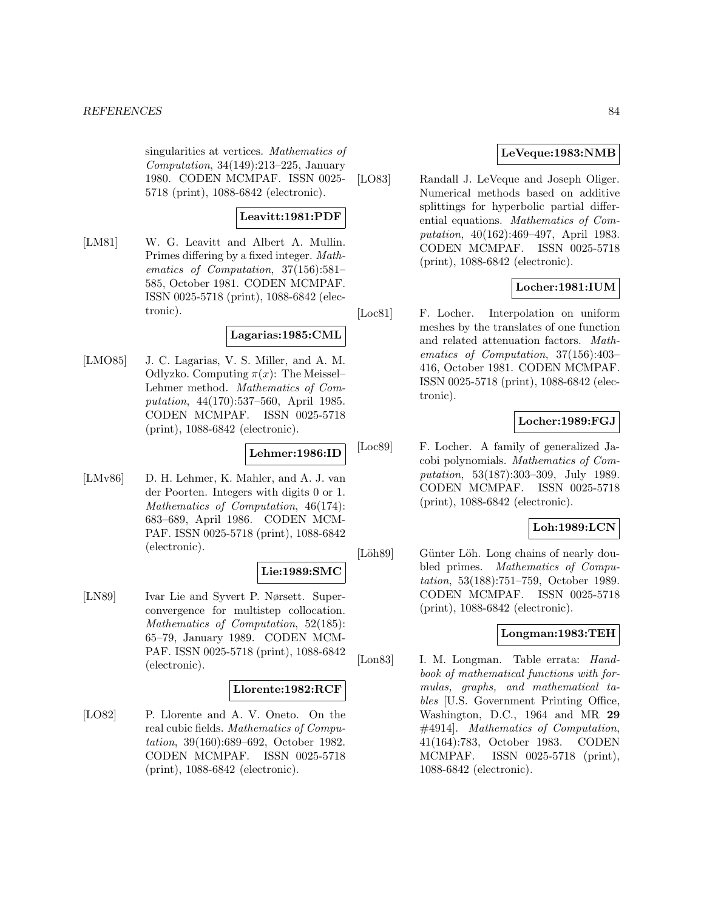singularities at vertices. Mathematics of Computation, 34(149):213–225, January 1980. CODEN MCMPAF. ISSN 0025- 5718 (print), 1088-6842 (electronic).

### **Leavitt:1981:PDF**

[LM81] W. G. Leavitt and Albert A. Mullin. Primes differing by a fixed integer. Mathematics of Computation, 37(156):581– 585, October 1981. CODEN MCMPAF. ISSN 0025-5718 (print), 1088-6842 (electronic).

# **Lagarias:1985:CML**

[LMO85] J. C. Lagarias, V. S. Miller, and A. M. Odlyzko. Computing  $\pi(x)$ : The Meissel-Lehmer method. Mathematics of Computation, 44(170):537–560, April 1985. CODEN MCMPAF. ISSN 0025-5718 (print), 1088-6842 (electronic).

## **Lehmer:1986:ID**

[LMv86] D. H. Lehmer, K. Mahler, and A. J. van der Poorten. Integers with digits 0 or 1. Mathematics of Computation, 46(174): 683–689, April 1986. CODEN MCM-PAF. ISSN 0025-5718 (print), 1088-6842 (electronic).

## **Lie:1989:SMC**

[LN89] Ivar Lie and Syvert P. Nørsett. Superconvergence for multistep collocation. Mathematics of Computation, 52(185): 65–79, January 1989. CODEN MCM-PAF. ISSN 0025-5718 (print), 1088-6842 (electronic).

#### **Llorente:1982:RCF**

[LO82] P. Llorente and A. V. Oneto. On the real cubic fields. Mathematics of Computation, 39(160):689–692, October 1982. CODEN MCMPAF. ISSN 0025-5718 (print), 1088-6842 (electronic).

## **LeVeque:1983:NMB**

[LO83] Randall J. LeVeque and Joseph Oliger. Numerical methods based on additive splittings for hyperbolic partial differential equations. Mathematics of Computation, 40(162):469–497, April 1983. CODEN MCMPAF. ISSN 0025-5718 (print), 1088-6842 (electronic).

# **Locher:1981:IUM**

[Loc81] F. Locher. Interpolation on uniform meshes by the translates of one function and related attenuation factors. Mathematics of Computation, 37(156):403– 416, October 1981. CODEN MCMPAF. ISSN 0025-5718 (print), 1088-6842 (electronic).

## **Locher:1989:FGJ**

[Loc89] F. Locher. A family of generalized Jacobi polynomials. Mathematics of Computation, 53(187):303–309, July 1989. CODEN MCMPAF. ISSN 0025-5718 (print), 1088-6842 (electronic).

#### **Loh:1989:LCN**

[Löh89] Günter Löh. Long chains of nearly doubled primes. Mathematics of Computation, 53(188):751–759, October 1989. CODEN MCMPAF. ISSN 0025-5718 (print), 1088-6842 (electronic).

## **Longman:1983:TEH**

[Lon83] I. M. Longman. Table errata: Handbook of mathematical functions with formulas, graphs, and mathematical tables [U.S. Government Printing Office, Washington, D.C., 1964 and MR **29** #4914]. Mathematics of Computation, 41(164):783, October 1983. CODEN MCMPAF. ISSN 0025-5718 (print), 1088-6842 (electronic).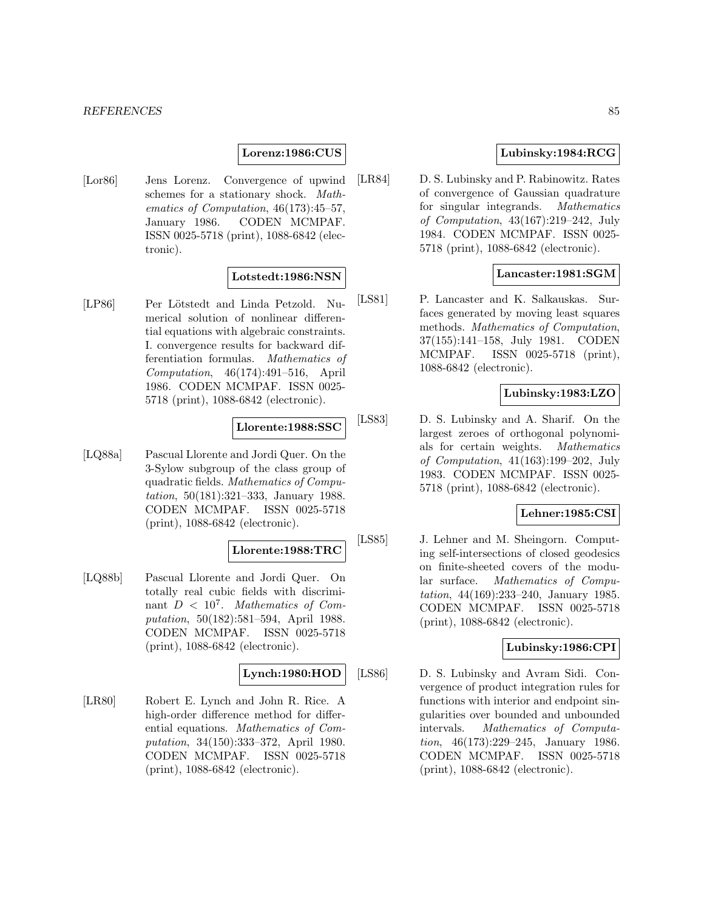## **Lorenz:1986:CUS**

[Lor86] Jens Lorenz. Convergence of upwind schemes for a stationary shock. Mathematics of Computation, 46(173):45–57, January 1986. CODEN MCMPAF. ISSN 0025-5718 (print), 1088-6842 (electronic).

# **Lotstedt:1986:NSN**

[LP86] Per Lötstedt and Linda Petzold. Numerical solution of nonlinear differential equations with algebraic constraints. I. convergence results for backward differentiation formulas. Mathematics of Computation, 46(174):491–516, April 1986. CODEN MCMPAF. ISSN 0025- 5718 (print), 1088-6842 (electronic).

## **Llorente:1988:SSC**

[LQ88a] Pascual Llorente and Jordi Quer. On the 3-Sylow subgroup of the class group of quadratic fields. Mathematics of Computation, 50(181):321–333, January 1988. CODEN MCMPAF. ISSN 0025-5718 (print), 1088-6842 (electronic).

# **Llorente:1988:TRC**

[LQ88b] Pascual Llorente and Jordi Quer. On totally real cubic fields with discriminant  $D < 10^7$ . Mathematics of Computation, 50(182):581–594, April 1988. CODEN MCMPAF. ISSN 0025-5718 (print), 1088-6842 (electronic).

## **Lynch:1980:HOD**

[LR80] Robert E. Lynch and John R. Rice. A high-order difference method for differential equations. Mathematics of Computation, 34(150):333–372, April 1980. CODEN MCMPAF. ISSN 0025-5718 (print), 1088-6842 (electronic).

# **Lubinsky:1984:RCG**

[LR84] D. S. Lubinsky and P. Rabinowitz. Rates of convergence of Gaussian quadrature for singular integrands. Mathematics of Computation, 43(167):219–242, July 1984. CODEN MCMPAF. ISSN 0025- 5718 (print), 1088-6842 (electronic).

# **Lancaster:1981:SGM**

[LS81] P. Lancaster and K. Salkauskas. Surfaces generated by moving least squares methods. Mathematics of Computation, 37(155):141–158, July 1981. CODEN MCMPAF. ISSN 0025-5718 (print), 1088-6842 (electronic).

## **Lubinsky:1983:LZO**

[LS83] D. S. Lubinsky and A. Sharif. On the largest zeroes of orthogonal polynomials for certain weights. Mathematics of Computation, 41(163):199–202, July 1983. CODEN MCMPAF. ISSN 0025- 5718 (print), 1088-6842 (electronic).

# **Lehner:1985:CSI**

[LS85] J. Lehner and M. Sheingorn. Computing self-intersections of closed geodesics on finite-sheeted covers of the modular surface. Mathematics of Computation, 44(169):233–240, January 1985. CODEN MCMPAF. ISSN 0025-5718 (print), 1088-6842 (electronic).

# **Lubinsky:1986:CPI**

[LS86] D. S. Lubinsky and Avram Sidi. Convergence of product integration rules for functions with interior and endpoint singularities over bounded and unbounded intervals. Mathematics of Computation, 46(173):229–245, January 1986. CODEN MCMPAF. ISSN 0025-5718 (print), 1088-6842 (electronic).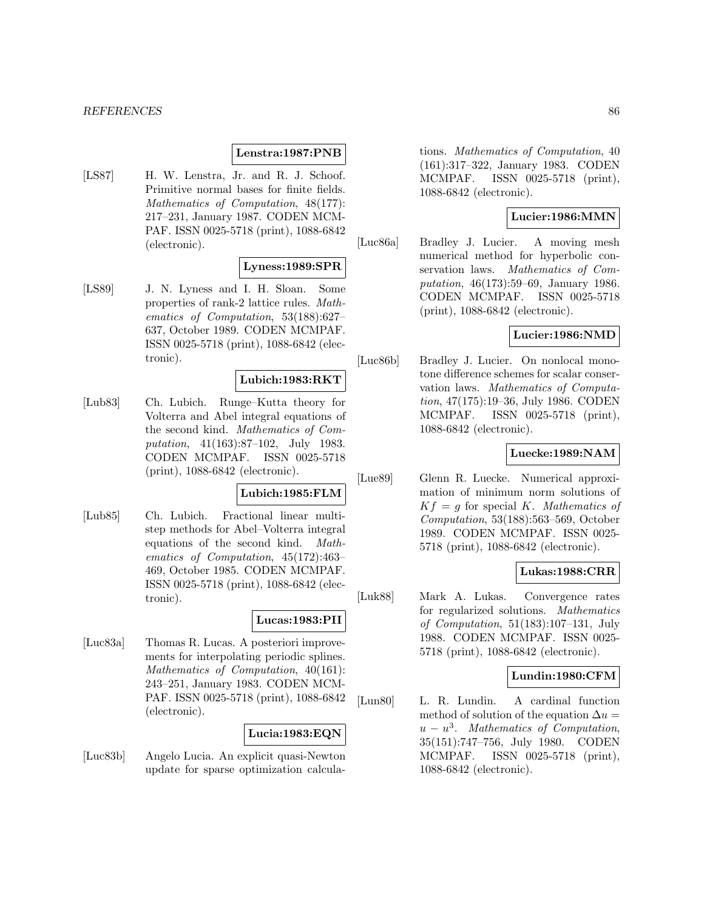#### **Lenstra:1987:PNB**

[LS87] H. W. Lenstra, Jr. and R. J. Schoof. Primitive normal bases for finite fields. Mathematics of Computation, 48(177): 217–231, January 1987. CODEN MCM-PAF. ISSN 0025-5718 (print), 1088-6842 (electronic).

## **Lyness:1989:SPR**

[LS89] J. N. Lyness and I. H. Sloan. Some properties of rank-2 lattice rules. Mathematics of Computation, 53(188):627– 637, October 1989. CODEN MCMPAF. ISSN 0025-5718 (print), 1088-6842 (electronic).

# **Lubich:1983:RKT**

[Lub83] Ch. Lubich. Runge–Kutta theory for Volterra and Abel integral equations of the second kind. Mathematics of Computation, 41(163):87–102, July 1983. CODEN MCMPAF. ISSN 0025-5718 (print), 1088-6842 (electronic).

#### **Lubich:1985:FLM**

[Lub85] Ch. Lubich. Fractional linear multistep methods for Abel–Volterra integral equations of the second kind. Mathematics of Computation, 45(172):463– 469, October 1985. CODEN MCMPAF. ISSN 0025-5718 (print), 1088-6842 (electronic).

# **Lucas:1983:PII**

[Luc83a] Thomas R. Lucas. A posteriori improvements for interpolating periodic splines. Mathematics of Computation, 40(161): 243–251, January 1983. CODEN MCM-PAF. ISSN 0025-5718 (print), 1088-6842 (electronic).

## **Lucia:1983:EQN**

[Luc83b] Angelo Lucia. An explicit quasi-Newton update for sparse optimization calcula-

tions. Mathematics of Computation, 40 (161):317–322, January 1983. CODEN MCMPAF. ISSN 0025-5718 (print), 1088-6842 (electronic).

## **Lucier:1986:MMN**

[Luc86a] Bradley J. Lucier. A moving mesh numerical method for hyperbolic conservation laws. Mathematics of Computation, 46(173):59–69, January 1986. CODEN MCMPAF. ISSN 0025-5718 (print), 1088-6842 (electronic).

## **Lucier:1986:NMD**

[Luc86b] Bradley J. Lucier. On nonlocal monotone difference schemes for scalar conservation laws. Mathematics of Computation, 47(175):19–36, July 1986. CODEN MCMPAF. ISSN 0025-5718 (print), 1088-6842 (electronic).

## **Luecke:1989:NAM**

[Lue89] Glenn R. Luecke. Numerical approximation of minimum norm solutions of  $Kf = g$  for special K. Mathematics of Computation, 53(188):563–569, October 1989. CODEN MCMPAF. ISSN 0025- 5718 (print), 1088-6842 (electronic).

## **Lukas:1988:CRR**

[Luk88] Mark A. Lukas. Convergence rates for regularized solutions. Mathematics of Computation, 51(183):107–131, July 1988. CODEN MCMPAF. ISSN 0025- 5718 (print), 1088-6842 (electronic).

## **Lundin:1980:CFM**

[Lun80] L. R. Lundin. A cardinal function method of solution of the equation  $\Delta u =$  $u - u<sup>3</sup>$ . Mathematics of Computation, 35(151):747–756, July 1980. CODEN MCMPAF. ISSN 0025-5718 (print), 1088-6842 (electronic).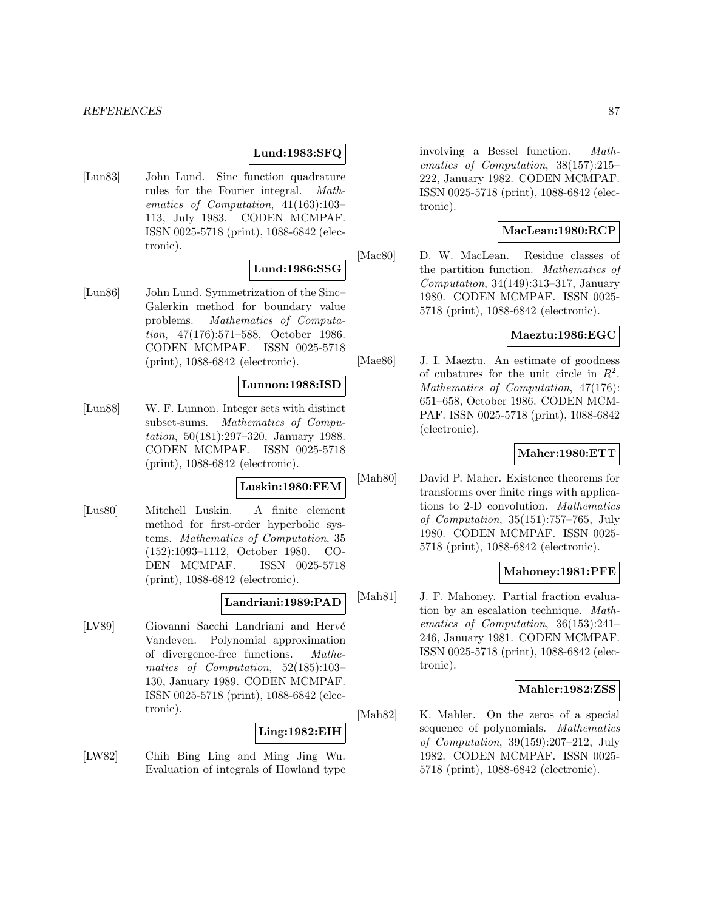## **Lund:1983:SFQ**

[Lun83] John Lund. Sinc function quadrature rules for the Fourier integral. Mathematics of Computation, 41(163):103– 113, July 1983. CODEN MCMPAF. ISSN 0025-5718 (print), 1088-6842 (electronic).

# **Lund:1986:SSG**

[Lun86] John Lund. Symmetrization of the Sinc– Galerkin method for boundary value problems. Mathematics of Computation, 47(176):571–588, October 1986. CODEN MCMPAF. ISSN 0025-5718 (print), 1088-6842 (electronic).

#### **Lunnon:1988:ISD**

[Lun88] W. F. Lunnon. Integer sets with distinct subset-sums. Mathematics of Computation, 50(181):297–320, January 1988. CODEN MCMPAF. ISSN 0025-5718 (print), 1088-6842 (electronic).

# **Luskin:1980:FEM**

[Lus80] Mitchell Luskin. A finite element method for first-order hyperbolic systems. Mathematics of Computation, 35 (152):1093–1112, October 1980. CO-DEN MCMPAF. ISSN 0025-5718 (print), 1088-6842 (electronic).

## **Landriani:1989:PAD**

[LV89] Giovanni Sacchi Landriani and Hervé Vandeven. Polynomial approximation of divergence-free functions. Mathematics of Computation, 52(185):103– 130, January 1989. CODEN MCMPAF. ISSN 0025-5718 (print), 1088-6842 (electronic).

# **Ling:1982:EIH**

[LW82] Chih Bing Ling and Ming Jing Wu. Evaluation of integrals of Howland type

involving a Bessel function. Mathematics of Computation, 38(157):215– 222, January 1982. CODEN MCMPAF. ISSN 0025-5718 (print), 1088-6842 (electronic).

## **MacLean:1980:RCP**

[Mac80] D. W. MacLean. Residue classes of the partition function. Mathematics of Computation, 34(149):313–317, January 1980. CODEN MCMPAF. ISSN 0025- 5718 (print), 1088-6842 (electronic).

# **Maeztu:1986:EGC**

[Mae86] J. I. Maeztu. An estimate of goodness of cubatures for the unit circle in  $R^2$ . Mathematics of Computation, 47(176): 651–658, October 1986. CODEN MCM-PAF. ISSN 0025-5718 (print), 1088-6842 (electronic).

## **Maher:1980:ETT**

[Mah80] David P. Maher. Existence theorems for transforms over finite rings with applications to 2-D convolution. Mathematics of Computation, 35(151):757–765, July 1980. CODEN MCMPAF. ISSN 0025- 5718 (print), 1088-6842 (electronic).

## **Mahoney:1981:PFE**

[Mah81] J. F. Mahoney. Partial fraction evaluation by an escalation technique. Mathematics of Computation, 36(153):241– 246, January 1981. CODEN MCMPAF. ISSN 0025-5718 (print), 1088-6842 (electronic).

## **Mahler:1982:ZSS**

[Mah82] K. Mahler. On the zeros of a special sequence of polynomials. Mathematics of Computation, 39(159):207–212, July 1982. CODEN MCMPAF. ISSN 0025- 5718 (print), 1088-6842 (electronic).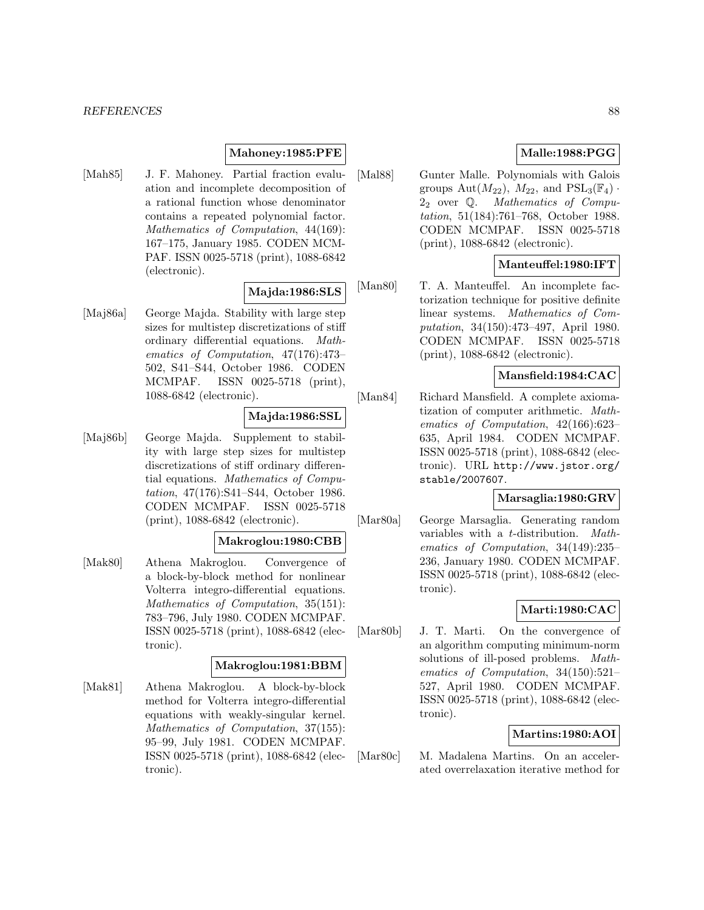## **Mahoney:1985:PFE**

[Mah85] J. F. Mahoney. Partial fraction evaluation and incomplete decomposition of a rational function whose denominator contains a repeated polynomial factor. Mathematics of Computation, 44(169): 167–175, January 1985. CODEN MCM-PAF. ISSN 0025-5718 (print), 1088-6842 (electronic).

### **Majda:1986:SLS**

[Maj86a] George Majda. Stability with large step sizes for multistep discretizations of stiff ordinary differential equations. Mathematics of Computation, 47(176):473– 502, S41–S44, October 1986. CODEN MCMPAF. ISSN 0025-5718 (print), 1088-6842 (electronic).

# **Majda:1986:SSL**

[Maj86b] George Majda. Supplement to stability with large step sizes for multistep discretizations of stiff ordinary differential equations. Mathematics of Computation, 47(176):S41–S44, October 1986. CODEN MCMPAF. ISSN 0025-5718 (print), 1088-6842 (electronic).

## **Makroglou:1980:CBB**

[Mak80] Athena Makroglou. Convergence of a block-by-block method for nonlinear Volterra integro-differential equations. Mathematics of Computation, 35(151): 783–796, July 1980. CODEN MCMPAF. ISSN 0025-5718 (print), 1088-6842 (electronic).

### **Makroglou:1981:BBM**

[Mak81] Athena Makroglou. A block-by-block method for Volterra integro-differential equations with weakly-singular kernel. Mathematics of Computation, 37(155): 95–99, July 1981. CODEN MCMPAF. ISSN 0025-5718 (print), 1088-6842 (electronic).

# **Malle:1988:PGG**

[Mal88] Gunter Malle. Polynomials with Galois groups  $\text{Aut}(M_{22})$ ,  $M_{22}$ , and  $\text{PSL}_3(\mathbb{F}_4)$ .<br>  $2_2$  over Q. *Mathematics of Compu-*<sup>2</sup><sup>2</sup> over <sup>Q</sup>. Mathematics of Compu-tation, 51(184):761–768, October 1988. CODEN MCMPAF. ISSN 0025-5718 (print), 1088-6842 (electronic).

## **Manteuffel:1980:IFT**

[Man80] T. A. Manteuffel. An incomplete factorization technique for positive definite linear systems. Mathematics of Computation, 34(150):473–497, April 1980. CODEN MCMPAF. ISSN 0025-5718 (print), 1088-6842 (electronic).

## **Mansfield:1984:CAC**

[Man84] Richard Mansfield. A complete axiomatization of computer arithmetic. Mathematics of Computation, 42(166):623– 635, April 1984. CODEN MCMPAF. ISSN 0025-5718 (print), 1088-6842 (electronic). URL http://www.jstor.org/ stable/2007607.

## **Marsaglia:1980:GRV**

[Mar80a] George Marsaglia. Generating random variables with a t-distribution. Mathematics of Computation, 34(149):235– 236, January 1980. CODEN MCMPAF. ISSN 0025-5718 (print), 1088-6842 (electronic).

# **Marti:1980:CAC**

[Mar80b] J. T. Marti. On the convergence of an algorithm computing minimum-norm solutions of ill-posed problems. Mathematics of Computation, 34(150):521– 527, April 1980. CODEN MCMPAF. ISSN 0025-5718 (print), 1088-6842 (electronic).

## **Martins:1980:AOI**

[Mar80c] M. Madalena Martins. On an accelerated overrelaxation iterative method for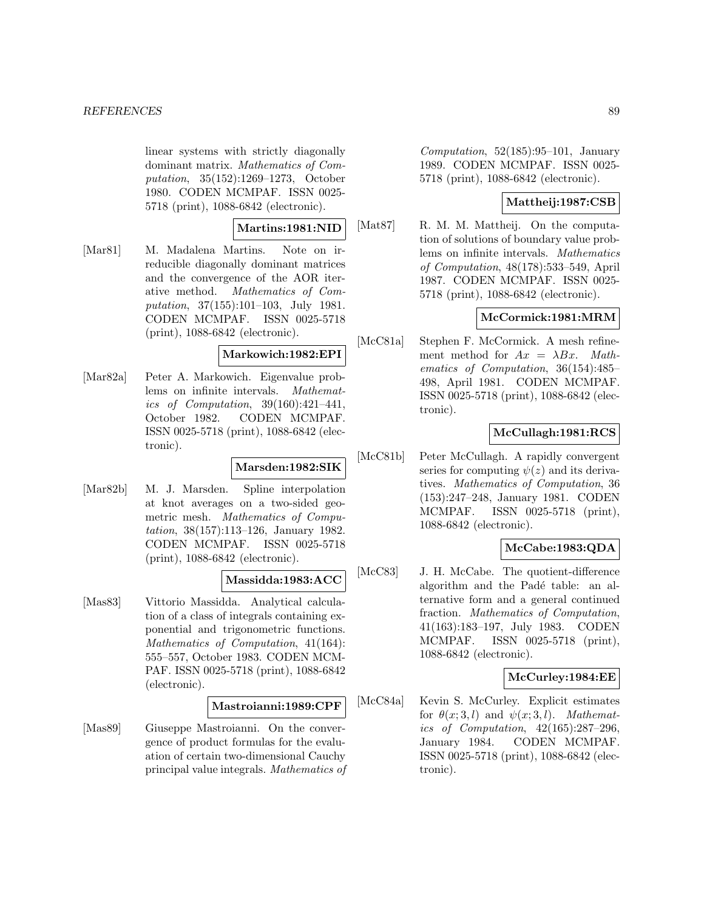linear systems with strictly diagonally dominant matrix. Mathematics of Computation, 35(152):1269–1273, October 1980. CODEN MCMPAF. ISSN 0025- 5718 (print), 1088-6842 (electronic).

### **Martins:1981:NID**

[Mar81] M. Madalena Martins. Note on irreducible diagonally dominant matrices and the convergence of the AOR iterative method. Mathematics of Computation, 37(155):101–103, July 1981. CODEN MCMPAF. ISSN 0025-5718 (print), 1088-6842 (electronic).

## **Markowich:1982:EPI**

[Mar82a] Peter A. Markowich. Eigenvalue problems on infinite intervals. Mathematics of Computation, 39(160):421–441, October 1982. CODEN MCMPAF. ISSN 0025-5718 (print), 1088-6842 (electronic).

## **Marsden:1982:SIK**

[Mar82b] M. J. Marsden. Spline interpolation at knot averages on a two-sided geometric mesh. Mathematics of Computation, 38(157):113–126, January 1982. CODEN MCMPAF. ISSN 0025-5718 (print), 1088-6842 (electronic).

## **Massidda:1983:ACC**

[Mas83] Vittorio Massidda. Analytical calculation of a class of integrals containing exponential and trigonometric functions. Mathematics of Computation, 41(164): 555–557, October 1983. CODEN MCM-PAF. ISSN 0025-5718 (print), 1088-6842 (electronic).

#### **Mastroianni:1989:CPF**

[Mas89] Giuseppe Mastroianni. On the convergence of product formulas for the evaluation of certain two-dimensional Cauchy principal value integrals. Mathematics of

Computation,  $52(185):95-101$ , January 1989. CODEN MCMPAF. ISSN 0025- 5718 (print), 1088-6842 (electronic).

## **Mattheij:1987:CSB**

[Mat87] R. M. M. Mattheij. On the computation of solutions of boundary value problems on infinite intervals. Mathematics of Computation, 48(178):533–549, April 1987. CODEN MCMPAF. ISSN 0025- 5718 (print), 1088-6842 (electronic).

# **McCormick:1981:MRM**

[McC81a] Stephen F. McCormick. A mesh refinement method for  $Ax = \lambda Bx$ . Mathematics of Computation, 36(154):485– 498, April 1981. CODEN MCMPAF. ISSN 0025-5718 (print), 1088-6842 (electronic).

## **McCullagh:1981:RCS**

[McC81b] Peter McCullagh. A rapidly convergent series for computing  $\psi(z)$  and its derivatives. Mathematics of Computation, 36 (153):247–248, January 1981. CODEN MCMPAF. ISSN 0025-5718 (print), 1088-6842 (electronic).

# **McCabe:1983:QDA**

[McC83] J. H. McCabe. The quotient-difference algorithm and the Padé table: an alternative form and a general continued fraction. Mathematics of Computation, 41(163):183–197, July 1983. CODEN MCMPAF. ISSN 0025-5718 (print), 1088-6842 (electronic).

## **McCurley:1984:EE**

[McC84a] Kevin S. McCurley. Explicit estimates for  $\theta(x; 3, l)$  and  $\psi(x; 3, l)$ . Mathematics of Computation, 42(165):287–296, January 1984. CODEN MCMPAF. ISSN 0025-5718 (print), 1088-6842 (electronic).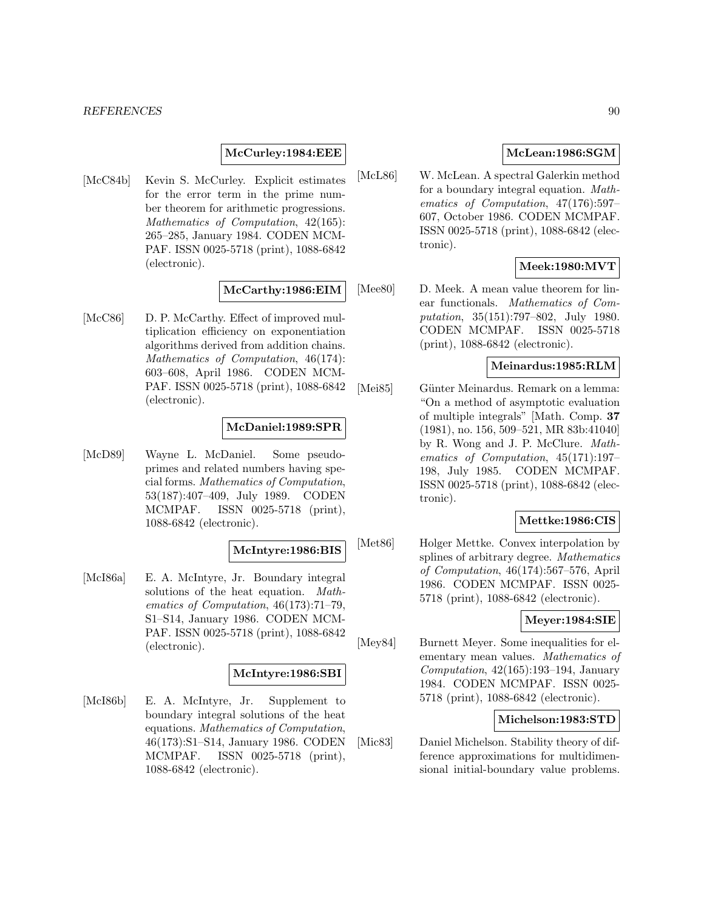### **McCurley:1984:EEE**

[McC84b] Kevin S. McCurley. Explicit estimates for the error term in the prime number theorem for arithmetic progressions. Mathematics of Computation, 42(165): 265–285, January 1984. CODEN MCM-PAF. ISSN 0025-5718 (print), 1088-6842 (electronic).

### **McCarthy:1986:EIM**

[McC86] D. P. McCarthy. Effect of improved multiplication efficiency on exponentiation algorithms derived from addition chains. Mathematics of Computation, 46(174): 603–608, April 1986. CODEN MCM-PAF. ISSN 0025-5718 (print), 1088-6842 (electronic).

## **McDaniel:1989:SPR**

[McD89] Wayne L. McDaniel. Some pseudoprimes and related numbers having special forms. Mathematics of Computation, 53(187):407–409, July 1989. CODEN MCMPAF. ISSN 0025-5718 (print), 1088-6842 (electronic).

## **McIntyre:1986:BIS**

[McI86a] E. A. McIntyre, Jr. Boundary integral solutions of the heat equation. Mathematics of Computation, 46(173):71–79, S1–S14, January 1986. CODEN MCM-PAF. ISSN 0025-5718 (print), 1088-6842 (electronic).

### **McIntyre:1986:SBI**

[McI86b] E. A. McIntyre, Jr. Supplement to boundary integral solutions of the heat equations. Mathematics of Computation, 46(173):S1–S14, January 1986. CODEN MCMPAF. ISSN 0025-5718 (print), 1088-6842 (electronic).

## **McLean:1986:SGM**

[McL86] W. McLean. A spectral Galerkin method for a boundary integral equation. Mathematics of Computation, 47(176):597– 607, October 1986. CODEN MCMPAF. ISSN 0025-5718 (print), 1088-6842 (electronic).

## **Meek:1980:MVT**

[Mee80] D. Meek. A mean value theorem for linear functionals. Mathematics of Computation, 35(151):797–802, July 1980. CODEN MCMPAF. ISSN 0025-5718 (print), 1088-6842 (electronic).

## **Meinardus:1985:RLM**

[Mei85] Günter Meinardus. Remark on a lemma: "On a method of asymptotic evaluation of multiple integrals" [Math. Comp. **37** (1981), no. 156, 509–521, MR 83b:41040] by R. Wong and J. P. McClure. Mathematics of Computation, 45(171):197– 198, July 1985. CODEN MCMPAF. ISSN 0025-5718 (print), 1088-6842 (electronic).

## **Mettke:1986:CIS**

[Met86] Holger Mettke. Convex interpolation by splines of arbitrary degree. Mathematics of Computation, 46(174):567–576, April 1986. CODEN MCMPAF. ISSN 0025- 5718 (print), 1088-6842 (electronic).

## **Meyer:1984:SIE**

[Mey84] Burnett Meyer. Some inequalities for elementary mean values. Mathematics of Computation, 42(165):193–194, January 1984. CODEN MCMPAF. ISSN 0025- 5718 (print), 1088-6842 (electronic).

# **Michelson:1983:STD**

[Mic83] Daniel Michelson. Stability theory of difference approximations for multidimensional initial-boundary value problems.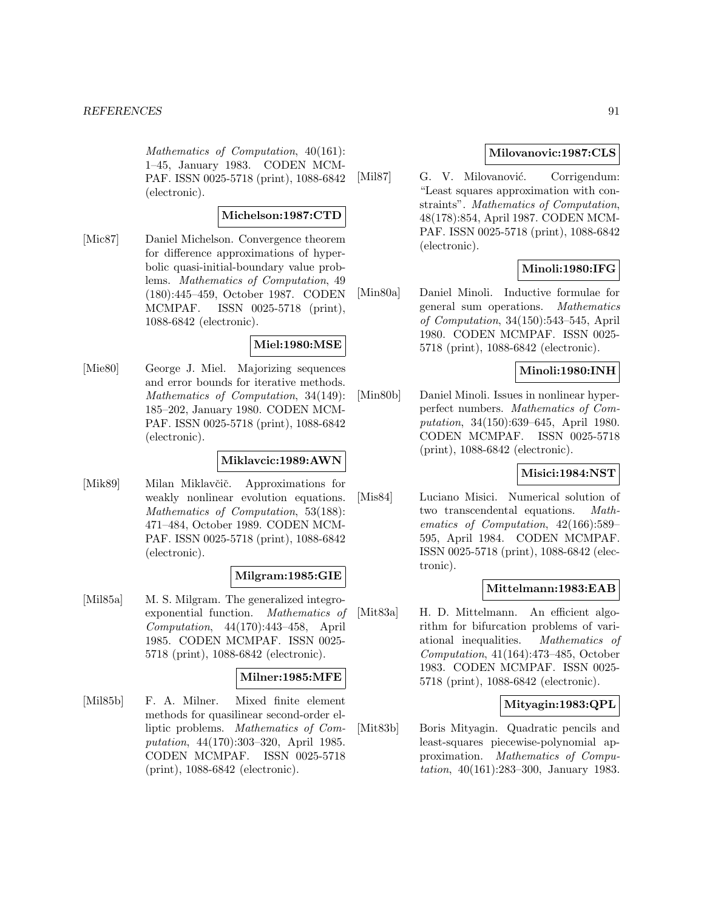Mathematics of Computation, 40(161): 1–45, January 1983. CODEN MCM-PAF. ISSN 0025-5718 (print), 1088-6842 (electronic).

## **Michelson:1987:CTD**

[Mic87] Daniel Michelson. Convergence theorem for difference approximations of hyperbolic quasi-initial-boundary value problems. Mathematics of Computation, 49 (180):445–459, October 1987. CODEN MCMPAF. ISSN 0025-5718 (print), 1088-6842 (electronic).

### **Miel:1980:MSE**

[Mie80] George J. Miel. Majorizing sequences and error bounds for iterative methods. Mathematics of Computation, 34(149): 185–202, January 1980. CODEN MCM-PAF. ISSN 0025-5718 (print), 1088-6842 (electronic).

#### **Miklavcic:1989:AWN**

[Mik89] Milan Miklavčič. Approximations for weakly nonlinear evolution equations. Mathematics of Computation, 53(188): 471–484, October 1989. CODEN MCM-PAF. ISSN 0025-5718 (print), 1088-6842 (electronic).

## **Milgram:1985:GIE**

[Mil85a] M. S. Milgram. The generalized integroexponential function. Mathematics of Computation, 44(170):443–458, April 1985. CODEN MCMPAF. ISSN 0025- 5718 (print), 1088-6842 (electronic).

#### **Milner:1985:MFE**

[Mil85b] F. A. Milner. Mixed finite element methods for quasilinear second-order elliptic problems. Mathematics of Computation, 44(170):303–320, April 1985. CODEN MCMPAF. ISSN 0025-5718 (print), 1088-6842 (electronic).

## **Milovanovic:1987:CLS**

[Mil87] G. V. Milovanović. Corrigendum: "Least squares approximation with constraints". Mathematics of Computation, 48(178):854, April 1987. CODEN MCM-PAF. ISSN 0025-5718 (print), 1088-6842 (electronic).

## **Minoli:1980:IFG**

[Min80a] Daniel Minoli. Inductive formulae for general sum operations. Mathematics of Computation, 34(150):543–545, April 1980. CODEN MCMPAF. ISSN 0025- 5718 (print), 1088-6842 (electronic).

## **Minoli:1980:INH**

[Min80b] Daniel Minoli. Issues in nonlinear hyperperfect numbers. Mathematics of Computation, 34(150):639–645, April 1980. CODEN MCMPAF. ISSN 0025-5718 (print), 1088-6842 (electronic).

## **Misici:1984:NST**

[Mis84] Luciano Misici. Numerical solution of two transcendental equations. Mathematics of Computation, 42(166):589– 595, April 1984. CODEN MCMPAF. ISSN 0025-5718 (print), 1088-6842 (electronic).

## **Mittelmann:1983:EAB**

[Mit83a] H. D. Mittelmann. An efficient algorithm for bifurcation problems of variational inequalities. Mathematics of Computation, 41(164):473–485, October 1983. CODEN MCMPAF. ISSN 0025- 5718 (print), 1088-6842 (electronic).

## **Mityagin:1983:QPL**

[Mit83b] Boris Mityagin. Quadratic pencils and least-squares piecewise-polynomial approximation. Mathematics of Computation, 40(161):283–300, January 1983.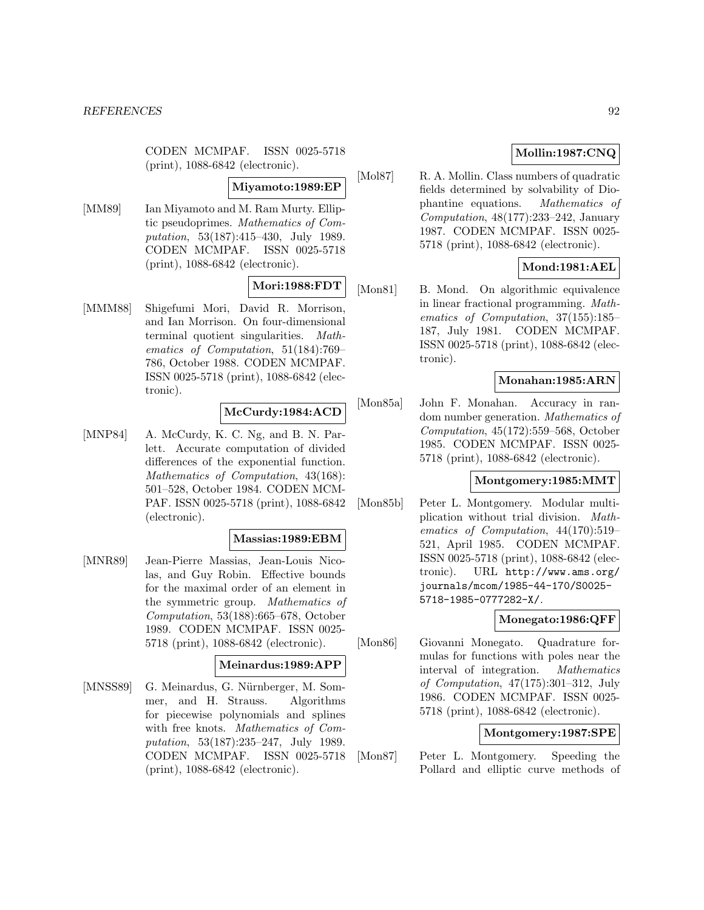CODEN MCMPAF. ISSN 0025-5718 (print), 1088-6842 (electronic).

#### **Miyamoto:1989:EP**

[MM89] Ian Miyamoto and M. Ram Murty. Elliptic pseudoprimes. Mathematics of Computation, 53(187):415–430, July 1989. CODEN MCMPAF. ISSN 0025-5718 (print), 1088-6842 (electronic).

# **Mori:1988:FDT**

[MMM88] Shigefumi Mori, David R. Morrison, and Ian Morrison. On four-dimensional terminal quotient singularities. Mathematics of Computation, 51(184):769– 786, October 1988. CODEN MCMPAF. ISSN 0025-5718 (print), 1088-6842 (electronic).

## **McCurdy:1984:ACD**

[MNP84] A. McCurdy, K. C. Ng, and B. N. Parlett. Accurate computation of divided differences of the exponential function. Mathematics of Computation, 43(168): 501–528, October 1984. CODEN MCM-PAF. ISSN 0025-5718 (print), 1088-6842 (electronic).

## **Massias:1989:EBM**

[MNR89] Jean-Pierre Massias, Jean-Louis Nicolas, and Guy Robin. Effective bounds for the maximal order of an element in the symmetric group. Mathematics of Computation, 53(188):665–678, October 1989. CODEN MCMPAF. ISSN 0025- 5718 (print), 1088-6842 (electronic).

## **Meinardus:1989:APP**

[MNSS89] G. Meinardus, G. Nürnberger, M. Sommer, and H. Strauss. Algorithms for piecewise polynomials and splines with free knots. Mathematics of Computation, 53(187):235–247, July 1989. CODEN MCMPAF. ISSN 0025-5718 (print), 1088-6842 (electronic).

# **Mollin:1987:CNQ**

[Mol87] R. A. Mollin. Class numbers of quadratic fields determined by solvability of Diophantine equations. Mathematics of Computation, 48(177):233–242, January 1987. CODEN MCMPAF. ISSN 0025- 5718 (print), 1088-6842 (electronic).

# **Mond:1981:AEL**

[Mon81] B. Mond. On algorithmic equivalence in linear fractional programming. Mathematics of Computation, 37(155):185– 187, July 1981. CODEN MCMPAF. ISSN 0025-5718 (print), 1088-6842 (electronic).

# **Monahan:1985:ARN**

[Mon85a] John F. Monahan. Accuracy in random number generation. Mathematics of Computation, 45(172):559–568, October 1985. CODEN MCMPAF. ISSN 0025- 5718 (print), 1088-6842 (electronic).

# **Montgomery:1985:MMT**

[Mon85b] Peter L. Montgomery. Modular multiplication without trial division. Mathematics of Computation, 44(170):519– 521, April 1985. CODEN MCMPAF. ISSN 0025-5718 (print), 1088-6842 (electronic). URL http://www.ams.org/ journals/mcom/1985-44-170/S0025- 5718-1985-0777282-X/.

## **Monegato:1986:QFF**

[Mon86] Giovanni Monegato. Quadrature formulas for functions with poles near the interval of integration. Mathematics of Computation, 47(175):301–312, July 1986. CODEN MCMPAF. ISSN 0025- 5718 (print), 1088-6842 (electronic).

## **Montgomery:1987:SPE**

[Mon87] Peter L. Montgomery. Speeding the Pollard and elliptic curve methods of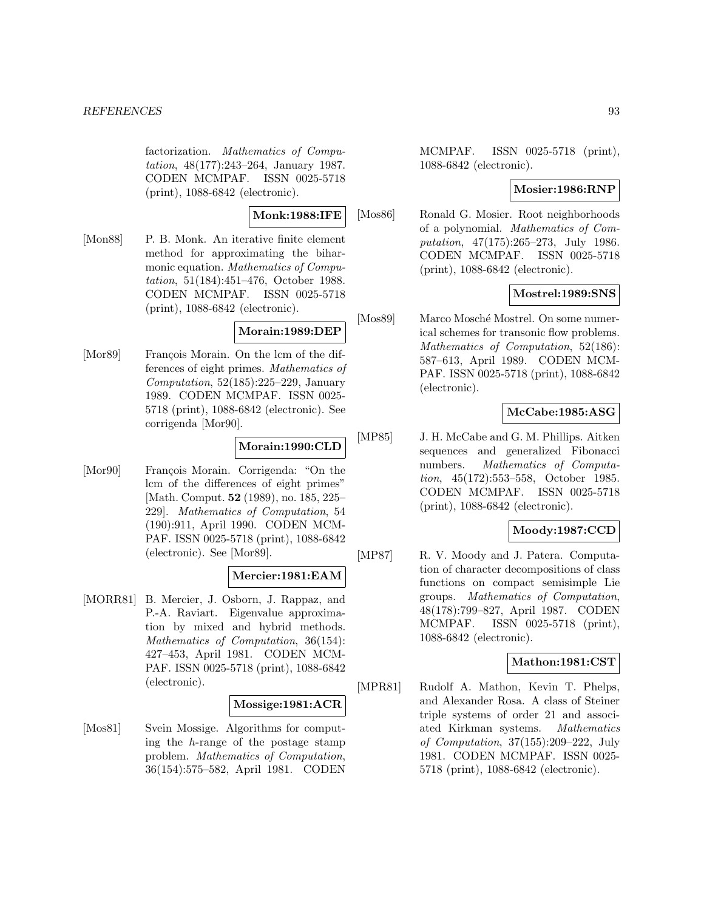factorization. Mathematics of Computation, 48(177):243–264, January 1987. CODEN MCMPAF. ISSN 0025-5718 (print), 1088-6842 (electronic).

**Monk:1988:IFE**

[Mon88] P. B. Monk. An iterative finite element method for approximating the biharmonic equation. Mathematics of Computation, 51(184):451–476, October 1988. CODEN MCMPAF. ISSN 0025-5718 (print), 1088-6842 (electronic).

## **Morain:1989:DEP**

[Mor89] François Morain. On the lcm of the differences of eight primes. Mathematics of Computation, 52(185):225–229, January 1989. CODEN MCMPAF. ISSN 0025- 5718 (print), 1088-6842 (electronic). See corrigenda [Mor90].

# **Morain:1990:CLD**

[Mor90] François Morain. Corrigenda: "On the lcm of the differences of eight primes" [Math. Comput. **52** (1989), no. 185, 225– 229]. Mathematics of Computation, 54 (190):911, April 1990. CODEN MCM-PAF. ISSN 0025-5718 (print), 1088-6842 (electronic). See [Mor89].

# **Mercier:1981:EAM**

[MORR81] B. Mercier, J. Osborn, J. Rappaz, and P.-A. Raviart. Eigenvalue approximation by mixed and hybrid methods. Mathematics of Computation, 36(154): 427–453, April 1981. CODEN MCM-PAF. ISSN 0025-5718 (print), 1088-6842 (electronic).

## **Mossige:1981:ACR**

[Mos81] Svein Mossige. Algorithms for computing the h-range of the postage stamp problem. Mathematics of Computation, 36(154):575–582, April 1981. CODEN

MCMPAF. ISSN 0025-5718 (print), 1088-6842 (electronic).

## **Mosier:1986:RNP**

[Mos86] Ronald G. Mosier. Root neighborhoods of a polynomial. Mathematics of Computation, 47(175):265–273, July 1986. CODEN MCMPAF. ISSN 0025-5718 (print), 1088-6842 (electronic).

## **Mostrel:1989:SNS**

[Mos89] Marco Mosché Mostrel. On some numerical schemes for transonic flow problems. Mathematics of Computation, 52(186): 587–613, April 1989. CODEN MCM-PAF. ISSN 0025-5718 (print), 1088-6842 (electronic).

## **McCabe:1985:ASG**

[MP85] J. H. McCabe and G. M. Phillips. Aitken sequences and generalized Fibonacci numbers. Mathematics of Computation, 45(172):553–558, October 1985. CODEN MCMPAF. ISSN 0025-5718 (print), 1088-6842 (electronic).

# **Moody:1987:CCD**

[MP87] R. V. Moody and J. Patera. Computation of character decompositions of class functions on compact semisimple Lie groups. Mathematics of Computation, 48(178):799–827, April 1987. CODEN MCMPAF. ISSN 0025-5718 (print), 1088-6842 (electronic).

# **Mathon:1981:CST**

[MPR81] Rudolf A. Mathon, Kevin T. Phelps, and Alexander Rosa. A class of Steiner triple systems of order 21 and associated Kirkman systems. Mathematics of Computation, 37(155):209–222, July 1981. CODEN MCMPAF. ISSN 0025- 5718 (print), 1088-6842 (electronic).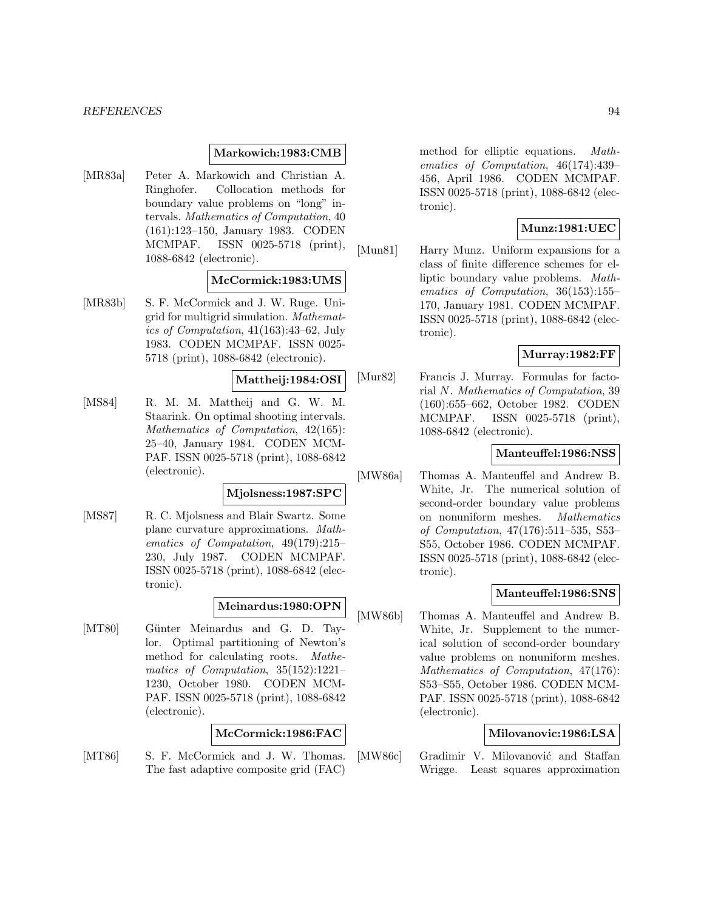### **Markowich:1983:CMB**

[MR83a] Peter A. Markowich and Christian A. Ringhofer. Collocation methods for boundary value problems on "long" intervals. Mathematics of Computation, 40 (161):123–150, January 1983. CODEN MCMPAF. ISSN 0025-5718 (print), 1088-6842 (electronic).

## **McCormick:1983:UMS**

[MR83b] S. F. McCormick and J. W. Ruge. Unigrid for multigrid simulation. Mathematics of Computation, 41(163):43–62, July 1983. CODEN MCMPAF. ISSN 0025- 5718 (print), 1088-6842 (electronic).

### **Mattheij:1984:OSI**

[MS84] R. M. M. Mattheij and G. W. M. Staarink. On optimal shooting intervals. Mathematics of Computation, 42(165): 25–40, January 1984. CODEN MCM-PAF. ISSN 0025-5718 (print), 1088-6842 (electronic).

## **Mjolsness:1987:SPC**

[MS87] R. C. Mjolsness and Blair Swartz. Some plane curvature approximations. Mathematics of Computation, 49(179):215– 230, July 1987. CODEN MCMPAF. ISSN 0025-5718 (print), 1088-6842 (electronic).

## **Meinardus:1980:OPN**

[MT80] Günter Meinardus and G. D. Taylor. Optimal partitioning of Newton's method for calculating roots. Mathematics of Computation, 35(152):1221– 1230, October 1980. CODEN MCM-PAF. ISSN 0025-5718 (print), 1088-6842 (electronic).

## **McCormick:1986:FAC**

[MT86] S. F. McCormick and J. W. Thomas. The fast adaptive composite grid (FAC) method for elliptic equations. Mathematics of Computation, 46(174):439– 456, April 1986. CODEN MCMPAF. ISSN 0025-5718 (print), 1088-6842 (electronic).

# **Munz:1981:UEC**

[Mun81] Harry Munz. Uniform expansions for a class of finite difference schemes for elliptic boundary value problems. Mathematics of Computation, 36(153):155– 170, January 1981. CODEN MCMPAF. ISSN 0025-5718 (print), 1088-6842 (electronic).

# **Murray:1982:FF**

[Mur82] Francis J. Murray. Formulas for factorial N. Mathematics of Computation, 39 (160):655–662, October 1982. CODEN MCMPAF. ISSN 0025-5718 (print), 1088-6842 (electronic).

## **Manteuffel:1986:NSS**

[MW86a] Thomas A. Manteuffel and Andrew B. White, Jr. The numerical solution of second-order boundary value problems on nonuniform meshes. Mathematics of Computation, 47(176):511–535, S53– S55, October 1986. CODEN MCMPAF. ISSN 0025-5718 (print), 1088-6842 (electronic).

#### **Manteuffel:1986:SNS**

[MW86b] Thomas A. Manteuffel and Andrew B. White, Jr. Supplement to the numerical solution of second-order boundary value problems on nonuniform meshes. Mathematics of Computation, 47(176): S53–S55, October 1986. CODEN MCM-PAF. ISSN 0025-5718 (print), 1088-6842 (electronic).

### **Milovanovic:1986:LSA**

[MW86c] Gradimir V. Milovanović and Staffan Wrigge. Least squares approximation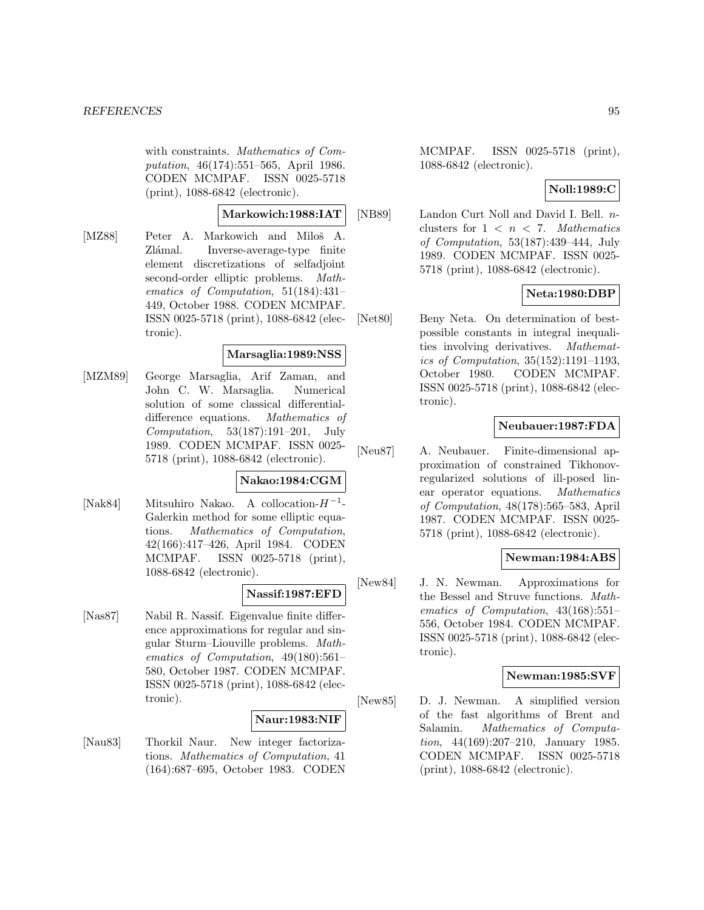with constraints. Mathematics of Computation, 46(174):551–565, April 1986. CODEN MCMPAF. ISSN 0025-5718 (print), 1088-6842 (electronic).

# **Markowich:1988:IAT**

[MZ88] Peter A. Markowich and Miloš A. Zlámal. Inverse-average-type finite element discretizations of selfadjoint second-order elliptic problems. Mathematics of Computation, 51(184):431– 449, October 1988. CODEN MCMPAF. ISSN 0025-5718 (print), 1088-6842 (electronic).

## **Marsaglia:1989:NSS**

[MZM89] George Marsaglia, Arif Zaman, and John C. W. Marsaglia. Numerical solution of some classical differentialdifference equations. Mathematics of Computation, 53(187):191–201, July 1989. CODEN MCMPAF. ISSN 0025- 5718 (print), 1088-6842 (electronic).

# **Nakao:1984:CGM**

[Nak84] Mitsuhiro Nakao. A collocation- $H^{-1}$ -Galerkin method for some elliptic equations. Mathematics of Computation, 42(166):417–426, April 1984. CODEN MCMPAF. ISSN 0025-5718 (print), 1088-6842 (electronic).

# **Nassif:1987:EFD**

[Nas87] Nabil R. Nassif. Eigenvalue finite difference approximations for regular and singular Sturm–Liouville problems. Mathematics of Computation, 49(180):561– 580, October 1987. CODEN MCMPAF. ISSN 0025-5718 (print), 1088-6842 (electronic).

## **Naur:1983:NIF**

[Nau83] Thorkil Naur. New integer factorizations. Mathematics of Computation, 41 (164):687–695, October 1983. CODEN MCMPAF. ISSN 0025-5718 (print), 1088-6842 (electronic).

# **Noll:1989:C**

[NB89] Landon Curt Noll and David I. Bell. nclusters for  $1 < n < 7$ . Mathematics of Computation, 53(187):439–444, July 1989. CODEN MCMPAF. ISSN 0025- 5718 (print), 1088-6842 (electronic).

### **Neta:1980:DBP**

[Net80] Beny Neta. On determination of bestpossible constants in integral inequalities involving derivatives. Mathematics of Computation, 35(152):1191–1193, October 1980. CODEN MCMPAF. ISSN 0025-5718 (print), 1088-6842 (electronic).

## **Neubauer:1987:FDA**

[Neu87] A. Neubauer. Finite-dimensional approximation of constrained Tikhonovregularized solutions of ill-posed linear operator equations. Mathematics of Computation, 48(178):565–583, April 1987. CODEN MCMPAF. ISSN 0025- 5718 (print), 1088-6842 (electronic).

## **Newman:1984:ABS**

[New84] J. N. Newman. Approximations for the Bessel and Struve functions. Mathematics of Computation, 43(168):551– 556, October 1984. CODEN MCMPAF. ISSN 0025-5718 (print), 1088-6842 (electronic).

## **Newman:1985:SVF**

[New85] D. J. Newman. A simplified version of the fast algorithms of Brent and Salamin. Mathematics of Computation, 44(169):207–210, January 1985. CODEN MCMPAF. ISSN 0025-5718 (print), 1088-6842 (electronic).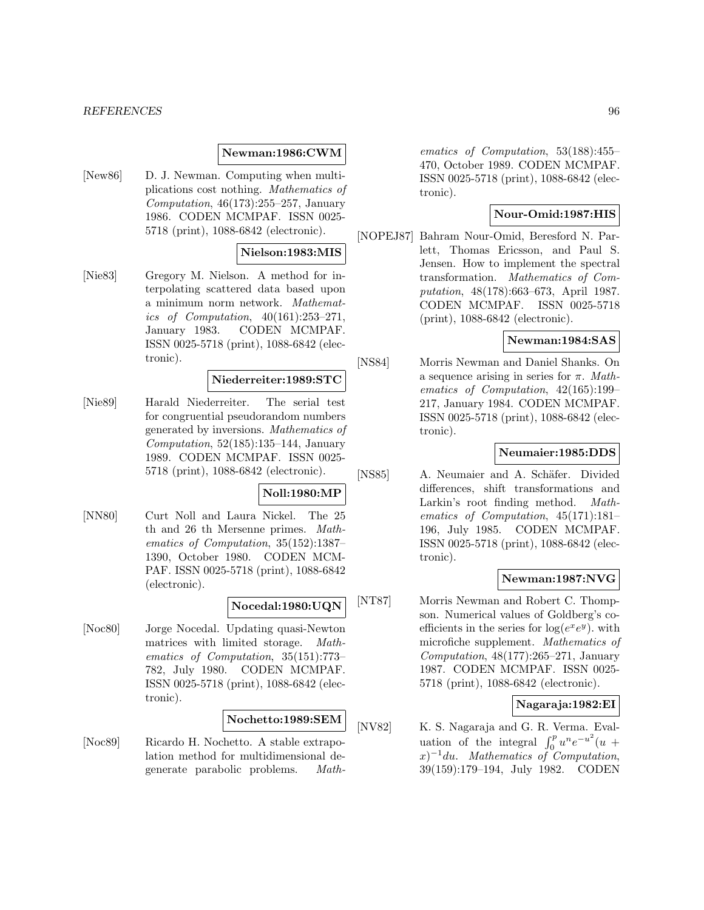## **Newman:1986:CWM**

[New86] D. J. Newman. Computing when multiplications cost nothing. Mathematics of Computation,  $46(173):255-257$ , January 1986. CODEN MCMPAF. ISSN 0025- 5718 (print), 1088-6842 (electronic).

## **Nielson:1983:MIS**

[Nie83] Gregory M. Nielson. A method for interpolating scattered data based upon a minimum norm network. Mathematics of Computation, 40(161):253–271, January 1983. CODEN MCMPAF. ISSN 0025-5718 (print), 1088-6842 (electronic).

## **Niederreiter:1989:STC**

[Nie89] Harald Niederreiter. The serial test for congruential pseudorandom numbers generated by inversions. Mathematics of Computation,  $52(185):135-144$ , January 1989. CODEN MCMPAF. ISSN 0025- 5718 (print), 1088-6842 (electronic).

#### **Noll:1980:MP**

[NN80] Curt Noll and Laura Nickel. The 25 th and 26 th Mersenne primes. Mathematics of Computation, 35(152):1387– 1390, October 1980. CODEN MCM-PAF. ISSN 0025-5718 (print), 1088-6842 (electronic).

## **Nocedal:1980:UQN**

[Noc80] Jorge Nocedal. Updating quasi-Newton matrices with limited storage. Mathematics of Computation, 35(151):773– 782, July 1980. CODEN MCMPAF. ISSN 0025-5718 (print), 1088-6842 (electronic).

## **Nochetto:1989:SEM**

[Noc89] Ricardo H. Nochetto. A stable extrapolation method for multidimensional degenerate parabolic problems. Math-

ematics of Computation, 53(188):455– 470, October 1989. CODEN MCMPAF. ISSN 0025-5718 (print), 1088-6842 (electronic).

## **Nour-Omid:1987:HIS**

[NOPEJ87] Bahram Nour-Omid, Beresford N. Parlett, Thomas Ericsson, and Paul S. Jensen. How to implement the spectral transformation. Mathematics of Computation, 48(178):663–673, April 1987. CODEN MCMPAF. ISSN 0025-5718 (print), 1088-6842 (electronic).

## **Newman:1984:SAS**

[NS84] Morris Newman and Daniel Shanks. On a sequence arising in series for  $\pi$ . Mathematics of Computation, 42(165):199– 217, January 1984. CODEN MCMPAF. ISSN 0025-5718 (print), 1088-6842 (electronic).

## **Neumaier:1985:DDS**

[NS85] A. Neumaier and A. Schäfer. Divided differences, shift transformations and Larkin's root finding method. Mathematics of Computation, 45(171):181– 196, July 1985. CODEN MCMPAF. ISSN 0025-5718 (print), 1088-6842 (electronic).

## **Newman:1987:NVG**

[NT87] Morris Newman and Robert C. Thompson. Numerical values of Goldberg's coefficients in the series for  $log(e^xe^y)$ , with microfiche supplement. Mathematics of Computation, 48(177):265–271, January 1987. CODEN MCMPAF. ISSN 0025- 5718 (print), 1088-6842 (electronic).

## **Nagaraja:1982:EI**

[NV82] K. S. Nagaraja and G. R. Verma. Evaluation of the integral  $\int_0^p u^n e^{-u^2}(u +$  $(x)^{-1}du$ . Mathematics of Computation, 39(159):179–194, July 1982. CODEN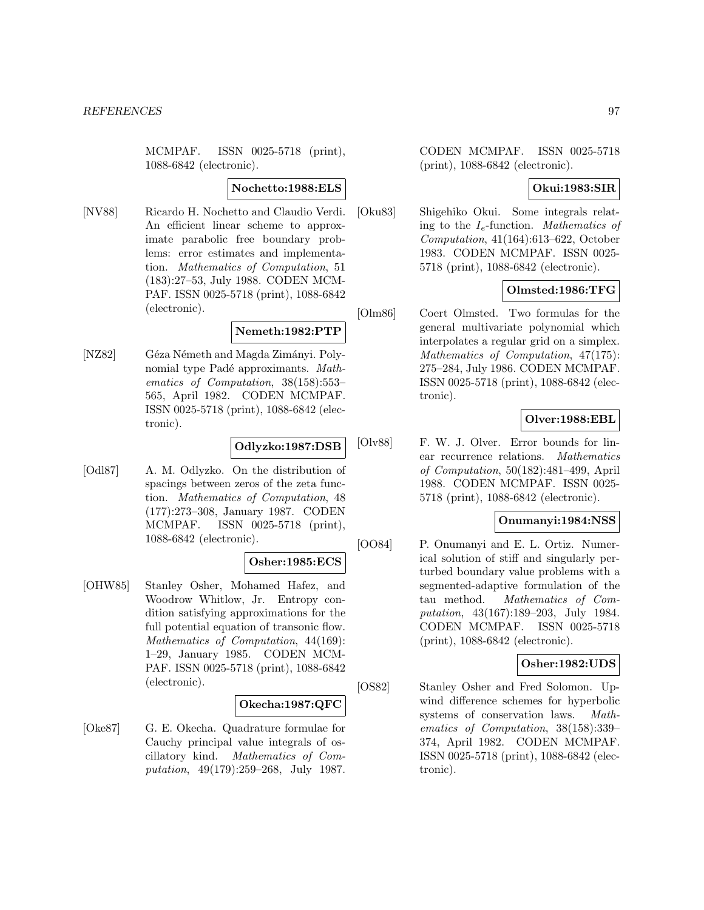MCMPAF. ISSN 0025-5718 (print), 1088-6842 (electronic).

## **Nochetto:1988:ELS**

[NV88] Ricardo H. Nochetto and Claudio Verdi. An efficient linear scheme to approximate parabolic free boundary problems: error estimates and implementation. Mathematics of Computation, 51 (183):27–53, July 1988. CODEN MCM-PAF. ISSN 0025-5718 (print), 1088-6842 (electronic).

# **Nemeth:1982:PTP**

[NZ82] Géza Németh and Magda Zimányi. Polynomial type Padé approximants. Mathematics of Computation, 38(158):553– 565, April 1982. CODEN MCMPAF. ISSN 0025-5718 (print), 1088-6842 (electronic).

## **Odlyzko:1987:DSB**

[Odl87] A. M. Odlyzko. On the distribution of spacings between zeros of the zeta function. Mathematics of Computation, 48 (177):273–308, January 1987. CODEN MCMPAF. ISSN 0025-5718 (print), 1088-6842 (electronic).

## **Osher:1985:ECS**

[OHW85] Stanley Osher, Mohamed Hafez, and Woodrow Whitlow, Jr. Entropy condition satisfying approximations for the full potential equation of transonic flow. Mathematics of Computation, 44(169): 1–29, January 1985. CODEN MCM-PAF. ISSN 0025-5718 (print), 1088-6842 (electronic).

## **Okecha:1987:QFC**

[Oke87] G. E. Okecha. Quadrature formulae for Cauchy principal value integrals of oscillatory kind. Mathematics of Computation, 49(179):259–268, July 1987.

CODEN MCMPAF. ISSN 0025-5718 (print), 1088-6842 (electronic).

# **Okui:1983:SIR**

[Oku83] Shigehiko Okui. Some integrals relating to the  $I_e$ -function. Mathematics of Computation, 41(164):613–622, October 1983. CODEN MCMPAF. ISSN 0025- 5718 (print), 1088-6842 (electronic).

## **Olmsted:1986:TFG**

[Olm86] Coert Olmsted. Two formulas for the general multivariate polynomial which interpolates a regular grid on a simplex. Mathematics of Computation, 47(175): 275–284, July 1986. CODEN MCMPAF. ISSN 0025-5718 (print), 1088-6842 (electronic).

# **Olver:1988:EBL**

[Olv88] F. W. J. Olver. Error bounds for linear recurrence relations. Mathematics of Computation, 50(182):481–499, April 1988. CODEN MCMPAF. ISSN 0025- 5718 (print), 1088-6842 (electronic).

## **Onumanyi:1984:NSS**

[OO84] P. Onumanyi and E. L. Ortiz. Numerical solution of stiff and singularly perturbed boundary value problems with a segmented-adaptive formulation of the tau method. Mathematics of Computation, 43(167):189–203, July 1984. CODEN MCMPAF. ISSN 0025-5718 (print), 1088-6842 (electronic).

## **Osher:1982:UDS**

[OS82] Stanley Osher and Fred Solomon. Upwind difference schemes for hyperbolic systems of conservation laws. Mathematics of Computation, 38(158):339– 374, April 1982. CODEN MCMPAF. ISSN 0025-5718 (print), 1088-6842 (electronic).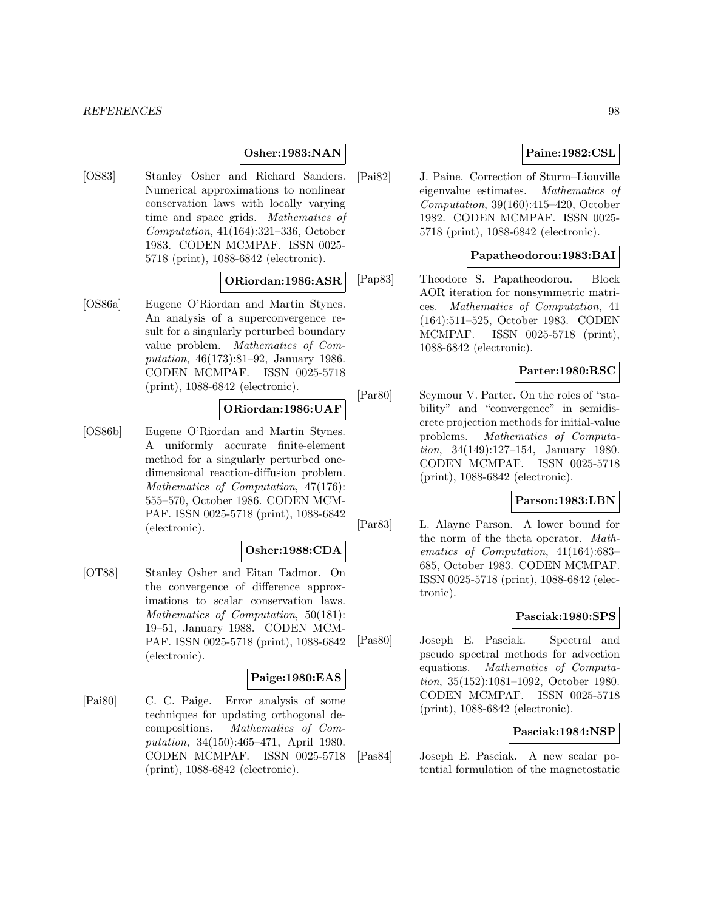## **Osher:1983:NAN**

[OS83] Stanley Osher and Richard Sanders. Numerical approximations to nonlinear conservation laws with locally varying time and space grids. Mathematics of Computation, 41(164):321–336, October 1983. CODEN MCMPAF. ISSN 0025- 5718 (print), 1088-6842 (electronic).

### **ORiordan:1986:ASR**

[OS86a] Eugene O'Riordan and Martin Stynes. An analysis of a superconvergence result for a singularly perturbed boundary value problem. Mathematics of Computation, 46(173):81–92, January 1986. CODEN MCMPAF. ISSN 0025-5718 (print), 1088-6842 (electronic).

## **ORiordan:1986:UAF**

[OS86b] Eugene O'Riordan and Martin Stynes. A uniformly accurate finite-element method for a singularly perturbed onedimensional reaction-diffusion problem. Mathematics of Computation, 47(176): 555–570, October 1986. CODEN MCM-PAF. ISSN 0025-5718 (print), 1088-6842 (electronic).

## **Osher:1988:CDA**

[OT88] Stanley Osher and Eitan Tadmor. On the convergence of difference approximations to scalar conservation laws. Mathematics of Computation, 50(181): 19–51, January 1988. CODEN MCM-PAF. ISSN 0025-5718 (print), 1088-6842 (electronic).

#### **Paige:1980:EAS**

[Pai80] C. C. Paige. Error analysis of some techniques for updating orthogonal decompositions. Mathematics of Computation, 34(150):465–471, April 1980. CODEN MCMPAF. ISSN 0025-5718 (print), 1088-6842 (electronic).

# **Paine:1982:CSL**

[Pai82] J. Paine. Correction of Sturm–Liouville eigenvalue estimates. Mathematics of Computation, 39(160):415–420, October 1982. CODEN MCMPAF. ISSN 0025- 5718 (print), 1088-6842 (electronic).

## **Papatheodorou:1983:BAI**

[Pap83] Theodore S. Papatheodorou. Block AOR iteration for nonsymmetric matrices. Mathematics of Computation, 41 (164):511–525, October 1983. CODEN MCMPAF. ISSN 0025-5718 (print), 1088-6842 (electronic).

## **Parter:1980:RSC**

[Par80] Seymour V. Parter. On the roles of "stability" and "convergence" in semidiscrete projection methods for initial-value problems. Mathematics of Computation, 34(149):127–154, January 1980. CODEN MCMPAF. ISSN 0025-5718 (print), 1088-6842 (electronic).

#### **Parson:1983:LBN**

[Par83] L. Alayne Parson. A lower bound for the norm of the theta operator. Mathematics of Computation, 41(164):683– 685, October 1983. CODEN MCMPAF. ISSN 0025-5718 (print), 1088-6842 (electronic).

## **Pasciak:1980:SPS**

[Pas80] Joseph E. Pasciak. Spectral and pseudo spectral methods for advection equations. Mathematics of Computation, 35(152):1081–1092, October 1980. CODEN MCMPAF. ISSN 0025-5718 (print), 1088-6842 (electronic).

## **Pasciak:1984:NSP**

[Pas84] Joseph E. Pasciak. A new scalar potential formulation of the magnetostatic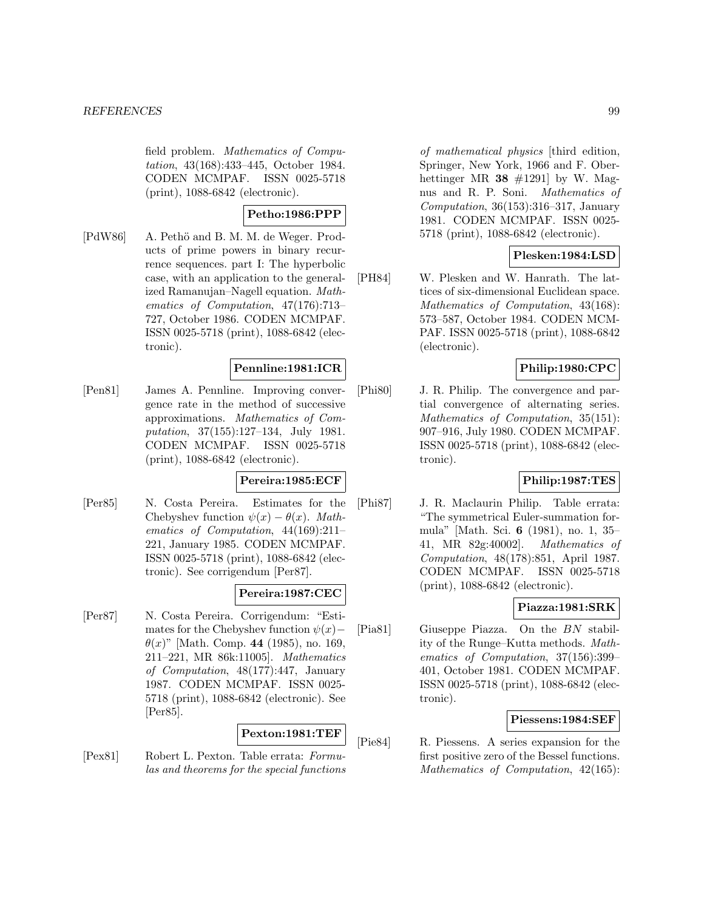field problem. Mathematics of Computation, 43(168):433–445, October 1984. CODEN MCMPAF. ISSN 0025-5718 (print), 1088-6842 (electronic).

# **Petho:1986:PPP**

[PdW86] A. Pethö and B. M. M. de Weger. Products of prime powers in binary recurrence sequences. part I: The hyperbolic case, with an application to the generalized Ramanujan–Nagell equation. Mathematics of Computation, 47(176):713– 727, October 1986. CODEN MCMPAF. ISSN 0025-5718 (print), 1088-6842 (electronic).

## **Pennline:1981:ICR**

[Pen81] James A. Pennline. Improving convergence rate in the method of successive approximations. Mathematics of Computation, 37(155):127–134, July 1981. CODEN MCMPAF. ISSN 0025-5718 (print), 1088-6842 (electronic).

# **Pereira:1985:ECF**

[Per85] N. Costa Pereira. Estimates for the Chebyshev function  $\psi(x) - \theta(x)$ . Mathematics of Computation, 44(169):211– 221, January 1985. CODEN MCMPAF. ISSN 0025-5718 (print), 1088-6842 (electronic). See corrigendum [Per87].

# **Pereira:1987:CEC**

[Per87] N. Costa Pereira. Corrigendum: "Estimates for the Chebyshev function  $\psi(x)$ −  $\theta(x)$ " [Math. Comp. **44** (1985), no. 169, 211–221, MR 86k:11005]. Mathematics of Computation, 48(177):447, January 1987. CODEN MCMPAF. ISSN 0025- 5718 (print), 1088-6842 (electronic). See [Per85].

## **Pexton:1981:TEF**

[Pex81] Robert L. Pexton. Table errata: Formulas and theorems for the special functions

of mathematical physics [third edition, Springer, New York, 1966 and F. Oberhettinger MR  $38 \neq 1291$  by W. Magnus and R. P. Soni. Mathematics of Computation, 36(153):316–317, January 1981. CODEN MCMPAF. ISSN 0025- 5718 (print), 1088-6842 (electronic).

# **Plesken:1984:LSD**

[PH84] W. Plesken and W. Hanrath. The lattices of six-dimensional Euclidean space. Mathematics of Computation, 43(168): 573–587, October 1984. CODEN MCM-PAF. ISSN 0025-5718 (print), 1088-6842 (electronic).

# **Philip:1980:CPC**

[Phi80] J. R. Philip. The convergence and partial convergence of alternating series. Mathematics of Computation, 35(151): 907–916, July 1980. CODEN MCMPAF. ISSN 0025-5718 (print), 1088-6842 (electronic).

# **Philip:1987:TES**

[Phi87] J. R. Maclaurin Philip. Table errata: "The symmetrical Euler-summation formula" [Math. Sci. **6** (1981), no. 1, 35– 41, MR 82g:40002]. Mathematics of Computation, 48(178):851, April 1987. CODEN MCMPAF. ISSN 0025-5718 (print), 1088-6842 (electronic).

# **Piazza:1981:SRK**

[Pia81] Giuseppe Piazza. On the BN stability of the Runge–Kutta methods. Mathematics of Computation, 37(156):399– 401, October 1981. CODEN MCMPAF. ISSN 0025-5718 (print), 1088-6842 (electronic).

# **Piessens:1984:SEF**

[Pie84] R. Piessens. A series expansion for the first positive zero of the Bessel functions. Mathematics of Computation, 42(165):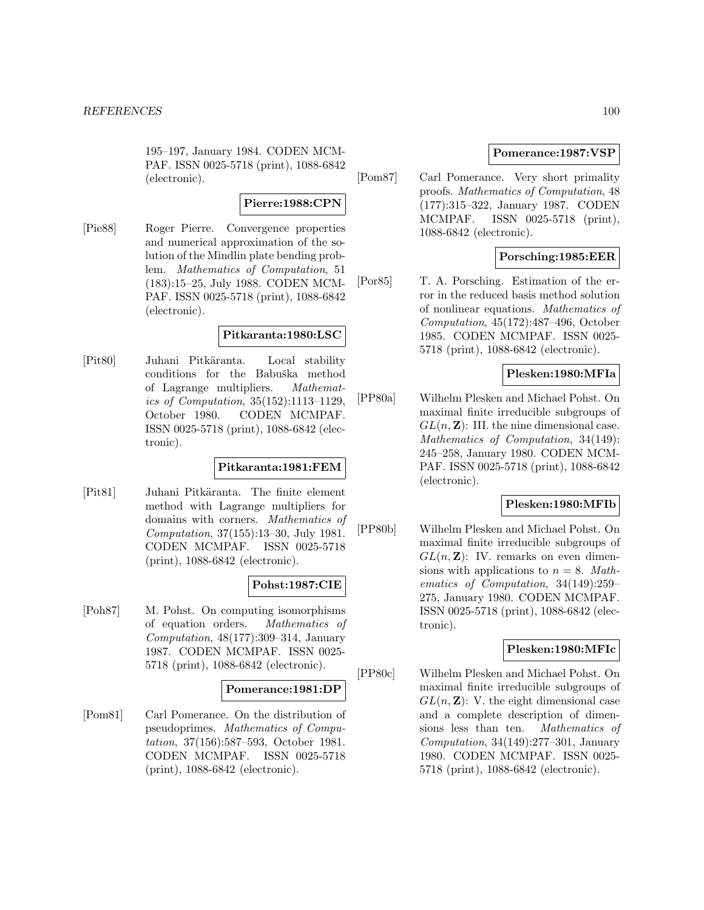195–197, January 1984. CODEN MCM-PAF. ISSN 0025-5718 (print), 1088-6842 (electronic).

# **Pierre:1988:CPN**

[Pie88] Roger Pierre. Convergence properties and numerical approximation of the solution of the Mindlin plate bending problem. Mathematics of Computation, 51 (183):15–25, July 1988. CODEN MCM-PAF. ISSN 0025-5718 (print), 1088-6842 (electronic).

# **Pitkaranta:1980:LSC**

[Pit80] Juhani Pitkäranta. Local stability conditions for the Babuška method of Lagrange multipliers. Mathematics of Computation, 35(152):1113–1129, October 1980. CODEN MCMPAF. ISSN 0025-5718 (print), 1088-6842 (electronic).

# **Pitkaranta:1981:FEM**

[Pit81] Juhani Pitkäranta. The finite element method with Lagrange multipliers for domains with corners. Mathematics of Computation, 37(155):13–30, July 1981. CODEN MCMPAF. ISSN 0025-5718 (print), 1088-6842 (electronic).

# **Pohst:1987:CIE**

[Poh87] M. Pohst. On computing isomorphisms of equation orders. Mathematics of Computation, 48(177):309–314, January 1987. CODEN MCMPAF. ISSN 0025- 5718 (print), 1088-6842 (electronic).

## **Pomerance:1981:DP**

[Pom81] Carl Pomerance. On the distribution of pseudoprimes. Mathematics of Computation, 37(156):587–593, October 1981. CODEN MCMPAF. ISSN 0025-5718 (print), 1088-6842 (electronic).

# **Pomerance:1987:VSP**

[Pom87] Carl Pomerance. Very short primality proofs. Mathematics of Computation, 48 (177):315–322, January 1987. CODEN MCMPAF. ISSN 0025-5718 (print), 1088-6842 (electronic).

# **Porsching:1985:EER**

[Por85] T. A. Porsching. Estimation of the error in the reduced basis method solution of nonlinear equations. Mathematics of Computation, 45(172):487–496, October 1985. CODEN MCMPAF. ISSN 0025- 5718 (print), 1088-6842 (electronic).

# **Plesken:1980:MFIa**

[PP80a] Wilhelm Plesken and Michael Pohst. On maximal finite irreducible subgroups of  $GL(n, \mathbb{Z})$ : III. the nine dimensional case. Mathematics of Computation, 34(149): 245–258, January 1980. CODEN MCM-PAF. ISSN 0025-5718 (print), 1088-6842 (electronic).

# **Plesken:1980:MFIb**

[PP80b] Wilhelm Plesken and Michael Pohst. On maximal finite irreducible subgroups of  $GL(n, \mathbb{Z})$ : IV. remarks on even dimensions with applications to  $n = 8$ . Mathematics of Computation, 34(149):259– 275, January 1980. CODEN MCMPAF. ISSN 0025-5718 (print), 1088-6842 (electronic).

# **Plesken:1980:MFIc**

[PP80c] Wilhelm Plesken and Michael Pohst. On maximal finite irreducible subgroups of  $GL(n, \mathbb{Z})$ : V. the eight dimensional case and a complete description of dimensions less than ten. Mathematics of Computation, 34(149):277–301, January 1980. CODEN MCMPAF. ISSN 0025- 5718 (print), 1088-6842 (electronic).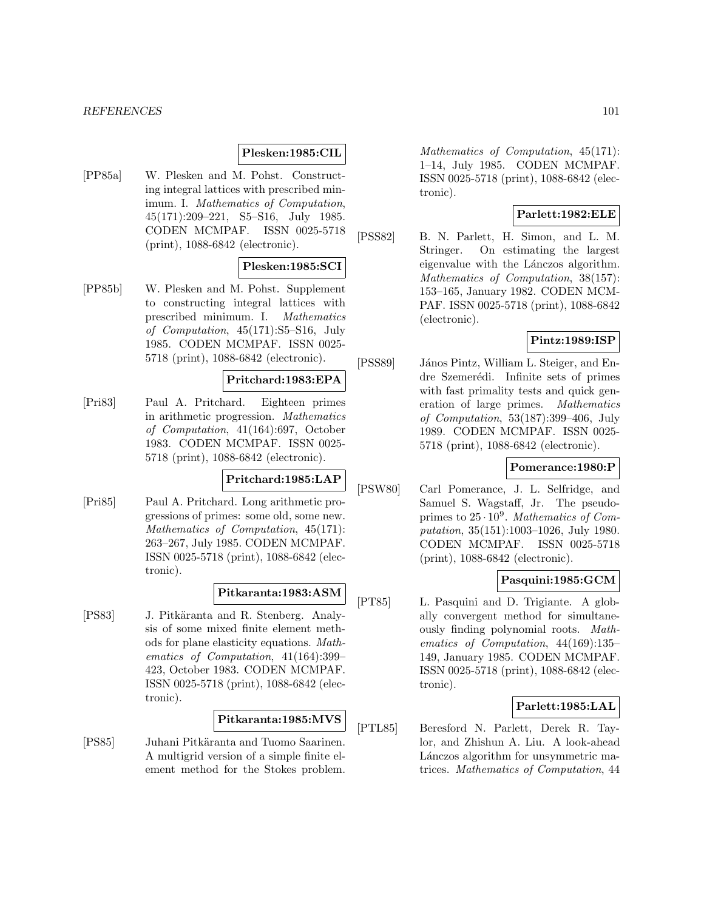### **Plesken:1985:CIL**

[PP85a] W. Plesken and M. Pohst. Constructing integral lattices with prescribed minimum. I. Mathematics of Computation, 45(171):209–221, S5–S16, July 1985. CODEN MCMPAF. ISSN 0025-5718 (print), 1088-6842 (electronic).

### **Plesken:1985:SCI**

[PP85b] W. Plesken and M. Pohst. Supplement to constructing integral lattices with prescribed minimum. I. Mathematics of Computation, 45(171):S5–S16, July 1985. CODEN MCMPAF. ISSN 0025- 5718 (print), 1088-6842 (electronic).

## **Pritchard:1983:EPA**

[Pri83] Paul A. Pritchard. Eighteen primes in arithmetic progression. Mathematics of Computation, 41(164):697, October 1983. CODEN MCMPAF. ISSN 0025- 5718 (print), 1088-6842 (electronic).

# **Pritchard:1985:LAP**

[Pri85] Paul A. Pritchard. Long arithmetic progressions of primes: some old, some new. Mathematics of Computation, 45(171): 263–267, July 1985. CODEN MCMPAF. ISSN 0025-5718 (print), 1088-6842 (electronic).

# **Pitkaranta:1983:ASM**

[PS83] J. Pitkäranta and R. Stenberg. Analysis of some mixed finite element methods for plane elasticity equations. Mathematics of Computation, 41(164):399– 423, October 1983. CODEN MCMPAF. ISSN 0025-5718 (print), 1088-6842 (electronic).

## **Pitkaranta:1985:MVS**

[PS85] Juhani Pitkäranta and Tuomo Saarinen. A multigrid version of a simple finite element method for the Stokes problem.

Mathematics of Computation, 45(171): 1–14, July 1985. CODEN MCMPAF. ISSN 0025-5718 (print), 1088-6842 (electronic).

## **Parlett:1982:ELE**

[PSS82] B. N. Parlett, H. Simon, and L. M. Stringer. On estimating the largest eigenvalue with the Lánczos algorithm. Mathematics of Computation, 38(157): 153–165, January 1982. CODEN MCM-PAF. ISSN 0025-5718 (print), 1088-6842 (electronic).

## **Pintz:1989:ISP**

[PSS89] János Pintz, William L. Steiger, and Endre Szemerédi. Infinite sets of primes with fast primality tests and quick generation of large primes. Mathematics of Computation, 53(187):399–406, July 1989. CODEN MCMPAF. ISSN 0025- 5718 (print), 1088-6842 (electronic).

## **Pomerance:1980:P**

[PSW80] Carl Pomerance, J. L. Selfridge, and Samuel S. Wagstaff, Jr. The pseudoprimes to  $25 \cdot 10^9$ . Mathematics of Computation, 35(151):1003–1026, July 1980. CODEN MCMPAF. ISSN 0025-5718 (print), 1088-6842 (electronic).

## **Pasquini:1985:GCM**

[PT85] L. Pasquini and D. Trigiante. A globally convergent method for simultaneously finding polynomial roots. Mathematics of Computation, 44(169):135– 149, January 1985. CODEN MCMPAF. ISSN 0025-5718 (print), 1088-6842 (electronic).

## **Parlett:1985:LAL**

[PTL85] Beresford N. Parlett, Derek R. Taylor, and Zhishun A. Liu. A look-ahead Lánczos algorithm for unsymmetric matrices. Mathematics of Computation, 44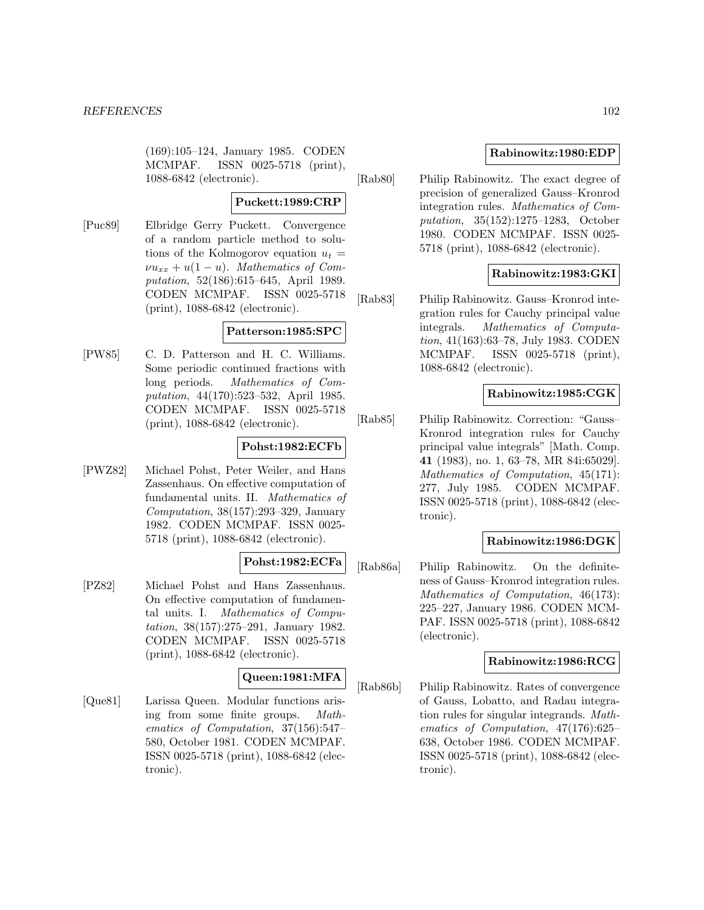(169):105–124, January 1985. CODEN MCMPAF. ISSN 0025-5718 (print), 1088-6842 (electronic).

## **Puckett:1989:CRP**

[Puc89] Elbridge Gerry Puckett. Convergence of a random particle method to solutions of the Kolmogorov equation  $u_t =$  $\nu u_{xx} + u(1-u)$ . Mathematics of Computation, 52(186):615–645, April 1989. CODEN MCMPAF. ISSN 0025-5718 (print), 1088-6842 (electronic).

## **Patterson:1985:SPC**

[PW85] C. D. Patterson and H. C. Williams. Some periodic continued fractions with long periods. Mathematics of Computation, 44(170):523–532, April 1985. CODEN MCMPAF. ISSN 0025-5718 (print), 1088-6842 (electronic).

## **Pohst:1982:ECFb**

[PWZ82] Michael Pohst, Peter Weiler, and Hans Zassenhaus. On effective computation of fundamental units. II. Mathematics of Computation, 38(157):293–329, January 1982. CODEN MCMPAF. ISSN 0025- 5718 (print), 1088-6842 (electronic).

# **Pohst:1982:ECFa**

[PZ82] Michael Pohst and Hans Zassenhaus. On effective computation of fundamental units. I. Mathematics of Computation, 38(157):275–291, January 1982. CODEN MCMPAF. ISSN 0025-5718 (print), 1088-6842 (electronic).

## **Queen:1981:MFA**

[Que81] Larissa Queen. Modular functions arising from some finite groups. Mathematics of Computation, 37(156):547– 580, October 1981. CODEN MCMPAF. ISSN 0025-5718 (print), 1088-6842 (electronic).

## **Rabinowitz:1980:EDP**

[Rab80] Philip Rabinowitz. The exact degree of precision of generalized Gauss–Kronrod integration rules. Mathematics of Computation, 35(152):1275–1283, October 1980. CODEN MCMPAF. ISSN 0025- 5718 (print), 1088-6842 (electronic).

## **Rabinowitz:1983:GKI**

[Rab83] Philip Rabinowitz. Gauss–Kronrod integration rules for Cauchy principal value integrals. Mathematics of Computation, 41(163):63–78, July 1983. CODEN MCMPAF. ISSN 0025-5718 (print), 1088-6842 (electronic).

## **Rabinowitz:1985:CGK**

[Rab85] Philip Rabinowitz. Correction: "Gauss– Kronrod integration rules for Cauchy principal value integrals" [Math. Comp. **41** (1983), no. 1, 63–78, MR 84i:65029]. Mathematics of Computation, 45(171): 277, July 1985. CODEN MCMPAF. ISSN 0025-5718 (print), 1088-6842 (electronic).

## **Rabinowitz:1986:DGK**

[Rab86a] Philip Rabinowitz. On the definiteness of Gauss–Kronrod integration rules. Mathematics of Computation, 46(173): 225–227, January 1986. CODEN MCM-PAF. ISSN 0025-5718 (print), 1088-6842 (electronic).

### **Rabinowitz:1986:RCG**

[Rab86b] Philip Rabinowitz. Rates of convergence of Gauss, Lobatto, and Radau integration rules for singular integrands. Mathematics of Computation, 47(176):625– 638, October 1986. CODEN MCMPAF. ISSN 0025-5718 (print), 1088-6842 (electronic).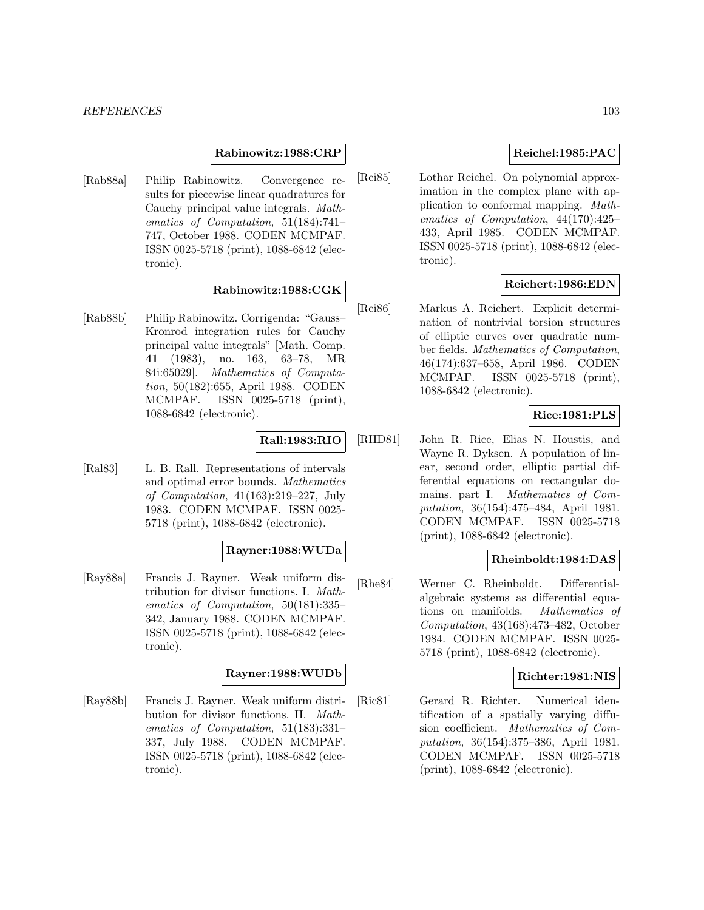### **Rabinowitz:1988:CRP**

[Rab88a] Philip Rabinowitz. Convergence results for piecewise linear quadratures for Cauchy principal value integrals. Mathematics of Computation, 51(184):741– 747, October 1988. CODEN MCMPAF. ISSN 0025-5718 (print), 1088-6842 (electronic).

## **Rabinowitz:1988:CGK**

[Rab88b] Philip Rabinowitz. Corrigenda: "Gauss– Kronrod integration rules for Cauchy principal value integrals" [Math. Comp. **41** (1983), no. 163, 63–78, MR 84i:65029]. Mathematics of Computation, 50(182):655, April 1988. CODEN MCMPAF. ISSN 0025-5718 (print), 1088-6842 (electronic).

## **Rall:1983:RIO**

[Ral83] L. B. Rall. Representations of intervals and optimal error bounds. Mathematics of Computation, 41(163):219–227, July 1983. CODEN MCMPAF. ISSN 0025- 5718 (print), 1088-6842 (electronic).

## **Rayner:1988:WUDa**

[Ray88a] Francis J. Rayner. Weak uniform distribution for divisor functions. I. Mathematics of Computation, 50(181):335– 342, January 1988. CODEN MCMPAF. ISSN 0025-5718 (print), 1088-6842 (electronic).

### **Rayner:1988:WUDb**

[Ray88b] Francis J. Rayner. Weak uniform distribution for divisor functions. II. Mathematics of Computation, 51(183):331– 337, July 1988. CODEN MCMPAF. ISSN 0025-5718 (print), 1088-6842 (electronic).

## **Reichel:1985:PAC**

[Rei85] Lothar Reichel. On polynomial approximation in the complex plane with application to conformal mapping. Mathematics of Computation, 44(170):425– 433, April 1985. CODEN MCMPAF. ISSN 0025-5718 (print), 1088-6842 (electronic).

## **Reichert:1986:EDN**

[Rei86] Markus A. Reichert. Explicit determination of nontrivial torsion structures of elliptic curves over quadratic number fields. Mathematics of Computation, 46(174):637–658, April 1986. CODEN MCMPAF. ISSN 0025-5718 (print), 1088-6842 (electronic).

## **Rice:1981:PLS**

[RHD81] John R. Rice, Elias N. Houstis, and Wayne R. Dyksen. A population of linear, second order, elliptic partial differential equations on rectangular domains. part I. Mathematics of Computation, 36(154):475–484, April 1981. CODEN MCMPAF. ISSN 0025-5718 (print), 1088-6842 (electronic).

## **Rheinboldt:1984:DAS**

[Rhe84] Werner C. Rheinboldt. Differentialalgebraic systems as differential equations on manifolds. Mathematics of Computation, 43(168):473–482, October 1984. CODEN MCMPAF. ISSN 0025- 5718 (print), 1088-6842 (electronic).

## **Richter:1981:NIS**

[Ric81] Gerard R. Richter. Numerical identification of a spatially varying diffusion coefficient. Mathematics of Computation, 36(154):375–386, April 1981. CODEN MCMPAF. ISSN 0025-5718 (print), 1088-6842 (electronic).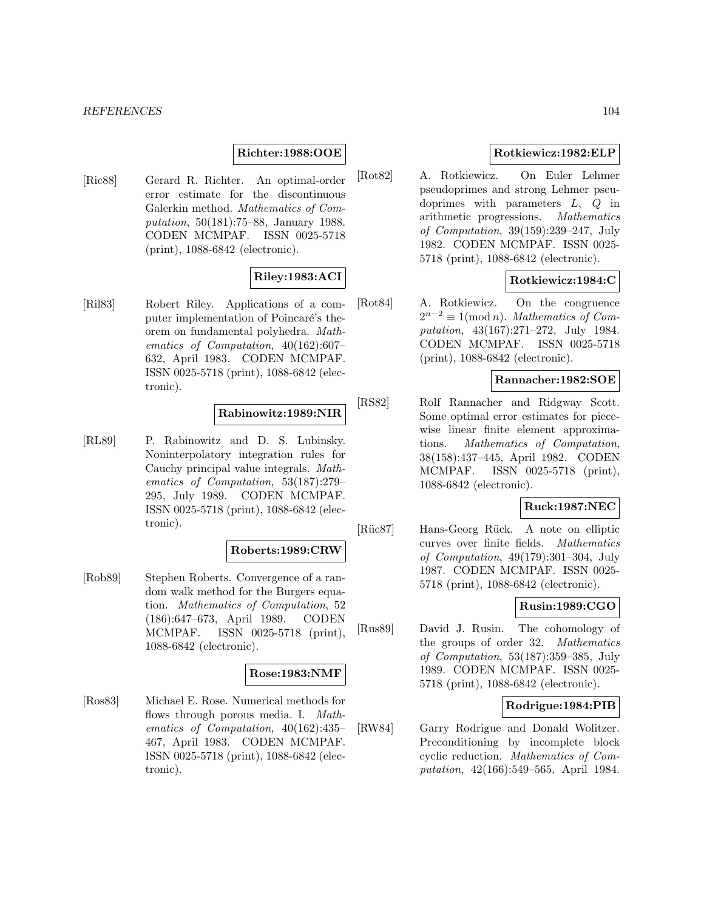## **Richter:1988:OOE**

[Ric88] Gerard R. Richter. An optimal-order error estimate for the discontinuous Galerkin method. Mathematics of Computation, 50(181):75–88, January 1988. CODEN MCMPAF. ISSN 0025-5718 (print), 1088-6842 (electronic).

## **Riley:1983:ACI**

[Ril83] Robert Riley. Applications of a computer implementation of Poincaré's theorem on fundamental polyhedra. Mathematics of Computation, 40(162):607– 632, April 1983. CODEN MCMPAF. ISSN 0025-5718 (print), 1088-6842 (electronic).

## **Rabinowitz:1989:NIR**

[RL89] P. Rabinowitz and D. S. Lubinsky. Noninterpolatory integration rules for Cauchy principal value integrals. Mathematics of Computation, 53(187):279– 295, July 1989. CODEN MCMPAF. ISSN 0025-5718 (print), 1088-6842 (electronic).

### **Roberts:1989:CRW**

[Rob89] Stephen Roberts. Convergence of a random walk method for the Burgers equation. Mathematics of Computation, 52 (186):647–673, April 1989. CODEN MCMPAF. ISSN 0025-5718 (print), 1088-6842 (electronic).

## **Rose:1983:NMF**

[Ros83] Michael E. Rose. Numerical methods for flows through porous media. I. Mathematics of Computation, 40(162):435– 467, April 1983. CODEN MCMPAF. ISSN 0025-5718 (print), 1088-6842 (electronic).

## **Rotkiewicz:1982:ELP**

[Rot82] A. Rotkiewicz. On Euler Lehmer pseudoprimes and strong Lehmer pseudoprimes with parameters  $L, Q$  in arithmetic progressions. Mathematics of Computation, 39(159):239–247, July 1982. CODEN MCMPAF. ISSN 0025- 5718 (print), 1088-6842 (electronic).

## **Rotkiewicz:1984:C**

[Rot84] A. Rotkiewicz. On the congruence  $2^{n-2} \equiv 1 \pmod{n}$ . Mathematics of Computation, 43(167):271–272, July 1984. CODEN MCMPAF. ISSN 0025-5718 (print), 1088-6842 (electronic).

# **Rannacher:1982:SOE**

[RS82] Rolf Rannacher and Ridgway Scott. Some optimal error estimates for piecewise linear finite element approximations. Mathematics of Computation, 38(158):437–445, April 1982. CODEN MCMPAF. ISSN 0025-5718 (print), 1088-6842 (electronic).

## **Ruck:1987:NEC**

[Rüc87] Hans-Georg Rück. A note on elliptic curves over finite fields. Mathematics of Computation, 49(179):301–304, July 1987. CODEN MCMPAF. ISSN 0025- 5718 (print), 1088-6842 (electronic).

# **Rusin:1989:CGO**

[Rus89] David J. Rusin. The cohomology of the groups of order 32. Mathematics of Computation, 53(187):359–385, July 1989. CODEN MCMPAF. ISSN 0025- 5718 (print), 1088-6842 (electronic).

### **Rodrigue:1984:PIB**

[RW84] Garry Rodrigue and Donald Wolitzer. Preconditioning by incomplete block cyclic reduction. Mathematics of Computation, 42(166):549–565, April 1984.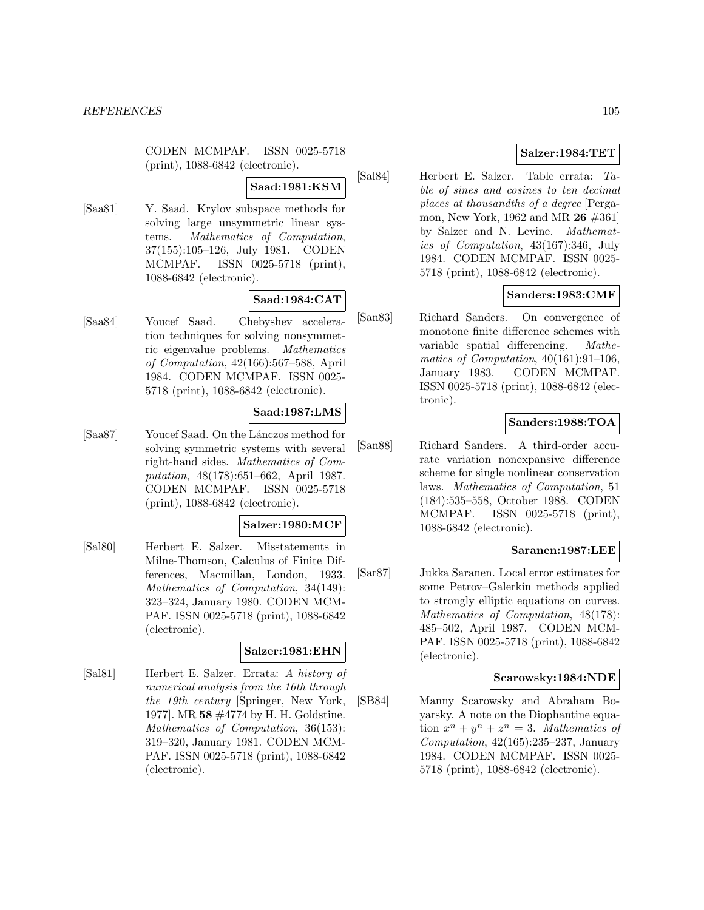CODEN MCMPAF. ISSN 0025-5718 (print), 1088-6842 (electronic).

#### **Saad:1981:KSM**

[Saa81] Y. Saad. Krylov subspace methods for solving large unsymmetric linear systems. Mathematics of Computation, 37(155):105–126, July 1981. CODEN MCMPAF. ISSN 0025-5718 (print), 1088-6842 (electronic).

## **Saad:1984:CAT**

[Saa84] Youcef Saad. Chebyshev acceleration techniques for solving nonsymmetric eigenvalue problems. Mathematics of Computation, 42(166):567–588, April 1984. CODEN MCMPAF. ISSN 0025- 5718 (print), 1088-6842 (electronic).

## **Saad:1987:LMS**

[Saa87] Youcef Saad. On the Lánczos method for solving symmetric systems with several right-hand sides. Mathematics of Computation, 48(178):651–662, April 1987. CODEN MCMPAF. ISSN 0025-5718 (print), 1088-6842 (electronic).

#### **Salzer:1980:MCF**

[Sal80] Herbert E. Salzer. Misstatements in Milne-Thomson, Calculus of Finite Differences, Macmillan, London, 1933. Mathematics of Computation, 34(149): 323–324, January 1980. CODEN MCM-PAF. ISSN 0025-5718 (print), 1088-6842 (electronic).

#### **Salzer:1981:EHN**

[Sal81] Herbert E. Salzer. Errata: A history of numerical analysis from the 16th through the 19th century [Springer, New York, 1977]. MR **58** #4774 by H. H. Goldstine. Mathematics of Computation, 36(153): 319–320, January 1981. CODEN MCM-PAF. ISSN 0025-5718 (print), 1088-6842 (electronic).

## **Salzer:1984:TET**

[Sal84] Herbert E. Salzer. Table errata: Table of sines and cosines to ten decimal places at thousandths of a degree [Pergamon, New York, 1962 and MR **26** #361] by Salzer and N. Levine. Mathematics of Computation, 43(167):346, July 1984. CODEN MCMPAF. ISSN 0025- 5718 (print), 1088-6842 (electronic).

## **Sanders:1983:CMF**

[San83] Richard Sanders. On convergence of monotone finite difference schemes with variable spatial differencing. Mathematics of Computation, 40(161):91–106, January 1983. CODEN MCMPAF. ISSN 0025-5718 (print), 1088-6842 (electronic).

## **Sanders:1988:TOA**

[San88] Richard Sanders. A third-order accurate variation nonexpansive difference scheme for single nonlinear conservation laws. Mathematics of Computation, 51 (184):535–558, October 1988. CODEN MCMPAF. ISSN 0025-5718 (print), 1088-6842 (electronic).

## **Saranen:1987:LEE**

[Sar87] Jukka Saranen. Local error estimates for some Petrov–Galerkin methods applied to strongly elliptic equations on curves. Mathematics of Computation, 48(178): 485–502, April 1987. CODEN MCM-PAF. ISSN 0025-5718 (print), 1088-6842 (electronic).

### **Scarowsky:1984:NDE**

[SB84] Manny Scarowsky and Abraham Boyarsky. A note on the Diophantine equation  $x^n + y^n + z^n = 3$ . Mathematics of Computation,  $42(165):235-237$ , January 1984. CODEN MCMPAF. ISSN 0025- 5718 (print), 1088-6842 (electronic).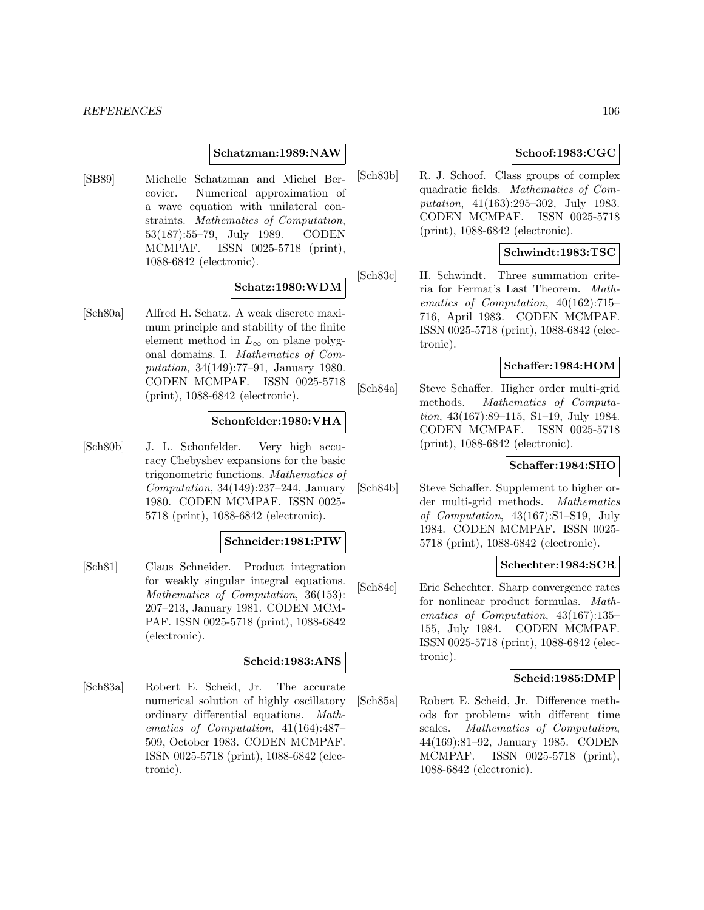### **Schatzman:1989:NAW**

[SB89] Michelle Schatzman and Michel Bercovier. Numerical approximation of a wave equation with unilateral constraints. Mathematics of Computation, 53(187):55–79, July 1989. CODEN MCMPAF. ISSN 0025-5718 (print), 1088-6842 (electronic).

## **Schatz:1980:WDM**

[Sch80a] Alfred H. Schatz. A weak discrete maximum principle and stability of the finite element method in  $L_{\infty}$  on plane polygonal domains. I. Mathematics of Computation, 34(149):77–91, January 1980. CODEN MCMPAF. ISSN 0025-5718 (print), 1088-6842 (electronic).

### **Schonfelder:1980:VHA**

[Sch80b] J. L. Schonfelder. Very high accuracy Chebyshev expansions for the basic trigonometric functions. Mathematics of Computation, 34(149):237–244, January 1980. CODEN MCMPAF. ISSN 0025- 5718 (print), 1088-6842 (electronic).

#### **Schneider:1981:PIW**

[Sch81] Claus Schneider. Product integration for weakly singular integral equations. Mathematics of Computation, 36(153): 207–213, January 1981. CODEN MCM-PAF. ISSN 0025-5718 (print), 1088-6842 (electronic).

# **Scheid:1983:ANS**

[Sch83a] Robert E. Scheid, Jr. The accurate numerical solution of highly oscillatory ordinary differential equations. Mathematics of Computation, 41(164):487– 509, October 1983. CODEN MCMPAF. ISSN 0025-5718 (print), 1088-6842 (electronic).

# **Schoof:1983:CGC**

[Sch83b] R. J. Schoof. Class groups of complex quadratic fields. Mathematics of Computation, 41(163):295–302, July 1983. CODEN MCMPAF. ISSN 0025-5718 (print), 1088-6842 (electronic).

## **Schwindt:1983:TSC**

[Sch83c] H. Schwindt. Three summation criteria for Fermat's Last Theorem. Mathematics of Computation, 40(162):715– 716, April 1983. CODEN MCMPAF. ISSN 0025-5718 (print), 1088-6842 (electronic).

## **Schaffer:1984:HOM**

[Sch84a] Steve Schaffer. Higher order multi-grid methods. Mathematics of Computation, 43(167):89–115, S1–19, July 1984. CODEN MCMPAF. ISSN 0025-5718 (print), 1088-6842 (electronic).

## **Schaffer:1984:SHO**

[Sch84b] Steve Schaffer. Supplement to higher order multi-grid methods. Mathematics of Computation, 43(167):S1–S19, July 1984. CODEN MCMPAF. ISSN 0025- 5718 (print), 1088-6842 (electronic).

## **Schechter:1984:SCR**

[Sch84c] Eric Schechter. Sharp convergence rates for nonlinear product formulas. Mathematics of Computation, 43(167):135– 155, July 1984. CODEN MCMPAF. ISSN 0025-5718 (print), 1088-6842 (electronic).

#### **Scheid:1985:DMP**

[Sch85a] Robert E. Scheid, Jr. Difference methods for problems with different time scales. Mathematics of Computation, 44(169):81–92, January 1985. CODEN MCMPAF. ISSN 0025-5718 (print), 1088-6842 (electronic).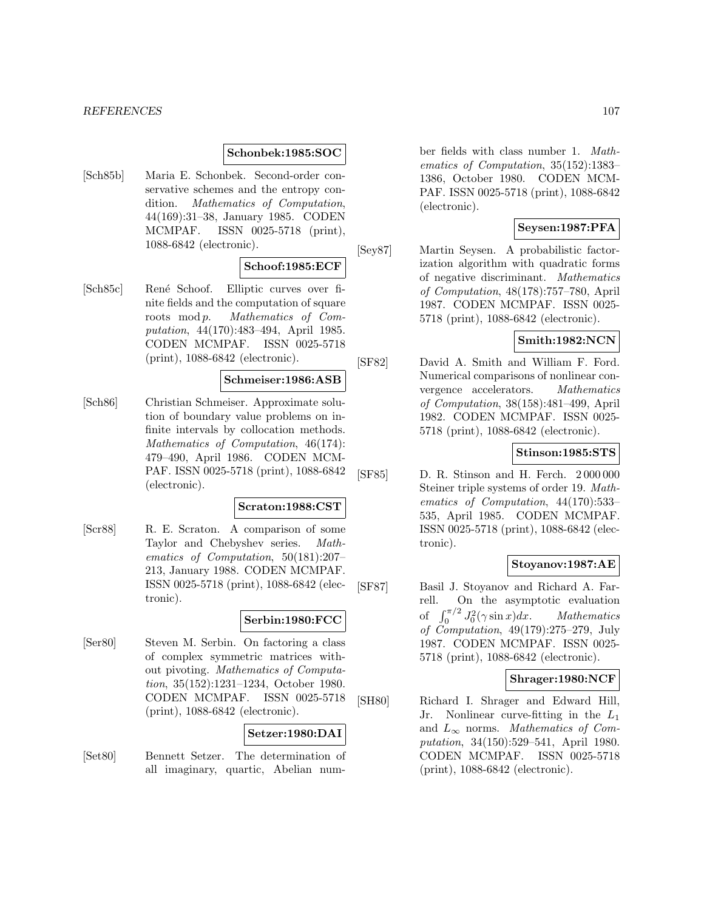### **Schonbek:1985:SOC**

[Sch85b] Maria E. Schonbek. Second-order conservative schemes and the entropy condition. Mathematics of Computation, 44(169):31–38, January 1985. CODEN MCMPAF. ISSN 0025-5718 (print), 1088-6842 (electronic).

### **Schoof:1985:ECF**

[Sch85c] René Schoof. Elliptic curves over finite fields and the computation of square roots mod p. Mathematics of Computation, 44(170):483–494, April 1985. CODEN MCMPAF. ISSN 0025-5718 (print), 1088-6842 (electronic).

## **Schmeiser:1986:ASB**

[Sch86] Christian Schmeiser. Approximate solution of boundary value problems on infinite intervals by collocation methods. Mathematics of Computation, 46(174): 479–490, April 1986. CODEN MCM-PAF. ISSN 0025-5718 (print), 1088-6842 (electronic).

#### **Scraton:1988:CST**

[Scr88] R. E. Scraton. A comparison of some Taylor and Chebyshev series. Mathematics of Computation, 50(181):207– 213, January 1988. CODEN MCMPAF. ISSN 0025-5718 (print), 1088-6842 (electronic).

# **Serbin:1980:FCC**

[Ser80] Steven M. Serbin. On factoring a class of complex symmetric matrices without pivoting. Mathematics of Computation, 35(152):1231–1234, October 1980. CODEN MCMPAF. ISSN 0025-5718 (print), 1088-6842 (electronic).

## **Setzer:1980:DAI**

[Set80] Bennett Setzer. The determination of all imaginary, quartic, Abelian num-

ber fields with class number 1. Mathematics of Computation, 35(152):1383– 1386, October 1980. CODEN MCM-PAF. ISSN 0025-5718 (print), 1088-6842 (electronic).

## **Seysen:1987:PFA**

[Sey87] Martin Seysen. A probabilistic factorization algorithm with quadratic forms of negative discriminant. Mathematics of Computation, 48(178):757–780, April 1987. CODEN MCMPAF. ISSN 0025- 5718 (print), 1088-6842 (electronic).

# **Smith:1982:NCN**

[SF82] David A. Smith and William F. Ford. Numerical comparisons of nonlinear convergence accelerators. Mathematics of Computation, 38(158):481–499, April 1982. CODEN MCMPAF. ISSN 0025- 5718 (print), 1088-6842 (electronic).

## **Stinson:1985:STS**

[SF85] D. R. Stinson and H. Ferch. 2 000 000 Steiner triple systems of order 19. Mathematics of Computation, 44(170):533– 535, April 1985. CODEN MCMPAF. ISSN 0025-5718 (print), 1088-6842 (electronic).

## **Stoyanov:1987:AE**

[SF87] Basil J. Stoyanov and Richard A. Farrell. On the asymptotic evaluation of  $\int_0^{\pi/2} J_0^2(\gamma \sin x) dx$ . Mathematics of Computation, 49(179):275–279, July 1987. CODEN MCMPAF. ISSN 0025- 5718 (print), 1088-6842 (electronic).

#### **Shrager:1980:NCF**

[SH80] Richard I. Shrager and Edward Hill, Jr. Nonlinear curve-fitting in the  $L_1$ and  $L_{\infty}$  norms. Mathematics of Computation, 34(150):529–541, April 1980. CODEN MCMPAF. ISSN 0025-5718 (print), 1088-6842 (electronic).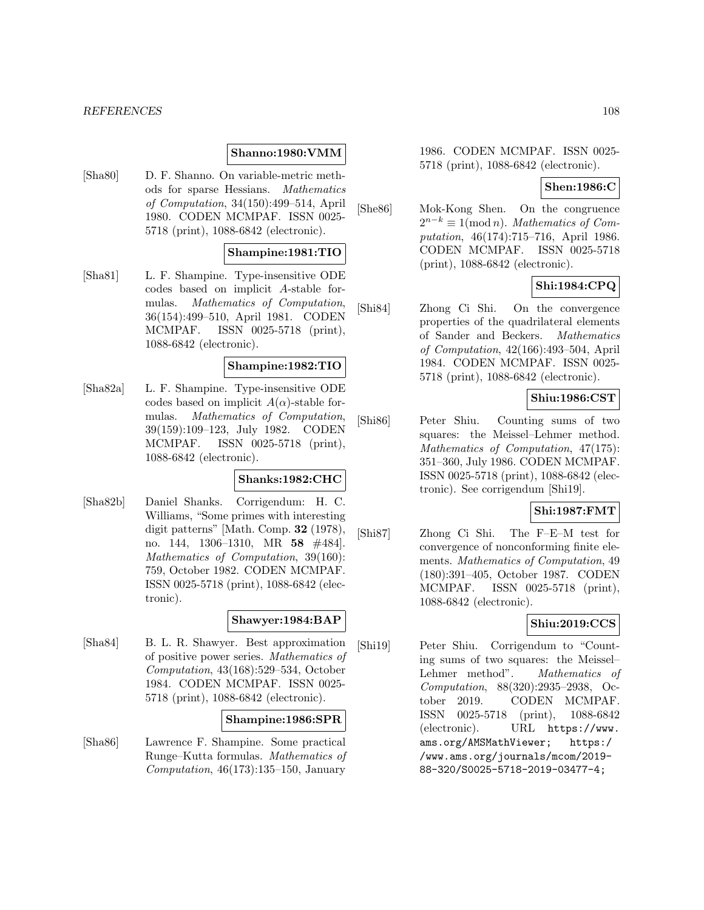### **Shanno:1980:VMM**

[Sha80] D. F. Shanno. On variable-metric methods for sparse Hessians. Mathematics of Computation, 34(150):499–514, April 1980. CODEN MCMPAF. ISSN 0025- 5718 (print), 1088-6842 (electronic).

## **Shampine:1981:TIO**

[Sha81] L. F. Shampine. Type-insensitive ODE codes based on implicit A-stable formulas. Mathematics of Computation, 36(154):499–510, April 1981. CODEN MCMPAF. ISSN 0025-5718 (print), 1088-6842 (electronic).

#### **Shampine:1982:TIO**

[Sha82a] L. F. Shampine. Type-insensitive ODE codes based on implicit  $A(\alpha)$ -stable formulas. Mathematics of Computation, 39(159):109–123, July 1982. CODEN MCMPAF. ISSN 0025-5718 (print), 1088-6842 (electronic).

## **Shanks:1982:CHC**

[Sha82b] Daniel Shanks. Corrigendum: H. C. Williams, "Some primes with interesting digit patterns" [Math. Comp. **32** (1978), no. 144, 1306–1310, MR **58** #484]. Mathematics of Computation, 39(160): 759, October 1982. CODEN MCMPAF. ISSN 0025-5718 (print), 1088-6842 (electronic).

### **Shawyer:1984:BAP**

[Sha84] B. L. R. Shawyer. Best approximation of positive power series. Mathematics of Computation, 43(168):529–534, October 1984. CODEN MCMPAF. ISSN 0025- 5718 (print), 1088-6842 (electronic).

## **Shampine:1986:SPR**

[Sha86] Lawrence F. Shampine. Some practical Runge–Kutta formulas. Mathematics of Computation,  $46(173):135-150$ , January

1986. CODEN MCMPAF. ISSN 0025- 5718 (print), 1088-6842 (electronic).

### **Shen:1986:C**

[She86] Mok-Kong Shen. On the congruence  $2^{n-k} \equiv 1 \pmod{n}$ . Mathematics of Computation, 46(174):715–716, April 1986. CODEN MCMPAF. ISSN 0025-5718 (print), 1088-6842 (electronic).

## **Shi:1984:CPQ**

[Shi84] Zhong Ci Shi. On the convergence properties of the quadrilateral elements of Sander and Beckers. Mathematics of Computation, 42(166):493–504, April 1984. CODEN MCMPAF. ISSN 0025- 5718 (print), 1088-6842 (electronic).

## **Shiu:1986:CST**

[Shi86] Peter Shiu. Counting sums of two squares: the Meissel–Lehmer method. Mathematics of Computation, 47(175): 351–360, July 1986. CODEN MCMPAF. ISSN 0025-5718 (print), 1088-6842 (electronic). See corrigendum [Shi19].

# **Shi:1987:FMT**

[Shi87] Zhong Ci Shi. The F–E–M test for convergence of nonconforming finite elements. Mathematics of Computation, 49 (180):391–405, October 1987. CODEN MCMPAF. ISSN 0025-5718 (print), 1088-6842 (electronic).

## **Shiu:2019:CCS**

[Shi19] Peter Shiu. Corrigendum to "Counting sums of two squares: the Meissel– Lehmer method". Mathematics of Computation, 88(320):2935–2938, October 2019. CODEN MCMPAF. ISSN 0025-5718 (print), 1088-6842 (electronic). URL https://www. ams.org/AMSMathViewer; https:/ /www.ams.org/journals/mcom/2019- 88-320/S0025-5718-2019-03477-4;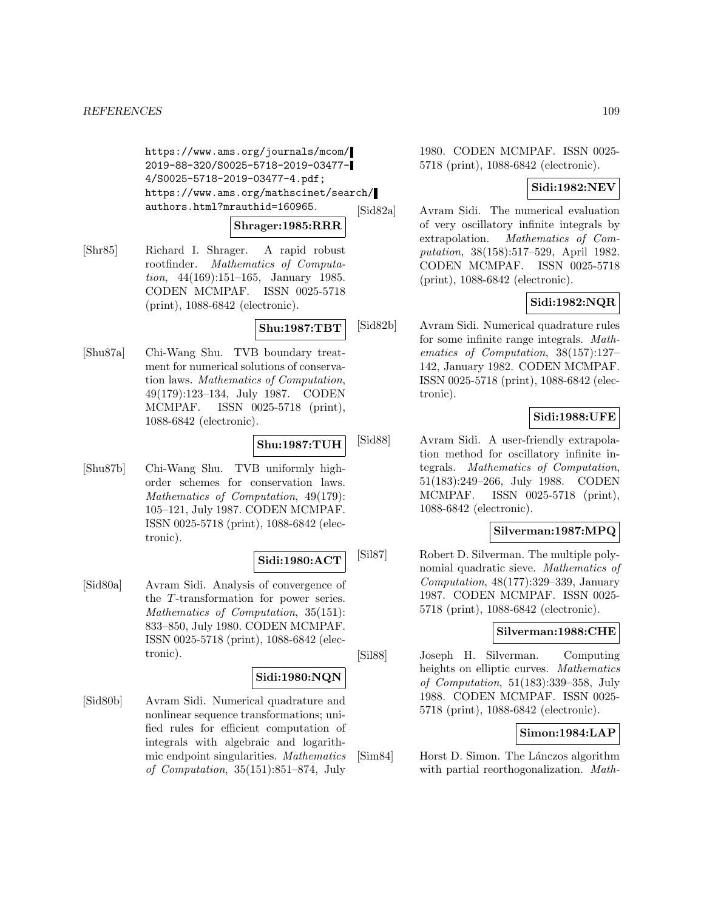https://www.ams.org/journals/mcom/ 2019-88-320/S0025-5718-2019-03477- 4/S0025-5718-2019-03477-4.pdf; https://www.ams.org/mathscinet/search/ authors.html?mrauthid=160965.

#### **Shrager:1985:RRR**

[Shr85] Richard I. Shrager. A rapid robust rootfinder. Mathematics of Computation, 44(169):151–165, January 1985. CODEN MCMPAF. ISSN 0025-5718 (print), 1088-6842 (electronic).

## **Shu:1987:TBT**

[Shu87a] Chi-Wang Shu. TVB boundary treatment for numerical solutions of conservation laws. Mathematics of Computation, 49(179):123–134, July 1987. CODEN MCMPAF. ISSN 0025-5718 (print), 1088-6842 (electronic).

## **Shu:1987:TUH**

[Shu87b] Chi-Wang Shu. TVB uniformly highorder schemes for conservation laws. Mathematics of Computation, 49(179): 105–121, July 1987. CODEN MCMPAF. ISSN 0025-5718 (print), 1088-6842 (electronic).

#### **Sidi:1980:ACT**

[Sid80a] Avram Sidi. Analysis of convergence of the T-transformation for power series. Mathematics of Computation, 35(151): 833–850, July 1980. CODEN MCMPAF. ISSN 0025-5718 (print), 1088-6842 (electronic).

## **Sidi:1980:NQN**

[Sid80b] Avram Sidi. Numerical quadrature and nonlinear sequence transformations; unified rules for efficient computation of integrals with algebraic and logarithmic endpoint singularities. Mathematics of Computation, 35(151):851–874, July

1980. CODEN MCMPAF. ISSN 0025- 5718 (print), 1088-6842 (electronic).

## **Sidi:1982:NEV**

[Sid82a] Avram Sidi. The numerical evaluation of very oscillatory infinite integrals by extrapolation. Mathematics of Computation, 38(158):517–529, April 1982. CODEN MCMPAF. ISSN 0025-5718 (print), 1088-6842 (electronic).

# **Sidi:1982:NQR**

[Sid82b] Avram Sidi. Numerical quadrature rules for some infinite range integrals. Mathematics of Computation, 38(157):127– 142, January 1982. CODEN MCMPAF. ISSN 0025-5718 (print), 1088-6842 (electronic).

# **Sidi:1988:UFE**

[Sid88] Avram Sidi. A user-friendly extrapolation method for oscillatory infinite integrals. Mathematics of Computation, 51(183):249–266, July 1988. CODEN MCMPAF. ISSN 0025-5718 (print), 1088-6842 (electronic).

## **Silverman:1987:MPQ**

[Sil87] Robert D. Silverman. The multiple polynomial quadratic sieve. Mathematics of Computation, 48(177):329–339, January 1987. CODEN MCMPAF. ISSN 0025- 5718 (print), 1088-6842 (electronic).

### **Silverman:1988:CHE**

[Sil88] Joseph H. Silverman. Computing heights on elliptic curves. Mathematics of Computation, 51(183):339–358, July 1988. CODEN MCMPAF. ISSN 0025- 5718 (print), 1088-6842 (electronic).

### **Simon:1984:LAP**

[Sim84] Horst D. Simon. The Lánczos algorithm with partial reorthogonalization. Math-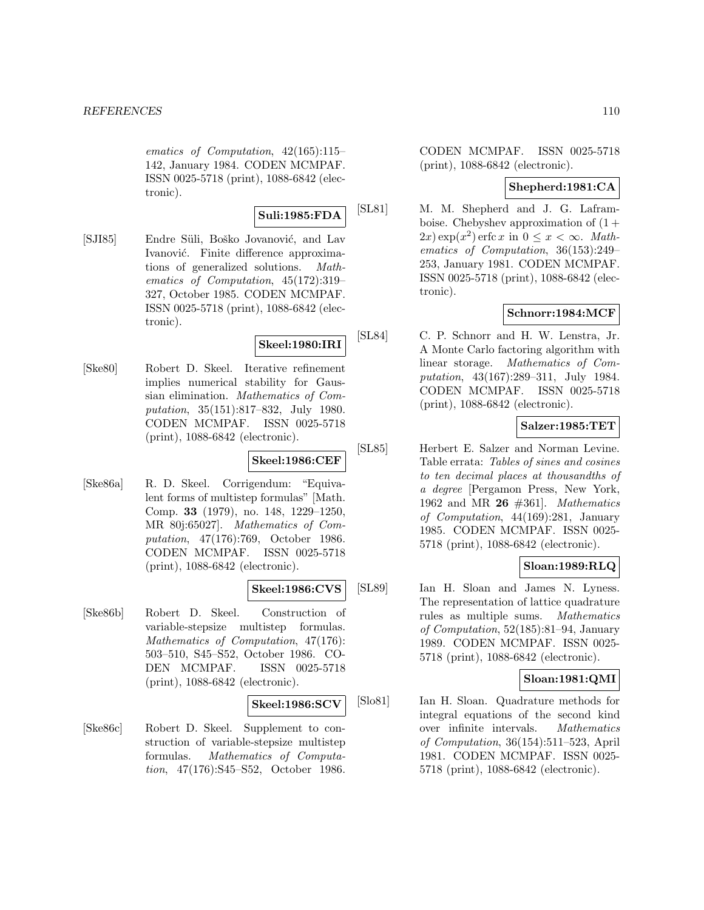ematics of Computation, 42(165):115– 142, January 1984. CODEN MCMPAF. ISSN 0025-5718 (print), 1088-6842 (electronic).

**Suli:1985:FDA**

[SJI85] Endre Süli, Boško Jovanović, and Lav Ivanović. Finite difference approximations of generalized solutions. Mathematics of Computation, 45(172):319– 327, October 1985. CODEN MCMPAF. ISSN 0025-5718 (print), 1088-6842 (electronic).

# **Skeel:1980:IRI**

[Ske80] Robert D. Skeel. Iterative refinement implies numerical stability for Gaussian elimination. Mathematics of Computation, 35(151):817–832, July 1980. CODEN MCMPAF. ISSN 0025-5718 (print), 1088-6842 (electronic).

# **Skeel:1986:CEF**

[Ske86a] R. D. Skeel. Corrigendum: "Equivalent forms of multistep formulas" [Math. Comp. **33** (1979), no. 148, 1229–1250, MR 80j:65027]. Mathematics of Computation, 47(176):769, October 1986. CODEN MCMPAF. ISSN 0025-5718 (print), 1088-6842 (electronic).

### **Skeel:1986:CVS**

[Ske86b] Robert D. Skeel. Construction of variable-stepsize multistep formulas. Mathematics of Computation, 47(176): 503–510, S45–S52, October 1986. CO-DEN MCMPAF. ISSN 0025-5718 (print), 1088-6842 (electronic).

#### **Skeel:1986:SCV**

[Ske86c] Robert D. Skeel. Supplement to construction of variable-stepsize multistep formulas. Mathematics of Computation, 47(176):S45–S52, October 1986. CODEN MCMPAF. ISSN 0025-5718 (print), 1088-6842 (electronic).

# **Shepherd:1981:CA**

[SL81] M. M. Shepherd and J. G. Laframboise. Chebyshev approximation of  $(1 +$  $(2x) \exp(x^2)$  erfc x in  $0 \leq x \leq \infty$ . Mathematics of Computation, 36(153):249– 253, January 1981. CODEN MCMPAF. ISSN 0025-5718 (print), 1088-6842 (electronic).

## **Schnorr:1984:MCF**

[SL84] C. P. Schnorr and H. W. Lenstra, Jr. A Monte Carlo factoring algorithm with linear storage. Mathematics of Computation, 43(167):289–311, July 1984. CODEN MCMPAF. ISSN 0025-5718 (print), 1088-6842 (electronic).

## **Salzer:1985:TET**

[SL85] Herbert E. Salzer and Norman Levine. Table errata: Tables of sines and cosines to ten decimal places at thousandths of a degree [Pergamon Press, New York, 1962 and MR **26** #361]. Mathematics of Computation, 44(169):281, January 1985. CODEN MCMPAF. ISSN 0025- 5718 (print), 1088-6842 (electronic).

## **Sloan:1989:RLQ**

[SL89] Ian H. Sloan and James N. Lyness. The representation of lattice quadrature rules as multiple sums. Mathematics of Computation, 52(185):81–94, January 1989. CODEN MCMPAF. ISSN 0025- 5718 (print), 1088-6842 (electronic).

## **Sloan:1981:QMI**

[Slo81] Ian H. Sloan. Quadrature methods for integral equations of the second kind over infinite intervals. Mathematics of Computation, 36(154):511–523, April 1981. CODEN MCMPAF. ISSN 0025- 5718 (print), 1088-6842 (electronic).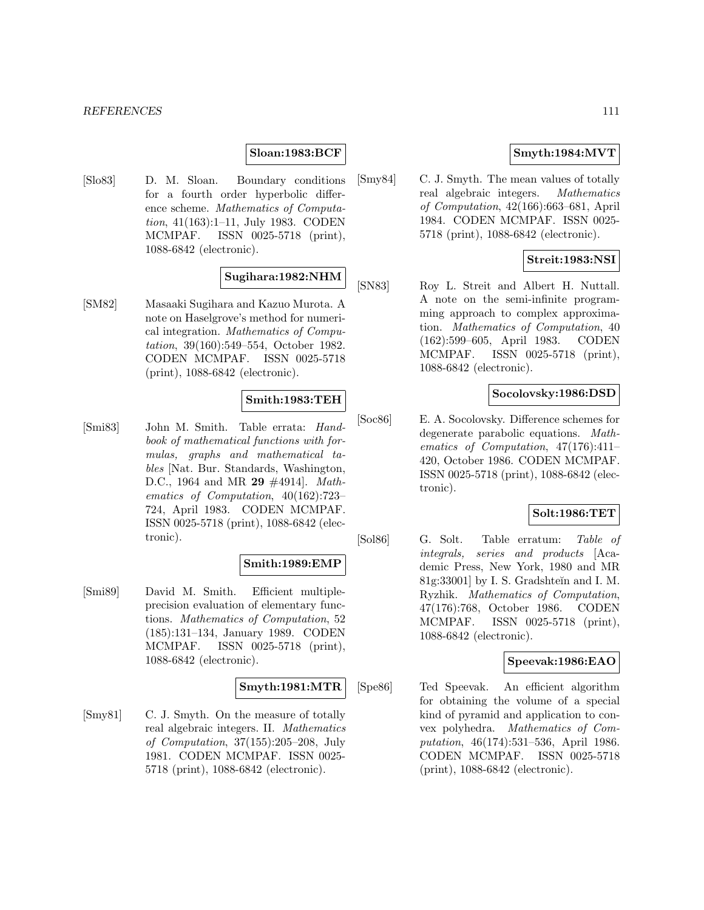#### **Sloan:1983:BCF**

[Slo83] D. M. Sloan. Boundary conditions for a fourth order hyperbolic difference scheme. Mathematics of Computation, 41(163):1–11, July 1983. CODEN MCMPAF. ISSN 0025-5718 (print), 1088-6842 (electronic).

## **Sugihara:1982:NHM**

[SM82] Masaaki Sugihara and Kazuo Murota. A note on Haselgrove's method for numerical integration. Mathematics of Computation, 39(160):549–554, October 1982. CODEN MCMPAF. ISSN 0025-5718 (print), 1088-6842 (electronic).

## **Smith:1983:TEH**

[Smi83] John M. Smith. Table errata: Handbook of mathematical functions with formulas, graphs and mathematical tables [Nat. Bur. Standards, Washington, D.C., 1964 and MR **29** #4914]. Mathematics of Computation, 40(162):723– 724, April 1983. CODEN MCMPAF. ISSN 0025-5718 (print), 1088-6842 (electronic).

#### **Smith:1989:EMP**

[Smi89] David M. Smith. Efficient multipleprecision evaluation of elementary functions. Mathematics of Computation, 52 (185):131–134, January 1989. CODEN MCMPAF. ISSN 0025-5718 (print), 1088-6842 (electronic).

### **Smyth:1981:MTR**

[Smy81] C. J. Smyth. On the measure of totally real algebraic integers. II. Mathematics of Computation, 37(155):205–208, July 1981. CODEN MCMPAF. ISSN 0025- 5718 (print), 1088-6842 (electronic).

### **Smyth:1984:MVT**

[Smy84] C. J. Smyth. The mean values of totally real algebraic integers. Mathematics of Computation, 42(166):663–681, April 1984. CODEN MCMPAF. ISSN 0025- 5718 (print), 1088-6842 (electronic).

## **Streit:1983:NSI**

[SN83] Roy L. Streit and Albert H. Nuttall. A note on the semi-infinite programming approach to complex approximation. Mathematics of Computation, 40 (162):599–605, April 1983. CODEN MCMPAF. ISSN 0025-5718 (print), 1088-6842 (electronic).

### **Socolovsky:1986:DSD**

[Soc86] E. A. Socolovsky. Difference schemes for degenerate parabolic equations. Mathematics of Computation, 47(176):411– 420, October 1986. CODEN MCMPAF. ISSN 0025-5718 (print), 1088-6842 (electronic).

# **Solt:1986:TET**

[Sol86] G. Solt. Table erratum: Table of integrals, series and products [Academic Press, New York, 1980 and MR 81g:33001] by I. S. Gradshteĭn and I. M. Ryzhik. Mathematics of Computation, 47(176):768, October 1986. CODEN MCMPAF. ISSN 0025-5718 (print), 1088-6842 (electronic).

### **Speevak:1986:EAO**

[Spe86] Ted Speevak. An efficient algorithm for obtaining the volume of a special kind of pyramid and application to convex polyhedra. Mathematics of Computation, 46(174):531–536, April 1986. CODEN MCMPAF. ISSN 0025-5718 (print), 1088-6842 (electronic).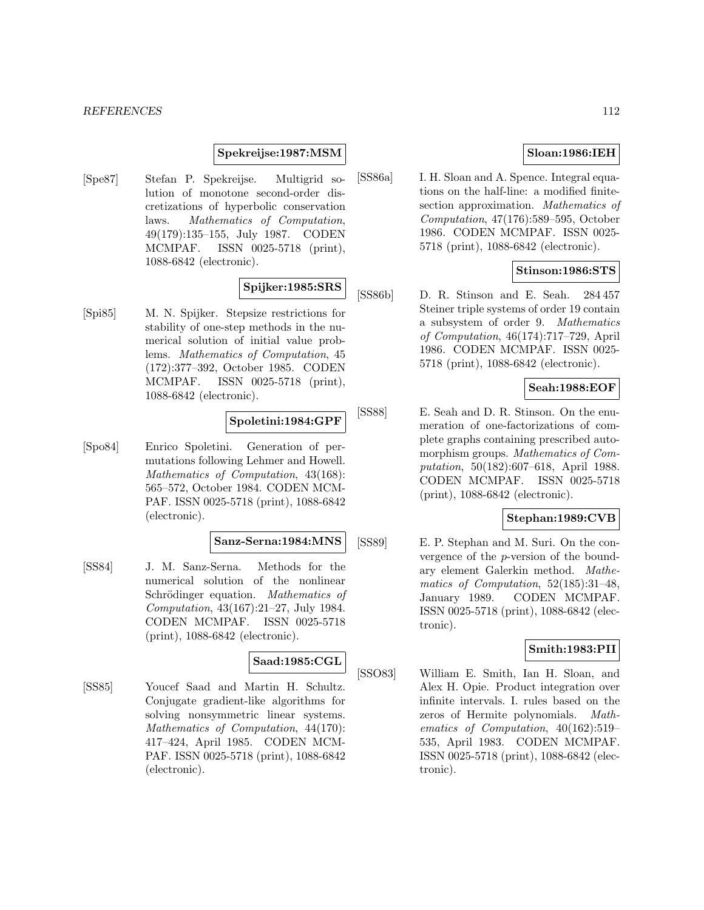### **Spekreijse:1987:MSM**

[Spe87] Stefan P. Spekreijse. Multigrid solution of monotone second-order discretizations of hyperbolic conservation laws. Mathematics of Computation, 49(179):135–155, July 1987. CODEN MCMPAF. ISSN 0025-5718 (print), 1088-6842 (electronic).

# **Spijker:1985:SRS**

[Spi85] M. N. Spijker. Stepsize restrictions for stability of one-step methods in the numerical solution of initial value problems. Mathematics of Computation, 45 (172):377–392, October 1985. CODEN MCMPAF. ISSN 0025-5718 (print), 1088-6842 (electronic).

## **Spoletini:1984:GPF**

[Spo84] Enrico Spoletini. Generation of permutations following Lehmer and Howell. Mathematics of Computation, 43(168): 565–572, October 1984. CODEN MCM-PAF. ISSN 0025-5718 (print), 1088-6842 (electronic).

#### **Sanz-Serna:1984:MNS**

[SS84] J. M. Sanz-Serna. Methods for the numerical solution of the nonlinear Schrödinger equation. Mathematics of Computation, 43(167):21–27, July 1984. CODEN MCMPAF. ISSN 0025-5718 (print), 1088-6842 (electronic).

## **Saad:1985:CGL**

[SS85] Youcef Saad and Martin H. Schultz. Conjugate gradient-like algorithms for solving nonsymmetric linear systems. Mathematics of Computation, 44(170): 417–424, April 1985. CODEN MCM-PAF. ISSN 0025-5718 (print), 1088-6842 (electronic).

# **Sloan:1986:IEH**

[SS86a] I. H. Sloan and A. Spence. Integral equations on the half-line: a modified finitesection approximation. Mathematics of Computation, 47(176):589–595, October 1986. CODEN MCMPAF. ISSN 0025- 5718 (print), 1088-6842 (electronic).

### **Stinson:1986:STS**

[SS86b] D. R. Stinson and E. Seah. 284 457 Steiner triple systems of order 19 contain a subsystem of order 9. Mathematics of Computation, 46(174):717–729, April 1986. CODEN MCMPAF. ISSN 0025- 5718 (print), 1088-6842 (electronic).

### **Seah:1988:EOF**

[SS88] E. Seah and D. R. Stinson. On the enumeration of one-factorizations of complete graphs containing prescribed automorphism groups. Mathematics of Computation, 50(182):607–618, April 1988. CODEN MCMPAF. ISSN 0025-5718 (print), 1088-6842 (electronic).

### **Stephan:1989:CVB**

[SS89] E. P. Stephan and M. Suri. On the convergence of the p-version of the boundary element Galerkin method. Mathematics of Computation, 52(185):31–48, January 1989. CODEN MCMPAF. ISSN 0025-5718 (print), 1088-6842 (electronic).

### **Smith:1983:PII**

[SSO83] William E. Smith, Ian H. Sloan, and Alex H. Opie. Product integration over infinite intervals. I. rules based on the zeros of Hermite polynomials. Mathematics of Computation, 40(162):519– 535, April 1983. CODEN MCMPAF. ISSN 0025-5718 (print), 1088-6842 (electronic).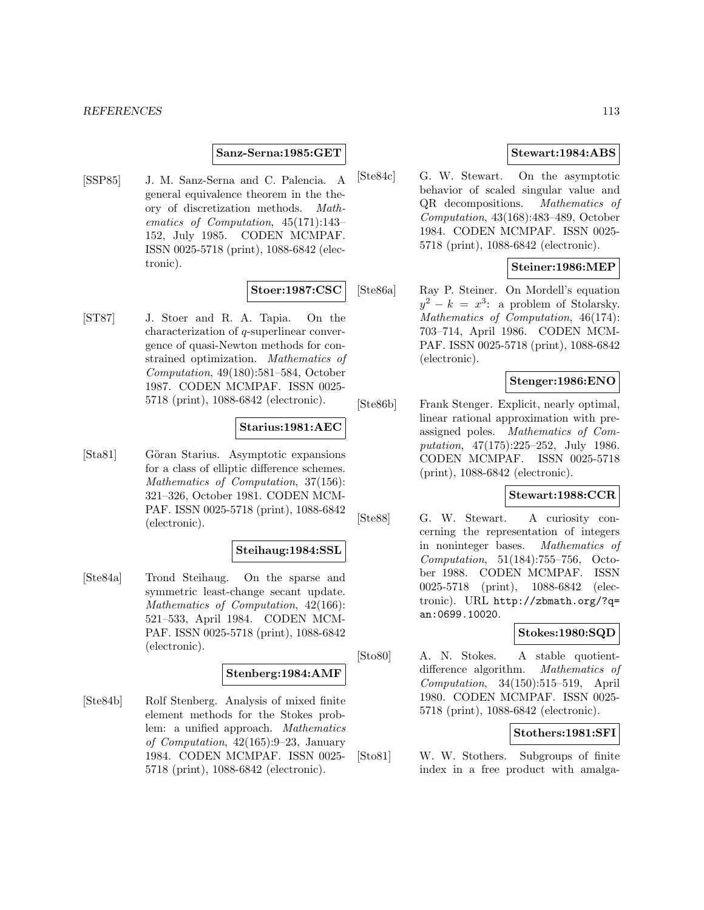#### **Sanz-Serna:1985:GET**

[SSP85] J. M. Sanz-Serna and C. Palencia. A general equivalence theorem in the theory of discretization methods. Mathematics of Computation, 45(171):143– 152, July 1985. CODEN MCMPAF. ISSN 0025-5718 (print), 1088-6842 (electronic).

### **Stoer:1987:CSC**

[ST87] J. Stoer and R. A. Tapia. On the characterization of q-superlinear convergence of quasi-Newton methods for constrained optimization. Mathematics of Computation, 49(180):581–584, October 1987. CODEN MCMPAF. ISSN 0025- 5718 (print), 1088-6842 (electronic).

### **Starius:1981:AEC**

[Sta81] Göran Starius. Asymptotic expansions for a class of elliptic difference schemes. Mathematics of Computation, 37(156): 321–326, October 1981. CODEN MCM-PAF. ISSN 0025-5718 (print), 1088-6842 (electronic).

### **Steihaug:1984:SSL**

[Ste84a] Trond Steihaug. On the sparse and symmetric least-change secant update. Mathematics of Computation, 42(166): 521–533, April 1984. CODEN MCM-PAF. ISSN 0025-5718 (print), 1088-6842 (electronic).

### **Stenberg:1984:AMF**

[Ste84b] Rolf Stenberg. Analysis of mixed finite element methods for the Stokes problem: a unified approach. Mathematics of Computation, 42(165):9–23, January 1984. CODEN MCMPAF. ISSN 0025- 5718 (print), 1088-6842 (electronic).

### **Stewart:1984:ABS**

[Ste84c] G. W. Stewart. On the asymptotic behavior of scaled singular value and QR decompositions. Mathematics of Computation, 43(168):483–489, October 1984. CODEN MCMPAF. ISSN 0025- 5718 (print), 1088-6842 (electronic).

## **Steiner:1986:MEP**

[Ste86a] Ray P. Steiner. On Mordell's equation  $y^2 - k = x^3$ : a problem of Stolarsky. Mathematics of Computation, 46(174): 703–714, April 1986. CODEN MCM-PAF. ISSN 0025-5718 (print), 1088-6842 (electronic).

#### **Stenger:1986:ENO**

[Ste86b] Frank Stenger. Explicit, nearly optimal, linear rational approximation with preassigned poles. Mathematics of Computation, 47(175):225–252, July 1986. CODEN MCMPAF. ISSN 0025-5718 (print), 1088-6842 (electronic).

### **Stewart:1988:CCR**

[Ste88] G. W. Stewart. A curiosity concerning the representation of integers in noninteger bases. Mathematics of Computation, 51(184):755–756, October 1988. CODEN MCMPAF. ISSN 0025-5718 (print), 1088-6842 (electronic). URL http://zbmath.org/?q= an:0699.10020.

### **Stokes:1980:SQD**

[Sto80] A. N. Stokes. A stable quotientdifference algorithm. Mathematics of Computation, 34(150):515–519, April 1980. CODEN MCMPAF. ISSN 0025- 5718 (print), 1088-6842 (electronic).

### **Stothers:1981:SFI**

[Sto81] W. W. Stothers. Subgroups of finite index in a free product with amalga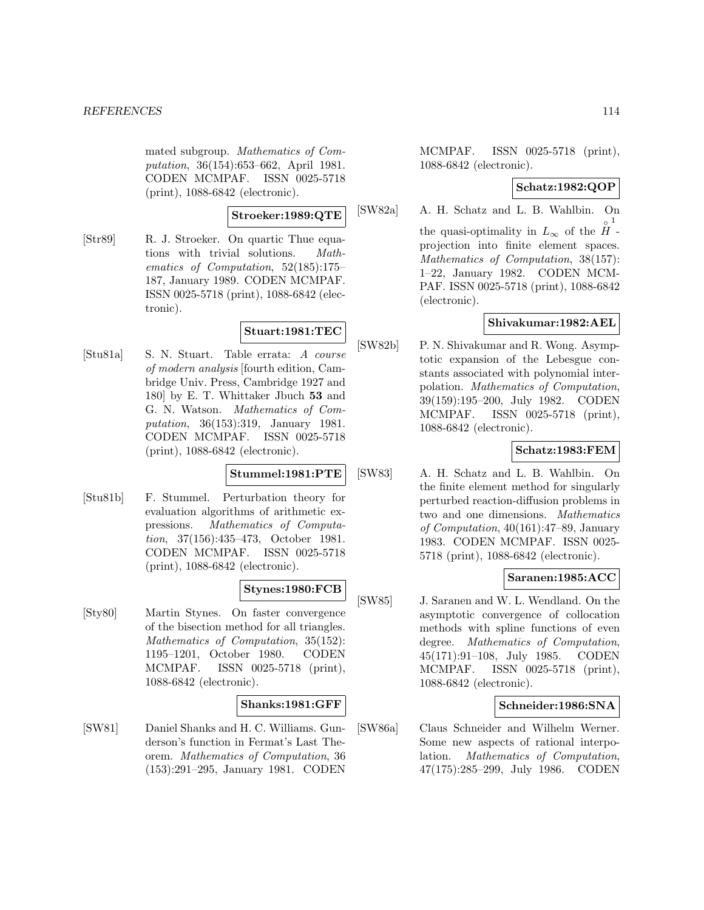mated subgroup. Mathematics of Computation, 36(154):653–662, April 1981. CODEN MCMPAF. ISSN 0025-5718 (print), 1088-6842 (electronic).

**Stroeker:1989:QTE**

[Str89] R. J. Stroeker. On quartic Thue equations with trivial solutions. Mathematics of Computation, 52(185):175– 187, January 1989. CODEN MCMPAF. ISSN 0025-5718 (print), 1088-6842 (electronic).

# **Stuart:1981:TEC**

[Stu81a] S. N. Stuart. Table errata: A course of modern analysis [fourth edition, Cambridge Univ. Press, Cambridge 1927 and 180] by E. T. Whittaker Jbuch **53** and G. N. Watson. Mathematics of Computation, 36(153):319, January 1981. CODEN MCMPAF. ISSN 0025-5718 (print), 1088-6842 (electronic).

## **Stummel:1981:PTE**

[Stu81b] F. Stummel. Perturbation theory for evaluation algorithms of arithmetic expressions. Mathematics of Computation, 37(156):435–473, October 1981. CODEN MCMPAF. ISSN 0025-5718 (print), 1088-6842 (electronic).

# **Stynes:1980:FCB**

[Sty80] Martin Stynes. On faster convergence of the bisection method for all triangles. Mathematics of Computation, 35(152): 1195–1201, October 1980. CODEN MCMPAF. ISSN 0025-5718 (print), 1088-6842 (electronic).

# **Shanks:1981:GFF**

[SW81] Daniel Shanks and H. C. Williams. Gunderson's function in Fermat's Last Theorem. Mathematics of Computation, 36 (153):291–295, January 1981. CODEN

MCMPAF. ISSN 0025-5718 (print), 1088-6842 (electronic).

## **Schatz:1982:QOP**

[SW82a] A. H. Schatz and L. B. Wahlbin. On the quasi-optimality in  $L_{\infty}$  of the  $\hat{H}$  -1 projection into finite element spaces. Mathematics of Computation, 38(157): 1–22, January 1982. CODEN MCM-PAF. ISSN 0025-5718 (print), 1088-6842 (electronic).

# **Shivakumar:1982:AEL**

[SW82b] P. N. Shivakumar and R. Wong. Asymptotic expansion of the Lebesgue constants associated with polynomial interpolation. Mathematics of Computation, 39(159):195–200, July 1982. CODEN MCMPAF. ISSN 0025-5718 (print), 1088-6842 (electronic).

# **Schatz:1983:FEM**

[SW83] A. H. Schatz and L. B. Wahlbin. On the finite element method for singularly perturbed reaction-diffusion problems in two and one dimensions. Mathematics of Computation, 40(161):47–89, January 1983. CODEN MCMPAF. ISSN 0025- 5718 (print), 1088-6842 (electronic).

# **Saranen:1985:ACC**

[SW85] J. Saranen and W. L. Wendland. On the asymptotic convergence of collocation methods with spline functions of even degree. Mathematics of Computation, 45(171):91–108, July 1985. CODEN MCMPAF. ISSN 0025-5718 (print), 1088-6842 (electronic).

# **Schneider:1986:SNA**

[SW86a] Claus Schneider and Wilhelm Werner. Some new aspects of rational interpolation. Mathematics of Computation, 47(175):285–299, July 1986. CODEN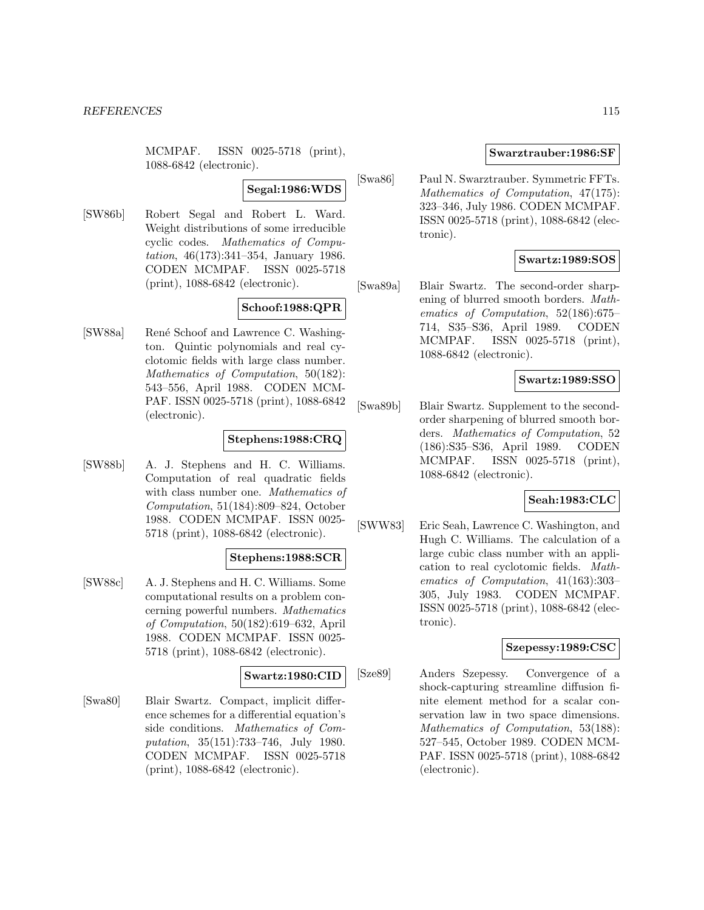MCMPAF. ISSN 0025-5718 (print), 1088-6842 (electronic).

### **Segal:1986:WDS**

[SW86b] Robert Segal and Robert L. Ward. Weight distributions of some irreducible cyclic codes. Mathematics of Computation, 46(173):341–354, January 1986. CODEN MCMPAF. ISSN 0025-5718 (print), 1088-6842 (electronic).

# **Schoof:1988:QPR**

[SW88a] René Schoof and Lawrence C. Washington. Quintic polynomials and real cyclotomic fields with large class number. Mathematics of Computation, 50(182): 543–556, April 1988. CODEN MCM-PAF. ISSN 0025-5718 (print), 1088-6842 (electronic).

## **Stephens:1988:CRQ**

[SW88b] A. J. Stephens and H. C. Williams. Computation of real quadratic fields with class number one. Mathematics of Computation, 51(184):809–824, October 1988. CODEN MCMPAF. ISSN 0025- 5718 (print), 1088-6842 (electronic).

### **Stephens:1988:SCR**

[SW88c] A. J. Stephens and H. C. Williams. Some computational results on a problem concerning powerful numbers. Mathematics of Computation, 50(182):619–632, April 1988. CODEN MCMPAF. ISSN 0025- 5718 (print), 1088-6842 (electronic).

## **Swartz:1980:CID**

[Swa80] Blair Swartz. Compact, implicit difference schemes for a differential equation's side conditions. Mathematics of Computation, 35(151):733–746, July 1980. CODEN MCMPAF. ISSN 0025-5718 (print), 1088-6842 (electronic).

## **Swarztrauber:1986:SF**

[Swa86] Paul N. Swarztrauber. Symmetric FFTs. Mathematics of Computation, 47(175): 323–346, July 1986. CODEN MCMPAF. ISSN 0025-5718 (print), 1088-6842 (electronic).

## **Swartz:1989:SOS**

[Swa89a] Blair Swartz. The second-order sharpening of blurred smooth borders. Mathematics of Computation, 52(186):675– 714, S35–S36, April 1989. CODEN MCMPAF. ISSN 0025-5718 (print), 1088-6842 (electronic).

# **Swartz:1989:SSO**

[Swa89b] Blair Swartz. Supplement to the secondorder sharpening of blurred smooth borders. Mathematics of Computation, 52 (186):S35–S36, April 1989. CODEN MCMPAF. ISSN 0025-5718 (print), 1088-6842 (electronic).

### **Seah:1983:CLC**

[SWW83] Eric Seah, Lawrence C. Washington, and Hugh C. Williams. The calculation of a large cubic class number with an application to real cyclotomic fields. Mathematics of Computation, 41(163):303– 305, July 1983. CODEN MCMPAF. ISSN 0025-5718 (print), 1088-6842 (electronic).

### **Szepessy:1989:CSC**

[Sze89] Anders Szepessy. Convergence of a shock-capturing streamline diffusion finite element method for a scalar conservation law in two space dimensions. Mathematics of Computation, 53(188): 527–545, October 1989. CODEN MCM-PAF. ISSN 0025-5718 (print), 1088-6842 (electronic).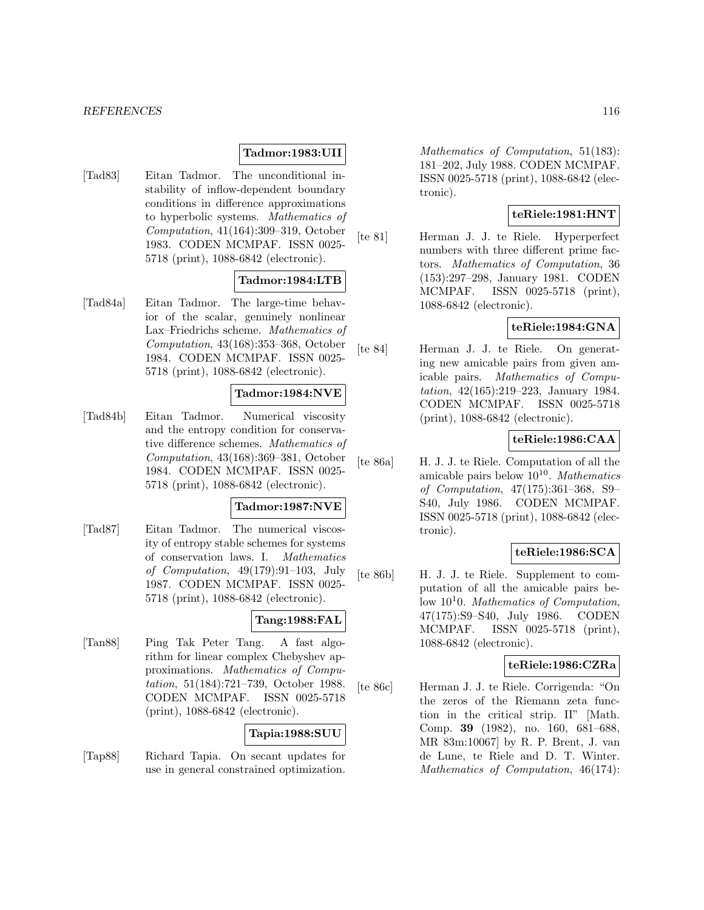### **Tadmor:1983:UII**

[Tad83] Eitan Tadmor. The unconditional instability of inflow-dependent boundary conditions in difference approximations to hyperbolic systems. Mathematics of Computation, 41(164):309–319, October 1983. CODEN MCMPAF. ISSN 0025- 5718 (print), 1088-6842 (electronic).

#### **Tadmor:1984:LTB**

[Tad84a] Eitan Tadmor. The large-time behavior of the scalar, genuinely nonlinear Lax–Friedrichs scheme. Mathematics of Computation, 43(168):353–368, October 1984. CODEN MCMPAF. ISSN 0025- 5718 (print), 1088-6842 (electronic).

#### **Tadmor:1984:NVE**

[Tad84b] Eitan Tadmor. Numerical viscosity and the entropy condition for conservative difference schemes. Mathematics of Computation, 43(168):369–381, October 1984. CODEN MCMPAF. ISSN 0025- 5718 (print), 1088-6842 (electronic).

#### **Tadmor:1987:NVE**

[Tad87] Eitan Tadmor. The numerical viscosity of entropy stable schemes for systems of conservation laws. I. Mathematics of Computation, 49(179):91–103, July 1987. CODEN MCMPAF. ISSN 0025- 5718 (print), 1088-6842 (electronic).

## **Tang:1988:FAL**

[Tan88] Ping Tak Peter Tang. A fast algorithm for linear complex Chebyshev approximations. Mathematics of Computation, 51(184):721–739, October 1988. CODEN MCMPAF. ISSN 0025-5718 (print), 1088-6842 (electronic).

### **Tapia:1988:SUU**

[Tap88] Richard Tapia. On secant updates for use in general constrained optimization.

Mathematics of Computation, 51(183): 181–202, July 1988. CODEN MCMPAF. ISSN 0025-5718 (print), 1088-6842 (electronic).

## **teRiele:1981:HNT**

[te 81] Herman J. J. te Riele. Hyperperfect numbers with three different prime factors. Mathematics of Computation, 36 (153):297–298, January 1981. CODEN MCMPAF. ISSN 0025-5718 (print), 1088-6842 (electronic).

### **teRiele:1984:GNA**

[te 84] Herman J. J. te Riele. On generating new amicable pairs from given amicable pairs. Mathematics of Computation, 42(165):219–223, January 1984. CODEN MCMPAF. ISSN 0025-5718 (print), 1088-6842 (electronic).

## **teRiele:1986:CAA**

[te 86a] H. J. J. te Riele. Computation of all the amicable pairs below  $10^{10}$ . Mathematics of Computation, 47(175):361–368, S9– S40, July 1986. CODEN MCMPAF. ISSN 0025-5718 (print), 1088-6842 (electronic).

### **teRiele:1986:SCA**

[te 86b] H. J. J. te Riele. Supplement to computation of all the amicable pairs below  $10<sup>1</sup>0$ . Mathematics of Computation, 47(175):S9–S40, July 1986. CODEN MCMPAF. ISSN 0025-5718 (print), 1088-6842 (electronic).

## **teRiele:1986:CZRa**

[te 86c] Herman J. J. te Riele. Corrigenda: "On the zeros of the Riemann zeta function in the critical strip. II" [Math. Comp. **39** (1982), no. 160, 681–688, MR 83m:10067] by R. P. Brent, J. van de Lune, te Riele and D. T. Winter. Mathematics of Computation, 46(174):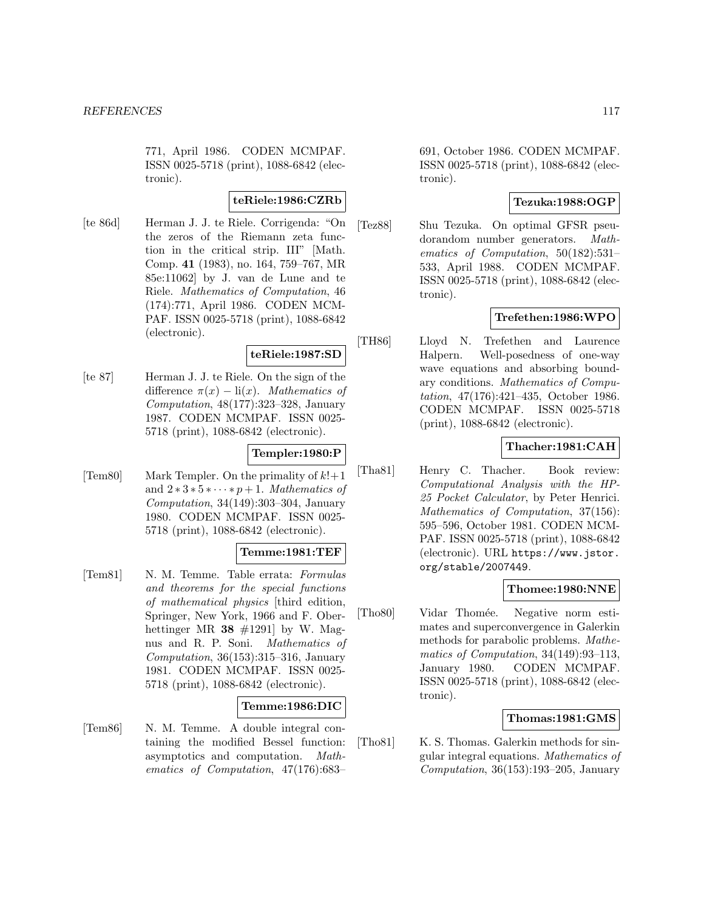771, April 1986. CODEN MCMPAF. ISSN 0025-5718 (print), 1088-6842 (electronic).

## **teRiele:1986:CZRb**

[te 86d] Herman J. J. te Riele. Corrigenda: "On the zeros of the Riemann zeta function in the critical strip. III" [Math. Comp. **41** (1983), no. 164, 759–767, MR 85e:11062] by J. van de Lune and te Riele. Mathematics of Computation, 46 (174):771, April 1986. CODEN MCM-PAF. ISSN 0025-5718 (print), 1088-6842 (electronic).

## **teRiele:1987:SD**

[te 87] Herman J. J. te Riele. On the sign of the difference  $\pi(x) - \text{li}(x)$ . Mathematics of Computation, 48(177):323–328, January 1987. CODEN MCMPAF. ISSN 0025- 5718 (print), 1088-6842 (electronic).

### **Templer:1980:P**

[Tem80] Mark Templer. On the primality of  $k!+1$ and  $2 \times 3 \times 5 \times \cdots \times p+1$ . Mathematics of Computation,  $34(149):303-304$ , January 1980. CODEN MCMPAF. ISSN 0025- 5718 (print), 1088-6842 (electronic).

### **Temme:1981:TEF**

[Tem81] N. M. Temme. Table errata: Formulas and theorems for the special functions of mathematical physics [third edition, Springer, New York, 1966 and F. Oberhettinger MR  $38 \neq 1291$  by W. Magnus and R. P. Soni. Mathematics of Computation, 36(153):315–316, January 1981. CODEN MCMPAF. ISSN 0025- 5718 (print), 1088-6842 (electronic).

### **Temme:1986:DIC**

[Tem86] N. M. Temme. A double integral containing the modified Bessel function: asymptotics and computation. Mathematics of Computation, 47(176):683–

691, October 1986. CODEN MCMPAF. ISSN 0025-5718 (print), 1088-6842 (electronic).

## **Tezuka:1988:OGP**

[Tez88] Shu Tezuka. On optimal GFSR pseudorandom number generators. Mathematics of Computation, 50(182):531– 533, April 1988. CODEN MCMPAF. ISSN 0025-5718 (print), 1088-6842 (electronic).

## **Trefethen:1986:WPO**

[TH86] Lloyd N. Trefethen and Laurence Halpern. Well-posedness of one-way wave equations and absorbing boundary conditions. Mathematics of Computation, 47(176):421–435, October 1986. CODEN MCMPAF. ISSN 0025-5718 (print), 1088-6842 (electronic).

## **Thacher:1981:CAH**

[Tha81] Henry C. Thacher. Book review: Computational Analysis with the HP-25 Pocket Calculator, by Peter Henrici. Mathematics of Computation, 37(156): 595–596, October 1981. CODEN MCM-PAF. ISSN 0025-5718 (print), 1088-6842 (electronic). URL https://www.jstor. org/stable/2007449.

### **Thomee:1980:NNE**

[Tho80] Vidar Thomée. Negative norm estimates and superconvergence in Galerkin methods for parabolic problems. Mathematics of Computation, 34(149):93–113, January 1980. CODEN MCMPAF. ISSN 0025-5718 (print), 1088-6842 (electronic).

### **Thomas:1981:GMS**

[Tho81] K. S. Thomas. Galerkin methods for singular integral equations. Mathematics of Computation, 36(153):193–205, January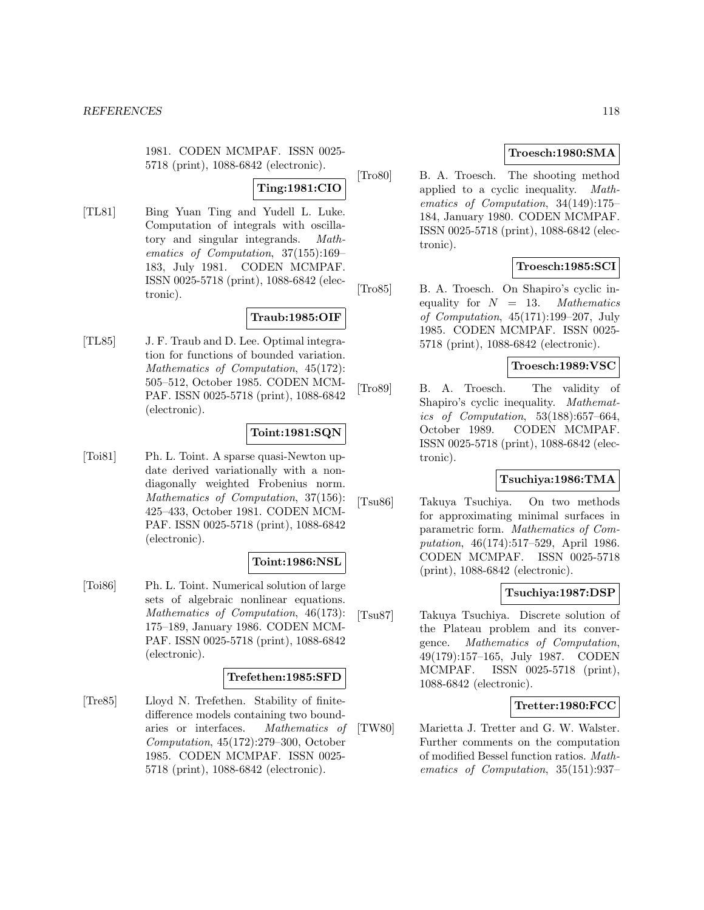1981. CODEN MCMPAF. ISSN 0025- 5718 (print), 1088-6842 (electronic).

### **Ting:1981:CIO**

[TL81] Bing Yuan Ting and Yudell L. Luke. Computation of integrals with oscillatory and singular integrands. Mathematics of Computation, 37(155):169– 183, July 1981. CODEN MCMPAF. ISSN 0025-5718 (print), 1088-6842 (electronic).

### **Traub:1985:OIF**

[TL85] J. F. Traub and D. Lee. Optimal integration for functions of bounded variation. Mathematics of Computation, 45(172): 505–512, October 1985. CODEN MCM-PAF. ISSN 0025-5718 (print), 1088-6842 (electronic).

### **Toint:1981:SQN**

[Toi81] Ph. L. Toint. A sparse quasi-Newton update derived variationally with a nondiagonally weighted Frobenius norm. Mathematics of Computation, 37(156): 425–433, October 1981. CODEN MCM-PAF. ISSN 0025-5718 (print), 1088-6842 (electronic).

#### **Toint:1986:NSL**

[Toi86] Ph. L. Toint. Numerical solution of large sets of algebraic nonlinear equations. Mathematics of Computation, 46(173): 175–189, January 1986. CODEN MCM-PAF. ISSN 0025-5718 (print), 1088-6842 (electronic).

#### **Trefethen:1985:SFD**

[Tre85] Lloyd N. Trefethen. Stability of finitedifference models containing two boundaries or interfaces. Mathematics of Computation, 45(172):279–300, October 1985. CODEN MCMPAF. ISSN 0025- 5718 (print), 1088-6842 (electronic).

## **Troesch:1980:SMA**

[Tro80] B. A. Troesch. The shooting method applied to a cyclic inequality. Mathematics of Computation, 34(149):175– 184, January 1980. CODEN MCMPAF. ISSN 0025-5718 (print), 1088-6842 (electronic).

## **Troesch:1985:SCI**

[Tro85] B. A. Troesch. On Shapiro's cyclic inequality for  $N = 13$ . Mathematics of Computation, 45(171):199–207, July 1985. CODEN MCMPAF. ISSN 0025- 5718 (print), 1088-6842 (electronic).

#### **Troesch:1989:VSC**

[Tro89] B. A. Troesch. The validity of Shapiro's cyclic inequality. Mathematics of Computation, 53(188):657–664, October 1989. CODEN MCMPAF. ISSN 0025-5718 (print), 1088-6842 (electronic).

## **Tsuchiya:1986:TMA**

[Tsu86] Takuya Tsuchiya. On two methods for approximating minimal surfaces in parametric form. Mathematics of Computation, 46(174):517–529, April 1986. CODEN MCMPAF. ISSN 0025-5718 (print), 1088-6842 (electronic).

### **Tsuchiya:1987:DSP**

[Tsu87] Takuya Tsuchiya. Discrete solution of the Plateau problem and its convergence. Mathematics of Computation, 49(179):157–165, July 1987. CODEN MCMPAF. ISSN 0025-5718 (print), 1088-6842 (electronic).

### **Tretter:1980:FCC**

[TW80] Marietta J. Tretter and G. W. Walster. Further comments on the computation of modified Bessel function ratios. Mathematics of Computation, 35(151):937–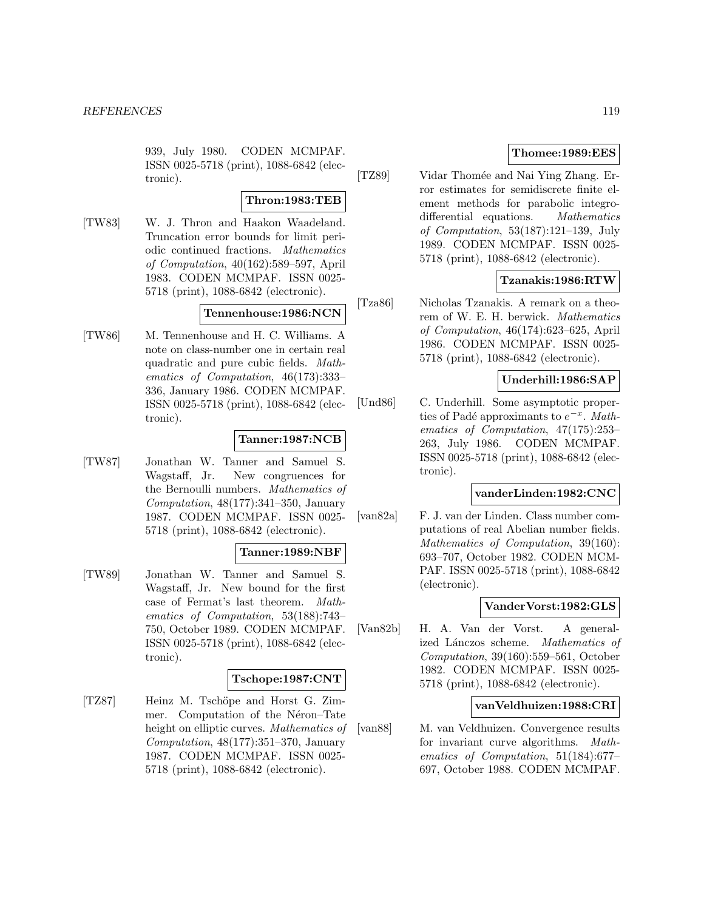939, July 1980. CODEN MCMPAF. ISSN 0025-5718 (print), 1088-6842 (electronic).

#### **Thron:1983:TEB**

[TW83] W. J. Thron and Haakon Waadeland. Truncation error bounds for limit periodic continued fractions. Mathematics of Computation, 40(162):589–597, April 1983. CODEN MCMPAF. ISSN 0025- 5718 (print), 1088-6842 (electronic).

#### **Tennenhouse:1986:NCN**

[TW86] M. Tennenhouse and H. C. Williams. A note on class-number one in certain real quadratic and pure cubic fields. Mathematics of Computation, 46(173):333– 336, January 1986. CODEN MCMPAF. ISSN 0025-5718 (print), 1088-6842 (electronic).

### **Tanner:1987:NCB**

[TW87] Jonathan W. Tanner and Samuel S. Wagstaff, Jr. New congruences for the Bernoulli numbers. Mathematics of Computation,  $48(177):341-350$ , January 1987. CODEN MCMPAF. ISSN 0025- 5718 (print), 1088-6842 (electronic).

### **Tanner:1989:NBF**

[TW89] Jonathan W. Tanner and Samuel S. Wagstaff, Jr. New bound for the first case of Fermat's last theorem. Mathematics of Computation, 53(188):743– 750, October 1989. CODEN MCMPAF. ISSN 0025-5718 (print), 1088-6842 (electronic).

### **Tschope:1987:CNT**

[TZ87] Heinz M. Tschöpe and Horst G. Zimmer. Computation of the Néron–Tate height on elliptic curves. Mathematics of Computation,  $48(177):351-370$ , January 1987. CODEN MCMPAF. ISSN 0025- 5718 (print), 1088-6842 (electronic).

### **Thomee:1989:EES**

[TZ89] Vidar Thomée and Nai Ying Zhang. Error estimates for semidiscrete finite element methods for parabolic integrodifferential equations. Mathematics of Computation, 53(187):121–139, July 1989. CODEN MCMPAF. ISSN 0025- 5718 (print), 1088-6842 (electronic).

## **Tzanakis:1986:RTW**

[Tza86] Nicholas Tzanakis. A remark on a theorem of W. E. H. berwick. Mathematics of Computation, 46(174):623–625, April 1986. CODEN MCMPAF. ISSN 0025- 5718 (print), 1088-6842 (electronic).

# **Underhill:1986:SAP**

[Und86] C. Underhill. Some asymptotic properties of Padé approximants to  $e^{-x}$ . Mathematics of Computation, 47(175):253– 263, July 1986. CODEN MCMPAF. ISSN 0025-5718 (print), 1088-6842 (electronic).

### **vanderLinden:1982:CNC**

[van82a] F. J. van der Linden. Class number computations of real Abelian number fields. Mathematics of Computation, 39(160): 693–707, October 1982. CODEN MCM-PAF. ISSN 0025-5718 (print), 1088-6842 (electronic).

### **VanderVorst:1982:GLS**

[Van82b] H. A. Van der Vorst. A generalized Lánczos scheme. Mathematics of Computation, 39(160):559–561, October 1982. CODEN MCMPAF. ISSN 0025- 5718 (print), 1088-6842 (electronic).

### **vanVeldhuizen:1988:CRI**

[van88] M. van Veldhuizen. Convergence results for invariant curve algorithms. Mathematics of Computation, 51(184):677– 697, October 1988. CODEN MCMPAF.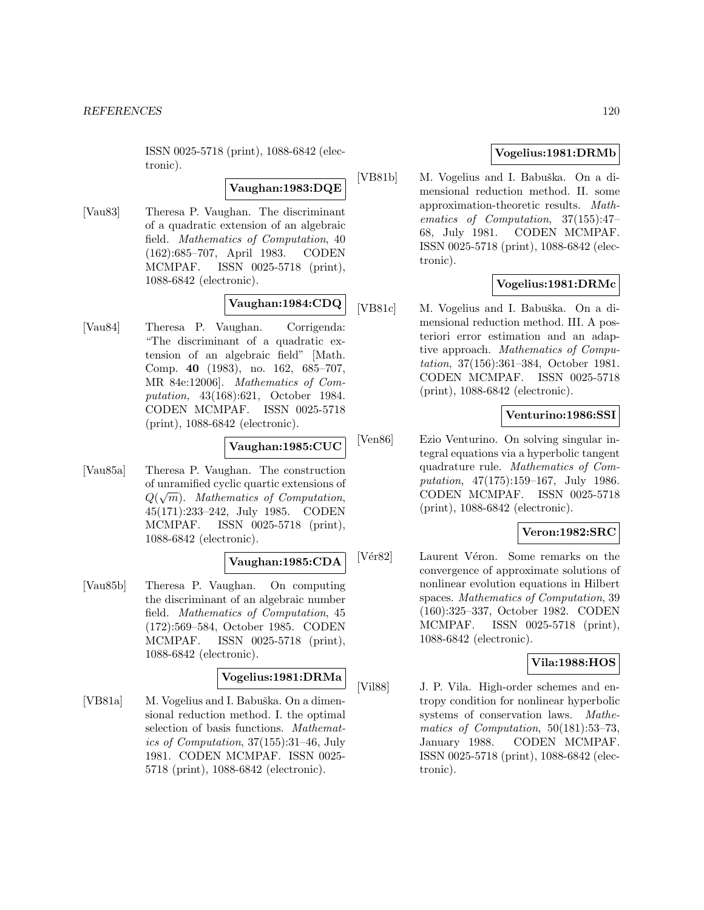ISSN 0025-5718 (print), 1088-6842 (electronic).

#### **Vaughan:1983:DQE**

[Vau83] Theresa P. Vaughan. The discriminant of a quadratic extension of an algebraic field. Mathematics of Computation, 40 (162):685–707, April 1983. CODEN MCMPAF. ISSN 0025-5718 (print), 1088-6842 (electronic).

# **Vaughan:1984:CDQ**

[Vau84] Theresa P. Vaughan. Corrigenda: "The discriminant of a quadratic extension of an algebraic field" [Math. Comp. **40** (1983), no. 162, 685–707, MR 84e:12006]. Mathematics of Computation, 43(168):621, October 1984. CODEN MCMPAF. ISSN 0025-5718 (print), 1088-6842 (electronic).

# **Vaughan:1985:CUC**

[Vau85a] Theresa P. Vaughan. The construction of unramified cyclic quartic extensions of  $Q(\sqrt{m})$ . Mathematics of Computation, 45(171):233–242, July 1985. CODEN MCMPAF. ISSN 0025-5718 (print), 1088-6842 (electronic).

## **Vaughan:1985:CDA**

[Vau85b] Theresa P. Vaughan. On computing the discriminant of an algebraic number field. Mathematics of Computation, 45 (172):569–584, October 1985. CODEN MCMPAF. ISSN 0025-5718 (print), 1088-6842 (electronic).

### **Vogelius:1981:DRMa**

[VB81a] M. Vogelius and I. Babuška. On a dimensional reduction method. I. the optimal selection of basis functions. Mathematics of Computation, 37(155):31–46, July 1981. CODEN MCMPAF. ISSN 0025- 5718 (print), 1088-6842 (electronic).

## **Vogelius:1981:DRMb**

[VB81b] M. Vogelius and I. Babuška. On a dimensional reduction method. II. some approximation-theoretic results. Mathematics of Computation, 37(155):47– 68, July 1981. CODEN MCMPAF. ISSN 0025-5718 (print), 1088-6842 (electronic).

## **Vogelius:1981:DRMc**

[VB81c] M. Vogelius and I. Babuška. On a dimensional reduction method. III. A posteriori error estimation and an adaptive approach. Mathematics of Computation, 37(156):361–384, October 1981. CODEN MCMPAF. ISSN 0025-5718 (print), 1088-6842 (electronic).

### **Venturino:1986:SSI**

[Ven86] Ezio Venturino. On solving singular integral equations via a hyperbolic tangent quadrature rule. Mathematics of Computation, 47(175):159–167, July 1986. CODEN MCMPAF. ISSN 0025-5718 (print), 1088-6842 (electronic).

## **Veron:1982:SRC**

[Vér82] Laurent Véron. Some remarks on the convergence of approximate solutions of nonlinear evolution equations in Hilbert spaces. Mathematics of Computation, 39 (160):325–337, October 1982. CODEN MCMPAF. ISSN 0025-5718 (print), 1088-6842 (electronic).

# **Vila:1988:HOS**

[Vil88] J. P. Vila. High-order schemes and entropy condition for nonlinear hyperbolic systems of conservation laws. Mathematics of Computation, 50(181):53–73, January 1988. CODEN MCMPAF. ISSN 0025-5718 (print), 1088-6842 (electronic).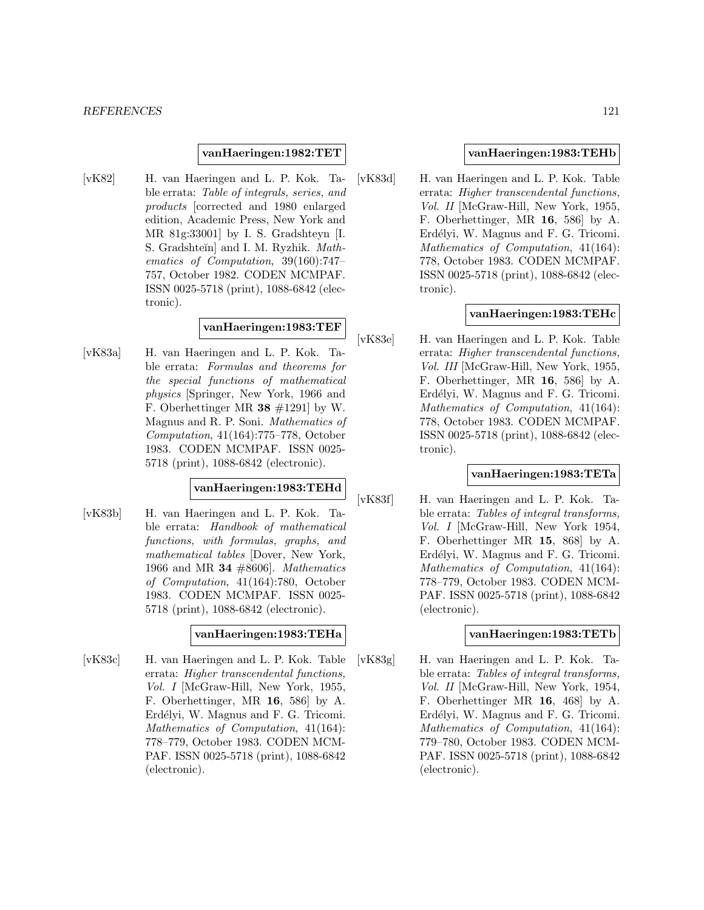#### **vanHaeringen:1982:TET**

[vK82] H. van Haeringen and L. P. Kok. Table errata: Table of integrals, series, and products [corrected and 1980 enlarged edition, Academic Press, New York and MR 81g:33001] by I. S. Gradshteyn [I. S. Gradshteĭn] and I. M. Ryzhik. Mathematics of Computation, 39(160):747– 757, October 1982. CODEN MCMPAF. ISSN 0025-5718 (print), 1088-6842 (electronic).

## **vanHaeringen:1983:TEF**

[vK83a] H. van Haeringen and L. P. Kok. Table errata: Formulas and theorems for the special functions of mathematical physics [Springer, New York, 1966 and F. Oberhettinger MR **38** #1291] by W. Magnus and R. P. Soni. Mathematics of Computation, 41(164):775–778, October 1983. CODEN MCMPAF. ISSN 0025- 5718 (print), 1088-6842 (electronic).

#### **vanHaeringen:1983:TEHd**

[vK83b] H. van Haeringen and L. P. Kok. Table errata: Handbook of mathematical functions, with formulas, graphs, and mathematical tables [Dover, New York, 1966 and MR **34** #8606]. Mathematics of Computation, 41(164):780, October 1983. CODEN MCMPAF. ISSN 0025- 5718 (print), 1088-6842 (electronic).

#### **vanHaeringen:1983:TEHa**

[vK83c] H. van Haeringen and L. P. Kok. Table errata: Higher transcendental functions, Vol. I [McGraw-Hill, New York, 1955, F. Oberhettinger, MR **16**, 586] by A. Erdélyi, W. Magnus and F. G. Tricomi. Mathematics of Computation, 41(164): 778–779, October 1983. CODEN MCM-PAF. ISSN 0025-5718 (print), 1088-6842 (electronic).

### **vanHaeringen:1983:TEHb**

[vK83d] H. van Haeringen and L. P. Kok. Table errata: Higher transcendental functions, Vol. II [McGraw-Hill, New York, 1955, F. Oberhettinger, MR **16**, 586] by A. Erdélyi, W. Magnus and F. G. Tricomi. Mathematics of Computation, 41(164): 778, October 1983. CODEN MCMPAF. ISSN 0025-5718 (print), 1088-6842 (electronic).

#### **vanHaeringen:1983:TEHc**

[vK83e] H. van Haeringen and L. P. Kok. Table errata: Higher transcendental functions, Vol. III [McGraw-Hill, New York, 1955, F. Oberhettinger, MR **16**, 586] by A. Erdélyi, W. Magnus and F. G. Tricomi. Mathematics of Computation, 41(164): 778, October 1983. CODEN MCMPAF. ISSN 0025-5718 (print), 1088-6842 (electronic).

## **vanHaeringen:1983:TETa**

[vK83f] H. van Haeringen and L. P. Kok. Table errata: Tables of integral transforms, Vol. I [McGraw-Hill, New York 1954, F. Oberhettinger MR **15**, 868] by A. Erdélyi, W. Magnus and F. G. Tricomi. Mathematics of Computation, 41(164): 778–779, October 1983. CODEN MCM-PAF. ISSN 0025-5718 (print), 1088-6842 (electronic).

#### **vanHaeringen:1983:TETb**

[vK83g] H. van Haeringen and L. P. Kok. Table errata: Tables of integral transforms, Vol. II [McGraw-Hill, New York, 1954, F. Oberhettinger MR **16**, 468] by A. Erdélyi, W. Magnus and F. G. Tricomi. Mathematics of Computation, 41(164): 779–780, October 1983. CODEN MCM-PAF. ISSN 0025-5718 (print), 1088-6842 (electronic).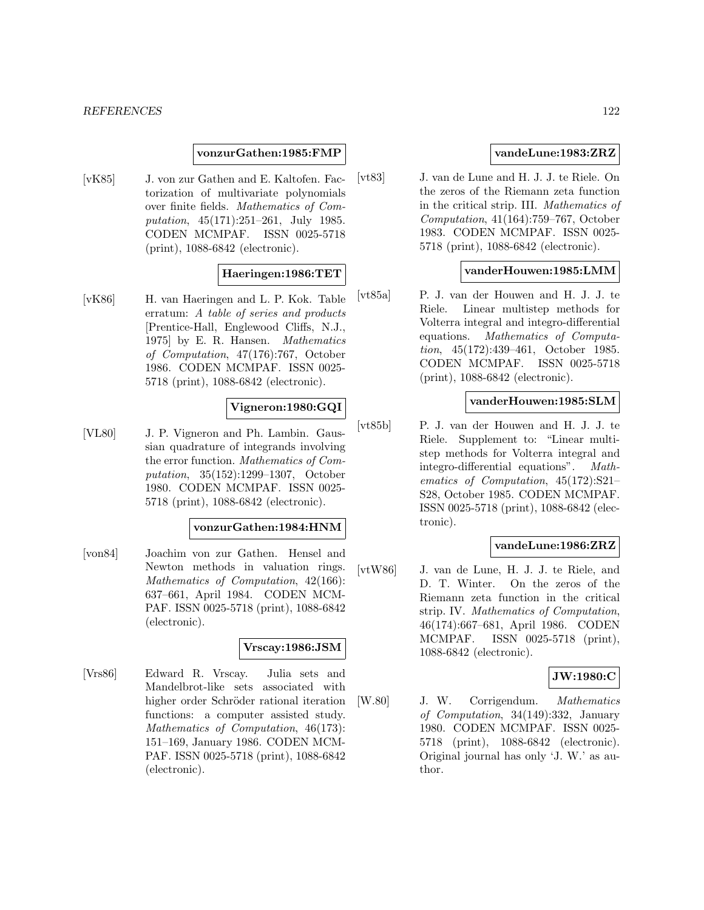#### **vonzurGathen:1985:FMP**

[vK85] J. von zur Gathen and E. Kaltofen. Factorization of multivariate polynomials over finite fields. Mathematics of Computation, 45(171):251–261, July 1985. CODEN MCMPAF. ISSN 0025-5718 (print), 1088-6842 (electronic).

### **Haeringen:1986:TET**

[vK86] H. van Haeringen and L. P. Kok. Table erratum: A table of series and products [Prentice-Hall, Englewood Cliffs, N.J., 1975] by E. R. Hansen. Mathematics of Computation, 47(176):767, October 1986. CODEN MCMPAF. ISSN 0025- 5718 (print), 1088-6842 (electronic).

### **Vigneron:1980:GQI**

[VL80] J. P. Vigneron and Ph. Lambin. Gaussian quadrature of integrands involving the error function. Mathematics of Computation, 35(152):1299–1307, October 1980. CODEN MCMPAF. ISSN 0025- 5718 (print), 1088-6842 (electronic).

#### **vonzurGathen:1984:HNM**

[von84] Joachim von zur Gathen. Hensel and Newton methods in valuation rings. Mathematics of Computation, 42(166): 637–661, April 1984. CODEN MCM-PAF. ISSN 0025-5718 (print), 1088-6842 (electronic).

#### **Vrscay:1986:JSM**

[Vrs86] Edward R. Vrscay. Julia sets and Mandelbrot-like sets associated with higher order Schröder rational iteration functions: a computer assisted study. Mathematics of Computation, 46(173): 151–169, January 1986. CODEN MCM-PAF. ISSN 0025-5718 (print), 1088-6842 (electronic).

### **vandeLune:1983:ZRZ**

[vt83] J. van de Lune and H. J. J. te Riele. On the zeros of the Riemann zeta function in the critical strip. III. Mathematics of Computation, 41(164):759–767, October 1983. CODEN MCMPAF. ISSN 0025- 5718 (print), 1088-6842 (electronic).

## **vanderHouwen:1985:LMM**

[vt85a] P. J. van der Houwen and H. J. J. te Riele. Linear multistep methods for Volterra integral and integro-differential equations. Mathematics of Computation, 45(172):439–461, October 1985. CODEN MCMPAF. ISSN 0025-5718 (print), 1088-6842 (electronic).

### **vanderHouwen:1985:SLM**

[vt85b] P. J. van der Houwen and H. J. J. te Riele. Supplement to: "Linear multistep methods for Volterra integral and integro-differential equations". Mathematics of Computation, 45(172):S21– S28, October 1985. CODEN MCMPAF. ISSN 0025-5718 (print), 1088-6842 (electronic).

### **vandeLune:1986:ZRZ**

[vtW86] J. van de Lune, H. J. J. te Riele, and D. T. Winter. On the zeros of the Riemann zeta function in the critical strip. IV. Mathematics of Computation, 46(174):667–681, April 1986. CODEN MCMPAF. ISSN 0025-5718 (print), 1088-6842 (electronic).

## **JW:1980:C**

[W.80] J. W. Corrigendum. Mathematics of Computation, 34(149):332, January 1980. CODEN MCMPAF. ISSN 0025- 5718 (print), 1088-6842 (electronic). Original journal has only 'J. W.' as author.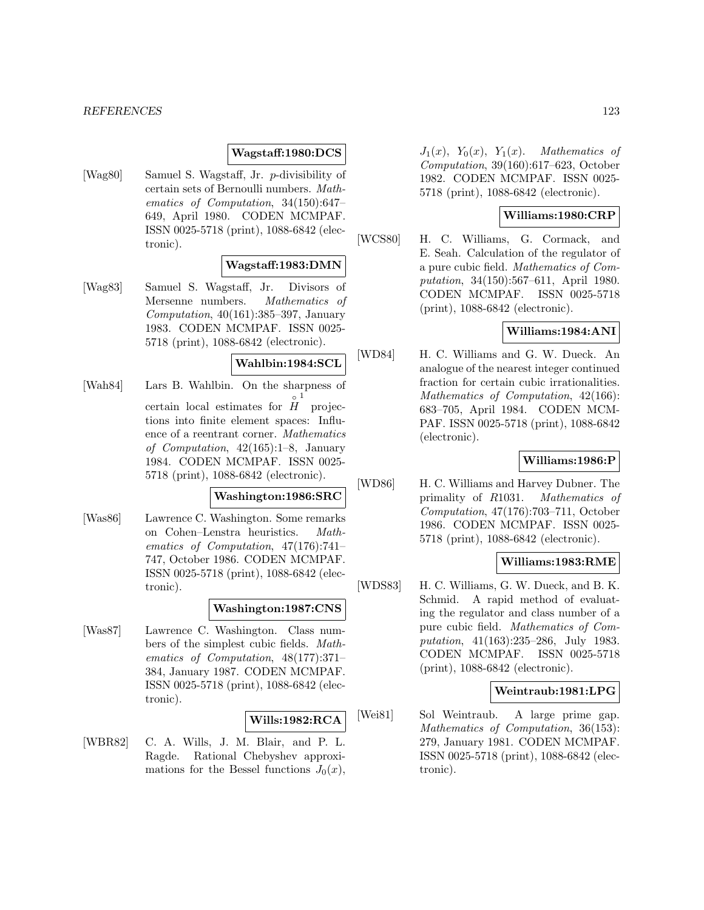### **Wagstaff:1980:DCS**

[Wag80] Samuel S. Wagstaff, Jr. p-divisibility of certain sets of Bernoulli numbers. Mathematics of Computation, 34(150):647– 649, April 1980. CODEN MCMPAF. ISSN 0025-5718 (print), 1088-6842 (electronic).

## **Wagstaff:1983:DMN**

[Wag83] Samuel S. Wagstaff, Jr. Divisors of Mersenne numbers. Mathematics of Computation, 40(161):385–397, January 1983. CODEN MCMPAF. ISSN 0025- 5718 (print), 1088-6842 (electronic).

# **Wahlbin:1984:SCL**

[Wah84] Lars B. Wahlbin. On the sharpness of certain local estimates for  $\hat{H}$  projec- $_{\rm \circ}$  1 tions into finite element spaces: Influence of a reentrant corner. Mathematics of Computation, 42(165):1–8, January 1984. CODEN MCMPAF. ISSN 0025- 5718 (print), 1088-6842 (electronic).

## **Washington:1986:SRC**

[Was86] Lawrence C. Washington. Some remarks on Cohen–Lenstra heuristics. Mathematics of Computation, 47(176):741– 747, October 1986. CODEN MCMPAF. ISSN 0025-5718 (print), 1088-6842 (electronic).

#### **Washington:1987:CNS**

[Was87] Lawrence C. Washington. Class numbers of the simplest cubic fields. Mathematics of Computation, 48(177):371– 384, January 1987. CODEN MCMPAF. ISSN 0025-5718 (print), 1088-6842 (electronic).

### **Wills:1982:RCA**

[WBR82] C. A. Wills, J. M. Blair, and P. L. Ragde. Rational Chebyshev approximations for the Bessel functions  $J_0(x)$ ,

 $J_1(x)$ ,  $Y_0(x)$ ,  $Y_1(x)$ . Mathematics of Computation, 39(160):617–623, October 1982. CODEN MCMPAF. ISSN 0025- 5718 (print), 1088-6842 (electronic).

### **Williams:1980:CRP**

[WCS80] H. C. Williams, G. Cormack, and E. Seah. Calculation of the regulator of a pure cubic field. Mathematics of Computation, 34(150):567–611, April 1980. CODEN MCMPAF. ISSN 0025-5718 (print), 1088-6842 (electronic).

### **Williams:1984:ANI**

[WD84] H. C. Williams and G. W. Dueck. An analogue of the nearest integer continued fraction for certain cubic irrationalities. Mathematics of Computation, 42(166): 683–705, April 1984. CODEN MCM-PAF. ISSN 0025-5718 (print), 1088-6842 (electronic).

### **Williams:1986:P**

[WD86] H. C. Williams and Harvey Dubner. The primality of R1031. Mathematics of Computation, 47(176):703–711, October 1986. CODEN MCMPAF. ISSN 0025- 5718 (print), 1088-6842 (electronic).

## **Williams:1983:RME**

[WDS83] H. C. Williams, G. W. Dueck, and B. K. Schmid. A rapid method of evaluating the regulator and class number of a pure cubic field. Mathematics of Computation, 41(163):235–286, July 1983. CODEN MCMPAF. ISSN 0025-5718 (print), 1088-6842 (electronic).

### **Weintraub:1981:LPG**

[Wei81] Sol Weintraub. A large prime gap. Mathematics of Computation, 36(153): 279, January 1981. CODEN MCMPAF. ISSN 0025-5718 (print), 1088-6842 (electronic).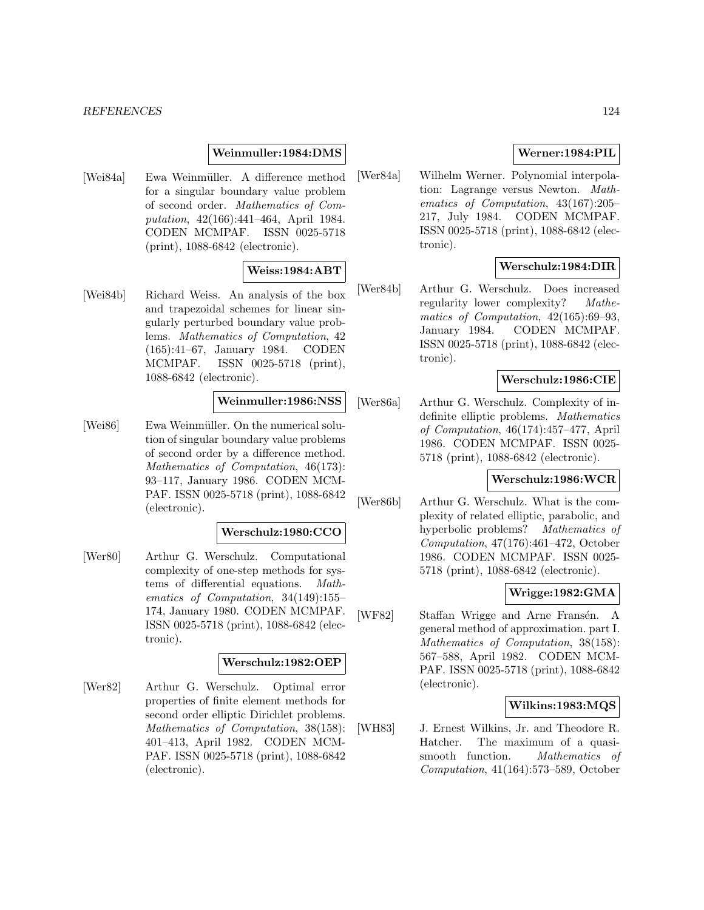### **Weinmuller:1984:DMS**

[Wei84a] Ewa Weinmüller. A difference method for a singular boundary value problem of second order. Mathematics of Computation, 42(166):441–464, April 1984. CODEN MCMPAF. ISSN 0025-5718 (print), 1088-6842 (electronic).

### **Weiss:1984:ABT**

[Wei84b] Richard Weiss. An analysis of the box and trapezoidal schemes for linear singularly perturbed boundary value problems. Mathematics of Computation, 42 (165):41–67, January 1984. CODEN MCMPAF. ISSN 0025-5718 (print), 1088-6842 (electronic).

# **Weinmuller:1986:NSS**

[Wei86] Ewa Weinmüller. On the numerical solution of singular boundary value problems of second order by a difference method. Mathematics of Computation, 46(173): 93–117, January 1986. CODEN MCM-PAF. ISSN 0025-5718 (print), 1088-6842 (electronic).

## **Werschulz:1980:CCO**

[Wer80] Arthur G. Werschulz. Computational complexity of one-step methods for systems of differential equations. Mathematics of Computation, 34(149):155– 174, January 1980. CODEN MCMPAF. ISSN 0025-5718 (print), 1088-6842 (electronic).

#### **Werschulz:1982:OEP**

[Wer82] Arthur G. Werschulz. Optimal error properties of finite element methods for second order elliptic Dirichlet problems. Mathematics of Computation, 38(158): 401–413, April 1982. CODEN MCM-PAF. ISSN 0025-5718 (print), 1088-6842 (electronic).

## **Werner:1984:PIL**

[Wer84a] Wilhelm Werner. Polynomial interpolation: Lagrange versus Newton. Mathematics of Computation, 43(167):205– 217, July 1984. CODEN MCMPAF. ISSN 0025-5718 (print), 1088-6842 (electronic).

## **Werschulz:1984:DIR**

[Wer84b] Arthur G. Werschulz. Does increased regularity lower complexity? Mathematics of Computation, 42(165):69–93, January 1984. CODEN MCMPAF. ISSN 0025-5718 (print), 1088-6842 (electronic).

## **Werschulz:1986:CIE**

[Wer86a] Arthur G. Werschulz. Complexity of indefinite elliptic problems. Mathematics of Computation, 46(174):457–477, April 1986. CODEN MCMPAF. ISSN 0025- 5718 (print), 1088-6842 (electronic).

### **Werschulz:1986:WCR**

[Wer86b] Arthur G. Werschulz. What is the complexity of related elliptic, parabolic, and hyperbolic problems? Mathematics of Computation, 47(176):461–472, October 1986. CODEN MCMPAF. ISSN 0025- 5718 (print), 1088-6842 (electronic).

#### **Wrigge:1982:GMA**

[WF82] Staffan Wrigge and Arne Fransén. A general method of approximation. part I. Mathematics of Computation, 38(158): 567–588, April 1982. CODEN MCM-PAF. ISSN 0025-5718 (print), 1088-6842 (electronic).

### **Wilkins:1983:MQS**

[WH83] J. Ernest Wilkins, Jr. and Theodore R. Hatcher. The maximum of a quasismooth function. *Mathematics of* Computation, 41(164):573–589, October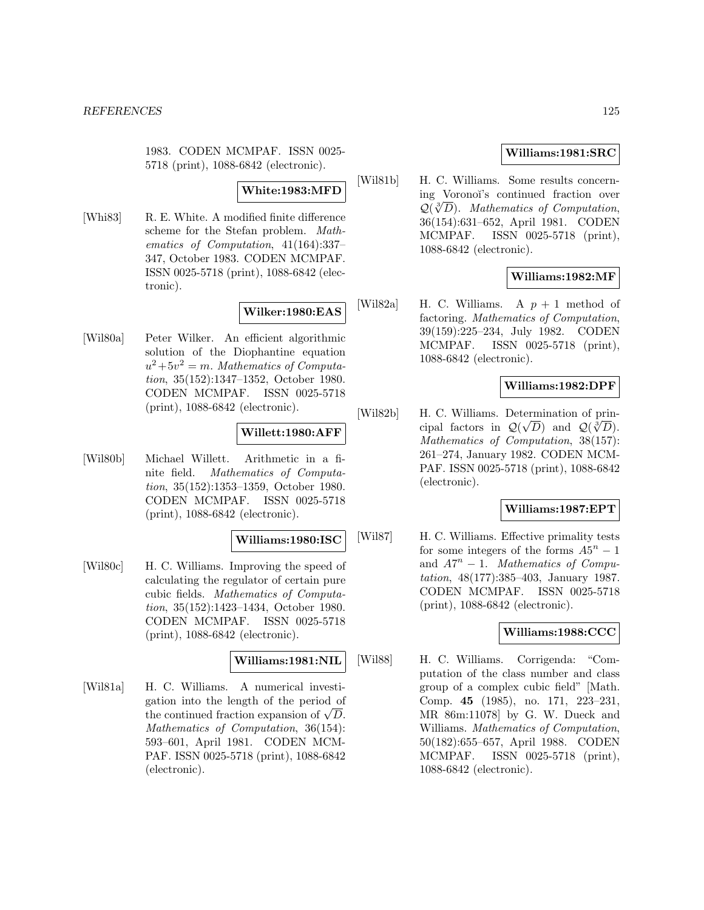1983. CODEN MCMPAF. ISSN 0025- 5718 (print), 1088-6842 (electronic).

## **White:1983:MFD**

[Whi83] R. E. White. A modified finite difference scheme for the Stefan problem. Mathematics of Computation, 41(164):337– 347, October 1983. CODEN MCMPAF. ISSN 0025-5718 (print), 1088-6842 (electronic).

## **Wilker:1980:EAS**

[Wil80a] Peter Wilker. An efficient algorithmic solution of the Diophantine equation  $u^2+5v^2=m$ . Mathematics of Computation, 35(152):1347–1352, October 1980. CODEN MCMPAF. ISSN 0025-5718 (print), 1088-6842 (electronic).

## **Willett:1980:AFF**

[Wil80b] Michael Willett. Arithmetic in a finite field. Mathematics of Computation, 35(152):1353–1359, October 1980. CODEN MCMPAF. ISSN 0025-5718 (print), 1088-6842 (electronic).

### **Williams:1980:ISC**

[Wil80c] H. C. Williams. Improving the speed of calculating the regulator of certain pure cubic fields. Mathematics of Computation, 35(152):1423–1434, October 1980. CODEN MCMPAF. ISSN 0025-5718 (print), 1088-6842 (electronic).

### **Williams:1981:NIL**

[Wil81a] H. C. Williams. A numerical investigation into the length of the period of the continued fraction expansion of  $\sqrt{D}$ . Mathematics of Computation, 36(154): 593–601, April 1981. CODEN MCM-PAF. ISSN 0025-5718 (print), 1088-6842 (electronic).

## **Williams:1981:SRC**

[Wil81b] H. C. Williams. Some results concerning Voronoï's continued fraction over  $\mathcal{Q}(\sqrt[3]{D})$ . Mathematics of Computation, 36(154):631–652, April 1981. CODEN MCMPAF. ISSN 0025-5718 (print), 1088-6842 (electronic).

## **Williams:1982:MF**

[Wil82a] H. C. Williams. A  $p + 1$  method of factoring. Mathematics of Computation, 39(159):225–234, July 1982. CODEN MCMPAF. ISSN 0025-5718 (print), 1088-6842 (electronic).

## **Williams:1982:DPF**

[Wil82b] H. C. Williams. Determination of principal factors in  $\mathcal{Q}(\sqrt{D})$  and  $\mathcal{Q}(\sqrt[3]{D})$ . Mathematics of Computation, 38(157): 261–274, January 1982. CODEN MCM-PAF. ISSN 0025-5718 (print), 1088-6842 (electronic).

### **Williams:1987:EPT**

[Wil87] H. C. Williams. Effective primality tests for some integers of the forms  $A5^n - 1$ and  $A7^n - 1$ . Mathematics of Computation, 48(177):385–403, January 1987. CODEN MCMPAF. ISSN 0025-5718 (print), 1088-6842 (electronic).

## **Williams:1988:CCC**

[Wil88] H. C. Williams. Corrigenda: "Computation of the class number and class group of a complex cubic field" [Math. Comp. **45** (1985), no. 171, 223–231, MR 86m:11078] by G. W. Dueck and Williams. Mathematics of Computation, 50(182):655–657, April 1988. CODEN MCMPAF. ISSN 0025-5718 (print), 1088-6842 (electronic).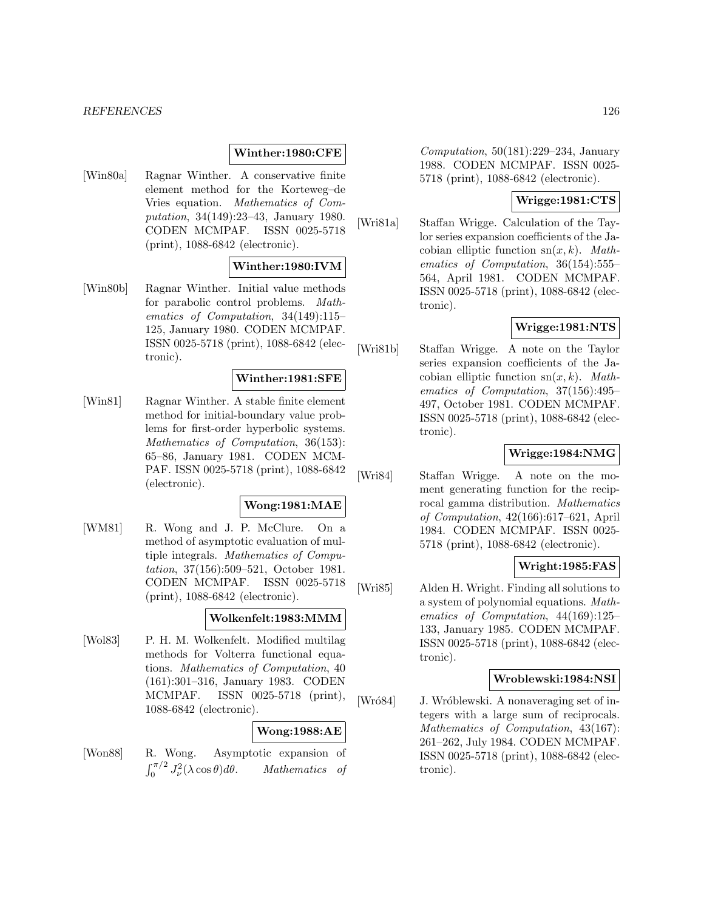#### **Winther:1980:CFE**

[Win80a] Ragnar Winther. A conservative finite element method for the Korteweg–de Vries equation. Mathematics of Computation, 34(149):23–43, January 1980. CODEN MCMPAF. ISSN 0025-5718 (print), 1088-6842 (electronic).

### **Winther:1980:IVM**

[Win80b] Ragnar Winther. Initial value methods for parabolic control problems. Mathematics of Computation, 34(149):115– 125, January 1980. CODEN MCMPAF. ISSN 0025-5718 (print), 1088-6842 (electronic).

## **Winther:1981:SFE**

[Win81] Ragnar Winther. A stable finite element method for initial-boundary value problems for first-order hyperbolic systems. Mathematics of Computation, 36(153): 65–86, January 1981. CODEN MCM-PAF. ISSN 0025-5718 (print), 1088-6842 (electronic).

### **Wong:1981:MAE**

[WM81] R. Wong and J. P. McClure. On a method of asymptotic evaluation of multiple integrals. Mathematics of Computation, 37(156):509–521, October 1981. CODEN MCMPAF. ISSN 0025-5718 (print), 1088-6842 (electronic).

#### **Wolkenfelt:1983:MMM**

[Wol83] P. H. M. Wolkenfelt. Modified multilag methods for Volterra functional equations. Mathematics of Computation, 40 (161):301–316, January 1983. CODEN MCMPAF. ISSN 0025-5718 (print), 1088-6842 (electronic).

#### **Wong:1988:AE**

[Won88] R. Wong. Asymptotic expansion of  $\int_0^{\pi/2} J_\nu^2$ Mathematics of

Computation, 50(181):229–234, January 1988. CODEN MCMPAF. ISSN 0025- 5718 (print), 1088-6842 (electronic).

### **Wrigge:1981:CTS**

[Wri81a] Staffan Wrigge. Calculation of the Taylor series expansion coefficients of the Jacobian elliptic function  $sn(x, k)$ . Mathematics of Computation, 36(154):555– 564, April 1981. CODEN MCMPAF. ISSN 0025-5718 (print), 1088-6842 (electronic).

## **Wrigge:1981:NTS**

[Wri81b] Staffan Wrigge. A note on the Taylor series expansion coefficients of the Jacobian elliptic function  $sn(x, k)$ . Mathematics of Computation, 37(156):495– 497, October 1981. CODEN MCMPAF. ISSN 0025-5718 (print), 1088-6842 (electronic).

### **Wrigge:1984:NMG**

[Wri84] Staffan Wrigge. A note on the moment generating function for the reciprocal gamma distribution. Mathematics of Computation, 42(166):617–621, April 1984. CODEN MCMPAF. ISSN 0025- 5718 (print), 1088-6842 (electronic).

### **Wright:1985:FAS**

[Wri85] Alden H. Wright. Finding all solutions to a system of polynomial equations. Mathematics of Computation, 44(169):125– 133, January 1985. CODEN MCMPAF. ISSN 0025-5718 (print), 1088-6842 (electronic).

#### **Wroblewski:1984:NSI**

[Wró84] J. Wróblewski. A nonaveraging set of integers with a large sum of reciprocals. Mathematics of Computation, 43(167): 261–262, July 1984. CODEN MCMPAF. ISSN 0025-5718 (print), 1088-6842 (electronic).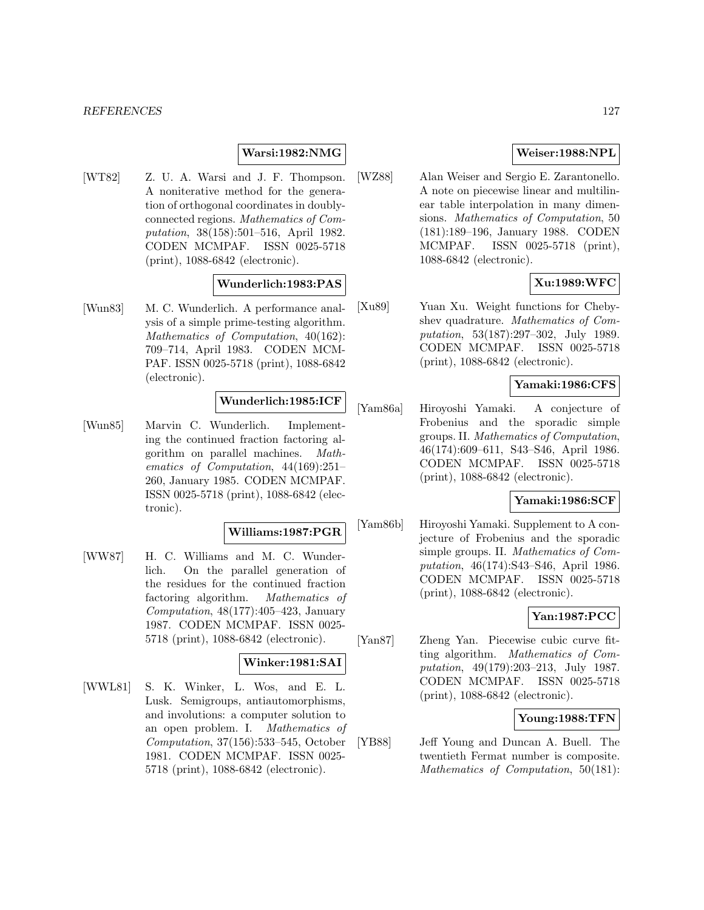### **Warsi:1982:NMG**

[WT82] Z. U. A. Warsi and J. F. Thompson. A noniterative method for the generation of orthogonal coordinates in doublyconnected regions. Mathematics of Computation, 38(158):501–516, April 1982. CODEN MCMPAF. ISSN 0025-5718 (print), 1088-6842 (electronic).

## **Wunderlich:1983:PAS**

[Wun83] M. C. Wunderlich. A performance analysis of a simple prime-testing algorithm. Mathematics of Computation, 40(162): 709–714, April 1983. CODEN MCM-PAF. ISSN 0025-5718 (print), 1088-6842 (electronic).

# **Wunderlich:1985:ICF**

[Wun85] Marvin C. Wunderlich. Implementing the continued fraction factoring algorithm on parallel machines. Mathematics of Computation, 44(169):251– 260, January 1985. CODEN MCMPAF. ISSN 0025-5718 (print), 1088-6842 (electronic).

#### **Williams:1987:PGR**

[WW87] H. C. Williams and M. C. Wunderlich. On the parallel generation of the residues for the continued fraction factoring algorithm. Mathematics of Computation, 48(177):405–423, January 1987. CODEN MCMPAF. ISSN 0025- 5718 (print), 1088-6842 (electronic).

# **Winker:1981:SAI**

[WWL81] S. K. Winker, L. Wos, and E. L. Lusk. Semigroups, antiautomorphisms, and involutions: a computer solution to an open problem. I. Mathematics of Computation, 37(156):533–545, October 1981. CODEN MCMPAF. ISSN 0025- 5718 (print), 1088-6842 (electronic).

### **Weiser:1988:NPL**

[WZ88] Alan Weiser and Sergio E. Zarantonello. A note on piecewise linear and multilinear table interpolation in many dimensions. Mathematics of Computation, 50 (181):189–196, January 1988. CODEN MCMPAF. ISSN 0025-5718 (print), 1088-6842 (electronic).

## **Xu:1989:WFC**

[Xu89] Yuan Xu. Weight functions for Chebyshev quadrature. Mathematics of Computation, 53(187):297–302, July 1989. CODEN MCMPAF. ISSN 0025-5718 (print), 1088-6842 (electronic).

### **Yamaki:1986:CFS**

[Yam86a] Hiroyoshi Yamaki. A conjecture of Frobenius and the sporadic simple groups. II. Mathematics of Computation, 46(174):609–611, S43–S46, April 1986. CODEN MCMPAF. ISSN 0025-5718 (print), 1088-6842 (electronic).

#### **Yamaki:1986:SCF**

[Yam86b] Hiroyoshi Yamaki. Supplement to A conjecture of Frobenius and the sporadic simple groups. II. Mathematics of Computation, 46(174):S43–S46, April 1986. CODEN MCMPAF. ISSN 0025-5718 (print), 1088-6842 (electronic).

### **Yan:1987:PCC**

[Yan87] Zheng Yan. Piecewise cubic curve fitting algorithm. Mathematics of Computation, 49(179):203–213, July 1987. CODEN MCMPAF. ISSN 0025-5718 (print), 1088-6842 (electronic).

#### **Young:1988:TFN**

[YB88] Jeff Young and Duncan A. Buell. The twentieth Fermat number is composite. Mathematics of Computation, 50(181):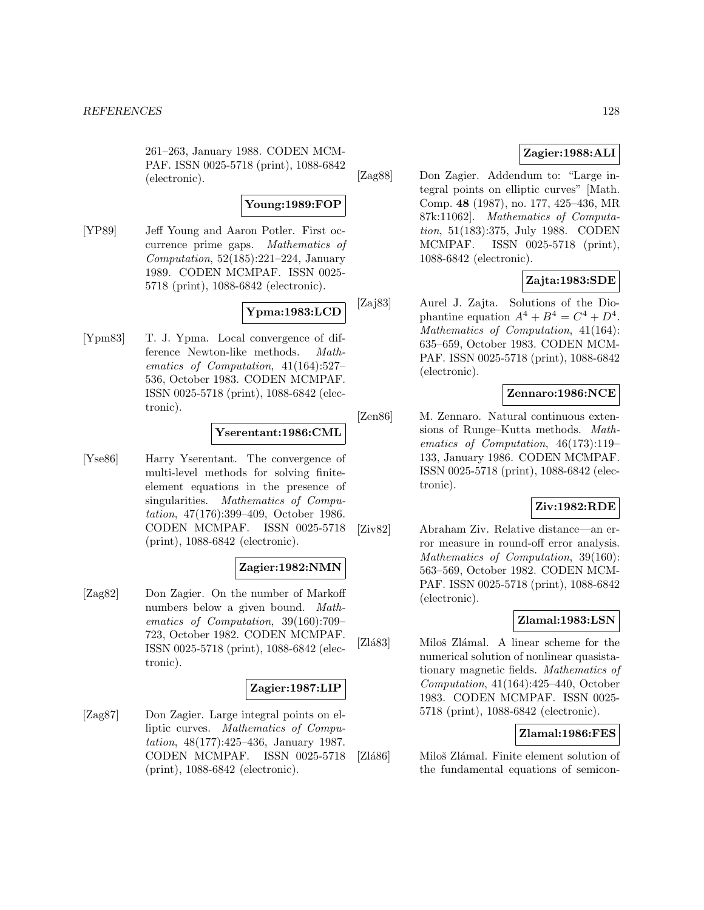261–263, January 1988. CODEN MCM-PAF. ISSN 0025-5718 (print), 1088-6842 (electronic).

### **Young:1989:FOP**

[YP89] Jeff Young and Aaron Potler. First occurrence prime gaps. Mathematics of Computation, 52(185):221–224, January 1989. CODEN MCMPAF. ISSN 0025- 5718 (print), 1088-6842 (electronic).

# **Ypma:1983:LCD**

[Ypm83] T. J. Ypma. Local convergence of difference Newton-like methods. Mathematics of Computation, 41(164):527– 536, October 1983. CODEN MCMPAF. ISSN 0025-5718 (print), 1088-6842 (electronic).

## **Yserentant:1986:CML**

[Yse86] Harry Yserentant. The convergence of multi-level methods for solving finiteelement equations in the presence of singularities. Mathematics of Computation, 47(176):399–409, October 1986. CODEN MCMPAF. ISSN 0025-5718 (print), 1088-6842 (electronic).

## **Zagier:1982:NMN**

[Zag82] Don Zagier. On the number of Markoff numbers below a given bound. Mathematics of Computation, 39(160):709– 723, October 1982. CODEN MCMPAF. ISSN 0025-5718 (print), 1088-6842 (electronic).

### **Zagier:1987:LIP**

[Zag87] Don Zagier. Large integral points on elliptic curves. Mathematics of Computation, 48(177):425–436, January 1987. CODEN MCMPAF. ISSN 0025-5718 (print), 1088-6842 (electronic).

## **Zagier:1988:ALI**

[Zag88] Don Zagier. Addendum to: "Large integral points on elliptic curves" [Math. Comp. **48** (1987), no. 177, 425–436, MR 87k:11062]. Mathematics of Computation, 51(183):375, July 1988. CODEN MCMPAF. ISSN 0025-5718 (print), 1088-6842 (electronic).

# **Zajta:1983:SDE**

[Zaj83] Aurel J. Zajta. Solutions of the Diophantine equation  $A^4 + B^4 = C^4 + D^4$ . Mathematics of Computation, 41(164): 635–659, October 1983. CODEN MCM-PAF. ISSN 0025-5718 (print), 1088-6842 (electronic).

## **Zennaro:1986:NCE**

[Zen86] M. Zennaro. Natural continuous extensions of Runge–Kutta methods. Mathematics of Computation, 46(173):119– 133, January 1986. CODEN MCMPAF. ISSN 0025-5718 (print), 1088-6842 (electronic).

## **Ziv:1982:RDE**

[Ziv82] Abraham Ziv. Relative distance—an error measure in round-off error analysis. Mathematics of Computation, 39(160): 563–569, October 1982. CODEN MCM-PAF. ISSN 0025-5718 (print), 1088-6842 (electronic).

### **Zlamal:1983:LSN**

[Zlá83] Miloš Zlámal. A linear scheme for the numerical solution of nonlinear quasistationary magnetic fields. Mathematics of Computation, 41(164):425–440, October 1983. CODEN MCMPAF. ISSN 0025- 5718 (print), 1088-6842 (electronic).

### **Zlamal:1986:FES**

[Zlá86] Miloš Zlámal. Finite element solution of the fundamental equations of semicon-